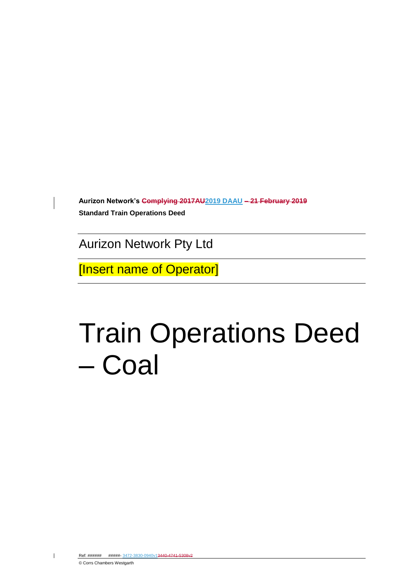**Aurizon Network's Complying 2017AU2019 DAAU – 21 February 2019 Standard Train Operations Deed** 

Aurizon Network Pty Ltd

[Insert name of Operator]

# Train Operations Deed – Coal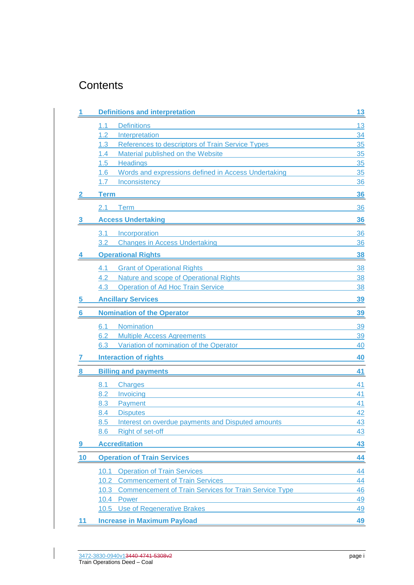# **Contents**

|    | <b>Definitions and interpretation</b>                                                     | <u>13</u> |
|----|-------------------------------------------------------------------------------------------|-----------|
|    | <b>Definitions</b><br>1.1                                                                 | 13        |
|    | 1.2<br>Interpretation                                                                     | 34        |
|    | References to descriptors of Train Service Types<br>1.3                                   | 35        |
|    | 1.4<br>Material published on the Website                                                  | 35        |
|    | <b>Headings</b><br>$1.5^{\circ}$                                                          | 35        |
|    | Words and expressions defined in Access Undertaking<br>1.6                                | 35        |
|    | Inconsistency<br>1.7                                                                      | 36        |
| 2  | <b>Term</b><br>the control of the control of the control of the control of the control of | 36        |
|    | 2.1<br><b>Term</b>                                                                        | 36        |
| 3  | <b>Access Undertaking</b>                                                                 | 36        |
|    | 3.1<br>Incorporation                                                                      | 36        |
|    | <b>Changes in Access Undertaking</b><br>$3.2^{\circ}$                                     | 36        |
|    | <b>Operational Rights</b>                                                                 | 38        |
|    | <b>Grant of Operational Rights</b><br>4.1                                                 | 38        |
|    | Nature and scope of Operational Rights<br>4.2                                             | 38        |
|    | <b>Operation of Ad Hoc Train Service</b><br>4.3                                           | 38        |
| 5  | <b>Ancillary Services</b>                                                                 | 39        |
| 6  | <b>Nomination of the Operator</b>                                                         | <u>39</u> |
|    | <b>Nomination</b><br>6.1                                                                  | 39        |
|    | <b>Multiple Access Agreements</b><br>6.2                                                  | 39        |
|    | Variation of nomination of the Operator<br>6.3                                            | 40        |
|    | <b>Interaction of rights</b>                                                              | 40        |
| 8  | <b>Billing and payments</b>                                                               | 41        |
|    | 8.1<br>Charges                                                                            | 41        |
|    | Invoicing<br>8.2                                                                          | 41        |
|    | <b>Payment</b><br>8.3                                                                     | 41        |
|    | <b>Disputes</b><br>8.4                                                                    | 42        |
|    | Interest on overdue payments and Disputed amounts<br>8.5                                  | 43        |
|    | Right of set-off<br>8.6                                                                   | 43        |
| 9  | <b>Accreditation</b>                                                                      | 43        |
| 10 | <b>Operation of Train Services</b>                                                        | 44        |
|    | <b>Operation of Train Services</b><br>10.1                                                | 44        |
|    | <b>Commencement of Train Services</b><br>10.2                                             | 44        |
|    | 10.3 Commencement of Train Services for Train Service Type                                | 46        |
|    | 10.4 Power                                                                                | 49        |
|    | 10.5 Use of Regenerative Brakes                                                           | 49        |
| 11 | <b>Increase in Maximum Payload</b>                                                        | 49        |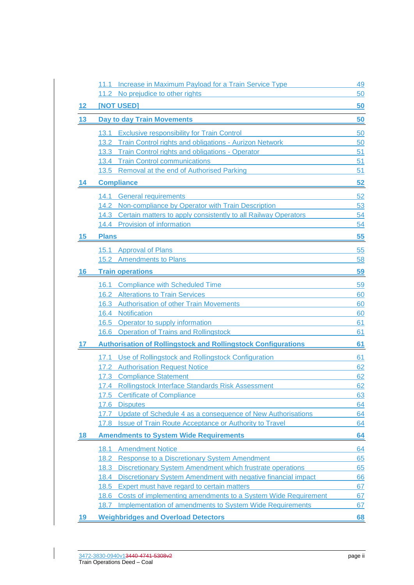|           | 11.1 Increase in Maximum Payload for a Train Service Type                                                      | 49              |
|-----------|----------------------------------------------------------------------------------------------------------------|-----------------|
|           | 11.2 No prejudice to other rights                                                                              | 50              |
| 12        | <b>INOT USEDI</b>                                                                                              | 50              |
| 13        | <b>Day to day Train Movements</b>                                                                              | 50              |
|           | 13.1 Exclusive responsibility for Train Control                                                                | 50              |
|           | 13.2 Train Control rights and obligations - Aurizon Network                                                    | 50              |
|           | 13.3 Train Control rights and obligations - Operator                                                           | 51              |
|           | 13.4 Train Control communications                                                                              | 51              |
|           | 13.5 Removal at the end of Authorised Parking                                                                  | 51              |
| 14        | <b>Compliance</b>                                                                                              | 52              |
|           | 14.1 General requirements                                                                                      | 52              |
|           | 14.2 Non-compliance by Operator with Train Description                                                         | 53              |
|           | 14.3 Certain matters to apply consistently to all Railway Operators                                            | 54              |
|           | 14.4 Provision of information                                                                                  | 54              |
| 15        | <b>Plans</b>                                                                                                   | $\overline{55}$ |
|           | 15.1 Approval of Plans                                                                                         | 55              |
|           | 15.2 Amendments to Plans                                                                                       | 58              |
| 16        | <b>Train operations</b><br><u> 1980 - Johann Barnett, fransk politik (</u>                                     | 59              |
|           | 16.1 Compliance with Scheduled Time                                                                            | 59              |
|           | 16.2 Alterations to Train Services                                                                             | 60              |
|           | 16.3 Authorisation of other Train Movements                                                                    | 60              |
|           | 16.4 Notification<br>the control of the control of the control of the control of the control of the control of | 60              |
|           | 16.5 Operator to supply information                                                                            | 61              |
|           | 16.6 Operation of Trains and Rollingstock                                                                      | 61              |
| 17        | <b>Authorisation of Rollingstock and Rollingstock Configurations</b>                                           | 61              |
|           | 17.1 Use of Rollingstock and Rollingstock Configuration                                                        | 61              |
|           | 17.2 Authorisation Request Notice                                                                              | 62              |
|           | 17.3 Compliance Statement                                                                                      | 62              |
|           | 17.4 Rollingstock Interface Standards Risk Assessment                                                          | 62              |
|           | <b>Certificate of Compliance</b><br>17.5                                                                       | 63              |
|           | <b>Disputes</b><br>17.6                                                                                        | 64              |
|           | Update of Schedule 4 as a consequence of New Authorisations<br>17.7                                            | 64              |
|           | <b>Issue of Train Route Acceptance or Authority to Travel</b><br>17.8                                          | 64              |
| <u>18</u> | <b>Amendments to System Wide Requirements</b>                                                                  | <u>64</u>       |
|           | <b>Amendment Notice</b><br>18.1                                                                                | 64              |
|           | Response to a Discretionary System Amendment<br>18.2                                                           | 65              |
|           | Discretionary System Amendment which frustrate operations<br><u>18.3</u>                                       | 65              |
|           | Discretionary System Amendment with negative financial impact<br>18.4                                          | 66              |
|           | <b>Expert must have regard to certain matters</b><br>18.5                                                      | 67              |
|           | Costs of implementing amendments to a System Wide Requirement<br>18.6                                          | 67              |
|           | <b>Implementation of amendments to System Wide Requirements</b><br>18.7                                        | 67              |
| 19        | <b>Weighbridges and Overload Detectors</b>                                                                     | 68              |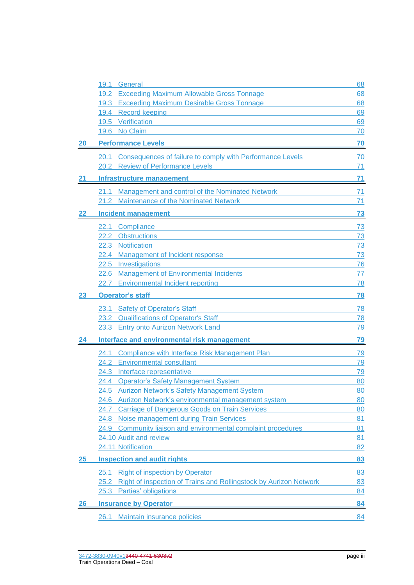|    | 19.1 General                                                              | 68        |
|----|---------------------------------------------------------------------------|-----------|
|    | <b>Exceeding Maximum Allowable Gross Tonnage</b><br>19.2                  | 68        |
|    | 19.3 Exceeding Maximum Desirable Gross Tonnage                            | 68        |
|    | 19.4 Record keeping                                                       | 69        |
|    | 19.5 Verification                                                         | 69        |
|    | 19.6 No Claim                                                             | 70        |
| 20 | <b>Performance Levels</b>                                                 | 70        |
|    | 20.1 Consequences of failure to comply with Performance Levels            | 70        |
|    | 20.2 Review of Performance Levels                                         | 71        |
| 21 | <b>Infrastructure management</b>                                          | 71        |
|    | 21.1 Management and control of the Nominated Network                      | 71        |
|    | 21.2 Maintenance of the Nominated Network                                 | 71        |
| 22 | <b>Incident management</b>                                                | <u>73</u> |
|    | 22.1<br>Compliance                                                        | 73        |
|    | <b>Obstructions</b><br>22.2                                               | 73        |
|    | 22.3<br>Notification                                                      | 73        |
|    | 22.4 Management of Incident response                                      | 73        |
|    | Investigations<br>22.5                                                    | 76        |
|    | <b>Management of Environmental Incidents</b><br>22.6                      | 77        |
|    | 22.7 Environmental Incident reporting                                     | 78        |
| 23 | <b>Operator's staff</b>                                                   | 78        |
|    | 23.1 Safety of Operator's Staff                                           | 78        |
|    | 23.2 Qualifications of Operator's Staff                                   | 78        |
|    | 23.3 Entry onto Aurizon Network Land                                      | 79        |
| 24 | Interface and environmental risk management                               | 79        |
|    | 24.1 Compliance with Interface Risk Management Plan                       | 79        |
|    | 24.2 Environmental consultant                                             | <b>79</b> |
|    | 24.3 Interface representative                                             | 79        |
|    | 24.4 Operator's Safety Management System                                  | 80        |
|    | 24.5 Aurizon Network's Safety Management System                           | 80        |
|    | 24.6 Aurizon Network's environmental management system                    | 80        |
|    | <b>Carriage of Dangerous Goods on Train Services</b><br>24.7              | 80        |
|    | Noise management during Train Services<br>24.8                            | 81        |
|    | Community liaison and environmental complaint procedures<br>24.9          | 81        |
|    | 24.10 Audit and review                                                    | 81        |
|    | 24.11 Notification                                                        | 82        |
| 25 | <b>Inspection and audit rights</b>                                        | <u>83</u> |
|    | <b>Right of inspection by Operator</b><br>25.1                            | 83        |
|    | Right of inspection of Trains and Rollingstock by Aurizon Network<br>25.2 | 83        |
|    | 25.3 Parties' obligations                                                 | 84        |
| 26 | <b>Insurance by Operator</b>                                              | <u>84</u> |
|    | 26.1 Maintain insurance policies                                          | 84        |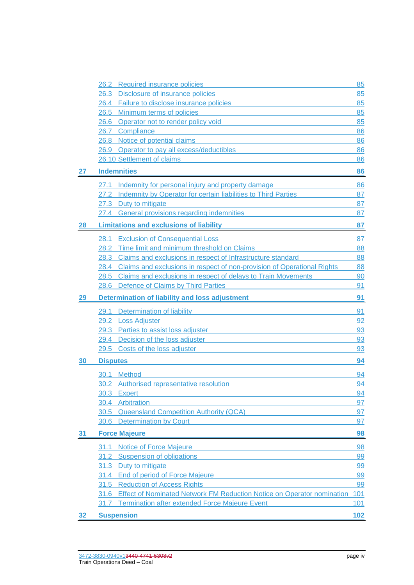|    | 26.2 Required insurance policies                                                                                                                                                                                               | 85        |
|----|--------------------------------------------------------------------------------------------------------------------------------------------------------------------------------------------------------------------------------|-----------|
|    | 26.3 Disclosure of insurance policies                                                                                                                                                                                          | 85        |
|    | 26.4 Failure to disclose insurance policies                                                                                                                                                                                    | 85        |
|    | 26.5 Minimum terms of policies                                                                                                                                                                                                 | 85        |
|    | 26.6 Operator not to render policy void                                                                                                                                                                                        | 85        |
|    | 26.7 Compliance                                                                                                                                                                                                                | 86        |
|    | 26.8 Notice of potential claims                                                                                                                                                                                                | 86        |
|    | 26.9 Operator to pay all excess/deductibles                                                                                                                                                                                    | 86        |
|    | 26.10 Settlement of claims                                                                                                                                                                                                     | 86        |
| 27 | <b>Indemnities</b>                                                                                                                                                                                                             | 86        |
|    | 27.1 Indemnity for personal injury and property damage                                                                                                                                                                         | 86        |
|    | 27.2 Indemnity by Operator for certain liabilities to Third Parties                                                                                                                                                            | 87        |
|    | 27.3 Duty to mitigate                                                                                                                                                                                                          | 87        |
|    | 27.4 General provisions regarding indemnities                                                                                                                                                                                  | 87        |
| 28 | <b>Limitations and exclusions of liability</b>                                                                                                                                                                                 | 87        |
|    | 28.1 Exclusion of Consequential Loss<br>the control of the control of the control of the control of the control of                                                                                                             | 87        |
|    | Time limit and minimum threshold on Claims<br>28.2                                                                                                                                                                             | 88        |
|    | Claims and exclusions in respect of Infrastructure standard<br>28.3                                                                                                                                                            | 88        |
|    | 28.4 Claims and exclusions in respect of non-provision of Operational Rights                                                                                                                                                   | 88        |
|    | 28.5 Claims and exclusions in respect of delays to Train Movements                                                                                                                                                             | 90        |
|    | 28.6 Defence of Claims by Third Parties                                                                                                                                                                                        | 91        |
| 29 | <b>Determination of liability and loss adjustment</b>                                                                                                                                                                          | 91        |
|    | 29.1 Determination of liability                                                                                                                                                                                                | 91        |
|    | 29.2 Loss Adjuster                                                                                                                                                                                                             | 92        |
|    | 29.3 Parties to assist loss adjuster and the state of the state of the state of the state of the state of the state of the state of the state of the state of the state of the state of the state of the state of the state of | 93        |
|    | 29.4 Decision of the loss adjuster and the control of the loss adjuster                                                                                                                                                        | 93        |
|    | 29.5 Costs of the loss adjuster                                                                                                                                                                                                | 93        |
| 30 | <b>Disputes</b>                                                                                                                                                                                                                | 94        |
|    | 30.1 Method                                                                                                                                                                                                                    | 94        |
|    | 30.2 Authorised representative resolution                                                                                                                                                                                      | 94        |
|    | 30.3 Expert                                                                                                                                                                                                                    | 94        |
|    | Arbitration<br>30.4                                                                                                                                                                                                            | 97        |
|    | 30.5 Queensland Competition Authority (QCA)                                                                                                                                                                                    | 97        |
|    | 30.6 Determination by Court                                                                                                                                                                                                    | 97        |
| 31 | <b>Force Majeure</b>                                                                                                                                                                                                           | <u>98</u> |
|    | <b>Notice of Force Majeure</b><br>31.1                                                                                                                                                                                         | 98        |
|    | <b>Suspension of obligations</b><br>31.2                                                                                                                                                                                       | 99        |
|    | Duty to mitigate<br>31.3                                                                                                                                                                                                       | 99        |
|    | 31.4 End of period of Force Majeure                                                                                                                                                                                            | 99        |
|    | <b>Reduction of Access Rights</b><br>31.5                                                                                                                                                                                      | 99        |
|    | Effect of Nominated Network FM Reduction Notice on Operator nomination<br>31.6                                                                                                                                                 | 101       |
|    |                                                                                                                                                                                                                                |           |
|    | <b>Termination after extended Force Majeure Event</b><br>31.7                                                                                                                                                                  | 101       |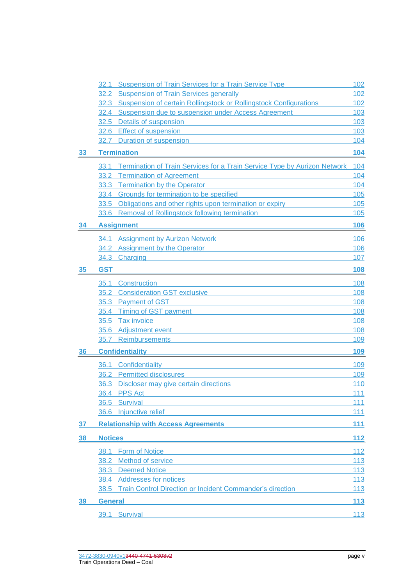|           |                | 32.1 Suspension of Train Services for a Train Service Type                                                                                                                                                                           | 102        |
|-----------|----------------|--------------------------------------------------------------------------------------------------------------------------------------------------------------------------------------------------------------------------------------|------------|
|           |                | 32.2 Suspension of Train Services generally                                                                                                                                                                                          | 102        |
|           |                | 32.3 Suspension of certain Rollingstock or Rollingstock Configurations                                                                                                                                                               | 102        |
|           |                | 32.4 Suspension due to suspension under Access Agreement                                                                                                                                                                             | 103        |
|           |                | 32.5 Details of suspension<br>San Details of suspension                                                                                                                                                                              | 103        |
|           |                | 32.6 Effect of suspension and the contract of suspension and the contract of suspension                                                                                                                                              | 103        |
|           |                | 32.7 Duration of suspension                                                                                                                                                                                                          | 104        |
| <u>33</u> |                | <b>Termination</b>                                                                                                                                                                                                                   | <u>104</u> |
|           | 33.1           | Termination of Train Services for a Train Service Type by Aurizon Network                                                                                                                                                            | 104        |
|           | 33.2           | <b>Termination of Agreement</b><br><u> 1989 - Johann Stein, mars andrew Maria (b. 1989)</u>                                                                                                                                          | 104        |
|           | 33.3           | <b>Termination by the Operator</b>                                                                                                                                                                                                   | 104        |
|           |                | 33.4 Grounds for termination to be specified                                                                                                                                                                                         | 105        |
|           |                | 33.5 Obligations and other rights upon termination or expiry                                                                                                                                                                         | 105        |
|           |                | 33.6 Removal of Rollingstock following termination                                                                                                                                                                                   | 105        |
| 34        |                | <b>Assignment</b>                                                                                                                                                                                                                    | <b>106</b> |
|           |                | 34.1 Assignment by Aurizon Network <b>Executive Contract Contract Contract Contract Contract Contract Contract Contract Contract Contract Contract Contract Contract Contract Contract Contract Contract Contract Contract Contr</b> | 106        |
|           |                | 34.2 Assignment by the Operator                                                                                                                                                                                                      | 106        |
|           |                | 34.3 Charging                                                                                                                                                                                                                        | 107        |
| <u>35</u> | <b>GST</b>     | <u> 1980 - Johann Barn, amerikansk politiker (</u>                                                                                                                                                                                   | <u>108</u> |
|           |                | 35.1 Construction                                                                                                                                                                                                                    | 108        |
|           |                | 35.2 Consideration GST exclusive <b>CONSIDER AN INCREDIT CONSIDER</b>                                                                                                                                                                | 108        |
|           |                | 35.3 Payment of GST Annual Studies and Studies and Studies and Studies and Studies and Studies and Studies and                                                                                                                       | 108        |
|           |                | 35.4 Timing of GST payment <b>Example 25.4</b> Timing of GST payment                                                                                                                                                                 | 108        |
|           |                | 35.5 Tax invoice                                                                                                                                                                                                                     | 108        |
|           |                | 35.6 Adjustment event <b>Adjustment</b> event                                                                                                                                                                                        | 108        |
|           |                | 35.7 Reimbursements and the state of the state of the state of the state of the state of the state of the state of the state of the state of the state of the state of the state of the state of the state of the state of the       | 109        |
| 36        |                | <b>Confidentiality</b>                                                                                                                                                                                                               | <b>109</b> |
|           |                | 36.1 Confidentiality                                                                                                                                                                                                                 | 109        |
|           |                | 36.2 Permitted disclosures                                                                                                                                                                                                           | 109        |
|           |                | 36.3 Discloser may give certain directions                                                                                                                                                                                           | 110        |
|           |                | 36.4 PPS Act                                                                                                                                                                                                                         | 111        |
|           |                | 36.5 Survival                                                                                                                                                                                                                        | 111        |
|           |                | 36.6 Injunctive relief                                                                                                                                                                                                               | 111        |
|           |                | <b>Relationship with Access Agreements</b>                                                                                                                                                                                           | 111        |
|           |                |                                                                                                                                                                                                                                      |            |
|           | <b>Notices</b> |                                                                                                                                                                                                                                      | $112$      |
|           |                | 38.1 Form of Notice                                                                                                                                                                                                                  | 112        |
|           | 38.2           | <b>Method of service</b>                                                                                                                                                                                                             | 113        |
|           |                | 38.3 Deemed Notice                                                                                                                                                                                                                   | 113        |
|           |                | 38.4 Addresses for notices                                                                                                                                                                                                           | $113$      |
| 37<br>38  |                | 38.5 Train Control Direction or Incident Commander's direction                                                                                                                                                                       | 113        |
| <u>39</u> | <b>General</b> |                                                                                                                                                                                                                                      | 113        |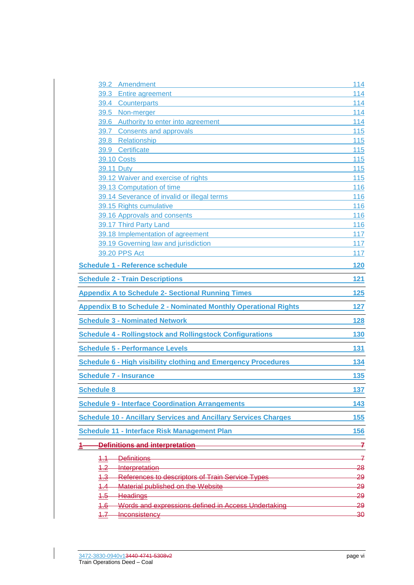| 39.2 Amendment                                                                                                                                                                                                                 | 114 |
|--------------------------------------------------------------------------------------------------------------------------------------------------------------------------------------------------------------------------------|-----|
| 39.3 Entire agreement                                                                                                                                                                                                          | 114 |
| 39.4 Counterparts                                                                                                                                                                                                              | 114 |
| 39.5 Non-merger                                                                                                                                                                                                                | 114 |
| 39.6 Authority to enter into agreement                                                                                                                                                                                         | 114 |
| 39.7 Consents and approvals                                                                                                                                                                                                    | 115 |
| 39.8 Relationship                                                                                                                                                                                                              | 115 |
| 39.9 Certificate                                                                                                                                                                                                               | 115 |
| <b>39.10 Costs</b>                                                                                                                                                                                                             | 115 |
| 39.11 Duty                                                                                                                                                                                                                     | 115 |
| 39.12 Waiver and exercise of rights                                                                                                                                                                                            | 115 |
| 39.13 Computation of time                                                                                                                                                                                                      | 116 |
| 39.14 Severance of invalid or illegal terms                                                                                                                                                                                    | 116 |
| 39.15 Rights cumulative and the state of the state of the state of the state of the state of the state of the state of the state of the state of the state of the state of the state of the state of the state of the state of | 116 |
| 39.16 Approvals and consents                                                                                                                                                                                                   | 116 |
| 39.17 Third Party Land                                                                                                                                                                                                         | 116 |
| 39.18 Implementation of agreement                                                                                                                                                                                              | 117 |
| 39.19 Governing law and jurisdiction                                                                                                                                                                                           | 117 |
| 39.20 PPS Act                                                                                                                                                                                                                  | 117 |
| <b>Schedule 1 - Reference schedule</b>                                                                                                                                                                                         | 120 |
| <b>Schedule 2 - Train Descriptions</b>                                                                                                                                                                                         | 121 |
| <b>Appendix A to Schedule 2- Sectional Running Times</b>                                                                                                                                                                       | 125 |
| <b>Appendix B to Schedule 2 - Nominated Monthly Operational Rights</b>                                                                                                                                                         | 127 |
| <b>Schedule 3 - Nominated Network</b>                                                                                                                                                                                          | 128 |
| <b>Schedule 4 - Rollingstock and Rollingstock Configurations</b>                                                                                                                                                               | 130 |
| <b>Schedule 5 - Performance Levels</b>                                                                                                                                                                                         | 131 |
| <b>Schedule 6 - High visibility clothing and Emergency Procedures</b>                                                                                                                                                          | 134 |
| <b>Schedule 7 - Insurance</b>                                                                                                                                                                                                  | 135 |
| <b>Schedule 8</b>                                                                                                                                                                                                              | 137 |
| <b>Schedule 9 - Interface Coordination Arrangements</b>                                                                                                                                                                        | 143 |
| <b>Schedule 10 - Ancillary Services and Ancillary Services Charges</b>                                                                                                                                                         | 155 |
| <b>Schedule 11 - Interface Risk Management Plan</b>                                                                                                                                                                            | 156 |
| Definitions and interpretation                                                                                                                                                                                                 | 7   |
| <b>Definitions</b><br>4.4                                                                                                                                                                                                      | 7   |
| 4.2<br>Interpretation                                                                                                                                                                                                          | 28  |
| References to descriptors of Train Service Types<br>4.3                                                                                                                                                                        | 29  |
| Material published on the Website<br><u>4.4</u>                                                                                                                                                                                | 29  |
| <b>Headings</b><br>4.5                                                                                                                                                                                                         | 29  |
| Words and expressions defined in Access Undertaking<br>4.6                                                                                                                                                                     | 29  |
| Inconsistency<br><u>4.7</u>                                                                                                                                                                                                    | 30  |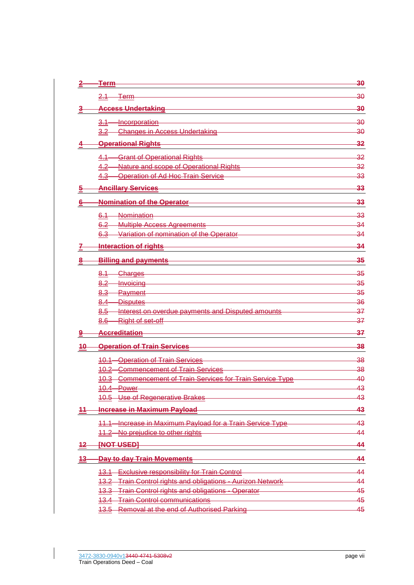| 2  | <del>Term</del>                                                           | 30              |
|----|---------------------------------------------------------------------------|-----------------|
|    | 2.1 Term                                                                  | 30              |
|    | <b>Access Undertaking</b>                                                 | 30              |
|    | 3.1 Incorporation                                                         | 30              |
|    | 3.2 Changes in Access Undertaking                                         | 30              |
|    | <b>Operational Rights</b>                                                 | 32              |
|    | 4.1 Grant of Operational Rights                                           | $\overline{32}$ |
|    | 4.2 Nature and scope of Operational Rights                                | 32              |
|    | 4.3 Operation of Ad Hoc Train Service                                     | $\overline{33}$ |
| 5  | <b>Ancillary Services</b>                                                 | 33              |
| 6  | <b>Nomination of the Operator</b>                                         | 33              |
|    | 6.1 Nomination                                                            | 33              |
|    | 6.2 Multiple Access Agreements                                            | $\overline{34}$ |
|    | 6.3 Variation of nomination of the Operator                               | 34              |
|    | Interaction of rights                                                     | 34              |
|    | <b>Billing and payments</b>                                               | 35              |
|    | <b>Charges</b><br>8.1                                                     | $-35$           |
|    | <b>Invoicing</b><br><del>8.2</del>                                        | $\overline{35}$ |
|    | 8.3 Payment                                                               | $\overline{35}$ |
|    | 8.4 Disputes                                                              | $\overline{36}$ |
|    | 8.5 Interest on overdue payments and Disputed amounts                     | $\overline{37}$ |
|    | 8.6 Right of set-off                                                      | $\overline{37}$ |
|    | <b>Accreditation</b>                                                      | 37              |
| 10 | <b>Operation of Train Services</b>                                        | 38              |
|    | 10.1 Operation of Train Services                                          | $\overline{38}$ |
|    | 10.2 Commencement of Train Services                                       | <del>38</del>   |
|    | 10.3 Commencement of Train Services for Train Service Type                | 40              |
|    | 10.4 Power                                                                | 43              |
|    | 10.5 Use of Regenerative Brakes                                           | 43              |
| 11 | <b>Increase in Maximum Payload</b>                                        | 43              |
|    | 11.1 Increase in Maximum Payload for a Train Service Type                 | 43              |
|    | 11.2 No prejudice to other rights                                         | 44              |
| 42 | <b>[NOT USED]</b>                                                         | 44              |
| 43 | <b>Day to day Train Movements</b>                                         | 44              |
|    | 13.1 Exclusive responsibility for Train Control                           | 44              |
|    | 13.2 Train Control rights and obligations - Aurizon Network               | 44              |
|    | <b>Train Control rights and obligations - Operator</b><br><del>13.3</del> | 45              |
|    | -Train Control communications<br><del>13.4-</del>                         | 45              |
|    | <b>Removal at the end of Authorised Parking</b><br>13.5                   | 45              |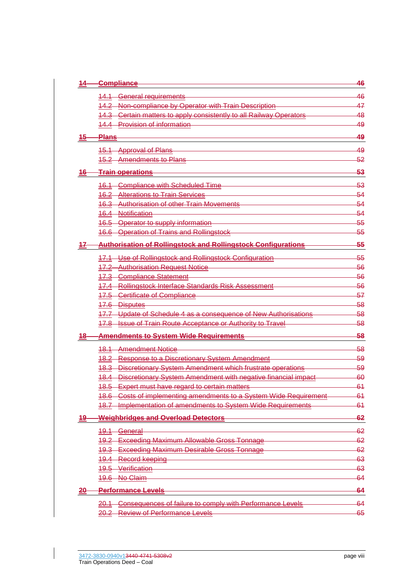| 44         | <b>Compliance</b>                                                    | 46    |
|------------|----------------------------------------------------------------------|-------|
|            | <b>General requirements</b>                                          | 46    |
|            | 14.2 Non-compliance by Operator with Train Description               | 47    |
|            | 14.3 Certain matters to apply consistently to all Railway Operators  | 48    |
|            | 14.4 Provision of information                                        | 49    |
| <u>45-</u> | <del>Plans</del>                                                     | 49    |
|            | 15.1 Approval of Plans                                               | 49    |
|            | <b>15.2 Amendments to Plans</b>                                      | 52    |
| - 46       | <b>Train operations</b>                                              | 53    |
|            | 16.1 Compliance with Scheduled Time                                  | 53    |
|            | <b>Alterations to Train Services</b><br><u> 16.2-</u>                | 54    |
|            | Authorisation of other Train Movements                               | 54    |
|            | <b>16.4 Notification</b>                                             | 54    |
|            | 16.5 Operator to supply information                                  | $-55$ |
|            | 16.6 Operation of Trains and Rollingstock                            | -55   |
|            | <b>Authorisation of Rollingstock and Rollingstock Configurations</b> | 55    |
|            | 17.1 Use of Rollingstock and Rollingstock Configuration              | 55    |
|            | <b>17.2 Authorisation Request Notice</b>                             | 56    |
|            | 17.3 Compliance Statement                                            | 56    |
|            | 17.4 Rollingstock Interface Standards Risk Assessment                | 56    |
|            | 17.5 Certificate of Compliance                                       | $-57$ |
|            | 17.6 Disputes                                                        | 58    |
|            | 17.7 Update of Schedule 4 as a consequence of New Authorisations     | 58    |
|            | 17.8 Issue of Train Route Acceptance or Authority to Travel          | -58   |
| 18         | <b>Amendments to System Wide Requirements</b>                        | 58    |
|            | <b>18.1 Amendment Notice</b>                                         | 58    |
|            | 18.2 Response to a Discretionary System Amendment                    | 59    |
|            | 18.3 Discretionary System Amendment which frustrate operations       | 59    |
|            | 18.4 Discretionary System Amendment with negative financial impact   | -60   |
|            | 18.5 Expert must have regard to certain matters                      | 61    |
|            | 18.6 Costs of implementing amendments to a System Wide Requirement   | 61    |
|            | 18.7 Implementation of amendments to System Wide Requirements        | 61    |
| 19         | <b>Weighbridges and Overload Detectors</b>                           | 62    |
|            | 19.1 General                                                         | 62    |
|            | 19.2 Exceeding Maximum Allowable Gross Tonnage                       | 62    |
|            | 19.3 Exceeding Maximum Desirable Gross Tonnage                       | 62    |
|            | 19.4 Record keeping                                                  | 63    |
|            | 19.5 Verification                                                    | 63    |
|            | 19.6 No Claim                                                        | 64    |
| 20         | <b>Performance Levels</b>                                            | 64    |
|            | 20.1 Consequences of failure to comply with Performance Levels       | 64    |
|            | 20.2 Review of Performance Levels                                    | 65    |
|            |                                                                      |       |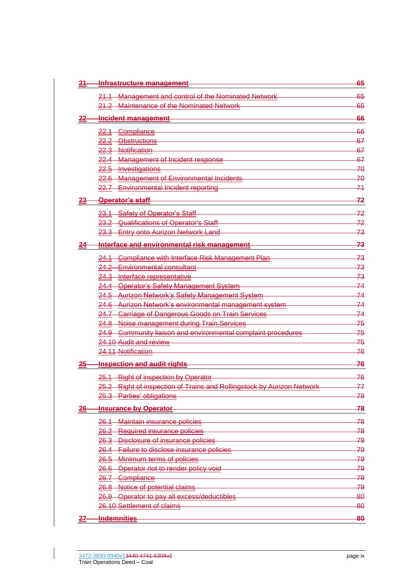| 21         | Infrastructure management                                                                                                                                | 65       |
|------------|----------------------------------------------------------------------------------------------------------------------------------------------------------|----------|
|            | 21.1 Management and control of the Nominated Network                                                                                                     | 65       |
|            | 21.2 Maintenance of the Nominated Network                                                                                                                | 65       |
| 22         | Incident management                                                                                                                                      | -66      |
|            |                                                                                                                                                          |          |
|            | 22.1 Compliance                                                                                                                                          | 66       |
|            | 22.2 Obstructions                                                                                                                                        | 67       |
|            | Notification<br><u>22.3-</u>                                                                                                                             | 67       |
|            | 22.4 Management of Incident response                                                                                                                     | 67       |
|            | 22.5 Investigations                                                                                                                                      | 70       |
|            | 22.6 Management of Environmental Incidents                                                                                                               | -70      |
|            | 22.7 Environmental Incident reporting                                                                                                                    | 71       |
| <u>23</u>  | <b>Operator's staff</b>                                                                                                                                  | -72      |
|            | 23.1 Safety of Operator's Staff                                                                                                                          | 72       |
|            | 23.2 Qualifications of Operator's Staff                                                                                                                  | 72       |
|            | 23.3 Entry onto Aurizon Network Land                                                                                                                     | -73      |
|            | Interface and environmental risk management                                                                                                              | 73       |
|            |                                                                                                                                                          | 73       |
|            | 24.1 Compliance with Interface Risk Management Plan                                                                                                      | 73       |
|            | <b>Environmental consultant</b>                                                                                                                          |          |
|            | 24.3 Interface representative                                                                                                                            | 73<br>74 |
|            | 24.4 Operator's Safety Management System                                                                                                                 |          |
|            | <b>Aurizon Network's Safety Management System</b>                                                                                                        | -74      |
|            | Aurizon Network's environmental management system                                                                                                        | 74       |
|            | 24.7 Carriage of Dangerous Goods on Train Services                                                                                                       | -74      |
|            | 24.8 Noise management during Train Services                                                                                                              | 75       |
|            | 24.9 Community liaison and environmental complaint procedures                                                                                            | 75       |
|            | 24.10 Audit and review                                                                                                                                   | 75       |
|            | 24.11 Notification                                                                                                                                       | 76       |
| <u>25 </u> | <b>Inspection and audit rights</b>                                                                                                                       | 76       |
|            | 25.1 Right of inspection by Operator                                                                                                                     | 76       |
|            | 25.2 Right of inspection of Trains and Rollingstock by Aurizon Network                                                                                   | 77       |
|            | 25.3 Parties' obligations                                                                                                                                | 78       |
| <u> 26</u> | <b>Insurance by Operator</b>                                                                                                                             | 78       |
|            | 26.1 Maintain insurance policies                                                                                                                         | 78       |
|            | <u> 1989 - Johann Stein, marwolaethau a bhann an t-Amhair an t-Amhair an t-Amhair an t-Amhair an t-Amhair an t-A</u><br>26.2 Required insurance policies | 78       |
|            | 26.3 Disclosure of insurance policies                                                                                                                    | 79       |
|            | 26.4 Failure to disclose insurance policies <b>COVID-1000</b> Failure COVID-1000                                                                         | 79       |
|            | 26.5 Minimum terms of policies                                                                                                                           | 79       |
|            | 26.6 Operator not to render policy void                                                                                                                  | 79       |
|            | 26.7 Compliance<br><u> 1989 - Johann Barn, mars ann an t-Amhain an t-Amhain an t-Amhain an t-Amhain an t-Amhain an t-Amhain an t-A</u>                   | -79      |
|            | 26.8 Notice of potential claims                                                                                                                          | -79      |
|            | 26.9 Operator to pay all excess/deductibles                                                                                                              | 80       |
|            | 26.10 Settlement of claims                                                                                                                               | 80       |
|            |                                                                                                                                                          |          |
| 27         | <b>Indemnities</b>                                                                                                                                       | 80       |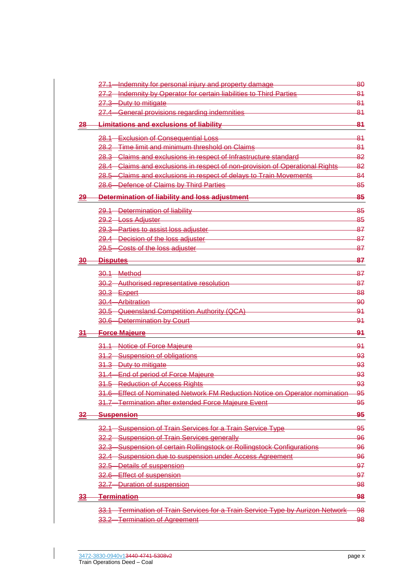|               | 27.1 Indemnity for personal injury and property damage                             | -80           |
|---------------|------------------------------------------------------------------------------------|---------------|
|               | 27.2 Indemnity by Operator for certain liabilities to Third Parties                | 84            |
|               | 27.3 Duty to mitigate                                                              | -84           |
|               | 27.4 General provisions regarding indemnities                                      | 84            |
| <del>28</del> | <b>Limitations and exclusions of liability</b>                                     | 81            |
|               | 28.1 Exclusion of Consequential Loss                                               | 84            |
|               | Time limit and minimum threshold on Claims                                         | 84            |
|               | Claims and exclusions in respect of Infrastructure standard<br><del>28.3 -</del>   | 82            |
|               | Claims and exclusions in respect of non-provision of Operational Rights<br>28.4—   | 82            |
|               | Claims and exclusions in respect of delays to Train Movements<br><del>28.5 -</del> | 84            |
|               | 28.6 Defence of Claims by Third Parties                                            | -85           |
|               | Determination of liability and loss adjustment                                     | -85           |
|               | 29.1 Determination of liability                                                    | -85           |
|               | 29.2 Loss Adjuster                                                                 | 85            |
|               | 29.3 Parties to assist loss adjuster                                               | 87            |
|               | 29.4 Decision of the loss adjuster                                                 | -87           |
|               | 29.5 Costs of the loss adjuster                                                    | -87           |
| 30-           | <del>Disputes</del>                                                                | -87           |
|               | 30.1 Method                                                                        | 87            |
|               | 30.2 Authorised representative resolution                                          | 87            |
|               | 30.3 Expert                                                                        | 88            |
|               | 30.4 Arbitration                                                                   | -90           |
|               | 30.5 Queensland Competition Authority (QCA)                                        | $-91$         |
|               | 30.6 Determination by Court                                                        | 94            |
| 31            | <b>Force Majeure</b>                                                               | 91            |
|               | 31.1 Notice of Force Majeure                                                       | 91            |
|               | 31.2 Suspension of obligations                                                     | -93           |
|               | 31.3 Duty to mitigate                                                              | 93            |
|               | 31.4 End of period of Force Majeure                                                | 93            |
|               | 31.5 Reduction of Access Rights                                                    | 93            |
|               | 31.6 Effect of Nominated Network FM Reduction Notice on Operator nomination        | 95            |
|               | 31.7 Termination after extended Force Majeure Event                                | <del>95</del> |
| 32-           | <b>Suspension</b>                                                                  | 95            |
|               | Suspension of Train Services for a Train Service Type                              | 95            |
|               | 32.2 Suspension of Train Services generally                                        | 96            |
|               | 32.3 Suspension of certain Rollingstock or Rollingstock Configurations             | 96            |
|               | Suspension due to suspension under Access Agreement<br>32.4                        | 96            |
|               | 32.5 Details of suspension                                                         | 97            |
|               | 32.6 Effect of suspension                                                          | 97            |
|               | 32.7 Duration of suspension                                                        | 98            |
| 33            | <b>Termination</b>                                                                 | 98            |
|               | 33.1 Termination of Train Services for a Train Service Type by Aurizon Network     | 98            |
|               | 33.2 Termination of Agreement                                                      | 98            |
|               |                                                                                    |               |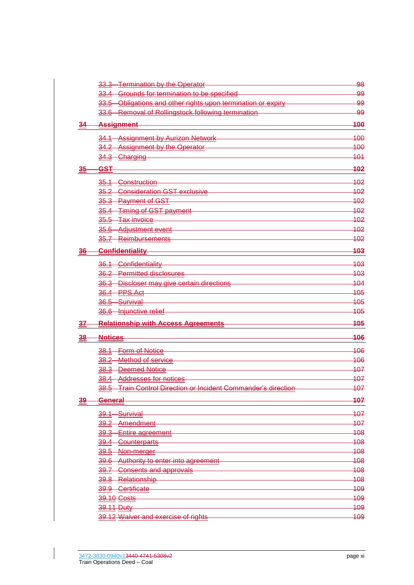|                | 33.3 Termination by the Operator                               | -98        |
|----------------|----------------------------------------------------------------|------------|
|                | 33.4 Grounds for termination to be specified                   | 99         |
|                | 33.5 Obligations and other rights upon termination or expiry   | -99        |
|                | 33.6 Removal of Rollingstock following termination             | -99        |
|                | <b>Assignment</b>                                              | 400        |
|                | 34.1 Assignment by Aurizon Network                             | 400        |
|                | 34.2 Assignment by the Operator                                | 400        |
|                | 34.3 Charging                                                  | 404        |
| 35             | <b>GST</b>                                                     | <b>402</b> |
|                | 35.1 Construction                                              | 402        |
|                | 35.2 Consideration GST exclusive                               | $-102$     |
|                | <del>35.3 Payment of GST</del>                                 | 402        |
|                | 35.4 Timing of GST payment                                     | 402        |
|                | 35.5 Tax invoice                                               | 402        |
|                | 35.6 Adjustment event                                          | 402        |
|                | 35.7 Reimbursements                                            | 402        |
| <u>36</u>      | <b>Confidentiality</b>                                         | 403        |
|                | 36.1 Confidentiality                                           | 403        |
|                | 36.2 Permitted disclosures                                     | 403        |
|                | 36.3 Discloser may give certain directions                     | 404        |
|                | 36.4 PPS Act                                                   | 405        |
|                | 36.5 Survival                                                  | 405        |
|                | 36.6 Injunctive relief                                         | 405        |
| 37             | <b>Relationship with Access Agreements</b>                     | 105        |
| $\frac{38}{5}$ | <b>Notices</b>                                                 | 406        |
|                | 38.1 Form of Notice                                            | 406        |
|                | 38.2 Method of service                                         | 406        |
|                | 38.3 Deemed Notice                                             | 407        |
|                | 38.4 Addresses for notices                                     | 407        |
|                | 38.5 Train Control Direction or Incident Commander's direction | 407        |
| <u>39</u>      | <b>General</b>                                                 | 107        |
|                | 39.1 Survival                                                  | 107        |
|                | 39.2<br>Amendment                                              | 107        |
|                | 39.3<br>Entire agreement                                       | 408        |
|                | 39.4 Counterparts                                              | 408        |
|                | $39.5 -$<br>Non-merger                                         | 108        |
|                | Authority to enter into agreement<br>39.6                      | 408        |
|                | <b>Consents and approvals</b><br>39.7                          | 408        |
|                | 39.8 Relationship                                              | 408        |
|                | 39.9 Certificate                                               | 409        |
|                | 39.10 Costs                                                    | 409        |
|                | 39.11 Duty                                                     | 409        |
|                | 39.12 Waiver and exercise of rights                            | 409        |
|                |                                                                |            |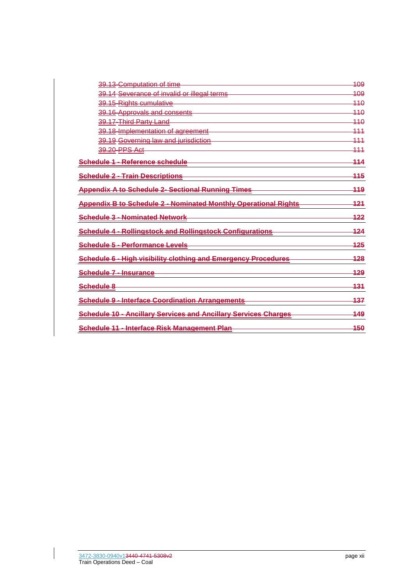| 39.13 Computation of time                                              | 109 |
|------------------------------------------------------------------------|-----|
| 39.14 Severance of invalid or illegal terms                            | 109 |
| 39.15 Rights cumulative                                                | 110 |
| 39.16 Approvals and consents                                           | 440 |
| 39.17-Third Party Land                                                 | 110 |
| 39.18 Implementation of agreement                                      | 444 |
| 39.19 Governing law and jurisdiction                                   | 111 |
| 39.20 PPS Act                                                          | 444 |
| Schedule 1 - Reference schedule                                        | 114 |
| <b>Schedule 2 - Train Descriptions</b>                                 | 445 |
| <b>Appendix A to Schedule 2- Sectional Running Times</b>               | 119 |
| <b>Appendix B to Schedule 2 - Nominated Monthly Operational Rights</b> | 121 |
| Schedule 3 - Nominated Network                                         | 122 |
| <b>Schedule 4 - Rollingstock and Rollingstock Configurations</b>       | 124 |
| <b>Schedule 5 - Performance Levels</b>                                 | 125 |
| Schedule 6 - High visibility clothing and Emergency Procedures         | 128 |
| <del>Schedule 7 - Insurance</del>                                      | 129 |
| Schedule 8                                                             | 131 |
| <b>Schedule 9 - Interface Coordination Arrangements</b>                | 137 |
| <b>Schedule 10 - Ancillary Services and Ancillary Services Charges</b> | 149 |
| Schedule 11 - Interface Risk Management Plan                           | 150 |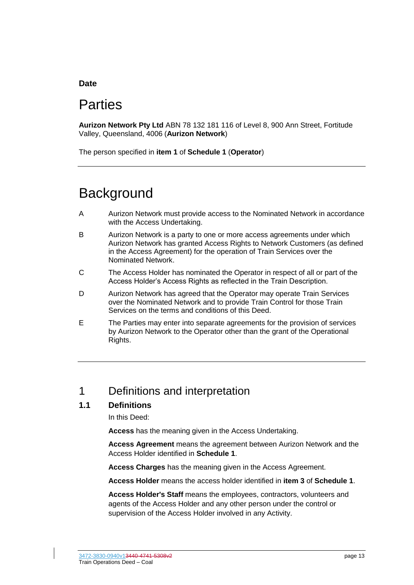## **Date**

# **Parties**

**Aurizon Network Pty Ltd** ABN 78 132 181 116 of Level 8, 900 Ann Street, Fortitude Valley, Queensland, 4006 (**Aurizon Network**)

The person specified in **item [1](#page-120-1)** of **Schedule [1](#page-120-2)** (**Operator**)

# **Background**

- A Aurizon Network must provide access to the Nominated Network in accordance with the Access Undertaking.
- B Aurizon Network is a party to one or more access agreements under which Aurizon Network has granted Access Rights to Network Customers (as defined in the Access Agreement) for the operation of Train Services over the Nominated Network.
- C The Access Holder has nominated the Operator in respect of all or part of the Access Holder's Access Rights as reflected in the Train Description.
- D Aurizon Network has agreed that the Operator may operate Train Services over the Nominated Network and to provide Train Control for those Train Services on the terms and conditions of this Deed.
- E The Parties may enter into separate agreements for the provision of services by Aurizon Network to the Operator other than the grant of the Operational Rights.

# <span id="page-13-0"></span>1 Definitions and interpretation

# <span id="page-13-1"></span>**1.1 Definitions**

In this Deed:

**Access** has the meaning given in the Access Undertaking.

**Access Agreement** means the agreement between Aurizon Network and the Access Holder identified in **Schedule [1](#page-120-2)**.

**Access Charges** has the meaning given in the Access Agreement.

**Access Holder** means the access holder identified in **item [3](#page-120-3)** of **Schedule [1](#page-120-2)**.

**Access Holder's Staff** means the employees, contractors, volunteers and agents of the Access Holder and any other person under the control or supervision of the Access Holder involved in any Activity.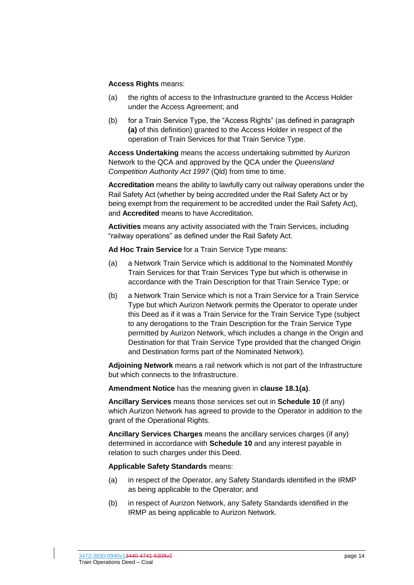#### **Access Rights** means:

- <span id="page-14-0"></span>(a) the rights of access to the Infrastructure granted to the Access Holder under the Access Agreement; and
- (b) for a Train Service Type, the "Access Rights" (as defined in paragraph **[\(a\)](#page-14-0)** of this definition) granted to the Access Holder in respect of the operation of Train Services for that Train Service Type.

**Access Undertaking** means the access undertaking submitted by Aurizon Network to the QCA and approved by the QCA under the *Queensland Competition Authority Act 1997* (Qld) from time to time.

**Accreditation** means the ability to lawfully carry out railway operations under the Rail Safety Act (whether by being accredited under the Rail Safety Act or by being exempt from the requirement to be accredited under the Rail Safety Act), and **Accredited** means to have Accreditation.

**Activities** means any activity associated with the Train Services, including "railway operations" as defined under the Rail Safety Act.

**Ad Hoc Train Service** for a Train Service Type means:

- (a) a Network Train Service which is additional to the Nominated Monthly Train Services for that Train Services Type but which is otherwise in accordance with the Train Description for that Train Service Type; or
- (b) a Network Train Service which is not a Train Service for a Train Service Type but which Aurizon Network permits the Operator to operate under this Deed as if it was a Train Service for the Train Service Type (subject to any derogations to the Train Description for the Train Service Type permitted by Aurizon Network, which includes a change in the Origin and Destination for that Train Service Type provided that the changed Origin and Destination forms part of the Nominated Network).

**Adjoining Network** means a rail network which is not part of the Infrastructure but which connects to the Infrastructure.

**Amendment Notice** has the meaning given in **clause [18.1\(a\)](#page-64-5)**.

**Ancillary Services** means those services set out in **Schedule [10](#page-155-1)** (if any) which Aurizon Network has agreed to provide to the Operator in addition to the grant of the Operational Rights.

**Ancillary Services Charges** means the ancillary services charges (if any) determined in accordance with **Schedule [10](#page-155-1)** and any interest payable in relation to such charges under this Deed.

**Applicable Safety Standards** means:

- (a) in respect of the Operator, any Safety Standards identified in the IRMP as being applicable to the Operator; and
- (b) in respect of Aurizon Network, any Safety Standards identified in the IRMP as being applicable to Aurizon Network.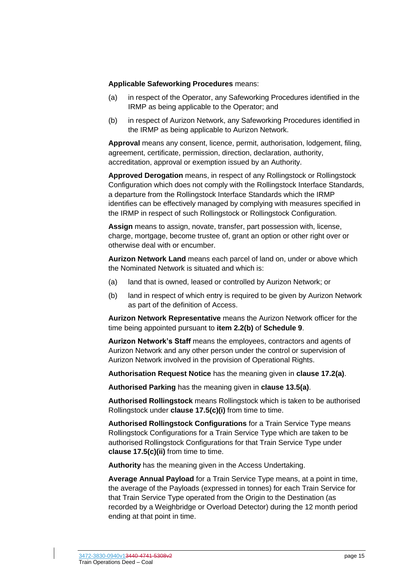#### **Applicable Safeworking Procedures** means:

- (a) in respect of the Operator, any Safeworking Procedures identified in the IRMP as being applicable to the Operator; and
- (b) in respect of Aurizon Network, any Safeworking Procedures identified in the IRMP as being applicable to Aurizon Network.

**Approval** means any consent, licence, permit, authorisation, lodgement, filing, agreement, certificate, permission, direction, declaration, authority, accreditation, approval or exemption issued by an Authority.

**Approved Derogation** means, in respect of any Rollingstock or Rollingstock Configuration which does not comply with the Rollingstock Interface Standards, a departure from the Rollingstock Interface Standards which the IRMP identifies can be effectively managed by complying with measures specified in the IRMP in respect of such Rollingstock or Rollingstock Configuration.

**Assign** means to assign, novate, transfer, part possession with, license, charge, mortgage, become trustee of, grant an option or other right over or otherwise deal with or encumber.

**Aurizon Network Land** means each parcel of land on, under or above which the Nominated Network is situated and which is:

- (a) land that is owned, leased or controlled by Aurizon Network; or
- (b) land in respect of which entry is required to be given by Aurizon Network as part of the definition of Access.

**Aurizon Network Representative** means the Aurizon Network officer for the time being appointed pursuant to **item 2.2(b)** of **Schedule [9](#page-143-1)**.

**Aurizon Network's Staff** means the employees, contractors and agents of Aurizon Network and any other person under the control or supervision of Aurizon Network involved in the provision of Operational Rights.

**Authorisation Request Notice** has the meaning given in **claus[e 17.2\(a\)](#page-62-3)**.

**Authorised Parking** has the meaning given in **clause [13.5\(a\)](#page-51-3)**.

**Authorised Rollingstock** means Rollingstock which is taken to be authorised Rollingstock under **clause [17.5\(c\)\(i\)](#page-63-1)** from time to time.

**Authorised Rollingstock Configurations** for a Train Service Type means Rollingstock Configurations for a Train Service Type which are taken to be authorised Rollingstock Configurations for that Train Service Type under **clause [17.5\(c\)\(ii\)](#page-64-6)** from time to time.

**Authority** has the meaning given in the Access Undertaking.

**Average Annual Payload** for a Train Service Type means, at a point in time, the average of the Payloads (expressed in tonnes) for each Train Service for that Train Service Type operated from the Origin to the Destination (as recorded by a Weighbridge or Overload Detector) during the 12 month period ending at that point in time.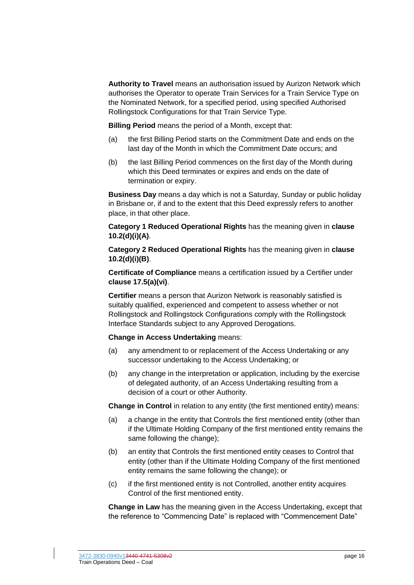**Authority to Travel** means an authorisation issued by Aurizon Network which authorises the Operator to operate Train Services for a Train Service Type on the Nominated Network, for a specified period, using specified Authorised Rollingstock Configurations for that Train Service Type.

**Billing Period** means the period of a Month, except that:

- (a) the first Billing Period starts on the Commitment Date and ends on the last day of the Month in which the Commitment Date occurs; and
- (b) the last Billing Period commences on the first day of the Month during which this Deed terminates or expires and ends on the date of termination or expiry.

**Business Day** means a day which is not a Saturday, Sunday or public holiday in Brisbane or, if and to the extent that this Deed expressly refers to another place, in that other place.

**Category 1 Reduced Operational Rights** has the meaning given in **clause [10.2\(d\)\(i\)\(A\)](#page-46-1)**.

**Category 2 Reduced Operational Rights** has the meaning given in **clause [10.2\(d\)\(i\)\(B\)](#page-46-2)**.

**Certificate of Compliance** means a certification issued by a Certifier under **clause [17.5\(a\)\(vi\)](#page-63-2)**.

**Certifier** means a person that Aurizon Network is reasonably satisfied is suitably qualified, experienced and competent to assess whether or not Rollingstock and Rollingstock Configurations comply with the Rollingstock Interface Standards subject to any Approved Derogations.

#### **Change in Access Undertaking** means:

- (a) any amendment to or replacement of the Access Undertaking or any successor undertaking to the Access Undertaking; or
- (b) any change in the interpretation or application, including by the exercise of delegated authority, of an Access Undertaking resulting from a decision of a court or other Authority.

**Change in Control** in relation to any entity (the first mentioned entity) means:

- (a) a change in the entity that Controls the first mentioned entity (other than if the Ultimate Holding Company of the first mentioned entity remains the same following the change);
- (b) an entity that Controls the first mentioned entity ceases to Control that entity (other than if the Ultimate Holding Company of the first mentioned entity remains the same following the change); or
- (c) if the first mentioned entity is not Controlled, another entity acquires Control of the first mentioned entity.

**Change in Law** has the meaning given in the Access Undertaking, except that the reference to "Commencing Date" is replaced with "Commencement Date"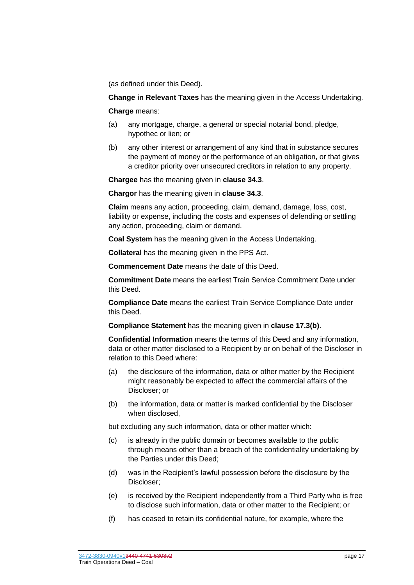(as defined under this Deed).

**Change in Relevant Taxes** has the meaning given in the Access Undertaking.

**Charge** means:

- (a) any mortgage, charge, a general or special notarial bond, pledge, hypothec or lien; or
- (b) any other interest or arrangement of any kind that in substance secures the payment of money or the performance of an obligation, or that gives a creditor priority over unsecured creditors in relation to any property.

**Chargee** has the meaning given in **clause [34.3](#page-107-0)**.

**Chargor** has the meaning given in **clause [34.3](#page-107-0)**.

**Claim** means any action, proceeding, claim, demand, damage, loss, cost, liability or expense, including the costs and expenses of defending or settling any action, proceeding, claim or demand.

**Coal System** has the meaning given in the Access Undertaking.

**Collateral** has the meaning given in the PPS Act.

**Commencement Date** means the date of this Deed.

**Commitment Date** means the earliest Train Service Commitment Date under this Deed.

**Compliance Date** means the earliest Train Service Compliance Date under this Deed.

**Compliance Statement** has the meaning given in **clause [17.3\(b\)](#page-62-4)**.

**Confidential Information** means the terms of this Deed and any information, data or other matter disclosed to a Recipient by or on behalf of the Discloser in relation to this Deed where:

- (a) the disclosure of the information, data or other matter by the Recipient might reasonably be expected to affect the commercial affairs of the Discloser; or
- (b) the information, data or matter is marked confidential by the Discloser when disclosed,

but excluding any such information, data or other matter which:

- (c) is already in the public domain or becomes available to the public through means other than a breach of the confidentiality undertaking by the Parties under this Deed;
- (d) was in the Recipient's lawful possession before the disclosure by the Discloser;
- (e) is received by the Recipient independently from a Third Party who is free to disclose such information, data or other matter to the Recipient; or
- (f) has ceased to retain its confidential nature, for example, where the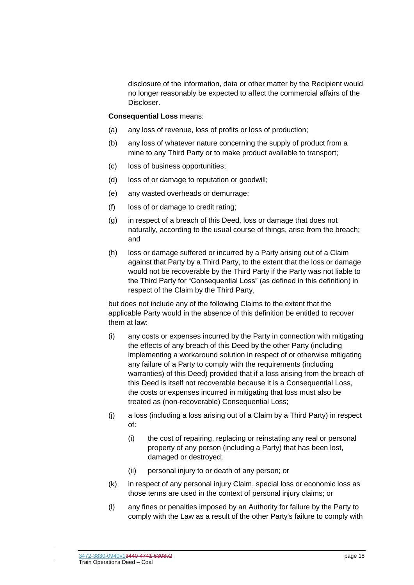disclosure of the information, data or other matter by the Recipient would no longer reasonably be expected to affect the commercial affairs of the Discloser.

#### **Consequential Loss** means:

- (a) any loss of revenue, loss of profits or loss of production;
- (b) any loss of whatever nature concerning the supply of product from a mine to any Third Party or to make product available to transport;
- (c) loss of business opportunities;
- (d) loss of or damage to reputation or goodwill;
- (e) any wasted overheads or demurrage;
- (f) loss of or damage to credit rating;
- (g) in respect of a breach of this Deed, loss or damage that does not naturally, according to the usual course of things, arise from the breach; and
- (h) loss or damage suffered or incurred by a Party arising out of a Claim against that Party by a Third Party, to the extent that the loss or damage would not be recoverable by the Third Party if the Party was not liable to the Third Party for "Consequential Loss" (as defined in this definition) in respect of the Claim by the Third Party,

but does not include any of the following Claims to the extent that the applicable Party would in the absence of this definition be entitled to recover them at law:

- (i) any costs or expenses incurred by the Party in connection with mitigating the effects of any breach of this Deed by the other Party (including implementing a workaround solution in respect of or otherwise mitigating any failure of a Party to comply with the requirements (including warranties) of this Deed) provided that if a loss arising from the breach of this Deed is itself not recoverable because it is a Consequential Loss, the costs or expenses incurred in mitigating that loss must also be treated as (non-recoverable) Consequential Loss;
- (j) a loss (including a loss arising out of a Claim by a Third Party) in respect of:
	- (i) the cost of repairing, replacing or reinstating any real or personal property of any person (including a Party) that has been lost, damaged or destroyed;
	- (ii) personal injury to or death of any person; or
- (k) in respect of any personal injury Claim, special loss or economic loss as those terms are used in the context of personal injury claims; or
- (l) any fines or penalties imposed by an Authority for failure by the Party to comply with the Law as a result of the other Party's failure to comply with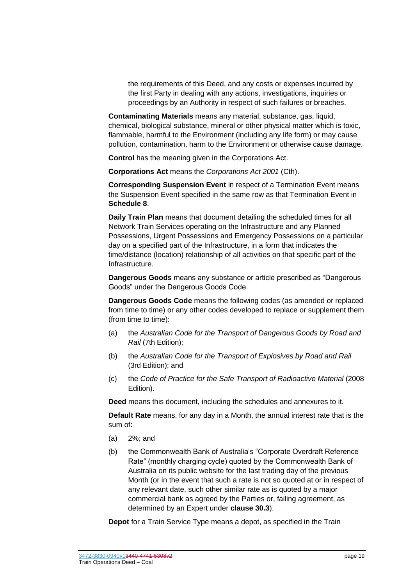the requirements of this Deed, and any costs or expenses incurred by the first Party in dealing with any actions, investigations, inquiries or proceedings by an Authority in respect of such failures or breaches.

**Contaminating Materials** means any material, substance, gas, liquid, chemical, biological substance, mineral or other physical matter which is toxic, flammable, harmful to the Environment (including any life form) or may cause pollution, contamination, harm to the Environment or otherwise cause damage.

**Control** has the meaning given in the Corporations Act.

**Corporations Act** means the *Corporations Act 2001* (Cth).

**Corresponding Suspension Event** in respect of a Termination Event means the Suspension Event specified in the same row as that Termination Event in **Schedule [8](#page-137-1)**.

**Daily Train Plan** means that document detailing the scheduled times for all Network Train Services operating on the Infrastructure and any Planned Possessions, Urgent Possessions and Emergency Possessions on a particular day on a specified part of the Infrastructure, in a form that indicates the time/distance (location) relationship of all activities on that specific part of the Infrastructure.

**Dangerous Goods** means any substance or article prescribed as "Dangerous Goods" under the Dangerous Goods Code.

**Dangerous Goods Code** means the following codes (as amended or replaced from time to time) or any other codes developed to replace or supplement them (from time to time):

- (a) the *Australian Code for the Transport of Dangerous Goods by Road and Rail* (7th Edition);
- (b) the *Australian Code for the Transport of Explosives by Road and Rail* (3rd Edition); and
- (c) the *Code of Practice for the Safe Transport of Radioactive Material* (2008 Edition).

**Deed** means this document, including the schedules and annexures to it.

**Default Rate** means, for any day in a Month, the annual interest rate that is the sum of:

- (a) 2%; and
- (b) the Commonwealth Bank of Australia's "Corporate Overdraft Reference Rate" (monthly charging cycle) quoted by the Commonwealth Bank of Australia on its public website for the last trading day of the previous Month (or in the event that such a rate is not so quoted at or in respect of any relevant date, such other similar rate as is quoted by a major commercial bank as agreed by the Parties or, failing agreement, as determined by an Expert under **clause [30.3](#page-94-3)**).

**Depot** for a Train Service Type means a depot, as specified in the Train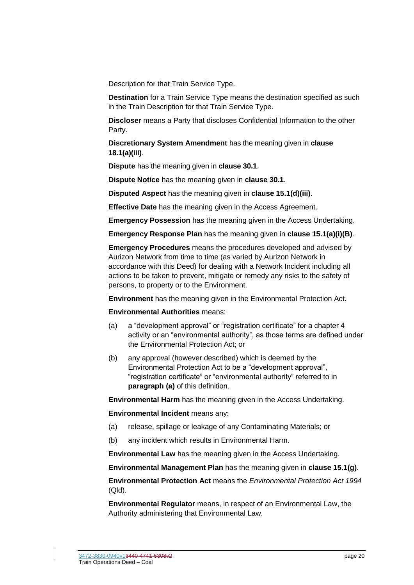Description for that Train Service Type.

**Destination** for a Train Service Type means the destination specified as such in the Train Description for that Train Service Type.

**Discloser** means a Party that discloses Confidential Information to the other Party.

**Discretionary System Amendment** has the meaning given in **clause [18.1\(a\)\(iii\)](#page-65-2)**.

**Dispute** has the meaning given in **clause [30.1](#page-94-1)**.

**Dispute Notice** has the meaning given in **clause [30.1](#page-94-1)**.

**Disputed Aspect** has the meaning given in **clause [15.1\(d\)\(iii\)](#page-56-0)**.

**Effective Date** has the meaning given in the Access Agreement.

**Emergency Possession** has the meaning given in the Access Undertaking.

**Emergency Response Plan** has the meaning given in **clause [15.1\(a\)\(i\)\(B\)](#page-55-2)**.

**Emergency Procedures** means the procedures developed and advised by Aurizon Network from time to time (as varied by Aurizon Network in accordance with this Deed) for dealing with a Network Incident including all actions to be taken to prevent, mitigate or remedy any risks to the safety of persons, to property or to the Environment.

**Environment** has the meaning given in the Environmental Protection Act.

**Environmental Authorities** means:

- <span id="page-20-0"></span>(a) a "development approval" or "registration certificate" for a chapter 4 activity or an "environmental authority", as those terms are defined under the Environmental Protection Act; or
- (b) any approval (however described) which is deemed by the Environmental Protection Act to be a "development approval", "registration certificate" or "environmental authority" referred to in **paragraph [\(a\)](#page-20-0)** of this definition.

**Environmental Harm** has the meaning given in the Access Undertaking.

**Environmental Incident** means any:

- (a) release, spillage or leakage of any Contaminating Materials; or
- (b) any incident which results in Environmental Harm.

**Environmental Law** has the meaning given in the Access Undertaking.

**Environmental Management Plan** has the meaning given in **clause [15.1\(g\)](#page-57-0)**.

**Environmental Protection Act** means the *Environmental Protection Act 1994*  (Qld)*.*

**Environmental Regulator** means, in respect of an Environmental Law, the Authority administering that Environmental Law.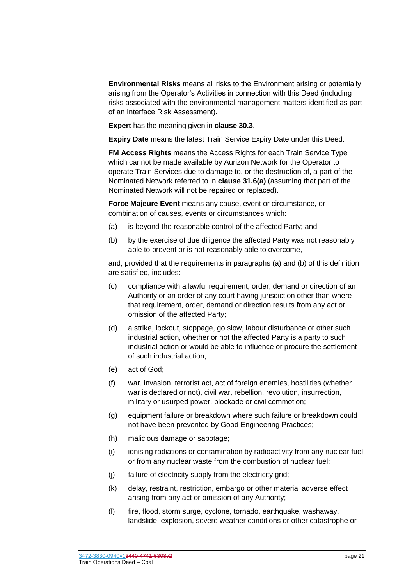**Environmental Risks** means all risks to the Environment arising or potentially arising from the Operator's Activities in connection with this Deed (including risks associated with the environmental management matters identified as part of an Interface Risk Assessment).

**Expert** has the meaning given in **clause [30.3](#page-94-3)**.

**Expiry Date** means the latest Train Service Expiry Date under this Deed.

**FM Access Rights** means the Access Rights for each Train Service Type which cannot be made available by Aurizon Network for the Operator to operate Train Services due to damage to, or the destruction of, a part of the Nominated Network referred to in **clause [31.6\(a\)](#page-101-2)** (assuming that part of the Nominated Network will not be repaired or replaced).

**Force Majeure Event** means any cause, event or circumstance, or combination of causes, events or circumstances which:

- <span id="page-21-0"></span>(a) is beyond the reasonable control of the affected Party; and
- <span id="page-21-1"></span>(b) by the exercise of due diligence the affected Party was not reasonably able to prevent or is not reasonably able to overcome,

and, provided that the requirements in paragraphs [\(a\)](#page-21-0) and [\(b\)](#page-21-1) of this definition are satisfied, includes:

- (c) compliance with a lawful requirement, order, demand or direction of an Authority or an order of any court having jurisdiction other than where that requirement, order, demand or direction results from any act or omission of the affected Party;
- (d) a strike, lockout, stoppage, go slow, labour disturbance or other such industrial action, whether or not the affected Party is a party to such industrial action or would be able to influence or procure the settlement of such industrial action;
- (e) act of God;
- (f) war, invasion, terrorist act, act of foreign enemies, hostilities (whether war is declared or not), civil war, rebellion, revolution, insurrection, military or usurped power, blockade or civil commotion;
- (g) equipment failure or breakdown where such failure or breakdown could not have been prevented by Good Engineering Practices;
- (h) malicious damage or sabotage;
- (i) ionising radiations or contamination by radioactivity from any nuclear fuel or from any nuclear waste from the combustion of nuclear fuel;
- (j) failure of electricity supply from the electricity grid;
- (k) delay, restraint, restriction, embargo or other material adverse effect arising from any act or omission of any Authority;
- (l) fire, flood, storm surge, cyclone, tornado, earthquake, washaway, landslide, explosion, severe weather conditions or other catastrophe or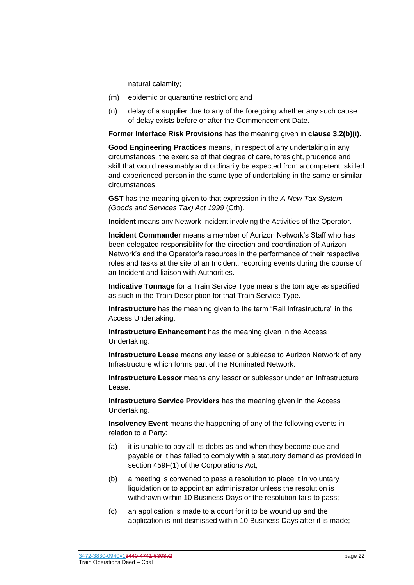natural calamity;

- (m) epidemic or quarantine restriction; and
- (n) delay of a supplier due to any of the foregoing whether any such cause of delay exists before or after the Commencement Date.

**Former Interface Risk Provisions** has the meaning given in **clause [3.2\(b\)\(i\)](#page-37-0)**.

**Good Engineering Practices** means, in respect of any undertaking in any circumstances, the exercise of that degree of care, foresight, prudence and skill that would reasonably and ordinarily be expected from a competent, skilled and experienced person in the same type of undertaking in the same or similar circumstances.

**GST** has the meaning given to that expression in the *A New Tax System (Goods and Services Tax) Act 1999* (Cth).

**Incident** means any Network Incident involving the Activities of the Operator.

**Incident Commander** means a member of Aurizon Network's Staff who has been delegated responsibility for the direction and coordination of Aurizon Network's and the Operator's resources in the performance of their respective roles and tasks at the site of an Incident, recording events during the course of an Incident and liaison with Authorities.

**Indicative Tonnage** for a Train Service Type means the tonnage as specified as such in the Train Description for that Train Service Type.

**Infrastructure** has the meaning given to the term "Rail Infrastructure" in the Access Undertaking.

**Infrastructure Enhancement** has the meaning given in the Access Undertaking.

**Infrastructure Lease** means any lease or sublease to Aurizon Network of any Infrastructure which forms part of the Nominated Network.

**Infrastructure Lessor** means any lessor or sublessor under an Infrastructure Lease.

**Infrastructure Service Providers** has the meaning given in the Access Undertaking.

**Insolvency Event** means the happening of any of the following events in relation to a Party:

- (a) it is unable to pay all its debts as and when they become due and payable or it has failed to comply with a statutory demand as provided in section 459F(1) of the Corporations Act;
- (b) a meeting is convened to pass a resolution to place it in voluntary liquidation or to appoint an administrator unless the resolution is withdrawn within 10 Business Days or the resolution fails to pass;
- (c) an application is made to a court for it to be wound up and the application is not dismissed within 10 Business Days after it is made;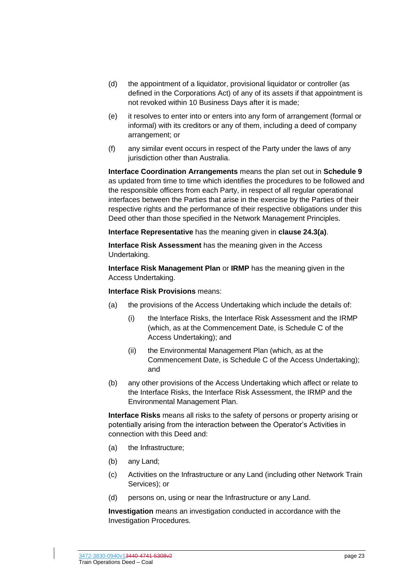- (d) the appointment of a liquidator, provisional liquidator or controller (as defined in the Corporations Act) of any of its assets if that appointment is not revoked within 10 Business Days after it is made;
- (e) it resolves to enter into or enters into any form of arrangement (formal or informal) with its creditors or any of them, including a deed of company arrangement; or
- (f) any similar event occurs in respect of the Party under the laws of any jurisdiction other than Australia.

**Interface Coordination Arrangements** means the plan set out in **Schedule [9](#page-143-1)** as updated from time to time which identifies the procedures to be followed and the responsible officers from each Party, in respect of all regular operational interfaces between the Parties that arise in the exercise by the Parties of their respective rights and the performance of their respective obligations under this Deed other than those specified in the Network Management Principles.

**Interface Representative** has the meaning given in **clause [24.3\(a\)](#page-79-5)**.

**Interface Risk Assessment** has the meaning given in the Access Undertaking.

**Interface Risk Management Plan** or **IRMP** has the meaning given in the Access Undertaking.

#### **Interface Risk Provisions** means:

- (a) the provisions of the Access Undertaking which include the details of:
	- (i) the Interface Risks, the Interface Risk Assessment and the IRMP (which, as at the Commencement Date, is Schedule C of the Access Undertaking); and
	- (ii) the Environmental Management Plan (which, as at the Commencement Date, is Schedule C of the Access Undertaking); and
- (b) any other provisions of the Access Undertaking which affect or relate to the Interface Risks, the Interface Risk Assessment, the IRMP and the Environmental Management Plan.

**Interface Risks** means all risks to the safety of persons or property arising or potentially arising from the interaction between the Operator's Activities in connection with this Deed and:

- (a) the Infrastructure;
- (b) any Land;
- (c) Activities on the Infrastructure or any Land (including other Network Train Services); or
- (d) persons on, using or near the Infrastructure or any Land.

**Investigation** means an investigation conducted in accordance with the Investigation Procedures.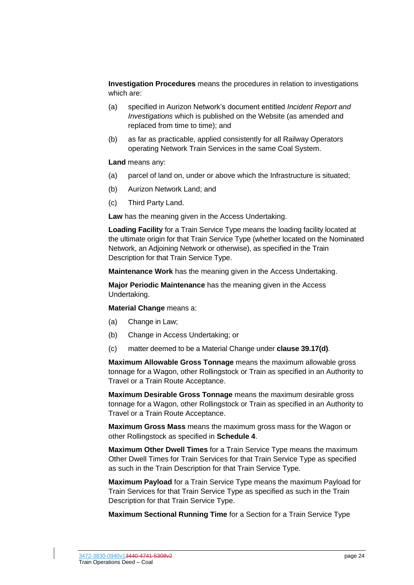**Investigation Procedures** means the procedures in relation to investigations which are:

- (a) specified in Aurizon Network's document entitled *Incident Report and Investigations* which is published on the Website (as amended and replaced from time to time); and
- (b) as far as practicable, applied consistently for all Railway Operators operating Network Train Services in the same Coal System.

**Land** means any:

- (a) parcel of land on, under or above which the Infrastructure is situated;
- (b) Aurizon Network Land; and
- (c) Third Party Land.

**Law** has the meaning given in the Access Undertaking.

**Loading Facility** for a Train Service Type means the loading facility located at the ultimate origin for that Train Service Type (whether located on the Nominated Network, an Adjoining Network or otherwise), as specified in the Train Description for that Train Service Type.

**Maintenance Work** has the meaning given in the Access Undertaking.

**Major Periodic Maintenance** has the meaning given in the Access Undertaking.

**Material Change** means a:

- (a) Change in Law;
- (b) Change in Access Undertaking; or
- (c) matter deemed to be a Material Change under **clause [39.17\(d\)](#page-117-3)**.

**Maximum Allowable Gross Tonnage** means the maximum allowable gross tonnage for a Wagon, other Rollingstock or Train as specified in an Authority to Travel or a Train Route Acceptance.

**Maximum Desirable Gross Tonnage** means the maximum desirable gross tonnage for a Wagon, other Rollingstock or Train as specified in an Authority to Travel or a Train Route Acceptance.

**Maximum Gross Mass** means the maximum gross mass for the Wagon or other Rollingstock as specified in **Schedule [4](#page-130-1)**.

**Maximum Other Dwell Times** for a Train Service Type means the maximum Other Dwell Times for Train Services for that Train Service Type as specified as such in the Train Description for that Train Service Type.

**Maximum Payload** for a Train Service Type means the maximum Payload for Train Services for that Train Service Type as specified as such in the Train Description for that Train Service Type.

**Maximum Sectional Running Time** for a Section for a Train Service Type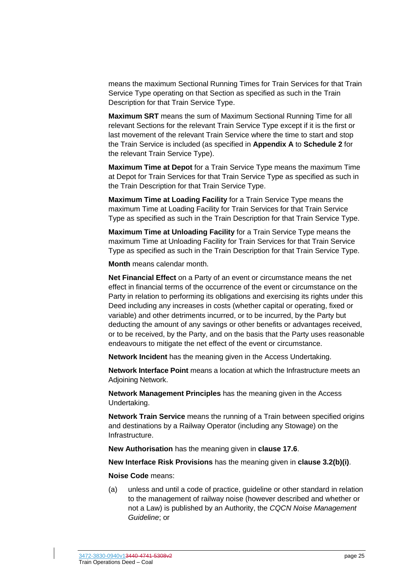means the maximum Sectional Running Times for Train Services for that Train Service Type operating on that Section as specified as such in the Train Description for that Train Service Type.

**Maximum SRT** means the sum of Maximum Sectional Running Time for all relevant Sections for the relevant Train Service Type except if it is the first or last movement of the relevant Train Service where the time to start and stop the Train Service is included (as specified in **Appendix A** to **Schedule [2](#page-121-1)** for the relevant Train Service Type).

**Maximum Time at Depot** for a Train Service Type means the maximum Time at Depot for Train Services for that Train Service Type as specified as such in the Train Description for that Train Service Type.

**Maximum Time at Loading Facility** for a Train Service Type means the maximum Time at Loading Facility for Train Services for that Train Service Type as specified as such in the Train Description for that Train Service Type.

**Maximum Time at Unloading Facility** for a Train Service Type means the maximum Time at Unloading Facility for Train Services for that Train Service Type as specified as such in the Train Description for that Train Service Type.

**Month** means calendar month.

**Net Financial Effect** on a Party of an event or circumstance means the net effect in financial terms of the occurrence of the event or circumstance on the Party in relation to performing its obligations and exercising its rights under this Deed including any increases in costs (whether capital or operating, fixed or variable) and other detriments incurred, or to be incurred, by the Party but deducting the amount of any savings or other benefits or advantages received, or to be received, by the Party, and on the basis that the Party uses reasonable endeavours to mitigate the net effect of the event or circumstance.

**Network Incident** has the meaning given in the Access Undertaking.

**Network Interface Point** means a location at which the Infrastructure meets an Adjoining Network.

**Network Management Principles** has the meaning given in the Access Undertaking.

**Network Train Service** means the running of a Train between specified origins and destinations by a Railway Operator (including any Stowage) on the Infrastructure.

**New Authorisation** has the meaning given in **clause [17.6](#page-64-0)**.

**New Interface Risk Provisions** has the meaning given in **clause [3.2\(b\)\(i\)](#page-37-0)**.

**Noise Code** means:

(a) unless and until a code of practice, guideline or other standard in relation to the management of railway noise (however described and whether or not a Law) is published by an Authority, the *CQCN Noise Management Guideline*; or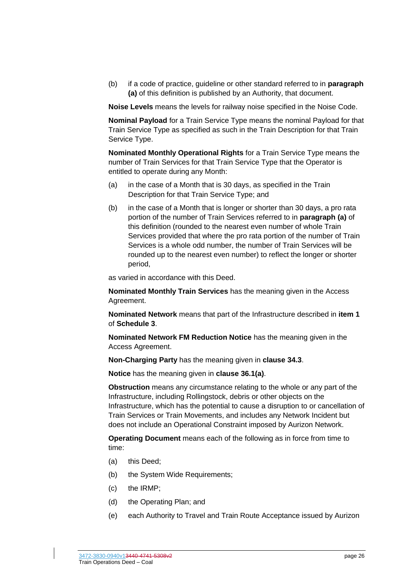(b) if a code of practice, guideline or other standard referred to in **paragraph (a)** of this definition is published by an Authority, that document.

**Noise Levels** means the levels for railway noise specified in the Noise Code.

**Nominal Payload** for a Train Service Type means the nominal Payload for that Train Service Type as specified as such in the Train Description for that Train Service Type.

**Nominated Monthly Operational Rights** for a Train Service Type means the number of Train Services for that Train Service Type that the Operator is entitled to operate during any Month:

- <span id="page-26-0"></span>(a) in the case of a Month that is 30 days, as specified in the Train Description for that Train Service Type; and
- (b) in the case of a Month that is longer or shorter than 30 days, a pro rata portion of the number of Train Services referred to in **paragraph [\(a\)](#page-26-0)** of this definition (rounded to the nearest even number of whole Train Services provided that where the pro rata portion of the number of Train Services is a whole odd number, the number of Train Services will be rounded up to the nearest even number) to reflect the longer or shorter period,

as varied in accordance with this Deed.

**Nominated Monthly Train Services** has the meaning given in the Access Agreement.

**Nominated Network** means that part of the Infrastructure described in **item [1](#page-128-1)** of **Schedule [3](#page-128-2)**.

**Nominated Network FM Reduction Notice** has the meaning given in the Access Agreement.

**Non-Charging Party** has the meaning given in **clause [34.3](#page-107-0)**.

**Notice** has the meaning given in **clause [36.1\(a\)](#page-109-4)**.

**Obstruction** means any circumstance relating to the whole or any part of the Infrastructure, including Rollingstock, debris or other objects on the Infrastructure, which has the potential to cause a disruption to or cancellation of Train Services or Train Movements, and includes any Network Incident but does not include an Operational Constraint imposed by Aurizon Network.

**Operating Document** means each of the following as in force from time to time:

- (a) this Deed;
- (b) the System Wide Requirements;
- (c) the IRMP;
- (d) the Operating Plan; and
- (e) each Authority to Travel and Train Route Acceptance issued by Aurizon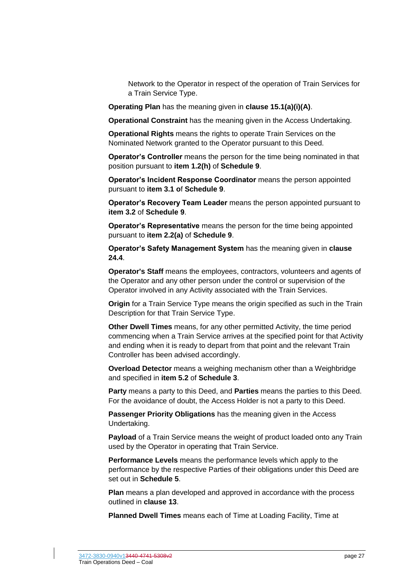Network to the Operator in respect of the operation of Train Services for a Train Service Type.

**Operating Plan** has the meaning given in **clause [15.1\(a\)\(i\)\(A\)](#page-55-3)**.

**Operational Constraint** has the meaning given in the Access Undertaking.

**Operational Rights** means the rights to operate Train Services on the Nominated Network granted to the Operator pursuant to this Deed.

**Operator's Controller** means the person for the time being nominated in that position pursuant to **item 1.2(h)** of **Schedule [9](#page-143-1)**.

**Operator's Incident Response Coordinator** means the person appointed pursuant to **item [3.1](#page-152-0) o**f **Schedule [9](#page-143-1)**.

**Operator's Recovery Team Leader** means the person appointed pursuant to **item [3.2](#page-153-0)** of **Schedule [9](#page-143-1)**.

**Operator's Representative** means the person for the time being appointed pursuant to **item 2.2(a)** of **Schedule [9](#page-143-1)**.

**Operator's Safety Management System** has the meaning given in **clause [24.4](#page-80-0)**.

**Operator's Staff** means the employees, contractors, volunteers and agents of the Operator and any other person under the control or supervision of the Operator involved in any Activity associated with the Train Services.

**Origin** for a Train Service Type means the origin specified as such in the Train Description for that Train Service Type.

**Other Dwell Times** means, for any other permitted Activity, the time period commencing when a Train Service arrives at the specified point for that Activity and ending when it is ready to depart from that point and the relevant Train Controller has been advised accordingly.

**Overload Detector** means a weighing mechanism other than a Weighbridge and specified in **item [5.2](#page-129-0)** of **Schedule [3](#page-128-2)**.

**Party** means a party to this Deed, and **Parties** means the parties to this Deed. For the avoidance of doubt, the Access Holder is not a party to this Deed.

**Passenger Priority Obligations** has the meaning given in the Access Undertaking.

**Payload** of a Train Service means the weight of product loaded onto any Train used by the Operator in operating that Train Service.

**Performance Levels** means the performance levels which apply to the performance by the respective Parties of their obligations under this Deed are set out in **Schedule [5](#page-131-1)**.

**Plan** means a plan developed and approved in accordance with the process outlined in **clause 13**.

**Planned Dwell Times** means each of Time at Loading Facility, Time at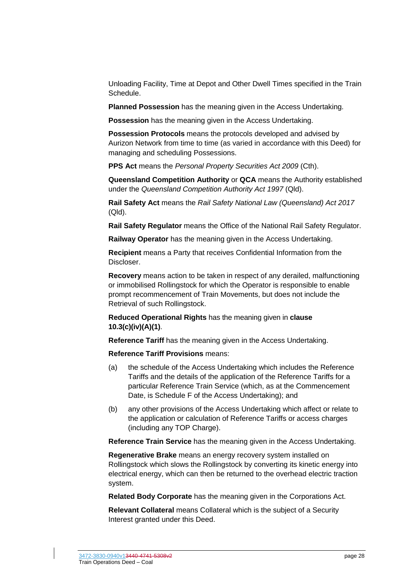Unloading Facility, Time at Depot and Other Dwell Times specified in the Train Schedule.

**Planned Possession** has the meaning given in the Access Undertaking.

**Possession** has the meaning given in the Access Undertaking.

**Possession Protocols** means the protocols developed and advised by Aurizon Network from time to time (as varied in accordance with this Deed) for managing and scheduling Possessions.

**PPS Act** means the *Personal Property Securities Act 2009* (Cth).

**Queensland Competition Authority** or **QCA** means the Authority established under the *Queensland Competition Authority Act 1997* (Qld).

**Rail Safety Act** means the *Rail Safety National Law (Queensland) Act 2017* (Qld).

**Rail Safety Regulator** means the Office of the National Rail Safety Regulator.

**Railway Operator** has the meaning given in the Access Undertaking.

**Recipient** means a Party that receives Confidential Information from the Discloser.

**Recovery** means action to be taken in respect of any derailed, malfunctioning or immobilised Rollingstock for which the Operator is responsible to enable prompt recommencement of Train Movements, but does not include the Retrieval of such Rollingstock.

**Reduced Operational Rights** has the meaning given in **clause [10.3\(c\)\(iv\)\(A\)\(1\)](#page-48-0)**.

**Reference Tariff** has the meaning given in the Access Undertaking.

**Reference Tariff Provisions** means:

- (a) the schedule of the Access Undertaking which includes the Reference Tariffs and the details of the application of the Reference Tariffs for a particular Reference Train Service (which, as at the Commencement Date, is Schedule F of the Access Undertaking); and
- (b) any other provisions of the Access Undertaking which affect or relate to the application or calculation of Reference Tariffs or access charges (including any TOP Charge).

**Reference Train Service** has the meaning given in the Access Undertaking.

**Regenerative Brake** means an energy recovery system installed on Rollingstock which slows the Rollingstock by converting its kinetic energy into electrical energy, which can then be returned to the overhead electric traction system.

**Related Body Corporate** has the meaning given in the Corporations Act.

**Relevant Collateral** means Collateral which is the subject of a Security Interest granted under this Deed.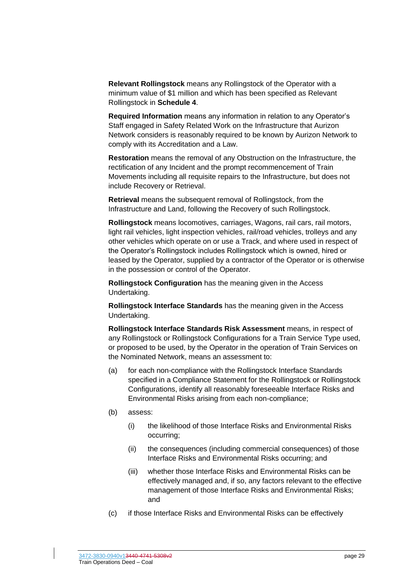**Relevant Rollingstock** means any Rollingstock of the Operator with a minimum value of \$1 million and which has been specified as Relevant Rollingstock in **Schedule [4](#page-130-1)**.

**Required Information** means any information in relation to any Operator's Staff engaged in Safety Related Work on the Infrastructure that Aurizon Network considers is reasonably required to be known by Aurizon Network to comply with its Accreditation and a Law.

**Restoration** means the removal of any Obstruction on the Infrastructure, the rectification of any Incident and the prompt recommencement of Train Movements including all requisite repairs to the Infrastructure, but does not include Recovery or Retrieval.

**Retrieval** means the subsequent removal of Rollingstock, from the Infrastructure and Land, following the Recovery of such Rollingstock.

**Rollingstock** means locomotives, carriages, Wagons, rail cars, rail motors, light rail vehicles, light inspection vehicles, rail/road vehicles, trolleys and any other vehicles which operate on or use a Track, and where used in respect of the Operator's Rollingstock includes Rollingstock which is owned, hired or leased by the Operator, supplied by a contractor of the Operator or is otherwise in the possession or control of the Operator.

**Rollingstock Configuration** has the meaning given in the Access Undertaking.

**Rollingstock Interface Standards** has the meaning given in the Access Undertaking.

**Rollingstock Interface Standards Risk Assessment** means, in respect of any Rollingstock or Rollingstock Configurations for a Train Service Type used, or proposed to be used, by the Operator in the operation of Train Services on the Nominated Network, means an assessment to:

- (a) for each non-compliance with the Rollingstock Interface Standards specified in a Compliance Statement for the Rollingstock or Rollingstock Configurations, identify all reasonably foreseeable Interface Risks and Environmental Risks arising from each non-compliance;
- (b) assess:
	- (i) the likelihood of those Interface Risks and Environmental Risks occurring;
	- (ii) the consequences (including commercial consequences) of those Interface Risks and Environmental Risks occurring; and
	- (iii) whether those Interface Risks and Environmental Risks can be effectively managed and, if so, any factors relevant to the effective management of those Interface Risks and Environmental Risks; and
- (c) if those Interface Risks and Environmental Risks can be effectively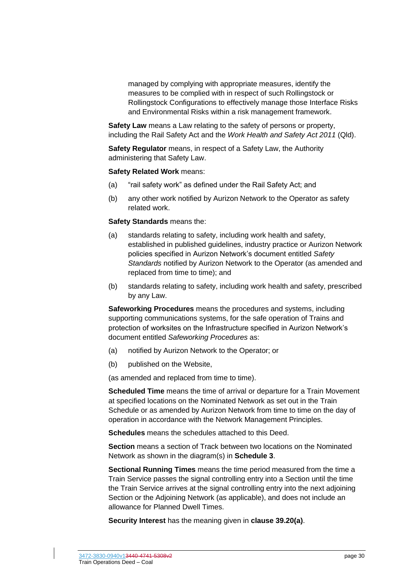managed by complying with appropriate measures, identify the measures to be complied with in respect of such Rollingstock or Rollingstock Configurations to effectively manage those Interface Risks and Environmental Risks within a risk management framework.

**Safety Law** means a Law relating to the safety of persons or property, including the Rail Safety Act and the *Work Health and Safety Act 2011* (Qld).

**Safety Regulator** means, in respect of a Safety Law, the Authority administering that Safety Law.

#### **Safety Related Work** means:

- (a) "rail safety work" as defined under the Rail Safety Act; and
- (b) any other work notified by Aurizon Network to the Operator as safety related work.

#### **Safety Standards** means the:

- (a) standards relating to safety, including work health and safety, established in published guidelines, industry practice or Aurizon Network policies specified in Aurizon Network's document entitled *Safety Standards* notified by Aurizon Network to the Operator (as amended and replaced from time to time); and
- (b) standards relating to safety, including work health and safety, prescribed by any Law.

**Safeworking Procedures** means the procedures and systems, including supporting communications systems, for the safe operation of Trains and protection of worksites on the Infrastructure specified in Aurizon Network's document entitled *Safeworking Procedures* as:

- (a) notified by Aurizon Network to the Operator; or
- (b) published on the Website,

(as amended and replaced from time to time).

**Scheduled Time** means the time of arrival or departure for a Train Movement at specified locations on the Nominated Network as set out in the Train Schedule or as amended by Aurizon Network from time to time on the day of operation in accordance with the Network Management Principles.

**Schedules** means the schedules attached to this Deed.

**Section** means a section of Track between two locations on the Nominated Network as shown in the diagram(s) in **Schedule [3](#page-128-2)**.

**Sectional Running Times** means the time period measured from the time a Train Service passes the signal controlling entry into a Section until the time the Train Service arrives at the signal controlling entry into the next adjoining Section or the Adjoining Network (as applicable), and does not include an allowance for Planned Dwell Times.

**Security Interest** has the meaning given in **clause [39.20\(a\)](#page-117-4)**.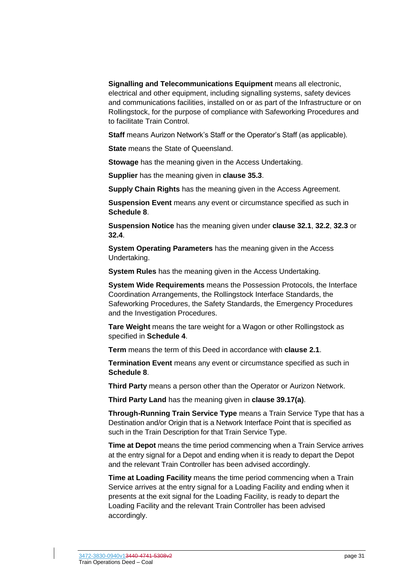**Signalling and Telecommunications Equipment** means all electronic, electrical and other equipment, including signalling systems, safety devices and communications facilities, installed on or as part of the Infrastructure or on Rollingstock, for the purpose of compliance with Safeworking Procedures and to facilitate Train Control.

**Staff** means Aurizon Network's Staff or the Operator's Staff (as applicable).

**State** means the State of Queensland.

**Stowage** has the meaning given in the Access Undertaking.

**Supplier** has the meaning given in **clause [35.3](#page-108-3)**.

**Supply Chain Rights** has the meaning given in the Access Agreement.

**Suspension Event** means any event or circumstance specified as such in **Schedule [8](#page-137-1)**.

**Suspension Notice** has the meaning given under **clause [32.1](#page-102-1)**, **[32.2](#page-102-2)**, **[32.3](#page-102-3)** or **[32.4](#page-103-0)**.

**System Operating Parameters** has the meaning given in the Access Undertaking.

**System Rules** has the meaning given in the Access Undertaking.

**System Wide Requirements** means the Possession Protocols, the Interface Coordination Arrangements, the Rollingstock Interface Standards, the Safeworking Procedures, the Safety Standards, the Emergency Procedures and the Investigation Procedures.

**Tare Weight** means the tare weight for a Wagon or other Rollingstock as specified in **Schedule [4](#page-130-1)**.

**Term** means the term of this Deed in accordance with **clause [2.1](#page-36-2)**.

**Termination Event** means any event or circumstance specified as such in **Schedule [8](#page-137-1)**.

**Third Party** means a person other than the Operator or Aurizon Network.

**Third Party Land** has the meaning given in **clause [39.17\(a\)](#page-116-5)**.

**Through-Running Train Service Type** means a Train Service Type that has a Destination and/or Origin that is a Network Interface Point that is specified as such in the Train Description for that Train Service Type.

**Time at Depot** means the time period commencing when a Train Service arrives at the entry signal for a Depot and ending when it is ready to depart the Depot and the relevant Train Controller has been advised accordingly.

**Time at Loading Facility** means the time period commencing when a Train Service arrives at the entry signal for a Loading Facility and ending when it presents at the exit signal for the Loading Facility, is ready to depart the Loading Facility and the relevant Train Controller has been advised accordingly.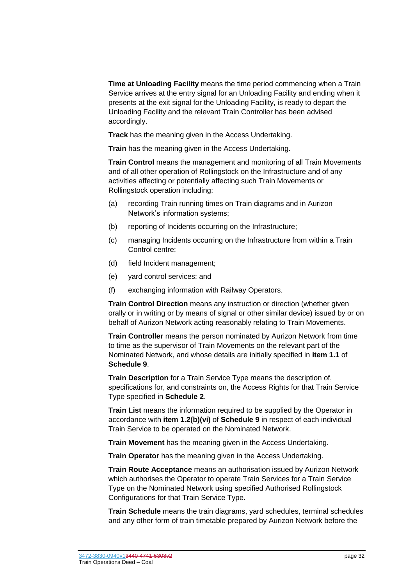**Time at Unloading Facility** means the time period commencing when a Train Service arrives at the entry signal for an Unloading Facility and ending when it presents at the exit signal for the Unloading Facility, is ready to depart the Unloading Facility and the relevant Train Controller has been advised accordingly.

**Track** has the meaning given in the Access Undertaking.

**Train** has the meaning given in the Access Undertaking.

**Train Control** means the management and monitoring of all Train Movements and of all other operation of Rollingstock on the Infrastructure and of any activities affecting or potentially affecting such Train Movements or Rollingstock operation including:

- (a) recording Train running times on Train diagrams and in Aurizon Network's information systems;
- (b) reporting of Incidents occurring on the Infrastructure;
- (c) managing Incidents occurring on the Infrastructure from within a Train Control centre;
- (d) field Incident management;
- (e) yard control services; and
- (f) exchanging information with Railway Operators.

**Train Control Direction** means any instruction or direction (whether given orally or in writing or by means of signal or other similar device) issued by or on behalf of Aurizon Network acting reasonably relating to Train Movements.

**Train Controller** means the person nominated by Aurizon Network from time to time as the supervisor of Train Movements on the relevant part of the Nominated Network, and whose details are initially specified in **item [1.1](#page-143-2)** of **Schedule [9](#page-143-1)**.

**Train Description** for a Train Service Type means the description of, specifications for, and constraints on, the Access Rights for that Train Service Type specified in **Schedule [2](#page-121-1)**.

**Train List** means the information required to be supplied by the Operator in accordance with **item 1.2(b)(vi)** of **Schedule [9](#page-143-1)** in respect of each individual Train Service to be operated on the Nominated Network.

**Train Movement** has the meaning given in the Access Undertaking.

**Train Operator** has the meaning given in the Access Undertaking.

**Train Route Acceptance** means an authorisation issued by Aurizon Network which authorises the Operator to operate Train Services for a Train Service Type on the Nominated Network using specified Authorised Rollingstock Configurations for that Train Service Type.

**Train Schedule** means the train diagrams, yard schedules, terminal schedules and any other form of train timetable prepared by Aurizon Network before the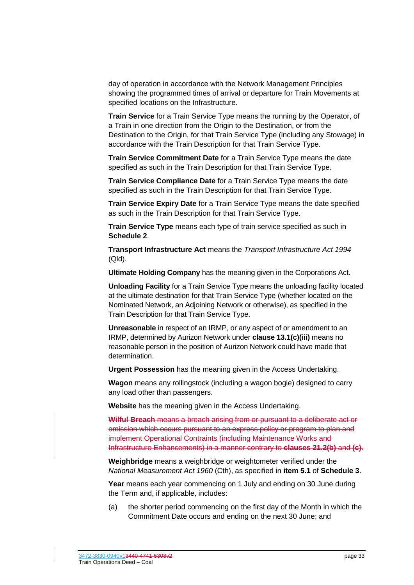day of operation in accordance with the Network Management Principles showing the programmed times of arrival or departure for Train Movements at specified locations on the Infrastructure.

**Train Service** for a Train Service Type means the running by the Operator, of a Train in one direction from the Origin to the Destination, or from the Destination to the Origin, for that Train Service Type (including any Stowage) in accordance with the Train Description for that Train Service Type.

**Train Service Commitment Date** for a Train Service Type means the date specified as such in the Train Description for that Train Service Type.

**Train Service Compliance Date** for a Train Service Type means the date specified as such in the Train Description for that Train Service Type.

**Train Service Expiry Date** for a Train Service Type means the date specified as such in the Train Description for that Train Service Type.

**Train Service Type** means each type of train service specified as such in **Schedule [2](#page-121-1)**.

**Transport Infrastructure Act** means the *Transport Infrastructure Act 1994* (Qld).

**Ultimate Holding Company** has the meaning given in the Corporations Act.

**Unloading Facility** for a Train Service Type means the unloading facility located at the ultimate destination for that Train Service Type (whether located on the Nominated Network, an Adjoining Network or otherwise), as specified in the Train Description for that Train Service Type.

**Unreasonable** in respect of an IRMP, or any aspect of or amendment to an IRMP, determined by Aurizon Network under **clause 13.1(c)(iii)** means no reasonable person in the position of Aurizon Network could have made that determination.

**Urgent Possession** has the meaning given in the Access Undertaking.

**Wagon** means any rollingstock (including a wagon bogie) designed to carry any load other than passengers.

**Website** has the meaning given in the Access Undertaking.

**Wilful Breach** means a breach arising from or pursuant to a deliberate act or omission which occurs pursuant to an express policy or program to plan and implement Operational Contraints (including Maintenance Works and Infrastructure Enhancements) in a manner contrary to **clauses [21.2\(b\)](#page-71-4)** and **[\(c\)](#page-71-5)**.

**Weighbridge** means a weighbridge or weightometer verified under the *National Measurement Act 1960* (Cth), as specified in **item [5.1](#page-128-3)** of **Schedule [3](#page-128-2)**.

**Year** means each year commencing on 1 July and ending on 30 June during the Term and, if applicable, includes:

(a) the shorter period commencing on the first day of the Month in which the Commitment Date occurs and ending on the next 30 June; and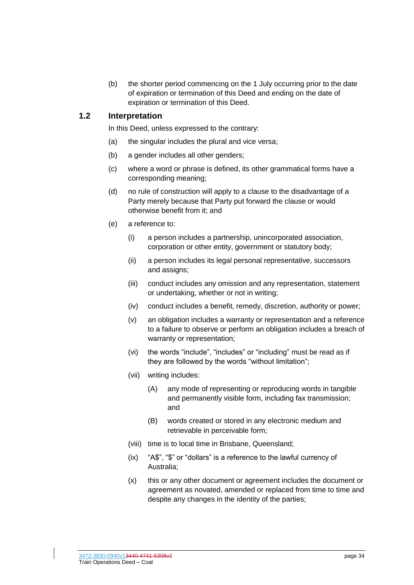(b) the shorter period commencing on the 1 July occurring prior to the date of expiration or termination of this Deed and ending on the date of expiration or termination of this Deed.

## <span id="page-34-0"></span>**1.2 Interpretation**

In this Deed, unless expressed to the contrary:

- (a) the singular includes the plural and vice versa;
- (b) a gender includes all other genders;
- (c) where a word or phrase is defined, its other grammatical forms have a corresponding meaning;
- (d) no rule of construction will apply to a clause to the disadvantage of a Party merely because that Party put forward the clause or would otherwise benefit from it; and
- (e) a reference to:
	- (i) a person includes a partnership, unincorporated association, corporation or other entity, government or statutory body;
	- (ii) a person includes its legal personal representative, successors and assigns;
	- (iii) conduct includes any omission and any representation, statement or undertaking, whether or not in writing;
	- (iv) conduct includes a benefit, remedy, discretion, authority or power;
	- (v) an obligation includes a warranty or representation and a reference to a failure to observe or perform an obligation includes a breach of warranty or representation;
	- (vi) the words "include", "includes" or "including" must be read as if they are followed by the words "without limitation";
	- (vii) writing includes:
		- (A) any mode of representing or reproducing words in tangible and permanently visible form, including fax transmission; and
		- (B) words created or stored in any electronic medium and retrievable in perceivable form;
	- (viii) time is to local time in Brisbane, Queensland;
	- (ix) "A\$", "\$" or "dollars" is a reference to the lawful currency of Australia;
	- (x) this or any other document or agreement includes the document or agreement as novated, amended or replaced from time to time and despite any changes in the identity of the parties;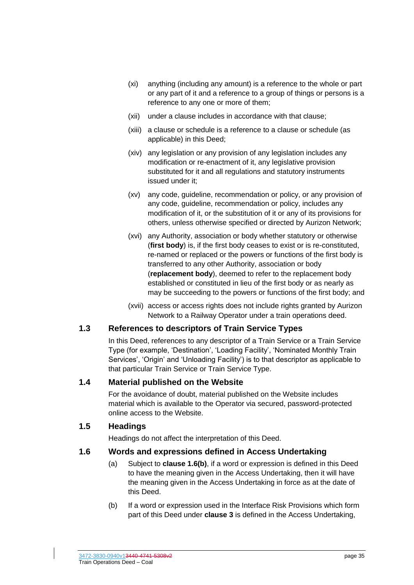- (xi) anything (including any amount) is a reference to the whole or part or any part of it and a reference to a group of things or persons is a reference to any one or more of them;
- (xii) under a clause includes in accordance with that clause;
- (xiii) a clause or schedule is a reference to a clause or schedule (as applicable) in this Deed;
- (xiv) any legislation or any provision of any legislation includes any modification or re-enactment of it, any legislative provision substituted for it and all regulations and statutory instruments issued under it;
- (xv) any code, guideline, recommendation or policy, or any provision of any code, guideline, recommendation or policy, includes any modification of it, or the substitution of it or any of its provisions for others, unless otherwise specified or directed by Aurizon Network;
- (xvi) any Authority, association or body whether statutory or otherwise (**first body**) is, if the first body ceases to exist or is re-constituted, re-named or replaced or the powers or functions of the first body is transferred to any other Authority, association or body (**replacement body**), deemed to refer to the replacement body established or constituted in lieu of the first body or as nearly as may be succeeding to the powers or functions of the first body; and
- (xvii) access or access rights does not include rights granted by Aurizon Network to a Railway Operator under a train operations deed.

#### <span id="page-35-0"></span>**1.3 References to descriptors of Train Service Types**

In this Deed, references to any descriptor of a Train Service or a Train Service Type (for example, 'Destination', 'Loading Facility', 'Nominated Monthly Train Services', 'Origin' and 'Unloading Facility') is to that descriptor as applicable to that particular Train Service or Train Service Type.

## <span id="page-35-1"></span>**1.4 Material published on the Website**

For the avoidance of doubt, material published on the Website includes material which is available to the Operator via secured, password-protected online access to the Website.

#### <span id="page-35-2"></span>**1.5 Headings**

Headings do not affect the interpretation of this Deed.

## <span id="page-35-3"></span>**1.6 Words and expressions defined in Access Undertaking**

- (a) Subject to **clause [1.6\(b\)](#page-35-4)**, if a word or expression is defined in this Deed to have the meaning given in the Access Undertaking, then it will have the meaning given in the Access Undertaking in force as at the date of this Deed.
- <span id="page-35-4"></span>(b) If a word or expression used in the Interface Risk Provisions which form part of this Deed under **clause [3](#page-36-3)** is defined in the Access Undertaking,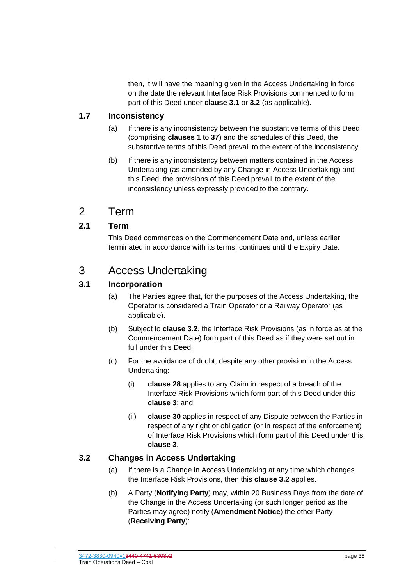then, it will have the meaning given in the Access Undertaking in force on the date the relevant Interface Risk Provisions commenced to form part of this Deed under **clause [3.1](#page-36-0)** or **[3.2](#page-36-1)** (as applicable).

### **1.7 Inconsistency**

- (a) If there is any inconsistency between the substantive terms of this Deed (comprising **clauses [1](#page-13-0)** to **[37](#page-111-0)**) and the schedules of this Deed, the substantive terms of this Deed prevail to the extent of the inconsistency.
- (b) If there is any inconsistency between matters contained in the Access Undertaking (as amended by any Change in Access Undertaking) and this Deed, the provisions of this Deed prevail to the extent of the inconsistency unless expressly provided to the contrary.

# 2 Term

### **2.1 Term**

This Deed commences on the Commencement Date and, unless earlier terminated in accordance with its terms, continues until the Expiry Date.

# <span id="page-36-2"></span>3 Access Undertaking

### <span id="page-36-0"></span>**3.1 Incorporation**

- (a) The Parties agree that, for the purposes of the Access Undertaking, the Operator is considered a Train Operator or a Railway Operator (as applicable).
- (b) Subject to **clause [3.2](#page-36-1)**, the Interface Risk Provisions (as in force as at the Commencement Date) form part of this Deed as if they were set out in full under this Deed.
- (c) For the avoidance of doubt, despite any other provision in the Access Undertaking:
	- (i) **clause [28](#page-87-0)** applies to any Claim in respect of a breach of the Interface Risk Provisions which form part of this Deed under this **clause [3](#page-36-2)**; and
	- (ii) **clause [30](#page-94-0)** applies in respect of any Dispute between the Parties in respect of any right or obligation (or in respect of the enforcement) of Interface Risk Provisions which form part of this Deed under this **clause [3](#page-36-2)**.

### <span id="page-36-1"></span>**3.2 Changes in Access Undertaking**

- (a) If there is a Change in Access Undertaking at any time which changes the Interface Risk Provisions, then this **clause [3.2](#page-36-1)** applies.
- (b) A Party (**Notifying Party**) may, within 20 Business Days from the date of the Change in the Access Undertaking (or such longer period as the Parties may agree) notify (**Amendment Notice**) the other Party (**Receiving Party**):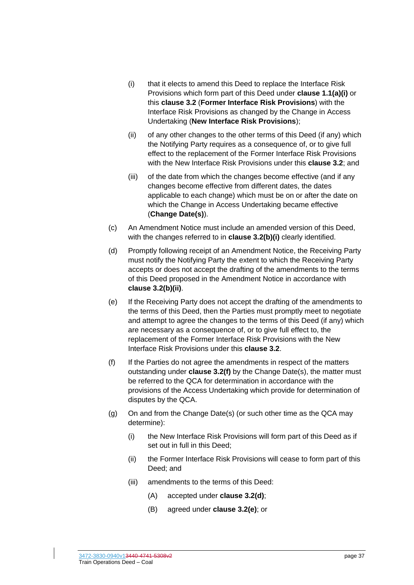- <span id="page-37-0"></span>(i) that it elects to amend this Deed to replace the Interface Risk Provisions which form part of this Deed under **clause 1.1(a)(i)** or this **clause [3.2](#page-36-1)** (**Former Interface Risk Provisions**) with the Interface Risk Provisions as changed by the Change in Access Undertaking (**New Interface Risk Provisions**);
- <span id="page-37-1"></span>(ii) of any other changes to the other terms of this Deed (if any) which the Notifying Party requires as a consequence of, or to give full effect to the replacement of the Former Interface Risk Provisions with the New Interface Risk Provisions under this **clause [3.2](#page-36-1)**; and
- (iii) of the date from which the changes become effective (and if any changes become effective from different dates, the dates applicable to each change) which must be on or after the date on which the Change in Access Undertaking became effective (**Change Date(s)**).
- (c) An Amendment Notice must include an amended version of this Deed, with the changes referred to in **clause [3.2\(b\)\(i\)](#page-37-0)** clearly identified.
- <span id="page-37-3"></span>(d) Promptly following receipt of an Amendment Notice, the Receiving Party must notify the Notifying Party the extent to which the Receiving Party accepts or does not accept the drafting of the amendments to the terms of this Deed proposed in the Amendment Notice in accordance with **clause [3.2\(b\)\(ii\)](#page-37-1)**.
- <span id="page-37-4"></span>(e) If the Receiving Party does not accept the drafting of the amendments to the terms of this Deed, then the Parties must promptly meet to negotiate and attempt to agree the changes to the terms of this Deed (if any) which are necessary as a consequence of, or to give full effect to, the replacement of the Former Interface Risk Provisions with the New Interface Risk Provisions under this **clause [3.2](#page-36-1)**.
- <span id="page-37-2"></span>(f) If the Parties do not agree the amendments in respect of the matters outstanding under **clause [3.2\(f\)](#page-37-2)** by the Change Date(s), the matter must be referred to the QCA for determination in accordance with the provisions of the Access Undertaking which provide for determination of disputes by the QCA.
- (g) On and from the Change Date(s) (or such other time as the QCA may determine):
	- (i) the New Interface Risk Provisions will form part of this Deed as if set out in full in this Deed;
	- (ii) the Former Interface Risk Provisions will cease to form part of this Deed; and
	- (iii) amendments to the terms of this Deed:
		- (A) accepted under **clause [3.2\(d\)](#page-37-3)**;
		- (B) agreed under **clause [3.2\(e\)](#page-37-4)**; or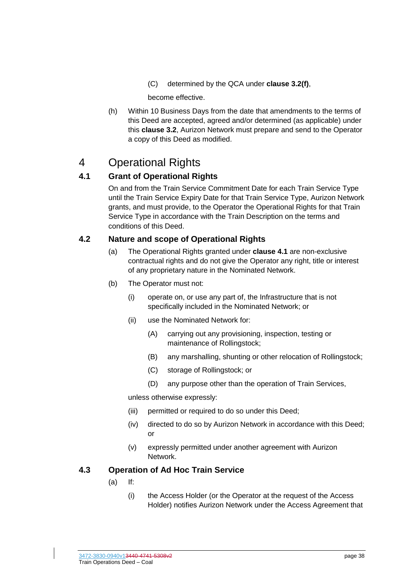(C) determined by the QCA under **clause [3.2\(f\)](#page-37-2)**,

become effective.

(h) Within 10 Business Days from the date that amendments to the terms of this Deed are accepted, agreed and/or determined (as applicable) under this **clause [3.2](#page-36-1)**, Aurizon Network must prepare and send to the Operator a copy of this Deed as modified.

# 4 Operational Rights

### <span id="page-38-0"></span>**4.1 Grant of Operational Rights**

On and from the Train Service Commitment Date for each Train Service Type until the Train Service Expiry Date for that Train Service Type, Aurizon Network grants, and must provide, to the Operator the Operational Rights for that Train Service Type in accordance with the Train Description on the terms and conditions of this Deed.

### **4.2 Nature and scope of Operational Rights**

- (a) The Operational Rights granted under **clause [4.1](#page-38-0)** are non-exclusive contractual rights and do not give the Operator any right, title or interest of any proprietary nature in the Nominated Network.
- (b) The Operator must not:
	- (i) operate on, or use any part of, the Infrastructure that is not specifically included in the Nominated Network; or
	- (ii) use the Nominated Network for:
		- (A) carrying out any provisioning, inspection, testing or maintenance of Rollingstock;
		- (B) any marshalling, shunting or other relocation of Rollingstock;
		- (C) storage of Rollingstock; or
		- (D) any purpose other than the operation of Train Services,

unless otherwise expressly:

- (iii) permitted or required to do so under this Deed;
- (iv) directed to do so by Aurizon Network in accordance with this Deed; or
- (v) expressly permitted under another agreement with Aurizon Network.

### **4.3 Operation of Ad Hoc Train Service**

- (a) If:
	- (i) the Access Holder (or the Operator at the request of the Access Holder) notifies Aurizon Network under the Access Agreement that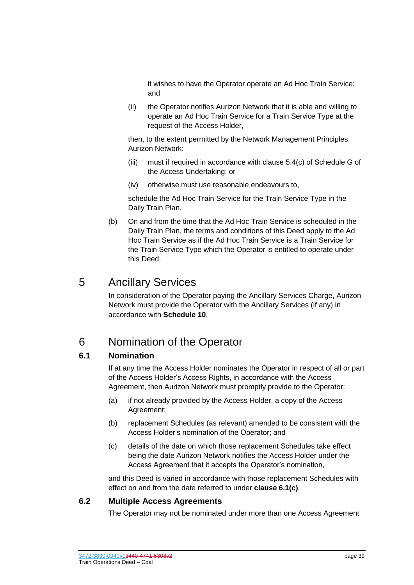it wishes to have the Operator operate an Ad Hoc Train Service; and

(ii) the Operator notifies Aurizon Network that it is able and willing to operate an Ad Hoc Train Service for a Train Service Type at the request of the Access Holder,

then, to the extent permitted by the Network Management Principles, Aurizon Network:

- (iii) must if required in accordance with clause 5.4(c) of Schedule G of the Access Undertaking; or
- (iv) otherwise must use reasonable endeavours to,

schedule the Ad Hoc Train Service for the Train Service Type in the Daily Train Plan.

(b) On and from the time that the Ad Hoc Train Service is scheduled in the Daily Train Plan, the terms and conditions of this Deed apply to the Ad Hoc Train Service as if the Ad Hoc Train Service is a Train Service for the Train Service Type which the Operator is entitled to operate under this Deed.

# 5 Ancillary Services

In consideration of the Operator paying the Ancillary Services Charge, Aurizon Network must provide the Operator with the Ancillary Services (if any) in accordance with **Schedule [10](#page-155-0)**.

# 6 Nomination of the Operator

### **6.1 Nomination**

If at any time the Access Holder nominates the Operator in respect of all or part of the Access Holder's Access Rights, in accordance with the Access Agreement, then Aurizon Network must promptly provide to the Operator:

- (a) if not already provided by the Access Holder, a copy of the Access Agreement;
- (b) replacement Schedules (as relevant) amended to be consistent with the Access Holder's nomination of the Operator; and
- <span id="page-39-0"></span>(c) details of the date on which those replacement Schedules take effect being the date Aurizon Network notifies the Access Holder under the Access Agreement that it accepts the Operator's nomination,

and this Deed is varied in accordance with those replacement Schedules with effect on and from the date referred to under **clause [6.1\(c\)](#page-39-0)**.

### **6.2 Multiple Access Agreements**

The Operator may not be nominated under more than one Access Agreement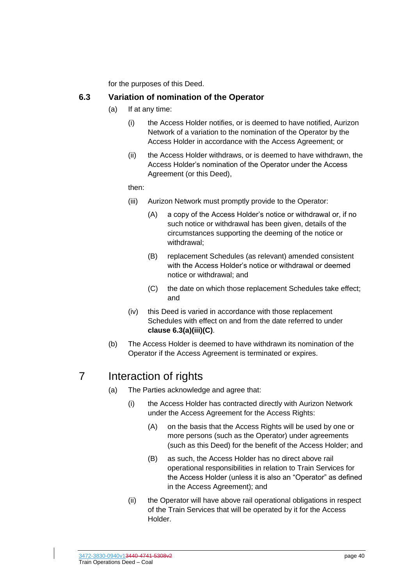for the purposes of this Deed.

#### **6.3 Variation of nomination of the Operator**

- (a) If at any time:
	- (i) the Access Holder notifies, or is deemed to have notified, Aurizon Network of a variation to the nomination of the Operator by the Access Holder in accordance with the Access Agreement; or
	- (ii) the Access Holder withdraws, or is deemed to have withdrawn, the Access Holder's nomination of the Operator under the Access Agreement (or this Deed),

#### then:

- (iii) Aurizon Network must promptly provide to the Operator:
	- (A) a copy of the Access Holder's notice or withdrawal or, if no such notice or withdrawal has been given, details of the circumstances supporting the deeming of the notice or withdrawal;
	- (B) replacement Schedules (as relevant) amended consistent with the Access Holder's notice or withdrawal or deemed notice or withdrawal; and
	- (C) the date on which those replacement Schedules take effect; and
- <span id="page-40-0"></span>(iv) this Deed is varied in accordance with those replacement Schedules with effect on and from the date referred to under **clause [6.3\(a\)\(iii\)\(C\)](#page-40-0)**.
- (b) The Access Holder is deemed to have withdrawn its nomination of the Operator if the Access Agreement is terminated or expires.

# 7 Interaction of rights

- (a) The Parties acknowledge and agree that:
	- (i) the Access Holder has contracted directly with Aurizon Network under the Access Agreement for the Access Rights:
		- (A) on the basis that the Access Rights will be used by one or more persons (such as the Operator) under agreements (such as this Deed) for the benefit of the Access Holder; and
		- (B) as such, the Access Holder has no direct above rail operational responsibilities in relation to Train Services for the Access Holder (unless it is also an "Operator" as defined in the Access Agreement); and
	- (ii) the Operator will have above rail operational obligations in respect of the Train Services that will be operated by it for the Access Holder.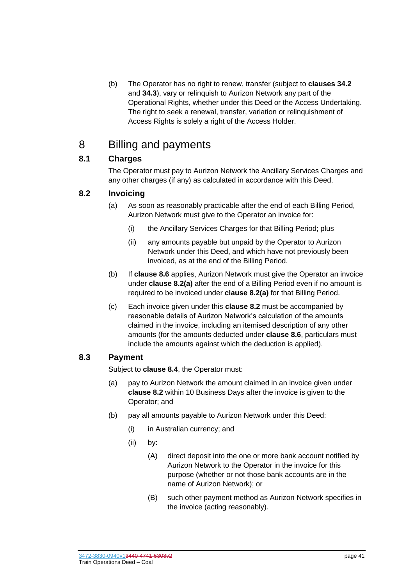(b) The Operator has no right to renew, transfer (subject to **clauses [34.2](#page-106-0)** and **[34.3](#page-107-0)**), vary or relinquish to Aurizon Network any part of the Operational Rights, whether under this Deed or the Access Undertaking. The right to seek a renewal, transfer, variation or relinquishment of Access Rights is solely a right of the Access Holder.

## 8 Billing and payments

### **8.1 Charges**

The Operator must pay to Aurizon Network the Ancillary Services Charges and any other charges (if any) as calculated in accordance with this Deed.

### <span id="page-41-1"></span><span id="page-41-0"></span>**8.2 Invoicing**

- (a) As soon as reasonably practicable after the end of each Billing Period, Aurizon Network must give to the Operator an invoice for:
	- (i) the Ancillary Services Charges for that Billing Period; plus
	- (ii) any amounts payable but unpaid by the Operator to Aurizon Network under this Deed, and which have not previously been invoiced, as at the end of the Billing Period.
- (b) If **clause [8.6](#page-43-0)** applies, Aurizon Network must give the Operator an invoice under **clause [8.2\(a\)](#page-41-0)** after the end of a Billing Period even if no amount is required to be invoiced under **clause [8.2\(a\)](#page-41-0)** for that Billing Period.
- (c) Each invoice given under this **clause [8.2](#page-41-1)** must be accompanied by reasonable details of Aurizon Network's calculation of the amounts claimed in the invoice, including an itemised description of any other amounts (for the amounts deducted under **clause [8.6](#page-43-0)**, particulars must include the amounts against which the deduction is applied).

### <span id="page-41-3"></span><span id="page-41-2"></span>**8.3 Payment**

Subject to **clause [8.4](#page-42-0)**, the Operator must:

- (a) pay to Aurizon Network the amount claimed in an invoice given under **clause [8.2](#page-41-1)** within 10 Business Days after the invoice is given to the Operator; and
- (b) pay all amounts payable to Aurizon Network under this Deed:
	- (i) in Australian currency; and
	- (ii) by:
		- (A) direct deposit into the one or more bank account notified by Aurizon Network to the Operator in the invoice for this purpose (whether or not those bank accounts are in the name of Aurizon Network); or
		- (B) such other payment method as Aurizon Network specifies in the invoice (acting reasonably).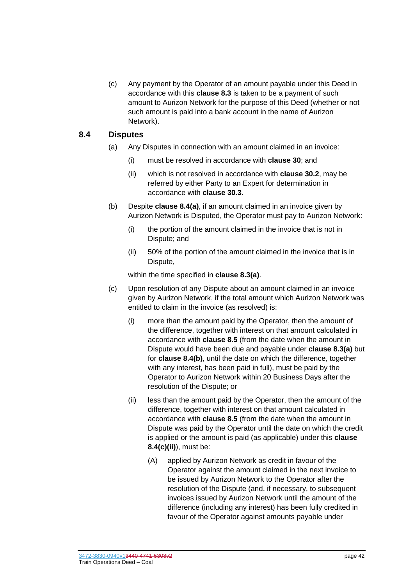(c) Any payment by the Operator of an amount payable under this Deed in accordance with this **clause [8.3](#page-41-2)** is taken to be a payment of such amount to Aurizon Network for the purpose of this Deed (whether or not such amount is paid into a bank account in the name of Aurizon Network).

### <span id="page-42-1"></span><span id="page-42-0"></span>**8.4 Disputes**

- (a) Any Disputes in connection with an amount claimed in an invoice:
	- (i) must be resolved in accordance with **clause [30](#page-94-0)**; and
	- (ii) which is not resolved in accordance with **clause [30.2](#page-94-1)**, may be referred by either Party to an Expert for determination in accordance with **clause [30.3](#page-94-2)**.
- <span id="page-42-2"></span>(b) Despite **clause [8.4\(a\)](#page-42-1)**, if an amount claimed in an invoice given by Aurizon Network is Disputed, the Operator must pay to Aurizon Network:
	- (i) the portion of the amount claimed in the invoice that is not in Dispute; and
	- (ii) 50% of the portion of the amount claimed in the invoice that is in Dispute,

within the time specified in **clause [8.3\(a\)](#page-41-3)**.

- <span id="page-42-5"></span><span id="page-42-4"></span><span id="page-42-3"></span>(c) Upon resolution of any Dispute about an amount claimed in an invoice given by Aurizon Network, if the total amount which Aurizon Network was entitled to claim in the invoice (as resolved) is:
	- (i) more than the amount paid by the Operator, then the amount of the difference, together with interest on that amount calculated in accordance with **clause [8.5](#page-43-1)** (from the date when the amount in Dispute would have been due and payable under **clause [8.3\(a\)](#page-41-3)** but for **clause [8.4\(b\)](#page-42-2)**, until the date on which the difference, together with any interest, has been paid in full), must be paid by the Operator to Aurizon Network within 20 Business Days after the resolution of the Dispute; or
	- (ii) less than the amount paid by the Operator, then the amount of the difference, together with interest on that amount calculated in accordance with **clause [8.5](#page-43-1)** (from the date when the amount in Dispute was paid by the Operator until the date on which the credit is applied or the amount is paid (as applicable) under this **clause [8.4\(c\)\(ii\)](#page-42-3)**), must be:
		- (A) applied by Aurizon Network as credit in favour of the Operator against the amount claimed in the next invoice to be issued by Aurizon Network to the Operator after the resolution of the Dispute (and, if necessary, to subsequent invoices issued by Aurizon Network until the amount of the difference (including any interest) has been fully credited in favour of the Operator against amounts payable under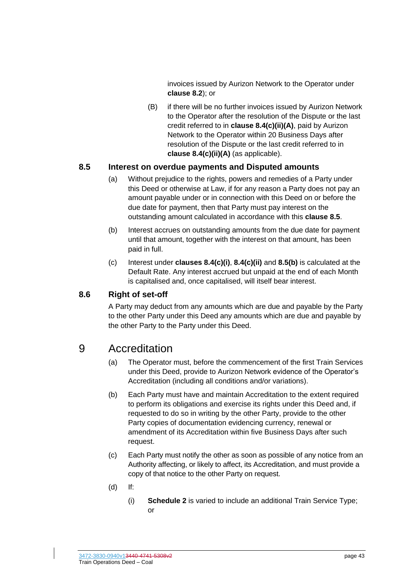invoices issued by Aurizon Network to the Operator under **clause [8.2](#page-41-1)**); or

(B) if there will be no further invoices issued by Aurizon Network to the Operator after the resolution of the Dispute or the last credit referred to in **clause [8.4\(c\)\(ii\)\(A\)](#page-42-4)**, paid by Aurizon Network to the Operator within 20 Business Days after resolution of the Dispute or the last credit referred to in **clause [8.4\(c\)\(ii\)\(A\)](#page-42-4)** (as applicable).

### <span id="page-43-1"></span>**8.5 Interest on overdue payments and Disputed amounts**

- (a) Without prejudice to the rights, powers and remedies of a Party under this Deed or otherwise at Law, if for any reason a Party does not pay an amount payable under or in connection with this Deed on or before the due date for payment, then that Party must pay interest on the outstanding amount calculated in accordance with this **clause [8.5](#page-43-1)**.
- <span id="page-43-2"></span>(b) Interest accrues on outstanding amounts from the due date for payment until that amount, together with the interest on that amount, has been paid in full.
- (c) Interest under **clauses [8.4\(c\)\(i\)](#page-42-5)**, **[8.4\(c\)\(ii\)](#page-42-3)** and **[8.5\(b\)](#page-43-2)** is calculated at the Default Rate. Any interest accrued but unpaid at the end of each Month is capitalised and, once capitalised, will itself bear interest.

### <span id="page-43-0"></span>**8.6 Right of set-off**

A Party may deduct from any amounts which are due and payable by the Party to the other Party under this Deed any amounts which are due and payable by the other Party to the Party under this Deed.

# 9 Accreditation

- (a) The Operator must, before the commencement of the first Train Services under this Deed, provide to Aurizon Network evidence of the Operator's Accreditation (including all conditions and/or variations).
- (b) Each Party must have and maintain Accreditation to the extent required to perform its obligations and exercise its rights under this Deed and, if requested to do so in writing by the other Party, provide to the other Party copies of documentation evidencing currency, renewal or amendment of its Accreditation within five Business Days after such request.
- (c) Each Party must notify the other as soon as possible of any notice from an Authority affecting, or likely to affect, its Accreditation, and must provide a copy of that notice to the other Party on request.
- (d) If:
	- (i) **Schedule [2](#page-121-0)** is varied to include an additional Train Service Type; or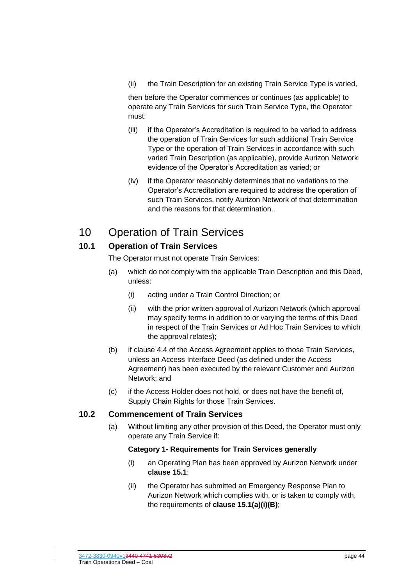(ii) the Train Description for an existing Train Service Type is varied,

then before the Operator commences or continues (as applicable) to operate any Train Services for such Train Service Type, the Operator must:

- (iii) if the Operator's Accreditation is required to be varied to address the operation of Train Services for such additional Train Service Type or the operation of Train Services in accordance with such varied Train Description (as applicable), provide Aurizon Network evidence of the Operator's Accreditation as varied; or
- (iv) if the Operator reasonably determines that no variations to the Operator's Accreditation are required to address the operation of such Train Services, notify Aurizon Network of that determination and the reasons for that determination.

# 10 Operation of Train Services

### **10.1 Operation of Train Services**

The Operator must not operate Train Services:

- (a) which do not comply with the applicable Train Description and this Deed, unless:
	- (i) acting under a Train Control Direction; or
	- (ii) with the prior written approval of Aurizon Network (which approval may specify terms in addition to or varying the terms of this Deed in respect of the Train Services or Ad Hoc Train Services to which the approval relates);
- (b) if clause 4.4 of the Access Agreement applies to those Train Services, unless an Access Interface Deed (as defined under the Access Agreement) has been executed by the relevant Customer and Aurizon Network; and
- (c) if the Access Holder does not hold, or does not have the benefit of, Supply Chain Rights for those Train Services.

### <span id="page-44-0"></span>**10.2 Commencement of Train Services**

(a) Without limiting any other provision of this Deed, the Operator must only operate any Train Service if:

### **Category 1- Requirements for Train Services generally**

- (i) an Operating Plan has been approved by Aurizon Network under **clause [15.1](#page-55-0)**;
- (ii) the Operator has submitted an Emergency Response Plan to Aurizon Network which complies with, or is taken to comply with, the requirements of **clause [15.1\(a\)\(i\)\(B\)](#page-55-1)**;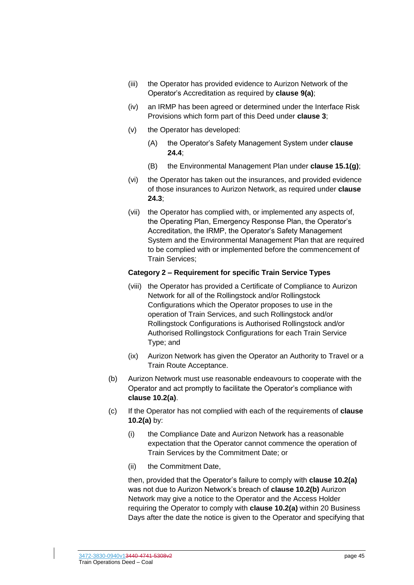- (iii) the Operator has provided evidence to Aurizon Network of the Operator's Accreditation as required by **clause 9(a)**;
- (iv) an IRMP has been agreed or determined under the Interface Risk Provisions which form part of this Deed under **clause [3](#page-36-2)**;
- (v) the Operator has developed:
	- (A) the Operator's Safety Management System under **clause [24.4](#page-80-0)**;
	- (B) the Environmental Management Plan under **clause [15.1\(g\)](#page-57-0)**;
- (vi) the Operator has taken out the insurances, and provided evidence of those insurances to Aurizon Network, as required under **clause [24.3](#page-79-0)**;
- (vii) the Operator has complied with, or implemented any aspects of, the Operating Plan, Emergency Response Plan, the Operator's Accreditation, the IRMP, the Operator's Safety Management System and the Environmental Management Plan that are required to be complied with or implemented before the commencement of Train Services;

#### **Category 2 – Requirement for specific Train Service Types**

- (viii) the Operator has provided a Certificate of Compliance to Aurizon Network for all of the Rollingstock and/or Rollingstock Configurations which the Operator proposes to use in the operation of Train Services, and such Rollingstock and/or Rollingstock Configurations is Authorised Rollingstock and/or Authorised Rollingstock Configurations for each Train Service Type; and
- (ix) Aurizon Network has given the Operator an Authority to Travel or a Train Route Acceptance.
- <span id="page-45-0"></span>(b) Aurizon Network must use reasonable endeavours to cooperate with the Operator and act promptly to facilitate the Operator's compliance with **clause [10.2\(a\)](#page-44-0)**.
- <span id="page-45-1"></span>(c) If the Operator has not complied with each of the requirements of **clause [10.2\(a\)](#page-44-0)** by:
	- (i) the Compliance Date and Aurizon Network has a reasonable expectation that the Operator cannot commence the operation of Train Services by the Commitment Date; or
	- (ii) the Commitment Date,

then, provided that the Operator's failure to comply with **clause [10.2\(a\)](#page-44-0)** was not due to Aurizon Network's breach of **clause [10.2\(b\)](#page-45-0)** Aurizon Network may give a notice to the Operator and the Access Holder requiring the Operator to comply with **clause [10.2\(a\)](#page-44-0)** within 20 Business Days after the date the notice is given to the Operator and specifying that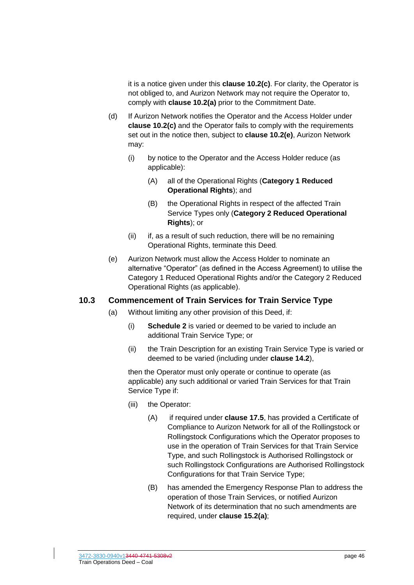it is a notice given under this **clause [10.2\(c\)](#page-45-1)**. For clarity, the Operator is not obliged to, and Aurizon Network may not require the Operator to, comply with **clause [10.2\(a\)](#page-44-0)** prior to the Commitment Date.

- (d) If Aurizon Network notifies the Operator and the Access Holder under **clause [10.2\(c\)](#page-45-1)** and the Operator fails to comply with the requirements set out in the notice then, subject to **clause [10.2\(e\)](#page-46-0)**, Aurizon Network may:
	- (i) by notice to the Operator and the Access Holder reduce (as applicable):
		- (A) all of the Operational Rights (**Category 1 Reduced Operational Rights**); and
		- (B) the Operational Rights in respect of the affected Train Service Types only (**Category 2 Reduced Operational Rights**); or
	- (ii) if, as a result of such reduction, there will be no remaining Operational Rights, terminate this Deed.
- <span id="page-46-0"></span>(e) Aurizon Network must allow the Access Holder to nominate an alternative "Operator" (as defined in the Access Agreement) to utilise the Category 1 Reduced Operational Rights and/or the Category 2 Reduced Operational Rights (as applicable).

### <span id="page-46-2"></span><span id="page-46-1"></span>**10.3 Commencement of Train Services for Train Service Type**

- <span id="page-46-3"></span>(a) Without limiting any other provision of this Deed, if:
	- (i) **Schedule [2](#page-121-0)** is varied or deemed to be varied to include an additional Train Service Type; or
	- (ii) the Train Description for an existing Train Service Type is varied or deemed to be varied (including under **clause [14.2](#page-53-0)**),

then the Operator must only operate or continue to operate (as applicable) any such additional or varied Train Services for that Train Service Type if:

- (iii) the Operator:
	- (A) if required under **clause [17.5](#page-63-0)**, has provided a Certificate of Compliance to Aurizon Network for all of the Rollingstock or Rollingstock Configurations which the Operator proposes to use in the operation of Train Services for that Train Service Type, and such Rollingstock is Authorised Rollingstock or such Rollingstock Configurations are Authorised Rollingstock Configurations for that Train Service Type;
	- (B) has amended the Emergency Response Plan to address the operation of those Train Services, or notified Aurizon Network of its determination that no such amendments are required, under **clause [15.2\(a\)](#page-58-0)**;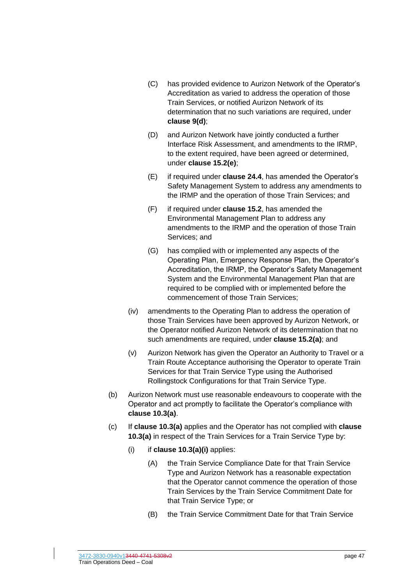- (C) has provided evidence to Aurizon Network of the Operator's Accreditation as varied to address the operation of those Train Services, or notified Aurizon Network of its determination that no such variations are required, under **clause 9(d)**;
- (D) and Aurizon Network have jointly conducted a further Interface Risk Assessment, and amendments to the IRMP, to the extent required, have been agreed or determined, under **clause [15.2\(e\)](#page-58-1)**;
- (E) if required under **clause [24.4](#page-80-0)**, has amended the Operator's Safety Management System to address any amendments to the IRMP and the operation of those Train Services; and
- (F) if required under **clause [15.2](#page-58-2)**, has amended the Environmental Management Plan to address any amendments to the IRMP and the operation of those Train Services; and
- (G) has complied with or implemented any aspects of the Operating Plan, Emergency Response Plan, the Operator's Accreditation, the IRMP, the Operator's Safety Management System and the Environmental Management Plan that are required to be complied with or implemented before the commencement of those Train Services;
- (iv) amendments to the Operating Plan to address the operation of those Train Services have been approved by Aurizon Network, or the Operator notified Aurizon Network of its determination that no such amendments are required, under **clause [15.2\(a\)](#page-58-0)**; and
- (v) Aurizon Network has given the Operator an Authority to Travel or a Train Route Acceptance authorising the Operator to operate Train Services for that Train Service Type using the Authorised Rollingstock Configurations for that Train Service Type.
- <span id="page-47-0"></span>(b) Aurizon Network must use reasonable endeavours to cooperate with the Operator and act promptly to facilitate the Operator's compliance with **clause [10.3\(a\)](#page-46-1)**.
- (c) If **clause [10.3\(a\)](#page-46-1)** applies and the Operator has not complied with **clause [10.3\(a\)](#page-46-1)** in respect of the Train Services for a Train Service Type by:
	- (i) if **clause [10.3\(a\)\(i\)](#page-46-2)** applies:
		- (A) the Train Service Compliance Date for that Train Service Type and Aurizon Network has a reasonable expectation that the Operator cannot commence the operation of those Train Services by the Train Service Commitment Date for that Train Service Type; or
		- (B) the Train Service Commitment Date for that Train Service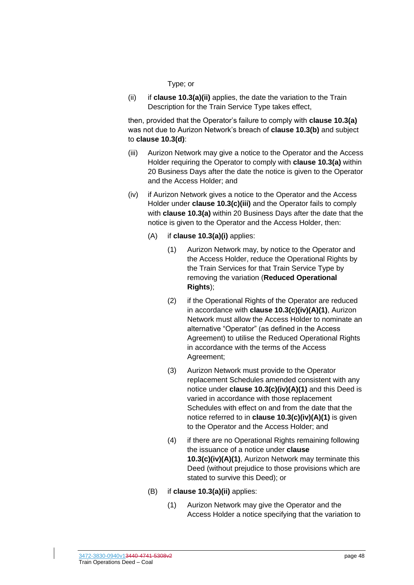#### Type; or

(ii) if **clause [10.3\(a\)\(ii\)](#page-46-3)** applies, the date the variation to the Train Description for the Train Service Type takes effect,

then, provided that the Operator's failure to comply with **clause [10.3\(a\)](#page-46-1)** was not due to Aurizon Network's breach of **clause [10.3\(b\)](#page-47-0)** and subject to **clause [10.3\(d\)](#page-49-0)**:

- <span id="page-48-0"></span>(iii) Aurizon Network may give a notice to the Operator and the Access Holder requiring the Operator to comply with **clause [10.3\(a\)](#page-46-1)** within 20 Business Days after the date the notice is given to the Operator and the Access Holder; and
- <span id="page-48-2"></span><span id="page-48-1"></span>(iv) if Aurizon Network gives a notice to the Operator and the Access Holder under **clause [10.3\(c\)\(iii\)](#page-48-0)** and the Operator fails to comply with **clause [10.3\(a\)](#page-46-1)** within 20 Business Days after the date that the notice is given to the Operator and the Access Holder, then:
	- (A) if **clause [10.3\(a\)\(i\)](#page-46-2)** applies:
		- (1) Aurizon Network may, by notice to the Operator and the Access Holder, reduce the Operational Rights by the Train Services for that Train Service Type by removing the variation (**Reduced Operational Rights**);
		- (2) if the Operational Rights of the Operator are reduced in accordance with **clause [10.3\(c\)\(iv\)\(A\)\(1\)](#page-48-1)**, Aurizon Network must allow the Access Holder to nominate an alternative "Operator" (as defined in the Access Agreement) to utilise the Reduced Operational Rights in accordance with the terms of the Access Agreement;
		- (3) Aurizon Network must provide to the Operator replacement Schedules amended consistent with any notice under **clause [10.3\(c\)\(iv\)\(A\)\(1\)](#page-48-1)** and this Deed is varied in accordance with those replacement Schedules with effect on and from the date that the notice referred to in **clause [10.3\(c\)\(iv\)\(A\)\(1\)](#page-48-1)** is given to the Operator and the Access Holder; and
		- (4) if there are no Operational Rights remaining following the issuance of a notice under **clause [10.3\(c\)\(iv\)\(A\)\(1\)](#page-48-1)**, Aurizon Network may terminate this Deed (without prejudice to those provisions which are stated to survive this Deed); or
	- (B) if **clause [10.3\(a\)\(ii\)](#page-46-3)** applies:
		- (1) Aurizon Network may give the Operator and the Access Holder a notice specifying that the variation to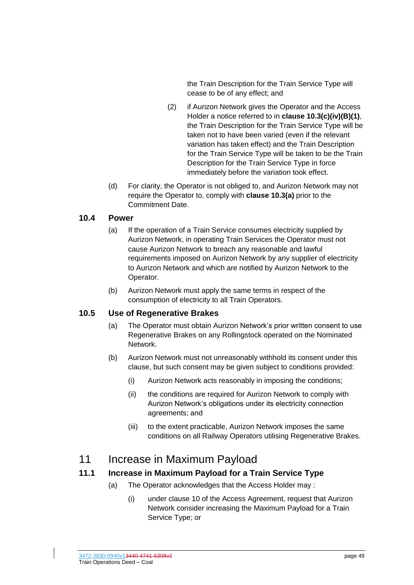the Train Description for the Train Service Type will cease to be of any effect; and

- (2) if Aurizon Network gives the Operator and the Access Holder a notice referred to in **clause [10.3\(c\)\(iv\)\(B\)\(1\)](#page-48-2)**, the Train Description for the Train Service Type will be taken not to have been varied (even if the relevant variation has taken effect) and the Train Description for the Train Service Type will be taken to be the Train Description for the Train Service Type in force immediately before the variation took effect.
- <span id="page-49-0"></span>(d) For clarity, the Operator is not obliged to, and Aurizon Network may not require the Operator to, comply with **claus[e 10.3\(a\)](#page-46-1)** prior to the Commitment Date.

### **10.4 Power**

- (a) If the operation of a Train Service consumes electricity supplied by Aurizon Network, in operating Train Services the Operator must not cause Aurizon Network to breach any reasonable and lawful requirements imposed on Aurizon Network by any supplier of electricity to Aurizon Network and which are notified by Aurizon Network to the Operator.
- (b) Aurizon Network must apply the same terms in respect of the consumption of electricity to all Train Operators.

### **10.5 Use of Regenerative Brakes**

- (a) The Operator must obtain Aurizon Network's prior written consent to use Regenerative Brakes on any Rollingstock operated on the Nominated Network.
- (b) Aurizon Network must not unreasonably withhold its consent under this clause, but such consent may be given subject to conditions provided:
	- (i) Aurizon Network acts reasonably in imposing the conditions;
	- (ii) the conditions are required for Aurizon Network to comply with Aurizon Network's obligations under its electricity connection agreements; and
	- (iii) to the extent practicable, Aurizon Network imposes the same conditions on all Railway Operators utilising Regenerative Brakes.

# <span id="page-49-1"></span>11 Increase in Maximum Payload

### **11.1 Increase in Maximum Payload for a Train Service Type**

- (a) The Operator acknowledges that the Access Holder may :
	- (i) under clause 10 of the Access Agreement, request that Aurizon Network consider increasing the Maximum Payload for a Train Service Type; or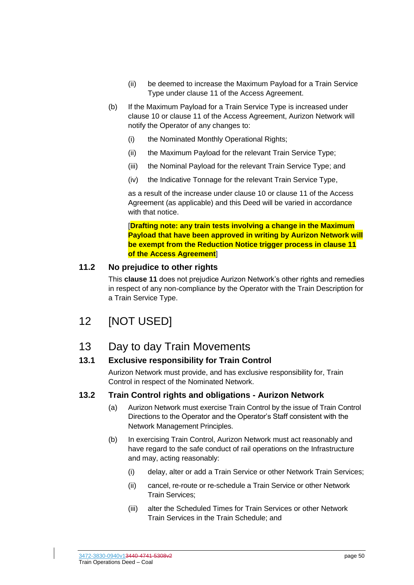- (ii) be deemed to increase the Maximum Payload for a Train Service Type under clause 11 of the Access Agreement.
- (b) If the Maximum Payload for a Train Service Type is increased under clause 10 or clause 11 of the Access Agreement, Aurizon Network will notify the Operator of any changes to:
	- (i) the Nominated Monthly Operational Rights;
	- (ii) the Maximum Payload for the relevant Train Service Type;
	- (iii) the Nominal Payload for the relevant Train Service Type; and
	- (iv) the Indicative Tonnage for the relevant Train Service Type,

as a result of the increase under clause 10 or clause 11 of the Access Agreement (as applicable) and this Deed will be varied in accordance with that notice.

[**Drafting note: any train tests involving a change in the Maximum Payload that have been approved in writing by Aurizon Network will be exempt from the Reduction Notice trigger process in clause 11 of the Access Agreement**]

### **11.2 No prejudice to other rights**

This **clause [11](#page-49-1)** does not prejudice Aurizon Network's other rights and remedies in respect of any non-compliance by the Operator with the Train Description for a Train Service Type.

# 12 [NOT USED]

# 13 Day to day Train Movements

### **13.1 Exclusive responsibility for Train Control**

Aurizon Network must provide, and has exclusive responsibility for, Train Control in respect of the Nominated Network.

### **13.2 Train Control rights and obligations - Aurizon Network**

- (a) Aurizon Network must exercise Train Control by the issue of Train Control Directions to the Operator and the Operator's Staff consistent with the Network Management Principles.
- (b) In exercising Train Control, Aurizon Network must act reasonably and have regard to the safe conduct of rail operations on the Infrastructure and may, acting reasonably:
	- (i) delay, alter or add a Train Service or other Network Train Services;
	- (ii) cancel, re-route or re-schedule a Train Service or other Network Train Services;
	- (iii) alter the Scheduled Times for Train Services or other Network Train Services in the Train Schedule; and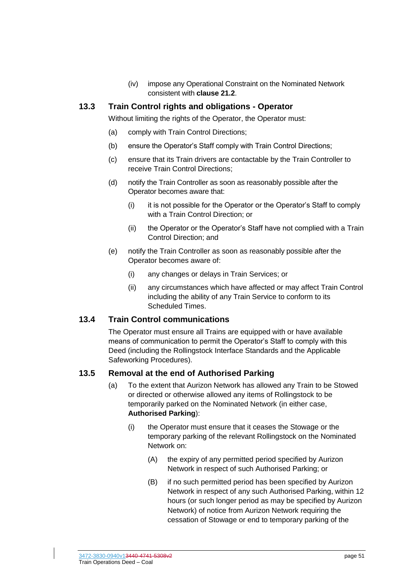(iv) impose any Operational Constraint on the Nominated Network consistent with **claus[e 21.2](#page-71-0)**.

### **13.3 Train Control rights and obligations - Operator**

Without limiting the rights of the Operator, the Operator must:

- (a) comply with Train Control Directions;
- (b) ensure the Operator's Staff comply with Train Control Directions;
- (c) ensure that its Train drivers are contactable by the Train Controller to receive Train Control Directions;
- (d) notify the Train Controller as soon as reasonably possible after the Operator becomes aware that:
	- (i) it is not possible for the Operator or the Operator's Staff to comply with a Train Control Direction; or
	- (ii) the Operator or the Operator's Staff have not complied with a Train Control Direction; and
- (e) notify the Train Controller as soon as reasonably possible after the Operator becomes aware of:
	- (i) any changes or delays in Train Services; or
	- (ii) any circumstances which have affected or may affect Train Control including the ability of any Train Service to conform to its Scheduled Times.

### **13.4 Train Control communications**

The Operator must ensure all Trains are equipped with or have available means of communication to permit the Operator's Staff to comply with this Deed (including the Rollingstock Interface Standards and the Applicable Safeworking Procedures).

### **13.5 Removal at the end of Authorised Parking**

- <span id="page-51-0"></span>(a) To the extent that Aurizon Network has allowed any Train to be Stowed or directed or otherwise allowed any items of Rollingstock to be temporarily parked on the Nominated Network (in either case, **Authorised Parking**):
	- (i) the Operator must ensure that it ceases the Stowage or the temporary parking of the relevant Rollingstock on the Nominated Network on:
		- (A) the expiry of any permitted period specified by Aurizon Network in respect of such Authorised Parking; or
		- (B) if no such permitted period has been specified by Aurizon Network in respect of any such Authorised Parking, within 12 hours (or such longer period as may be specified by Aurizon Network) of notice from Aurizon Network requiring the cessation of Stowage or end to temporary parking of the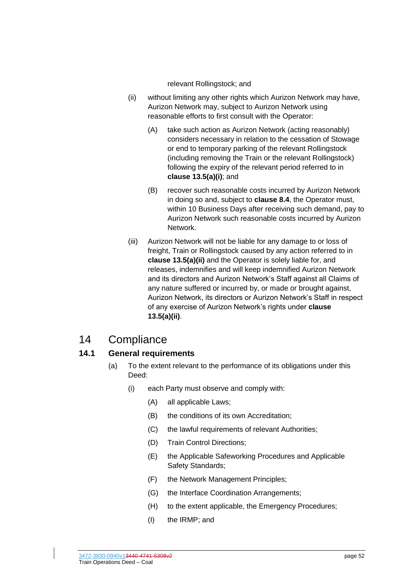relevant Rollingstock; and

- <span id="page-52-0"></span>(ii) without limiting any other rights which Aurizon Network may have, Aurizon Network may, subject to Aurizon Network using reasonable efforts to first consult with the Operator:
	- (A) take such action as Aurizon Network (acting reasonably) considers necessary in relation to the cessation of Stowage or end to temporary parking of the relevant Rollingstock (including removing the Train or the relevant Rollingstock) following the expiry of the relevant period referred to in **clause [13.5\(a\)\(i\)](#page-51-0)**; and
	- (B) recover such reasonable costs incurred by Aurizon Network in doing so and, subject to **clause [8.4](#page-42-0)**, the Operator must, within 10 Business Days after receiving such demand, pay to Aurizon Network such reasonable costs incurred by Aurizon Network.
- (iii) Aurizon Network will not be liable for any damage to or loss of freight, Train or Rollingstock caused by any action referred to in **clause [13.5\(a\)\(ii\)](#page-52-0)** and the Operator is solely liable for, and releases, indemnifies and will keep indemnified Aurizon Network and its directors and Aurizon Network's Staff against all Claims of any nature suffered or incurred by, or made or brought against, Aurizon Network, its directors or Aurizon Network's Staff in respect of any exercise of Aurizon Network's rights under **clause [13.5\(a\)\(ii\)](#page-52-0)**.

# 14 Compliance

### <span id="page-52-1"></span>**14.1 General requirements**

- (a) To the extent relevant to the performance of its obligations under this Deed:
	- (i) each Party must observe and comply with:
		- (A) all applicable Laws;
		- (B) the conditions of its own Accreditation;
		- (C) the lawful requirements of relevant Authorities;
		- (D) Train Control Directions;
		- (E) the Applicable Safeworking Procedures and Applicable Safety Standards;
		- (F) the Network Management Principles;
		- (G) the Interface Coordination Arrangements;
		- (H) to the extent applicable, the Emergency Procedures;
		- (I) the IRMP; and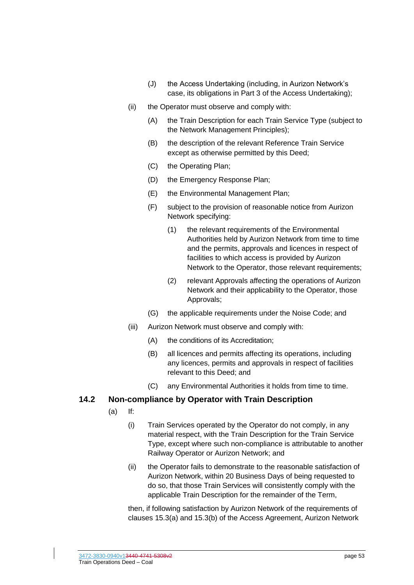- (J) the Access Undertaking (including, in Aurizon Network's case, its obligations in Part 3 of the Access Undertaking);
- (ii) the Operator must observe and comply with:
	- (A) the Train Description for each Train Service Type (subject to the Network Management Principles);
	- (B) the description of the relevant Reference Train Service except as otherwise permitted by this Deed;
	- (C) the Operating Plan;
	- (D) the Emergency Response Plan;
	- (E) the Environmental Management Plan;
	- (F) subject to the provision of reasonable notice from Aurizon Network specifying:
		- (1) the relevant requirements of the Environmental Authorities held by Aurizon Network from time to time and the permits, approvals and licences in respect of facilities to which access is provided by Aurizon Network to the Operator, those relevant requirements;
		- (2) relevant Approvals affecting the operations of Aurizon Network and their applicability to the Operator, those Approvals;
	- (G) the applicable requirements under the Noise Code; and
- (iii) Aurizon Network must observe and comply with:
	- (A) the conditions of its Accreditation;
	- (B) all licences and permits affecting its operations, including any licences, permits and approvals in respect of facilities relevant to this Deed; and
	- (C) any Environmental Authorities it holds from time to time.

### <span id="page-53-1"></span><span id="page-53-0"></span>**14.2 Non-compliance by Operator with Train Description**

- (a) If:
	- (i) Train Services operated by the Operator do not comply, in any material respect, with the Train Description for the Train Service Type, except where such non-compliance is attributable to another Railway Operator or Aurizon Network; and
	- (ii) the Operator fails to demonstrate to the reasonable satisfaction of Aurizon Network, within 20 Business Days of being requested to do so, that those Train Services will consistently comply with the applicable Train Description for the remainder of the Term,

then, if following satisfaction by Aurizon Network of the requirements of clauses 15.3(a) and 15.3(b) of the Access Agreement, Aurizon Network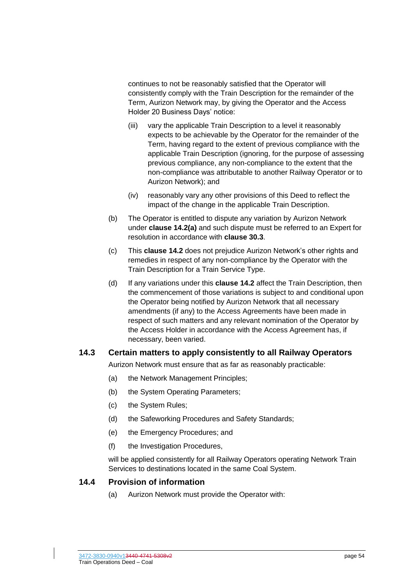continues to not be reasonably satisfied that the Operator will consistently comply with the Train Description for the remainder of the Term, Aurizon Network may, by giving the Operator and the Access Holder 20 Business Days' notice:

- (iii) vary the applicable Train Description to a level it reasonably expects to be achievable by the Operator for the remainder of the Term, having regard to the extent of previous compliance with the applicable Train Description (ignoring, for the purpose of assessing previous compliance, any non-compliance to the extent that the non-compliance was attributable to another Railway Operator or to Aurizon Network); and
- (iv) reasonably vary any other provisions of this Deed to reflect the impact of the change in the applicable Train Description.
- <span id="page-54-1"></span><span id="page-54-0"></span>(b) The Operator is entitled to dispute any variation by Aurizon Network under **clause [14.2\(a\)](#page-53-1)** and such dispute must be referred to an Expert for resolution in accordance with **clause [30.3](#page-94-2)**.
- (c) This **clause [14.2](#page-53-0)** does not prejudice Aurizon Network's other rights and remedies in respect of any non-compliance by the Operator with the Train Description for a Train Service Type.
- (d) If any variations under this **clause [14.2](#page-53-0)** affect the Train Description, then the commencement of those variations is subject to and conditional upon the Operator being notified by Aurizon Network that all necessary amendments (if any) to the Access Agreements have been made in respect of such matters and any relevant nomination of the Operator by the Access Holder in accordance with the Access Agreement has, if necessary, been varied.

#### **14.3 Certain matters to apply consistently to all Railway Operators**

Aurizon Network must ensure that as far as reasonably practicable:

- (a) the Network Management Principles;
- (b) the System Operating Parameters;
- (c) the System Rules;
- (d) the Safeworking Procedures and Safety Standards;
- (e) the Emergency Procedures; and
- (f) the Investigation Procedures,

will be applied consistently for all Railway Operators operating Network Train Services to destinations located in the same Coal System.

### **14.4 Provision of information**

(a) Aurizon Network must provide the Operator with: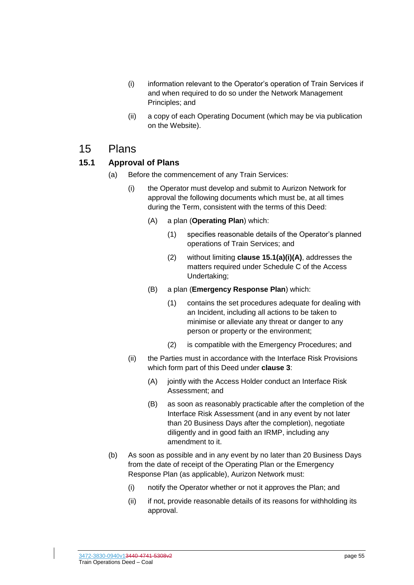- (i) information relevant to the Operator's operation of Train Services if and when required to do so under the Network Management Principles; and
- (ii) a copy of each Operating Document (which may be via publication on the Website).

### 15 Plans

### <span id="page-55-4"></span><span id="page-55-0"></span>**15.1 Approval of Plans**

- <span id="page-55-2"></span><span id="page-55-1"></span>(a) Before the commencement of any Train Services:
	- (i) the Operator must develop and submit to Aurizon Network for approval the following documents which must be, at all times during the Term, consistent with the terms of this Deed:
		- (A) a plan (**Operating Plan**) which:
			- (1) specifies reasonable details of the Operator's planned operations of Train Services; and
			- (2) without limiting **claus[e 15.1\(a\)\(i\)\(A\)](#page-55-2)**, addresses the matters required under Schedule C of the Access Undertaking;
		- (B) a plan (**Emergency Response Plan**) which:
			- (1) contains the set procedures adequate for dealing with an Incident, including all actions to be taken to minimise or alleviate any threat or danger to any person or property or the environment;
			- (2) is compatible with the Emergency Procedures; and
	- (ii) the Parties must in accordance with the Interface Risk Provisions which form part of this Deed under **clause [3](#page-36-2)**:
		- (A) jointly with the Access Holder conduct an Interface Risk Assessment; and
		- (B) as soon as reasonably practicable after the completion of the Interface Risk Assessment (and in any event by not later than 20 Business Days after the completion), negotiate diligently and in good faith an IRMP, including any amendment to it.
- <span id="page-55-5"></span><span id="page-55-3"></span>(b) As soon as possible and in any event by no later than 20 Business Days from the date of receipt of the Operating Plan or the Emergency Response Plan (as applicable), Aurizon Network must:
	- (i) notify the Operator whether or not it approves the Plan; and
	- (ii) if not, provide reasonable details of its reasons for withholding its approval.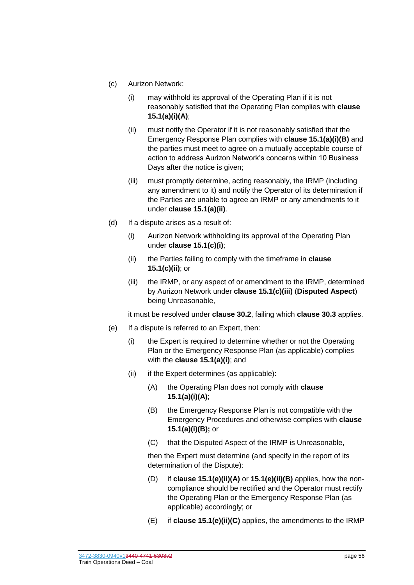- <span id="page-56-1"></span><span id="page-56-0"></span>(c) Aurizon Network:
	- (i) may withhold its approval of the Operating Plan if it is not reasonably satisfied that the Operating Plan complies with **clause [15.1\(a\)\(i\)\(A\)](#page-55-2)**;
	- (ii) must notify the Operator if it is not reasonably satisfied that the Emergency Response Plan complies with **clause [15.1\(a\)\(i\)\(B\)](#page-55-1)** and the parties must meet to agree on a mutually acceptable course of action to address Aurizon Network's concerns within 10 Business Days after the notice is given;
	- (iii) must promptly determine, acting reasonably, the IRMP (including any amendment to it) and notify the Operator of its determination if the Parties are unable to agree an IRMP or any amendments to it under **clause [15.1\(a\)\(ii\)](#page-55-3)**.
- <span id="page-56-6"></span><span id="page-56-2"></span>(d) If a dispute arises as a result of:
	- (i) Aurizon Network withholding its approval of the Operating Plan under **clause [15.1\(c\)\(i\)](#page-56-0)**;
	- (ii) the Parties failing to comply with the timeframe in **clause [15.1\(c\)\(ii\)](#page-56-1)**; or
	- (iii) the IRMP, or any aspect of or amendment to the IRMP, determined by Aurizon Network under **clause [15.1\(c\)\(iii\)](#page-56-2)** (**Disputed Aspect**) being Unreasonable,

it must be resolved under **clause [30.2](#page-94-1)**, failing which **claus[e 30.3](#page-94-2)** applies.

- <span id="page-56-7"></span><span id="page-56-3"></span>(e) If a dispute is referred to an Expert, then:
	- (i) the Expert is required to determine whether or not the Operating Plan or the Emergency Response Plan (as applicable) complies with the **clause [15.1\(a\)\(i\)](#page-55-4)**; and
	- (ii) if the Expert determines (as applicable):
		- (A) the Operating Plan does not comply with **clause [15.1\(a\)\(i\)\(A\)](#page-55-2)**;
		- (B) the Emergency Response Plan is not compatible with the Emergency Procedures and otherwise complies with **clause [15.1\(a\)\(i\)\(B\);](#page-55-1)** or
		- (C) that the Disputed Aspect of the IRMP is Unreasonable,

<span id="page-56-5"></span><span id="page-56-4"></span>then the Expert must determine (and specify in the report of its determination of the Dispute):

- (D) if **clause [15.1\(e\)\(ii\)\(A\)](#page-56-3)** or **[15.1\(e\)\(ii\)\(B\)](#page-56-4)** applies, how the noncompliance should be rectified and the Operator must rectify the Operating Plan or the Emergency Response Plan (as applicable) accordingly; or
- (E) if **clause [15.1\(e\)\(ii\)\(C\)](#page-56-5)** applies, the amendments to the IRMP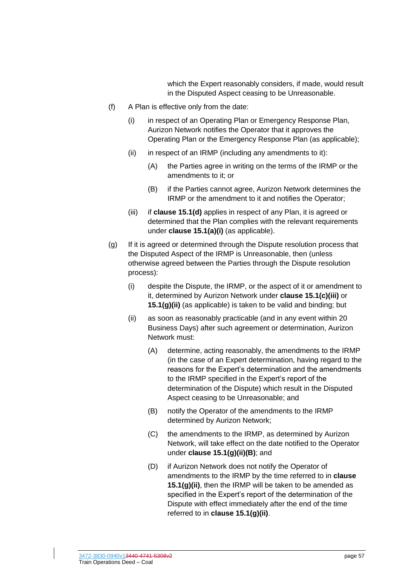which the Expert reasonably considers, if made, would result in the Disputed Aspect ceasing to be Unreasonable.

- (f) A Plan is effective only from the date:
	- (i) in respect of an Operating Plan or Emergency Response Plan, Aurizon Network notifies the Operator that it approves the Operating Plan or the Emergency Response Plan (as applicable);
	- (ii) in respect of an IRMP (including any amendments to it):
		- (A) the Parties agree in writing on the terms of the IRMP or the amendments to it; or
		- (B) if the Parties cannot agree, Aurizon Network determines the IRMP or the amendment to it and notifies the Operator;
	- (iii) if **clause [15.1\(d\)](#page-56-6)** applies in respect of any Plan, it is agreed or determined that the Plan complies with the relevant requirements under **clause [15.1\(a\)\(i\)](#page-55-4)** (as applicable).
- <span id="page-57-2"></span><span id="page-57-1"></span><span id="page-57-0"></span>(g) If it is agreed or determined through the Dispute resolution process that the Disputed Aspect of the IRMP is Unreasonable, then (unless otherwise agreed between the Parties through the Dispute resolution process):
	- (i) despite the Dispute, the IRMP, or the aspect of it or amendment to it, determined by Aurizon Network under **clause [15.1\(c\)\(iii\)](#page-56-2)** or **[15.1\(g\)\(ii\)](#page-57-1)** (as applicable) is taken to be valid and binding; but
	- (ii) as soon as reasonably practicable (and in any event within 20 Business Days) after such agreement or determination, Aurizon Network must:
		- (A) determine, acting reasonably, the amendments to the IRMP (in the case of an Expert determination, having regard to the reasons for the Expert's determination and the amendments to the IRMP specified in the Expert's report of the determination of the Dispute) which result in the Disputed Aspect ceasing to be Unreasonable; and
		- (B) notify the Operator of the amendments to the IRMP determined by Aurizon Network;
		- (C) the amendments to the IRMP, as determined by Aurizon Network, will take effect on the date notified to the Operator under **clause [15.1\(g\)\(ii\)\(B\)](#page-57-2)**; and
		- (D) if Aurizon Network does not notify the Operator of amendments to the IRMP by the time referred to in **clause [15.1\(g\)\(ii\)](#page-57-1)**, then the IRMP will be taken to be amended as specified in the Expert's report of the determination of the Dispute with effect immediately after the end of the time referred to in **clause [15.1\(g\)\(ii\)](#page-57-1)**.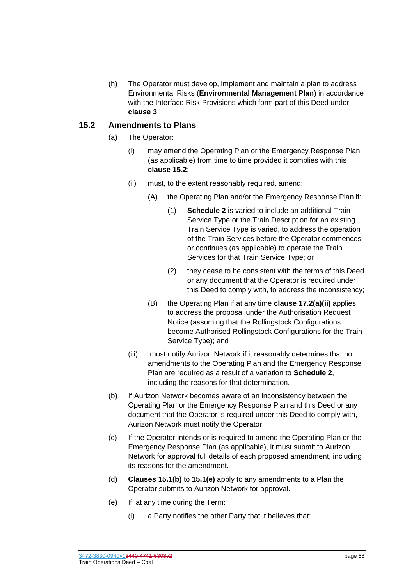(h) The Operator must develop, implement and maintain a plan to address Environmental Risks (**Environmental Management Plan**) in accordance with the Interface Risk Provisions which form part of this Deed under **clause [3](#page-36-2)**.

### <span id="page-58-2"></span><span id="page-58-0"></span>**15.2 Amendments to Plans**

- (a) The Operator:
	- (i) may amend the Operating Plan or the Emergency Response Plan (as applicable) from time to time provided it complies with this **clause [15.2](#page-58-2)**;
	- (ii) must, to the extent reasonably required, amend:
		- (A) the Operating Plan and/or the Emergency Response Plan if:
			- (1) **Schedule [2](#page-121-0)** is varied to include an additional Train Service Type or the Train Description for an existing Train Service Type is varied, to address the operation of the Train Services before the Operator commences or continues (as applicable) to operate the Train Services for that Train Service Type; or
			- (2) they cease to be consistent with the terms of this Deed or any document that the Operator is required under this Deed to comply with, to address the inconsistency;
		- (B) the Operating Plan if at any time **clause [17.2\(a\)\(ii\)](#page-62-0)** applies, to address the proposal under the Authorisation Request Notice (assuming that the Rollingstock Configurations become Authorised Rollingstock Configurations for the Train Service Type); and
	- (iii) must notify Aurizon Network if it reasonably determines that no amendments to the Operating Plan and the Emergency Response Plan are required as a result of a variation to **Schedule [2](#page-121-0)**, including the reasons for that determination.
- (b) If Aurizon Network becomes aware of an inconsistency between the Operating Plan or the Emergency Response Plan and this Deed or any document that the Operator is required under this Deed to comply with, Aurizon Network must notify the Operator.
- (c) If the Operator intends or is required to amend the Operating Plan or the Emergency Response Plan (as applicable), it must submit to Aurizon Network for approval full details of each proposed amendment, including its reasons for the amendment.
- (d) **Clauses [15.1\(b\)](#page-55-5)** to **[15.1\(e\)](#page-56-7)** apply to any amendments to a Plan the Operator submits to Aurizon Network for approval.
- <span id="page-58-1"></span>(e) If, at any time during the Term:
	- (i) a Party notifies the other Party that it believes that: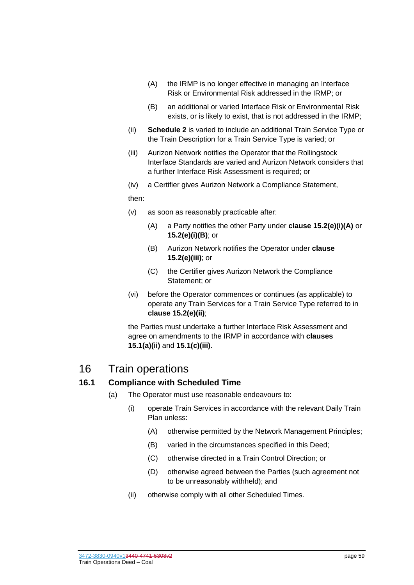- (A) the IRMP is no longer effective in managing an Interface Risk or Environmental Risk addressed in the IRMP; or
- (B) an additional or varied Interface Risk or Environmental Risk exists, or is likely to exist, that is not addressed in the IRMP;
- <span id="page-59-3"></span><span id="page-59-1"></span><span id="page-59-0"></span>(ii) **Schedule [2](#page-121-0)** is varied to include an additional Train Service Type or the Train Description for a Train Service Type is varied; or
- <span id="page-59-2"></span>(iii) Aurizon Network notifies the Operator that the Rollingstock Interface Standards are varied and Aurizon Network considers that a further Interface Risk Assessment is required; or
- (iv) a Certifier gives Aurizon Network a Compliance Statement,

then:

- (v) as soon as reasonably practicable after:
	- (A) a Party notifies the other Party under **clause [15.2\(e\)\(i\)\(A\)](#page-59-0)** or **[15.2\(e\)\(i\)\(B\)](#page-59-1)**; or
	- (B) Aurizon Network notifies the Operator under **clause [15.2\(e\)\(iii\)](#page-59-2)**; or
	- (C) the Certifier gives Aurizon Network the Compliance Statement; or
- (vi) before the Operator commences or continues (as applicable) to operate any Train Services for a Train Service Type referred to in **clause [15.2\(e\)\(ii\)](#page-59-3)**;

the Parties must undertake a further Interface Risk Assessment and agree on amendments to the IRMP in accordance with **clauses [15.1\(a\)\(ii\)](#page-55-3)** and **[15.1\(c\)\(iii\)](#page-56-2)**.

### 16 Train operations

### **16.1 Compliance with Scheduled Time**

- (a) The Operator must use reasonable endeavours to:
	- (i) operate Train Services in accordance with the relevant Daily Train Plan unless:
		- (A) otherwise permitted by the Network Management Principles;
		- (B) varied in the circumstances specified in this Deed;
		- (C) otherwise directed in a Train Control Direction; or
		- (D) otherwise agreed between the Parties (such agreement not to be unreasonably withheld); and
	- (ii) otherwise comply with all other Scheduled Times.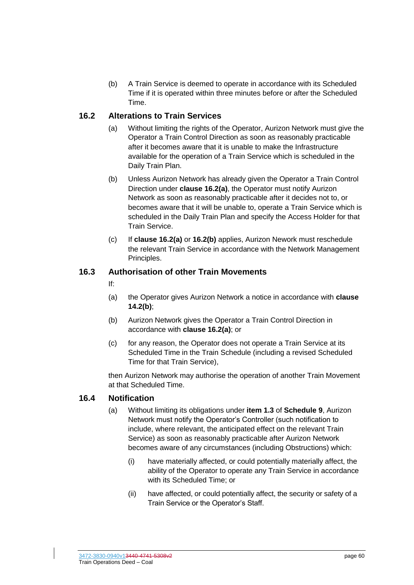(b) A Train Service is deemed to operate in accordance with its Scheduled Time if it is operated within three minutes before or after the Scheduled Time.

### <span id="page-60-0"></span>**16.2 Alterations to Train Services**

- (a) Without limiting the rights of the Operator, Aurizon Network must give the Operator a Train Control Direction as soon as reasonably practicable after it becomes aware that it is unable to make the Infrastructure available for the operation of a Train Service which is scheduled in the Daily Train Plan.
- <span id="page-60-1"></span>(b) Unless Aurizon Network has already given the Operator a Train Control Direction under **clause [16.2\(a\)](#page-60-0)**, the Operator must notify Aurizon Network as soon as reasonably practicable after it decides not to, or becomes aware that it will be unable to, operate a Train Service which is scheduled in the Daily Train Plan and specify the Access Holder for that Train Service.
- (c) If **clause [16.2\(a\)](#page-60-0)** or **[16.2\(b\)](#page-60-1)** applies, Aurizon Nework must reschedule the relevant Train Service in accordance with the Network Management Principles.

### **16.3 Authorisation of other Train Movements**

#### If:

- (a) the Operator gives Aurizon Network a notice in accordance with **clause [14.2\(b\)](#page-54-0)**;
- (b) Aurizon Network gives the Operator a Train Control Direction in accordance with **clause [16.2\(a\)](#page-60-0)**; or
- (c) for any reason, the Operator does not operate a Train Service at its Scheduled Time in the Train Schedule (including a revised Scheduled Time for that Train Service),

then Aurizon Network may authorise the operation of another Train Movement at that Scheduled Time.

### <span id="page-60-2"></span>**16.4 Notification**

- (a) Without limiting its obligations under **item [1.3](#page-146-0)** of **Schedule [9](#page-143-0)**, Aurizon Network must notify the Operator's Controller (such notification to include, where relevant, the anticipated effect on the relevant Train Service) as soon as reasonably practicable after Aurizon Network becomes aware of any circumstances (including Obstructions) which:
	- (i) have materially affected, or could potentially materially affect, the ability of the Operator to operate any Train Service in accordance with its Scheduled Time; or
	- (ii) have affected, or could potentially affect, the security or safety of a Train Service or the Operator's Staff.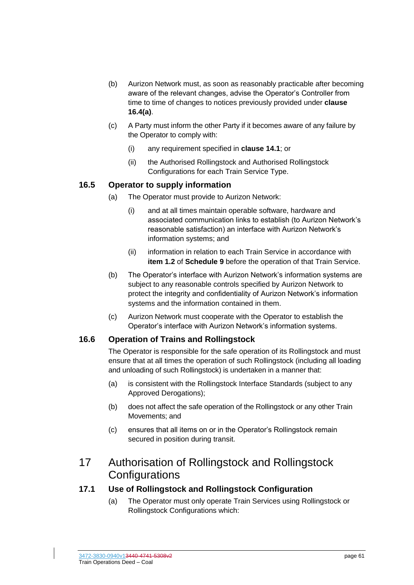- (b) Aurizon Network must, as soon as reasonably practicable after becoming aware of the relevant changes, advise the Operator's Controller from time to time of changes to notices previously provided under **clause [16.4\(a\)](#page-60-2)**.
- (c) A Party must inform the other Party if it becomes aware of any failure by the Operator to comply with:
	- (i) any requirement specified in **clause [14.1](#page-52-1)**; or
	- (ii) the Authorised Rollingstock and Authorised Rollingstock Configurations for each Train Service Type.

### **16.5 Operator to supply information**

- (a) The Operator must provide to Aurizon Network:
	- (i) and at all times maintain operable software, hardware and associated communication links to establish (to Aurizon Network's reasonable satisfaction) an interface with Aurizon Network's information systems; and
	- (ii) information in relation to each Train Service in accordance with **item [1.2](#page-143-1)** of **Schedule [9](#page-143-0)** before the operation of that Train Service.
- (b) The Operator's interface with Aurizon Network's information systems are subject to any reasonable controls specified by Aurizon Network to protect the integrity and confidentiality of Aurizon Network's information systems and the information contained in them.
- (c) Aurizon Network must cooperate with the Operator to establish the Operator's interface with Aurizon Network's information systems.

### **16.6 Operation of Trains and Rollingstock**

The Operator is responsible for the safe operation of its Rollingstock and must ensure that at all times the operation of such Rollingstock (including all loading and unloading of such Rollingstock) is undertaken in a manner that:

- (a) is consistent with the Rollingstock Interface Standards (subject to any Approved Derogations);
- (b) does not affect the safe operation of the Rollingstock or any other Train Movements; and
- (c) ensures that all items on or in the Operator's Rollingstock remain secured in position during transit.

# 17 Authorisation of Rollingstock and Rollingstock **Configurations**

### **17.1 Use of Rollingstock and Rollingstock Configuration**

(a) The Operator must only operate Train Services using Rollingstock or Rollingstock Configurations which: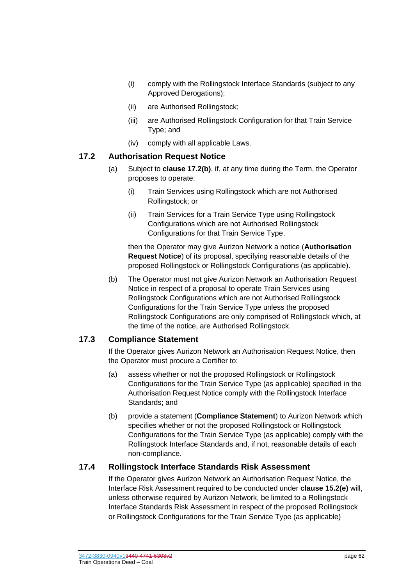- (i) comply with the Rollingstock Interface Standards (subject to any Approved Derogations);
- (ii) are Authorised Rollingstock;
- (iii) are Authorised Rollingstock Configuration for that Train Service Type; and
- (iv) comply with all applicable Laws.

### **17.2 Authorisation Request Notice**

- <span id="page-62-0"></span>(a) Subject to **clause [17.2\(b\)](#page-62-1)**, if, at any time during the Term, the Operator proposes to operate:
	- (i) Train Services using Rollingstock which are not Authorised Rollingstock; or
	- (ii) Train Services for a Train Service Type using Rollingstock Configurations which are not Authorised Rollingstock Configurations for that Train Service Type,

then the Operator may give Aurizon Network a notice (**Authorisation Request Notice**) of its proposal, specifying reasonable details of the proposed Rollingstock or Rollingstock Configurations (as applicable).

<span id="page-62-1"></span>(b) The Operator must not give Aurizon Network an Authorisation Request Notice in respect of a proposal to operate Train Services using Rollingstock Configurations which are not Authorised Rollingstock Configurations for the Train Service Type unless the proposed Rollingstock Configurations are only comprised of Rollingstock which, at the time of the notice, are Authorised Rollingstock.

### **17.3 Compliance Statement**

If the Operator gives Aurizon Network an Authorisation Request Notice, then the Operator must procure a Certifier to:

- (a) assess whether or not the proposed Rollingstock or Rollingstock Configurations for the Train Service Type (as applicable) specified in the Authorisation Request Notice comply with the Rollingstock Interface Standards; and
- (b) provide a statement (**Compliance Statement**) to Aurizon Network which specifies whether or not the proposed Rollingstock or Rollingstock Configurations for the Train Service Type (as applicable) comply with the Rollingstock Interface Standards and, if not, reasonable details of each non-compliance.

### <span id="page-62-2"></span>**17.4 Rollingstock Interface Standards Risk Assessment**

If the Operator gives Aurizon Network an Authorisation Request Notice, the Interface Risk Assessment required to be conducted under **claus[e 15.2\(e\)](#page-58-1)** will, unless otherwise required by Aurizon Network, be limited to a Rollingstock Interface Standards Risk Assessment in respect of the proposed Rollingstock or Rollingstock Configurations for the Train Service Type (as applicable)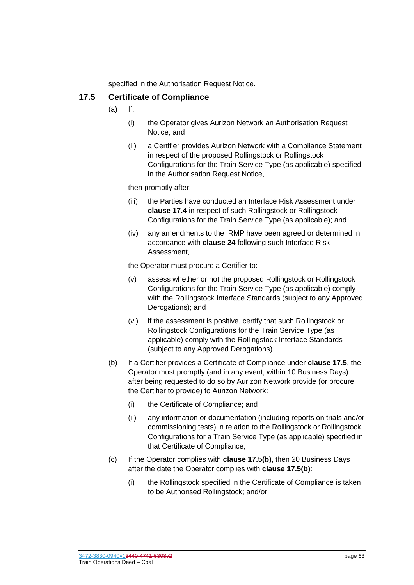specified in the Authorisation Request Notice.

#### <span id="page-63-3"></span><span id="page-63-0"></span>**17.5 Certificate of Compliance**

- (a) If:
	- (i) the Operator gives Aurizon Network an Authorisation Request Notice; and
	- (ii) a Certifier provides Aurizon Network with a Compliance Statement in respect of the proposed Rollingstock or Rollingstock Configurations for the Train Service Type (as applicable) specified in the Authorisation Request Notice,

then promptly after:

- (iii) the Parties have conducted an Interface Risk Assessment under **clause [17.4](#page-62-2)** in respect of such Rollingstock or Rollingstock Configurations for the Train Service Type (as applicable); and
- (iv) any amendments to the IRMP have been agreed or determined in accordance with **clause [24](#page-79-1)** following such Interface Risk Assessment,

the Operator must procure a Certifier to:

- (v) assess whether or not the proposed Rollingstock or Rollingstock Configurations for the Train Service Type (as applicable) comply with the Rollingstock Interface Standards (subject to any Approved Derogations); and
- (vi) if the assessment is positive, certify that such Rollingstock or Rollingstock Configurations for the Train Service Type (as applicable) comply with the Rollingstock Interface Standards (subject to any Approved Derogations).
- <span id="page-63-1"></span>(b) If a Certifier provides a Certificate of Compliance under **clause [17.5](#page-63-0)**, the Operator must promptly (and in any event, within 10 Business Days) after being requested to do so by Aurizon Network provide (or procure the Certifier to provide) to Aurizon Network:
	- (i) the Certificate of Compliance; and
	- (ii) any information or documentation (including reports on trials and/or commissioning tests) in relation to the Rollingstock or Rollingstock Configurations for a Train Service Type (as applicable) specified in that Certificate of Compliance;
- <span id="page-63-2"></span>(c) If the Operator complies with **clause [17.5\(b\)](#page-63-1)**, then 20 Business Days after the date the Operator complies with **clause [17.5\(b\)](#page-63-1)**:
	- (i) the Rollingstock specified in the Certificate of Compliance is taken to be Authorised Rollingstock; and/or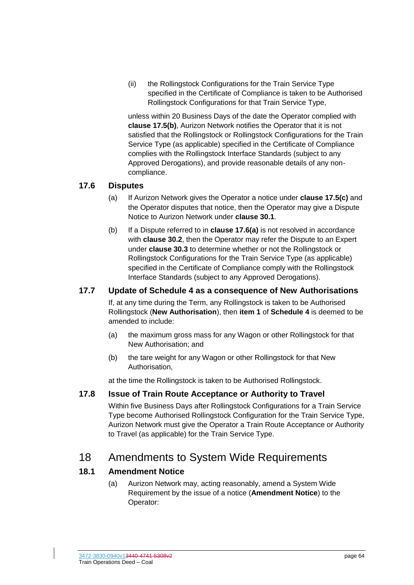(ii) the Rollingstock Configurations for the Train Service Type specified in the Certificate of Compliance is taken to be Authorised Rollingstock Configurations for that Train Service Type,

unless within 20 Business Days of the date the Operator complied with **clause [17.5\(b\)](#page-63-1)**, Aurizon Network notifies the Operator that it is not satisfied that the Rollingstock or Rollingstock Configurations for the Train Service Type (as applicable) specified in the Certificate of Compliance complies with the Rollingstock Interface Standards (subject to any Approved Derogations), and provide reasonable details of any noncompliance.

### <span id="page-64-0"></span>**17.6 Disputes**

- (a) If Aurizon Network gives the Operator a notice under **clause [17.5\(c\)](#page-63-2)** and the Operator disputes that notice, then the Operator may give a Dispute Notice to Aurizon Network under **clause [30.1](#page-94-3)**.
- (b) If a Dispute referred to in **clause [17.6\(a\)](#page-64-0)** is not resolved in accordance with **clause [30.2](#page-94-1)**, then the Operator may refer the Dispute to an Expert under **clause [30.3](#page-94-2)** to determine whether or not the Rollingstock or Rollingstock Configurations for the Train Service Type (as applicable) specified in the Certificate of Compliance comply with the Rollingstock Interface Standards (subject to any Approved Derogations).

#### **17.7 Update of Schedule [4](#page-130-0) as a consequence of New Authorisations**

If, at any time during the Term, any Rollingstock is taken to be Authorised Rollingstock (**New Authorisation**), then **item [1](#page-130-1)** of **Schedule [4](#page-130-0)** is deemed to be amended to include:

- (a) the maximum gross mass for any Wagon or other Rollingstock for that New Authorisation; and
- (b) the tare weight for any Wagon or other Rollingstock for that New Authorisation,

at the time the Rollingstock is taken to be Authorised Rollingstock.

### **17.8 Issue of Train Route Acceptance or Authority to Travel**

Within five Business Days after Rollingstock Configurations for a Train Service Type become Authorised Rollingstock Configuration for the Train Service Type, Aurizon Network must give the Operator a Train Route Acceptance or Authority to Travel (as applicable) for the Train Service Type.

### <span id="page-64-1"></span>18 Amendments to System Wide Requirements

### **18.1 Amendment Notice**

(a) Aurizon Network may, acting reasonably, amend a System Wide Requirement by the issue of a notice (**Amendment Notice**) to the Operator: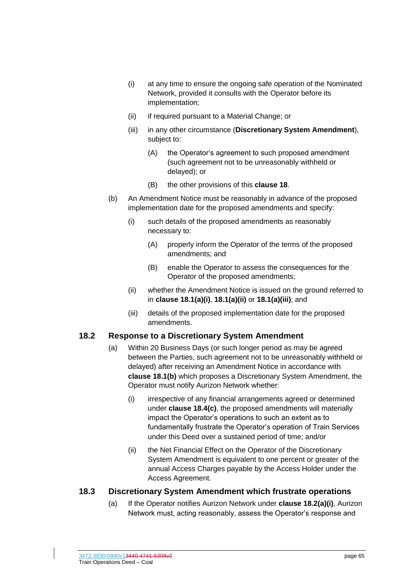- <span id="page-65-0"></span>(i) at any time to ensure the ongoing safe operation of the Nominated Network, provided it consults with the Operator before its implementation;
- <span id="page-65-1"></span>(ii) if required pursuant to a Material Change; or
- <span id="page-65-2"></span>(iii) in any other circumstance (**Discretionary System Amendment**), subject to:
	- (A) the Operator's agreement to such proposed amendment (such agreement not to be unreasonably withheld or delayed); or
	- (B) the other provisions of this **clause [18](#page-64-1)**.
- <span id="page-65-3"></span>(b) An Amendment Notice must be reasonably in advance of the proposed implementation date for the proposed amendments and specify:
	- (i) such details of the proposed amendments as reasonably necessary to:
		- (A) properly inform the Operator of the terms of the proposed amendments; and
		- (B) enable the Operator to assess the consequences for the Operator of the proposed amendments;
	- (ii) whether the Amendment Notice is issued on the ground referred to in **clause [18.1\(a\)\(i\)](#page-65-0)**, **[18.1\(a\)\(ii\)](#page-65-1)** or **[18.1\(a\)\(iii\)](#page-65-2)**; and
	- (iii) details of the proposed implementation date for the proposed amendments.

### **18.2 Response to a Discretionary System Amendment**

- <span id="page-65-4"></span>(a) Within 20 Business Days (or such longer period as may be agreed between the Parties, such agreement not to be unreasonably withheld or delayed) after receiving an Amendment Notice in accordance with **clause [18.1\(b\)](#page-65-3)** which proposes a Discretionary System Amendment, the Operator must notify Aurizon Network whether:
	- (i) irrespective of any financial arrangements agreed or determined under **clause [18.4\(c\)](#page-66-0)**, the proposed amendments will materially impact the Operator's operations to such an extent as to fundamentally frustrate the Operator's operation of Train Services under this Deed over a sustained period of time; and/or
	- (ii) the Net Financial Effect on the Operator of the Discretionary System Amendment is equivalent to one percent or greater of the annual Access Charges payable by the Access Holder under the Access Agreement.

### <span id="page-65-5"></span>**18.3 Discretionary System Amendment which frustrate operations**

(a) If the Operator notifies Aurizon Network under **clause [18.2\(a\)\(i\)](#page-65-4)**, Aurizon Network must, acting reasonably, assess the Operator's response and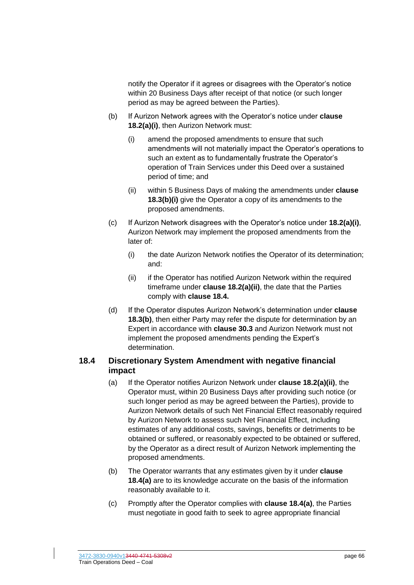notify the Operator if it agrees or disagrees with the Operator's notice within 20 Business Days after receipt of that notice (or such longer period as may be agreed between the Parties).

- <span id="page-66-3"></span><span id="page-66-1"></span>(b) If Aurizon Network agrees with the Operator's notice under **clause [18.2\(a\)\(i\)](#page-65-4)**, then Aurizon Network must:
	- (i) amend the proposed amendments to ensure that such amendments will not materially impact the Operator's operations to such an extent as to fundamentally frustrate the Operator's operation of Train Services under this Deed over a sustained period of time; and
	- (ii) within 5 Business Days of making the amendments under **clause [18.3\(b\)\(i\)](#page-66-1)** give the Operator a copy of its amendments to the proposed amendments.
- (c) If Aurizon Network disagrees with the Operator's notice under **[18.2\(a\)\(i\)](#page-65-4)**, Aurizon Network may implement the proposed amendments from the later of:
	- (i) the date Aurizon Network notifies the Operator of its determination; and:
	- (ii) if the Operator has notified Aurizon Network within the required timeframe under **clause [18.2\(a\)\(ii\)](#page-65-5)**, the date that the Parties comply with **clause [18.4.](#page-66-2)**
- <span id="page-66-5"></span>(d) If the Operator disputes Aurizon Network's determination under **clause [18.3\(b\)](#page-66-3)**, then either Party may refer the dispute for determination by an Expert in accordance with **clause [30.3](#page-94-2)** and Aurizon Network must not implement the proposed amendments pending the Expert's determination.

### <span id="page-66-4"></span><span id="page-66-2"></span>**18.4 Discretionary System Amendment with negative financial impact**

- (a) If the Operator notifies Aurizon Network under **claus[e 18.2\(a\)\(ii\)](#page-65-5)**, the Operator must, within 20 Business Days after providing such notice (or such longer period as may be agreed between the Parties), provide to Aurizon Network details of such Net Financial Effect reasonably required by Aurizon Network to assess such Net Financial Effect, including estimates of any additional costs, savings, benefits or detriments to be obtained or suffered, or reasonably expected to be obtained or suffered, by the Operator as a direct result of Aurizon Network implementing the proposed amendments.
- (b) The Operator warrants that any estimates given by it under **clause [18.4\(a\)](#page-66-4)** are to its knowledge accurate on the basis of the information reasonably available to it.
- <span id="page-66-0"></span>(c) Promptly after the Operator complies with **clause [18.4\(a\)](#page-66-4)**, the Parties must negotiate in good faith to seek to agree appropriate financial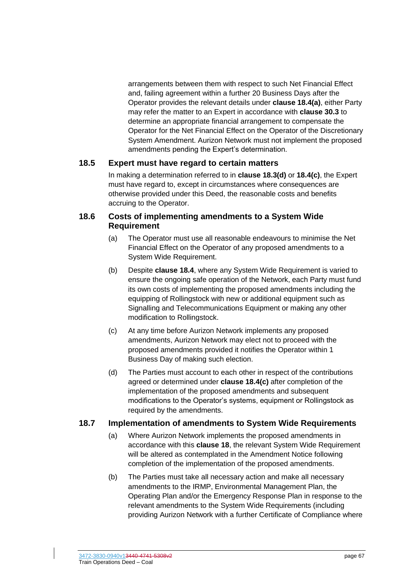arrangements between them with respect to such Net Financial Effect and, failing agreement within a further 20 Business Days after the Operator provides the relevant details under **claus[e 18.4\(a\)](#page-66-4)**, either Party may refer the matter to an Expert in accordance with **clause [30.3](#page-94-2)** to determine an appropriate financial arrangement to compensate the Operator for the Net Financial Effect on the Operator of the Discretionary System Amendment. Aurizon Network must not implement the proposed amendments pending the Expert's determination.

### **18.5 Expert must have regard to certain matters**

In making a determination referred to in **claus[e 18.3\(d\)](#page-66-5)** or **[18.4\(c\)](#page-66-0)**, the Expert must have regard to, except in circumstances where consequences are otherwise provided under this Deed, the reasonable costs and benefits accruing to the Operator.

### **18.6 Costs of implementing amendments to a System Wide Requirement**

- (a) The Operator must use all reasonable endeavours to minimise the Net Financial Effect on the Operator of any proposed amendments to a System Wide Requirement.
- (b) Despite **clause [18.4](#page-66-2)**, where any System Wide Requirement is varied to ensure the ongoing safe operation of the Network, each Party must fund its own costs of implementing the proposed amendments including the equipping of Rollingstock with new or additional equipment such as Signalling and Telecommunications Equipment or making any other modification to Rollingstock.
- (c) At any time before Aurizon Network implements any proposed amendments, Aurizon Network may elect not to proceed with the proposed amendments provided it notifies the Operator within 1 Business Day of making such election.
- (d) The Parties must account to each other in respect of the contributions agreed or determined under **clause [18.4\(c\)](#page-66-0)** after completion of the implementation of the proposed amendments and subsequent modifications to the Operator's systems, equipment or Rollingstock as required by the amendments.

### **18.7 Implementation of amendments to System Wide Requirements**

- (a) Where Aurizon Network implements the proposed amendments in accordance with this **clause [18](#page-64-1)**, the relevant System Wide Requirement will be altered as contemplated in the Amendment Notice following completion of the implementation of the proposed amendments.
- (b) The Parties must take all necessary action and make all necessary amendments to the IRMP, Environmental Management Plan, the Operating Plan and/or the Emergency Response Plan in response to the relevant amendments to the System Wide Requirements (including providing Aurizon Network with a further Certificate of Compliance where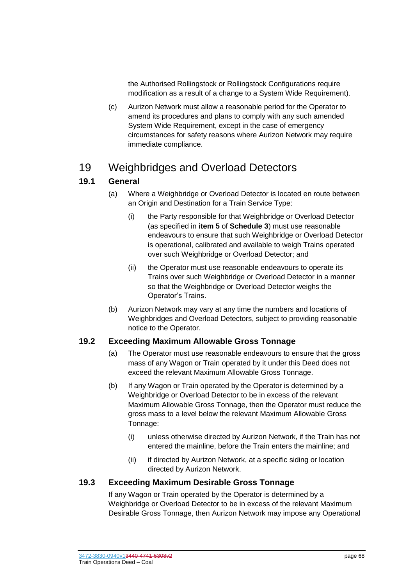the Authorised Rollingstock or Rollingstock Configurations require modification as a result of a change to a System Wide Requirement).

(c) Aurizon Network must allow a reasonable period for the Operator to amend its procedures and plans to comply with any such amended System Wide Requirement, except in the case of emergency circumstances for safety reasons where Aurizon Network may require immediate compliance.

# <span id="page-68-0"></span>19 Weighbridges and Overload Detectors

### **19.1 General**

- (a) Where a Weighbridge or Overload Detector is located en route between an Origin and Destination for a Train Service Type:
	- (i) the Party responsible for that Weighbridge or Overload Detector (as specified in **item [5](#page-128-0)** of **Schedule [3](#page-128-1)**) must use reasonable endeavours to ensure that such Weighbridge or Overload Detector is operational, calibrated and available to weigh Trains operated over such Weighbridge or Overload Detector; and
	- (ii) the Operator must use reasonable endeavours to operate its Trains over such Weighbridge or Overload Detector in a manner so that the Weighbridge or Overload Detector weighs the Operator's Trains.
- (b) Aurizon Network may vary at any time the numbers and locations of Weighbridges and Overload Detectors, subject to providing reasonable notice to the Operator.

### **19.2 Exceeding Maximum Allowable Gross Tonnage**

- (a) The Operator must use reasonable endeavours to ensure that the gross mass of any Wagon or Train operated by it under this Deed does not exceed the relevant Maximum Allowable Gross Tonnage.
- (b) If any Wagon or Train operated by the Operator is determined by a Weighbridge or Overload Detector to be in excess of the relevant Maximum Allowable Gross Tonnage, then the Operator must reduce the gross mass to a level below the relevant Maximum Allowable Gross Tonnage:
	- (i) unless otherwise directed by Aurizon Network, if the Train has not entered the mainline, before the Train enters the mainline; and
	- (ii) if directed by Aurizon Network, at a specific siding or location directed by Aurizon Network.

### **19.3 Exceeding Maximum Desirable Gross Tonnage**

If any Wagon or Train operated by the Operator is determined by a Weighbridge or Overload Detector to be in excess of the relevant Maximum Desirable Gross Tonnage, then Aurizon Network may impose any Operational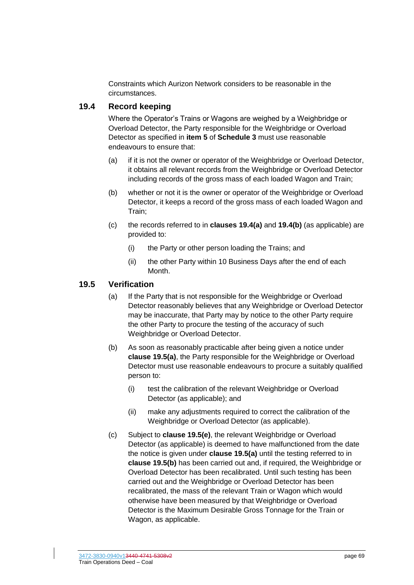Constraints which Aurizon Network considers to be reasonable in the circumstances.

### **19.4 Record keeping**

Where the Operator's Trains or Wagons are weighed by a Weighbridge or Overload Detector, the Party responsible for the Weighbridge or Overload Detector as specified in **item [5](#page-128-0)** of **Schedule [3](#page-128-1)** must use reasonable endeavours to ensure that:

- <span id="page-69-0"></span>(a) if it is not the owner or operator of the Weighbridge or Overload Detector, it obtains all relevant records from the Weighbridge or Overload Detector including records of the gross mass of each loaded Wagon and Train;
- <span id="page-69-1"></span>(b) whether or not it is the owner or operator of the Weighbridge or Overload Detector, it keeps a record of the gross mass of each loaded Wagon and Train;
- (c) the records referred to in **clauses [19.4\(a\)](#page-69-0)** and **[19.4\(b\)](#page-69-1)** (as applicable) are provided to:
	- (i) the Party or other person loading the Trains; and
	- (ii) the other Party within 10 Business Days after the end of each Month.

### <span id="page-69-2"></span>**19.5 Verification**

- (a) If the Party that is not responsible for the Weighbridge or Overload Detector reasonably believes that any Weighbridge or Overload Detector may be inaccurate, that Party may by notice to the other Party require the other Party to procure the testing of the accuracy of such Weighbridge or Overload Detector.
- <span id="page-69-3"></span>(b) As soon as reasonably practicable after being given a notice under **clause [19.5\(a\)](#page-69-2)**, the Party responsible for the Weighbridge or Overload Detector must use reasonable endeavours to procure a suitably qualified person to:
	- (i) test the calibration of the relevant Weighbridge or Overload Detector (as applicable); and
	- (ii) make any adjustments required to correct the calibration of the Weighbridge or Overload Detector (as applicable).
- (c) Subject to **clause [19.5\(e\)](#page-70-0)**, the relevant Weighbridge or Overload Detector (as applicable) is deemed to have malfunctioned from the date the notice is given under **clause [19.5\(a\)](#page-69-2)** until the testing referred to in **clause [19.5\(b\)](#page-69-3)** has been carried out and, if required, the Weighbridge or Overload Detector has been recalibrated. Until such testing has been carried out and the Weighbridge or Overload Detector has been recalibrated, the mass of the relevant Train or Wagon which would otherwise have been measured by that Weighbridge or Overload Detector is the Maximum Desirable Gross Tonnage for the Train or Wagon, as applicable.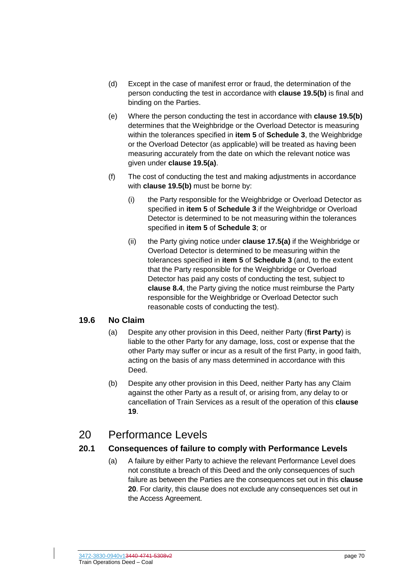- (d) Except in the case of manifest error or fraud, the determination of the person conducting the test in accordance with **clause [19.5\(b\)](#page-69-3)** is final and binding on the Parties.
- <span id="page-70-0"></span>(e) Where the person conducting the test in accordance with **clause [19.5\(b\)](#page-69-3)** determines that the Weighbridge or the Overload Detector is measuring within the tolerances specified in **item [5](#page-128-0)** of **Schedule [3](#page-128-1)**, the Weighbridge or the Overload Detector (as applicable) will be treated as having been measuring accurately from the date on which the relevant notice was given under **clause [19.5\(a\)](#page-69-2)**.
- (f) The cost of conducting the test and making adjustments in accordance with **clause [19.5\(b\)](#page-69-3)** must be borne by:
	- (i) the Party responsible for the Weighbridge or Overload Detector as specified in **item [5](#page-128-0)** of **Schedule [3](#page-128-1)** if the Weighbridge or Overload Detector is determined to be not measuring within the tolerances specified in **item [5](#page-128-0)** of **Schedule [3](#page-128-1)**; or
	- (ii) the Party giving notice under **clause [17.5\(a\)](#page-63-3)** if the Weighbridge or Overload Detector is determined to be measuring within the tolerances specified in **item [5](#page-128-0)** of **Schedule [3](#page-128-1)** (and, to the extent that the Party responsible for the Weighbridge or Overload Detector has paid any costs of conducting the test, subject to **clause [8.4](#page-42-0)**, the Party giving the notice must reimburse the Party responsible for the Weighbridge or Overload Detector such reasonable costs of conducting the test).

### **19.6 No Claim**

- (a) Despite any other provision in this Deed, neither Party (**first Party**) is liable to the other Party for any damage, loss, cost or expense that the other Party may suffer or incur as a result of the first Party, in good faith, acting on the basis of any mass determined in accordance with this Deed.
- (b) Despite any other provision in this Deed, neither Party has any Claim against the other Party as a result of, or arising from, any delay to or cancellation of Train Services as a result of the operation of this **clause [19](#page-68-0)**.

# <span id="page-70-1"></span>20 Performance Levels

### **20.1 Consequences of failure to comply with Performance Levels**

(a) A failure by either Party to achieve the relevant Performance Level does not constitute a breach of this Deed and the only consequences of such failure as between the Parties are the consequences set out in this **clause [20](#page-70-1)**. For clarity, this clause does not exclude any consequences set out in the Access Agreement.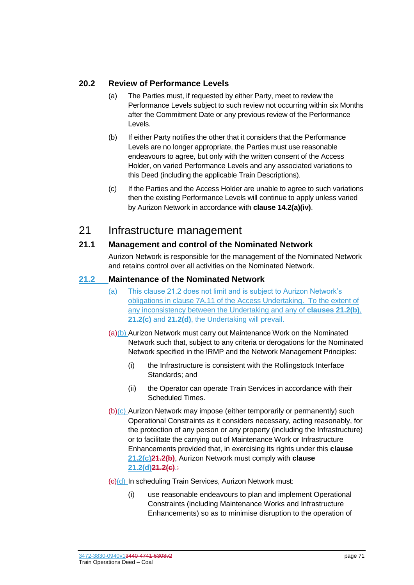### **20.2 Review of Performance Levels**

- (a) The Parties must, if requested by either Party, meet to review the Performance Levels subject to such review not occurring within six Months after the Commitment Date or any previous review of the Performance Levels.
- (b) If either Party notifies the other that it considers that the Performance Levels are no longer appropriate, the Parties must use reasonable endeavours to agree, but only with the written consent of the Access Holder, on varied Performance Levels and any associated variations to this Deed (including the applicable Train Descriptions).
- (c) If the Parties and the Access Holder are unable to agree to such variations then the existing Performance Levels will continue to apply unless varied by Aurizon Network in accordance with **clause [14.2\(a\)\(iv\)](#page-54-1)**.

# 21 Infrastructure management

### **21.1 Management and control of the Nominated Network**

Aurizon Network is responsible for the management of the Nominated Network and retains control over all activities on the Nominated Network.

### <span id="page-71-0"></span>**21.2 Maintenance of the Nominated Network**

- (a) This clause 21.2 does not limit and is subject to Aurizon Network's obligations in clause 7A.11 of the Access Undertaking. To the extent of any inconsistency between the Undertaking and any of **clauses 21.2(b)**, **[21.2\(c\)](#page-71-1)** and **[21.2\(d\)](#page-71-2)**, the Undertaking will prevail.
- (a)(b) Aurizon Network must carry out Maintenance Work on the Nominated Network such that, subject to any criteria or derogations for the Nominated Network specified in the IRMP and the Network Management Principles:
	- (i) the Infrastructure is consistent with the Rollingstock Interface Standards; and
	- (ii) the Operator can operate Train Services in accordance with their Scheduled Times.
- <span id="page-71-1"></span> $(b)(c)$  Aurizon Network may impose (either temporarily or permanently) such Operational Constraints as it considers necessary, acting reasonably, for the protection of any person or any property (including the Infrastructure) or to facilitate the carrying out of Maintenance Work or Infrastructure Enhancements provided that, in exercising its rights under this **clause [21.2\(c\)21.2\(b\)](#page-71-1)**, Aurizon Network must comply with **clause [21.2\(d\)21.2\(c\)](#page-71-2)**.:

<span id="page-71-2"></span>(c)(d) In scheduling Train Services, Aurizon Network must:

(i) use reasonable endeavours to plan and implement Operational Constraints (including Maintenance Works and Infrastructure Enhancements) so as to minimise disruption to the operation of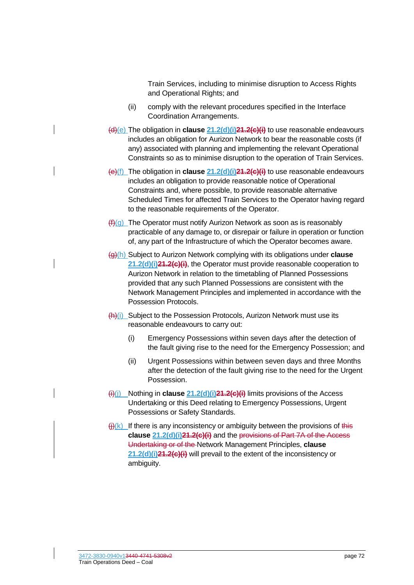Train Services, including to minimise disruption to Access Rights and Operational Rights; and

- (ii) comply with the relevant procedures specified in the Interface Coordination Arrangements.
- (d)(e) The obligation in **clause [21.2\(d\)\(i\)21.2\(c\)\(i\)](#page-71-0)** to use reasonable endeavours includes an obligation for Aurizon Network to bear the reasonable costs (if any) associated with planning and implementing the relevant Operational Constraints so as to minimise disruption to the operation of Train Services.
- (e)(f) The obligation in **clause [21.2\(d\)\(i\)21.2\(c\)\(i\)](#page-71-0)** to use reasonable endeavours includes an obligation to provide reasonable notice of Operational Constraints and, where possible, to provide reasonable alternative Scheduled Times for affected Train Services to the Operator having regard to the reasonable requirements of the Operator.
- $(f(x))$  The Operator must notify Aurizon Network as soon as is reasonably practicable of any damage to, or disrepair or failure in operation or function of, any part of the Infrastructure of which the Operator becomes aware.
- (g)(h) Subject to Aurizon Network complying with its obligations under **clause [21.2\(d\)\(i\)21.2\(c\)\(i\)](#page-71-0)**, the Operator must provide reasonable cooperation to Aurizon Network in relation to the timetabling of Planned Possessions provided that any such Planned Possessions are consistent with the Network Management Principles and implemented in accordance with the Possession Protocols.
- $(h)(i)$  Subject to the Possession Protocols, Aurizon Network must use its reasonable endeavours to carry out:
	- (i) Emergency Possessions within seven days after the detection of the fault giving rise to the need for the Emergency Possession; and
	- (ii) Urgent Possessions within between seven days and three Months after the detection of the fault giving rise to the need for the Urgent Possession.
- (i)(j) Nothing in **clause [21.2\(d\)\(i\)21.2\(c\)\(i\)](#page-71-0)** limits provisions of the Access Undertaking or this Deed relating to Emergency Possessions, Urgent Possessions or Safety Standards.
- $(h)(k)$  If there is any inconsistency or ambiguity between the provisions of this **clause [21.2\(d\)\(i\)21.2\(c\)\(i\)](#page-71-0)** and the provisions of Part 7A of the Access Undertaking or of the Network Management Principles, **clause [21.2\(d\)\(i\)21.2\(c\)\(i\)](#page-71-0)** will prevail to the extent of the inconsistency or ambiguity.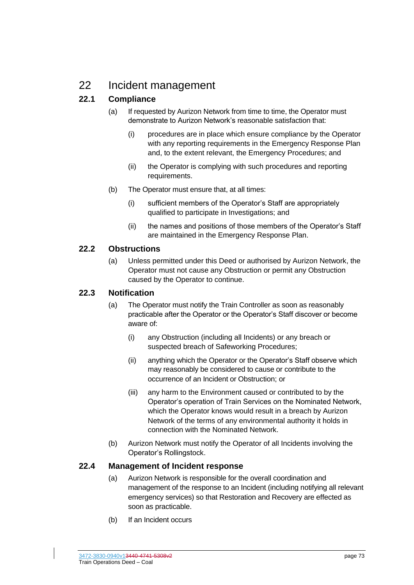# 22 Incident management

## **22.1 Compliance**

- (a) If requested by Aurizon Network from time to time, the Operator must demonstrate to Aurizon Network's reasonable satisfaction that:
	- (i) procedures are in place which ensure compliance by the Operator with any reporting requirements in the Emergency Response Plan and, to the extent relevant, the Emergency Procedures; and
	- (ii) the Operator is complying with such procedures and reporting requirements.
- (b) The Operator must ensure that, at all times:
	- (i) sufficient members of the Operator's Staff are appropriately qualified to participate in Investigations; and
	- (ii) the names and positions of those members of the Operator's Staff are maintained in the Emergency Response Plan.

## **22.2 Obstructions**

(a) Unless permitted under this Deed or authorised by Aurizon Network, the Operator must not cause any Obstruction or permit any Obstruction caused by the Operator to continue.

### **22.3 Notification**

- (a) The Operator must notify the Train Controller as soon as reasonably practicable after the Operator or the Operator's Staff discover or become aware of:
	- (i) any Obstruction (including all Incidents) or any breach or suspected breach of Safeworking Procedures;
	- (ii) anything which the Operator or the Operator's Staff observe which may reasonably be considered to cause or contribute to the occurrence of an Incident or Obstruction; or
	- (iii) any harm to the Environment caused or contributed to by the Operator's operation of Train Services on the Nominated Network, which the Operator knows would result in a breach by Aurizon Network of the terms of any environmental authority it holds in connection with the Nominated Network.
- (b) Aurizon Network must notify the Operator of all Incidents involving the Operator's Rollingstock.

#### **22.4 Management of Incident response**

- (a) Aurizon Network is responsible for the overall coordination and management of the response to an Incident (including notifying all relevant emergency services) so that Restoration and Recovery are effected as soon as practicable.
- (b) If an Incident occurs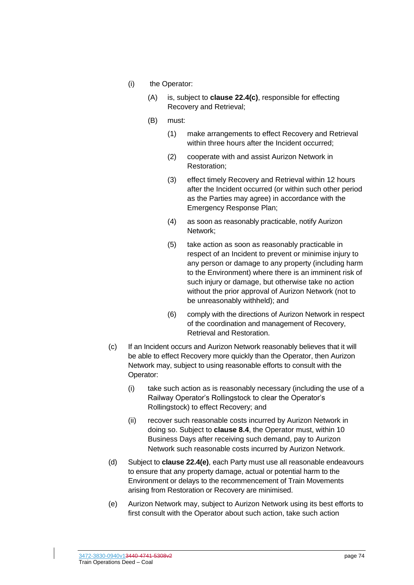- (i) the Operator:
	- (A) is, subject to **clause [22.4\(c\)](#page-74-0)**, responsible for effecting Recovery and Retrieval;
	- (B) must:
		- (1) make arrangements to effect Recovery and Retrieval within three hours after the Incident occurred;
		- (2) cooperate with and assist Aurizon Network in Restoration;
		- (3) effect timely Recovery and Retrieval within 12 hours after the Incident occurred (or within such other period as the Parties may agree) in accordance with the Emergency Response Plan;
		- (4) as soon as reasonably practicable, notify Aurizon Network;
		- (5) take action as soon as reasonably practicable in respect of an Incident to prevent or minimise injury to any person or damage to any property (including harm to the Environment) where there is an imminent risk of such injury or damage, but otherwise take no action without the prior approval of Aurizon Network (not to be unreasonably withheld); and
		- (6) comply with the directions of Aurizon Network in respect of the coordination and management of Recovery, Retrieval and Restoration.
- <span id="page-74-0"></span>(c) If an Incident occurs and Aurizon Network reasonably believes that it will be able to effect Recovery more quickly than the Operator, then Aurizon Network may, subject to using reasonable efforts to consult with the Operator:
	- (i) take such action as is reasonably necessary (including the use of a Railway Operator's Rollingstock to clear the Operator's Rollingstock) to effect Recovery; and
	- (ii) recover such reasonable costs incurred by Aurizon Network in doing so. Subject to **clause [8.4](#page-42-0)**, the Operator must, within 10 Business Days after receiving such demand, pay to Aurizon Network such reasonable costs incurred by Aurizon Network.
- (d) Subject to **claus[e 22.4\(e\)](#page-74-1)**, each Party must use all reasonable endeavours to ensure that any property damage, actual or potential harm to the Environment or delays to the recommencement of Train Movements arising from Restoration or Recovery are minimised.
- <span id="page-74-1"></span>(e) Aurizon Network may, subject to Aurizon Network using its best efforts to first consult with the Operator about such action, take such action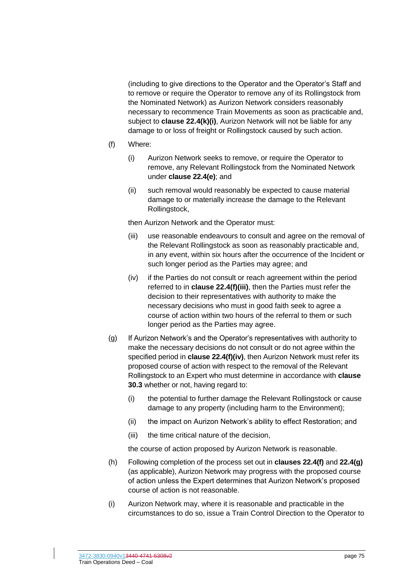(including to give directions to the Operator and the Operator's Staff and to remove or require the Operator to remove any of its Rollingstock from the Nominated Network) as Aurizon Network considers reasonably necessary to recommence Train Movements as soon as practicable and, subject to **clause [22.4\(k\)\(i\)](#page-76-0)**, Aurizon Network will not be liable for any damage to or loss of freight or Rollingstock caused by such action.

- <span id="page-75-2"></span>(f) Where:
	- (i) Aurizon Network seeks to remove, or require the Operator to remove, any Relevant Rollingstock from the Nominated Network under **clause [22.4\(e\)](#page-74-1)**; and
	- (ii) such removal would reasonably be expected to cause material damage to or materially increase the damage to the Relevant Rollingstock,

then Aurizon Network and the Operator must:

- <span id="page-75-0"></span>(iii) use reasonable endeavours to consult and agree on the removal of the Relevant Rollingstock as soon as reasonably practicable and, in any event, within six hours after the occurrence of the Incident or such longer period as the Parties may agree; and
- <span id="page-75-1"></span>(iv) if the Parties do not consult or reach agreement within the period referred to in **clause [22.4\(f\)\(iii\)](#page-75-0)**, then the Parties must refer the decision to their representatives with authority to make the necessary decisions who must in good faith seek to agree a course of action within two hours of the referral to them or such longer period as the Parties may agree.
- <span id="page-75-3"></span>(g) If Aurizon Network's and the Operator's representatives with authority to make the necessary decisions do not consult or do not agree within the specified period in **clause [22.4\(f\)\(iv\)](#page-75-1)**, then Aurizon Network must refer its proposed course of action with respect to the removal of the Relevant Rollingstock to an Expert who must determine in accordance with **clause [30.3](#page-94-0)** whether or not, having regard to:
	- (i) the potential to further damage the Relevant Rollingstock or cause damage to any property (including harm to the Environment);
	- (ii) the impact on Aurizon Network's ability to effect Restoration; and
	- (iii) the time critical nature of the decision,

the course of action proposed by Aurizon Network is reasonable.

- <span id="page-75-5"></span>(h) Following completion of the process set out in **clauses [22.4\(f\)](#page-75-2)** and **[22.4\(g\)](#page-75-3)** (as applicable), Aurizon Network may progress with the proposed course of action unless the Expert determines that Aurizon Network's proposed course of action is not reasonable.
- <span id="page-75-4"></span>(i) Aurizon Network may, where it is reasonable and practicable in the circumstances to do so, issue a Train Control Direction to the Operator to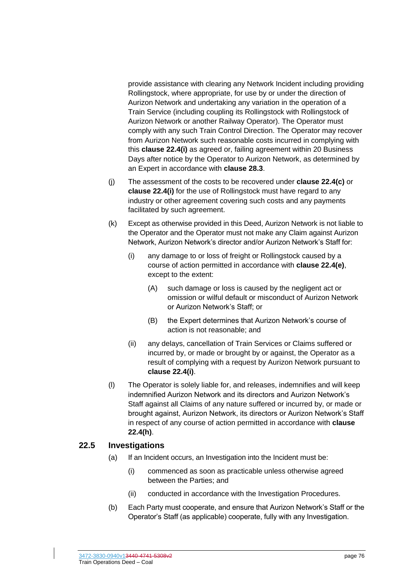provide assistance with clearing any Network Incident including providing Rollingstock, where appropriate, for use by or under the direction of Aurizon Network and undertaking any variation in the operation of a Train Service (including coupling its Rollingstock with Rollingstock of Aurizon Network or another Railway Operator). The Operator must comply with any such Train Control Direction. The Operator may recover from Aurizon Network such reasonable costs incurred in complying with this **clause [22.4\(i\)](#page-75-4)** as agreed or, failing agreement within 20 Business Days after notice by the Operator to Aurizon Network, as determined by an Expert in accordance with **clause [28.3](#page-88-0)**.

- (j) The assessment of the costs to be recovered under **clause [22.4\(c\)](#page-74-0)** or **clause [22.4\(i\)](#page-75-4)** for the use of Rollingstock must have regard to any industry or other agreement covering such costs and any payments facilitated by such agreement.
- <span id="page-76-0"></span>(k) Except as otherwise provided in this Deed, Aurizon Network is not liable to the Operator and the Operator must not make any Claim against Aurizon Network, Aurizon Network's director and/or Aurizon Network's Staff for:
	- (i) any damage to or loss of freight or Rollingstock caused by a course of action permitted in accordance with **clause [22.4\(e\)](#page-74-1)**, except to the extent:
		- (A) such damage or loss is caused by the negligent act or omission or wilful default or misconduct of Aurizon Network or Aurizon Network's Staff; or
		- (B) the Expert determines that Aurizon Network's course of action is not reasonable; and
	- (ii) any delays, cancellation of Train Services or Claims suffered or incurred by, or made or brought by or against, the Operator as a result of complying with a request by Aurizon Network pursuant to **clause [22.4\(i\)](#page-75-4)**.
- (l) The Operator is solely liable for, and releases, indemnifies and will keep indemnified Aurizon Network and its directors and Aurizon Network's Staff against all Claims of any nature suffered or incurred by, or made or brought against, Aurizon Network, its directors or Aurizon Network's Staff in respect of any course of action permitted in accordance with **clause [22.4\(h\)](#page-75-5)**.

#### **22.5 Investigations**

- (a) If an Incident occurs, an Investigation into the Incident must be:
	- (i) commenced as soon as practicable unless otherwise agreed between the Parties; and
	- (ii) conducted in accordance with the Investigation Procedures.
- (b) Each Party must cooperate, and ensure that Aurizon Network's Staff or the Operator's Staff (as applicable) cooperate, fully with any Investigation.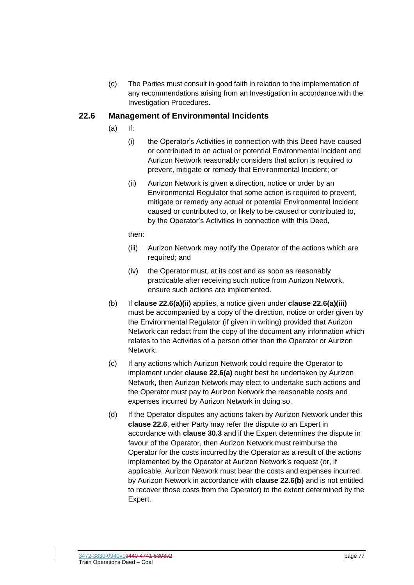(c) The Parties must consult in good faith in relation to the implementation of any recommendations arising from an Investigation in accordance with the Investigation Procedures.

#### <span id="page-77-3"></span><span id="page-77-2"></span>**22.6 Management of Environmental Incidents**

- <span id="page-77-0"></span>(a) If:
	- (i) the Operator's Activities in connection with this Deed have caused or contributed to an actual or potential Environmental Incident and Aurizon Network reasonably considers that action is required to prevent, mitigate or remedy that Environmental Incident; or
	- (ii) Aurizon Network is given a direction, notice or order by an Environmental Regulator that some action is required to prevent, mitigate or remedy any actual or potential Environmental Incident caused or contributed to, or likely to be caused or contributed to, by the Operator's Activities in connection with this Deed,

then:

- <span id="page-77-1"></span>(iii) Aurizon Network may notify the Operator of the actions which are required; and
- (iv) the Operator must, at its cost and as soon as reasonably practicable after receiving such notice from Aurizon Network, ensure such actions are implemented.
- <span id="page-77-4"></span>(b) If **clause [22.6\(a\)\(ii\)](#page-77-0)** applies, a notice given under **clause [22.6\(a\)\(iii\)](#page-77-1)** must be accompanied by a copy of the direction, notice or order given by the Environmental Regulator (if given in writing) provided that Aurizon Network can redact from the copy of the document any information which relates to the Activities of a person other than the Operator or Aurizon Network.
- (c) If any actions which Aurizon Network could require the Operator to implement under **clause [22.6\(a\)](#page-77-2)** ought best be undertaken by Aurizon Network, then Aurizon Network may elect to undertake such actions and the Operator must pay to Aurizon Network the reasonable costs and expenses incurred by Aurizon Network in doing so.
- (d) If the Operator disputes any actions taken by Aurizon Network under this **clause [22.6](#page-77-3)**, either Party may refer the dispute to an Expert in accordance with **clause [30.3](#page-94-0)** and if the Expert determines the dispute in favour of the Operator, then Aurizon Network must reimburse the Operator for the costs incurred by the Operator as a result of the actions implemented by the Operator at Aurizon Network's request (or, if applicable, Aurizon Network must bear the costs and expenses incurred by Aurizon Network in accordance with **clause [22.6\(b\)](#page-77-4)** and is not entitled to recover those costs from the Operator) to the extent determined by the Expert.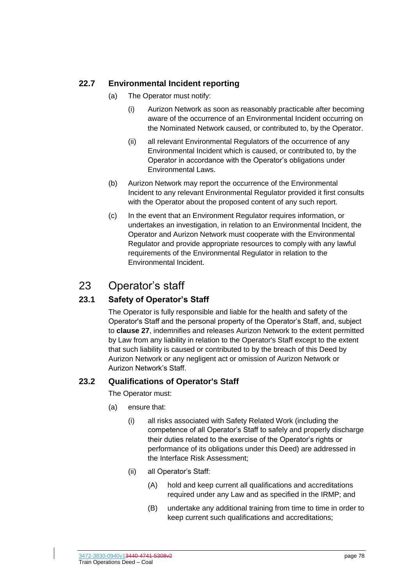## **22.7 Environmental Incident reporting**

- (a) The Operator must notify:
	- (i) Aurizon Network as soon as reasonably practicable after becoming aware of the occurrence of an Environmental Incident occurring on the Nominated Network caused, or contributed to, by the Operator.
	- (ii) all relevant Environmental Regulators of the occurrence of any Environmental Incident which is caused, or contributed to, by the Operator in accordance with the Operator's obligations under Environmental Laws.
- (b) Aurizon Network may report the occurrence of the Environmental Incident to any relevant Environmental Regulator provided it first consults with the Operator about the proposed content of any such report.
- (c) In the event that an Environment Regulator requires information, or undertakes an investigation, in relation to an Environmental Incident, the Operator and Aurizon Network must cooperate with the Environmental Regulator and provide appropriate resources to comply with any lawful requirements of the Environmental Regulator in relation to the Environmental Incident.

# 23 Operator's staff

## **23.1 Safety of Operator's Staff**

The Operator is fully responsible and liable for the health and safety of the Operator's Staff and the personal property of the Operator's Staff, and, subject to **clause [27](#page-86-0)**, indemnifies and releases Aurizon Network to the extent permitted by Law from any liability in relation to the Operator's Staff except to the extent that such liability is caused or contributed to by the breach of this Deed by Aurizon Network or any negligent act or omission of Aurizon Network or Aurizon Network's Staff.

## <span id="page-78-0"></span>**23.2 Qualifications of Operator's Staff**

The Operator must:

- (a) ensure that:
	- (i) all risks associated with Safety Related Work (including the competence of all Operator's Staff to safely and properly discharge their duties related to the exercise of the Operator's rights or performance of its obligations under this Deed) are addressed in the Interface Risk Assessment;
	- (ii) all Operator's Staff:
		- (A) hold and keep current all qualifications and accreditations required under any Law and as specified in the IRMP; and
		- (B) undertake any additional training from time to time in order to keep current such qualifications and accreditations;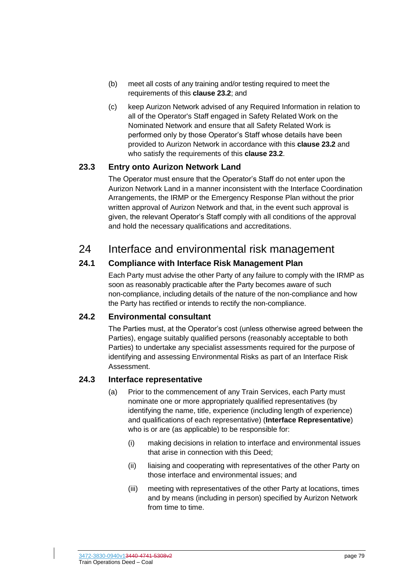- (b) meet all costs of any training and/or testing required to meet the requirements of this **clause [23.2](#page-78-0)**; and
- (c) keep Aurizon Network advised of any Required Information in relation to all of the Operator's Staff engaged in Safety Related Work on the Nominated Network and ensure that all Safety Related Work is performed only by those Operator's Staff whose details have been provided to Aurizon Network in accordance with this **clause [23.2](#page-78-0)** and who satisfy the requirements of this **claus[e 23.2](#page-78-0)**.

#### **23.3 Entry onto Aurizon Network Land**

The Operator must ensure that the Operator's Staff do not enter upon the Aurizon Network Land in a manner inconsistent with the Interface Coordination Arrangements, the IRMP or the Emergency Response Plan without the prior written approval of Aurizon Network and that, in the event such approval is given, the relevant Operator's Staff comply with all conditions of the approval and hold the necessary qualifications and accreditations.

## <span id="page-79-2"></span>24 Interface and environmental risk management

## **24.1 Compliance with Interface Risk Management Plan**

Each Party must advise the other Party of any failure to comply with the IRMP as soon as reasonably practicable after the Party becomes aware of such non-compliance, including details of the nature of the non-compliance and how the Party has rectified or intends to rectify the non-compliance.

#### **24.2 Environmental consultant**

The Parties must, at the Operator's cost (unless otherwise agreed between the Parties), engage suitably qualified persons (reasonably acceptable to both Parties) to undertake any specialist assessments required for the purpose of identifying and assessing Environmental Risks as part of an Interface Risk Assessment.

#### <span id="page-79-1"></span><span id="page-79-0"></span>**24.3 Interface representative**

- (a) Prior to the commencement of any Train Services, each Party must nominate one or more appropriately qualified representatives (by identifying the name, title, experience (including length of experience) and qualifications of each representative) (**Interface Representative**) who is or are (as applicable) to be responsible for:
	- (i) making decisions in relation to interface and environmental issues that arise in connection with this Deed;
	- (ii) liaising and cooperating with representatives of the other Party on those interface and environmental issues; and
	- (iii) meeting with representatives of the other Party at locations, times and by means (including in person) specified by Aurizon Network from time to time.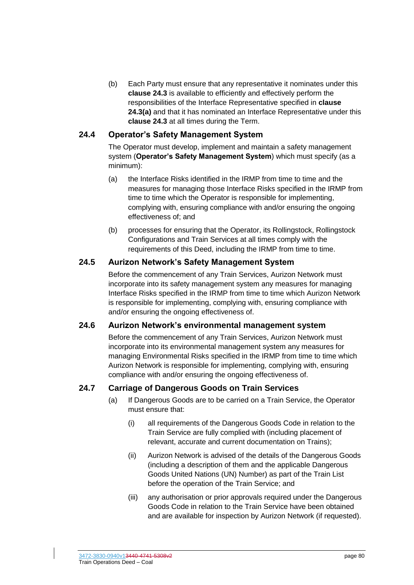(b) Each Party must ensure that any representative it nominates under this **clause [24.3](#page-79-0)** is available to efficiently and effectively perform the responsibilities of the Interface Representative specified in **clause [24.3\(a\)](#page-79-1)** and that it has nominated an Interface Representative under this **clause [24.3](#page-79-0)** at all times during the Term.

#### **24.4 Operator's Safety Management System**

The Operator must develop, implement and maintain a safety management system (**Operator's Safety Management System**) which must specify (as a minimum):

- (a) the Interface Risks identified in the IRMP from time to time and the measures for managing those Interface Risks specified in the IRMP from time to time which the Operator is responsible for implementing, complying with, ensuring compliance with and/or ensuring the ongoing effectiveness of; and
- (b) processes for ensuring that the Operator, its Rollingstock, Rollingstock Configurations and Train Services at all times comply with the requirements of this Deed, including the IRMP from time to time.

#### **24.5 Aurizon Network's Safety Management System**

Before the commencement of any Train Services, Aurizon Network must incorporate into its safety management system any measures for managing Interface Risks specified in the IRMP from time to time which Aurizon Network is responsible for implementing, complying with, ensuring compliance with and/or ensuring the ongoing effectiveness of.

#### **24.6 Aurizon Network's environmental management system**

Before the commencement of any Train Services, Aurizon Network must incorporate into its environmental management system any measures for managing Environmental Risks specified in the IRMP from time to time which Aurizon Network is responsible for implementing, complying with, ensuring compliance with and/or ensuring the ongoing effectiveness of.

## **24.7 Carriage of Dangerous Goods on Train Services**

- (a) If Dangerous Goods are to be carried on a Train Service, the Operator must ensure that:
	- (i) all requirements of the Dangerous Goods Code in relation to the Train Service are fully complied with (including placement of relevant, accurate and current documentation on Trains);
	- (ii) Aurizon Network is advised of the details of the Dangerous Goods (including a description of them and the applicable Dangerous Goods United Nations (UN) Number) as part of the Train List before the operation of the Train Service; and
	- (iii) any authorisation or prior approvals required under the Dangerous Goods Code in relation to the Train Service have been obtained and are available for inspection by Aurizon Network (if requested).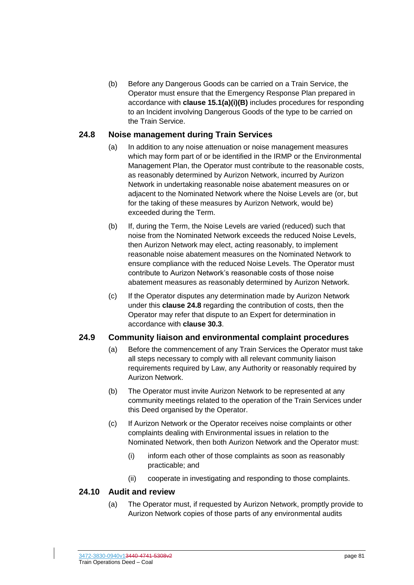(b) Before any Dangerous Goods can be carried on a Train Service, the Operator must ensure that the Emergency Response Plan prepared in accordance with **clause [15.1\(a\)\(i\)\(B\)](#page-55-0)** includes procedures for responding to an Incident involving Dangerous Goods of the type to be carried on the Train Service.

#### <span id="page-81-0"></span>**24.8 Noise management during Train Services**

- (a) In addition to any noise attenuation or noise management measures which may form part of or be identified in the IRMP or the Environmental Management Plan, the Operator must contribute to the reasonable costs, as reasonably determined by Aurizon Network, incurred by Aurizon Network in undertaking reasonable noise abatement measures on or adjacent to the Nominated Network where the Noise Levels are (or, but for the taking of these measures by Aurizon Network, would be) exceeded during the Term.
- (b) If, during the Term, the Noise Levels are varied (reduced) such that noise from the Nominated Network exceeds the reduced Noise Levels, then Aurizon Network may elect, acting reasonably, to implement reasonable noise abatement measures on the Nominated Network to ensure compliance with the reduced Noise Levels. The Operator must contribute to Aurizon Network's reasonable costs of those noise abatement measures as reasonably determined by Aurizon Network.
- (c) If the Operator disputes any determination made by Aurizon Network under this **clause [24.8](#page-81-0)** regarding the contribution of costs, then the Operator may refer that dispute to an Expert for determination in accordance with **clause [30.3](#page-94-0)**.

#### **24.9 Community liaison and environmental complaint procedures**

- (a) Before the commencement of any Train Services the Operator must take all steps necessary to comply with all relevant community liaison requirements required by Law, any Authority or reasonably required by Aurizon Network.
- (b) The Operator must invite Aurizon Network to be represented at any community meetings related to the operation of the Train Services under this Deed organised by the Operator.
- (c) If Aurizon Network or the Operator receives noise complaints or other complaints dealing with Environmental issues in relation to the Nominated Network, then both Aurizon Network and the Operator must:
	- (i) inform each other of those complaints as soon as reasonably practicable; and
	- (ii) cooperate in investigating and responding to those complaints.

#### **24.10 Audit and review**

(a) The Operator must, if requested by Aurizon Network, promptly provide to Aurizon Network copies of those parts of any environmental audits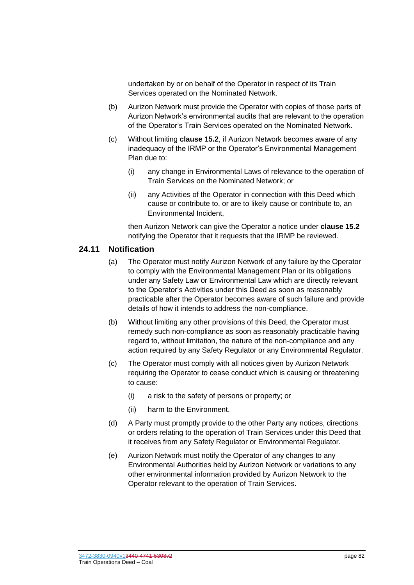undertaken by or on behalf of the Operator in respect of its Train Services operated on the Nominated Network.

- (b) Aurizon Network must provide the Operator with copies of those parts of Aurizon Network's environmental audits that are relevant to the operation of the Operator's Train Services operated on the Nominated Network.
- (c) Without limiting **clause [15.2](#page-58-0)**, if Aurizon Network becomes aware of any inadequacy of the IRMP or the Operator's Environmental Management Plan due to:
	- (i) any change in Environmental Laws of relevance to the operation of Train Services on the Nominated Network; or
	- (ii) any Activities of the Operator in connection with this Deed which cause or contribute to, or are to likely cause or contribute to, an Environmental Incident,

then Aurizon Network can give the Operator a notice under **clause [15.2](#page-58-0)** notifying the Operator that it requests that the IRMP be reviewed.

#### **24.11 Notification**

- (a) The Operator must notify Aurizon Network of any failure by the Operator to comply with the Environmental Management Plan or its obligations under any Safety Law or Environmental Law which are directly relevant to the Operator's Activities under this Deed as soon as reasonably practicable after the Operator becomes aware of such failure and provide details of how it intends to address the non-compliance.
- (b) Without limiting any other provisions of this Deed, the Operator must remedy such non-compliance as soon as reasonably practicable having regard to, without limitation, the nature of the non-compliance and any action required by any Safety Regulator or any Environmental Regulator.
- (c) The Operator must comply with all notices given by Aurizon Network requiring the Operator to cease conduct which is causing or threatening to cause:
	- (i) a risk to the safety of persons or property; or
	- (ii) harm to the Environment.
- (d) A Party must promptly provide to the other Party any notices, directions or orders relating to the operation of Train Services under this Deed that it receives from any Safety Regulator or Environmental Regulator.
- (e) Aurizon Network must notify the Operator of any changes to any Environmental Authorities held by Aurizon Network or variations to any other environmental information provided by Aurizon Network to the Operator relevant to the operation of Train Services.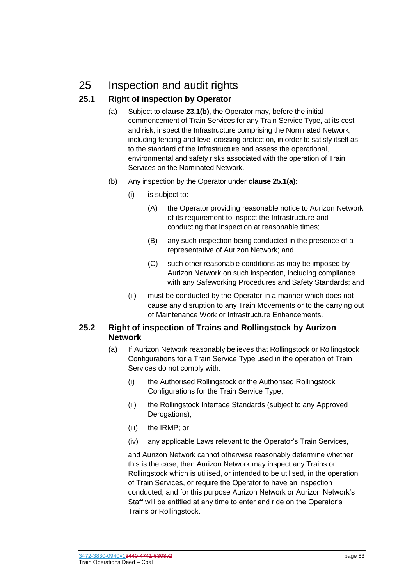# 25 Inspection and audit rights

## <span id="page-83-0"></span>**25.1 Right of inspection by Operator**

- (a) Subject to **clause 23.1(b)**, the Operator may, before the initial commencement of Train Services for any Train Service Type, at its cost and risk, inspect the Infrastructure comprising the Nominated Network, including fencing and level crossing protection, in order to satisfy itself as to the standard of the Infrastructure and assess the operational, environmental and safety risks associated with the operation of Train Services on the Nominated Network.
- (b) Any inspection by the Operator under **clause [25.1\(a\)](#page-83-0)**:
	- (i) is subject to:
		- (A) the Operator providing reasonable notice to Aurizon Network of its requirement to inspect the Infrastructure and conducting that inspection at reasonable times;
		- (B) any such inspection being conducted in the presence of a representative of Aurizon Network; and
		- (C) such other reasonable conditions as may be imposed by Aurizon Network on such inspection, including compliance with any Safeworking Procedures and Safety Standards; and
	- (ii) must be conducted by the Operator in a manner which does not cause any disruption to any Train Movements or to the carrying out of Maintenance Work or Infrastructure Enhancements.

#### <span id="page-83-1"></span>**25.2 Right of inspection of Trains and Rollingstock by Aurizon Network**

- (a) If Aurizon Network reasonably believes that Rollingstock or Rollingstock Configurations for a Train Service Type used in the operation of Train Services do not comply with:
	- (i) the Authorised Rollingstock or the Authorised Rollingstock Configurations for the Train Service Type;
	- (ii) the Rollingstock Interface Standards (subject to any Approved Derogations);
	- (iii) the IRMP; or
	- (iv) any applicable Laws relevant to the Operator's Train Services,

and Aurizon Network cannot otherwise reasonably determine whether this is the case, then Aurizon Network may inspect any Trains or Rollingstock which is utilised, or intended to be utilised, in the operation of Train Services, or require the Operator to have an inspection conducted, and for this purpose Aurizon Network or Aurizon Network's Staff will be entitled at any time to enter and ride on the Operator's Trains or Rollingstock.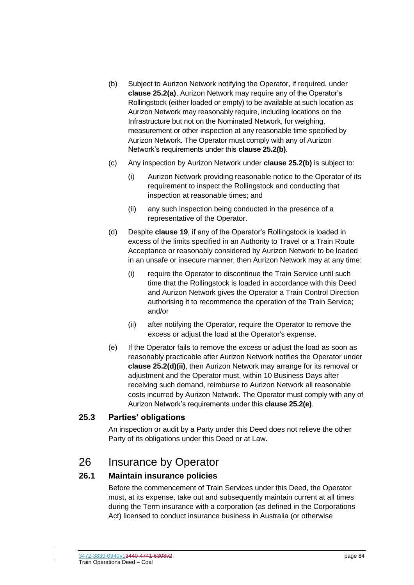- <span id="page-84-0"></span>(b) Subject to Aurizon Network notifying the Operator, if required, under **clause [25.2\(a\)](#page-83-1)**, Aurizon Network may require any of the Operator's Rollingstock (either loaded or empty) to be available at such location as Aurizon Network may reasonably require, including locations on the Infrastructure but not on the Nominated Network, for weighing, measurement or other inspection at any reasonable time specified by Aurizon Network. The Operator must comply with any of Aurizon Network's requirements under this **clause [25.2\(b\)](#page-84-0)**.
- (c) Any inspection by Aurizon Network under **clause [25.2\(b\)](#page-84-0)** is subject to:
	- (i) Aurizon Network providing reasonable notice to the Operator of its requirement to inspect the Rollingstock and conducting that inspection at reasonable times; and
	- (ii) any such inspection being conducted in the presence of a representative of the Operator.
- (d) Despite **clause [19](#page-68-0)**, if any of the Operator's Rollingstock is loaded in excess of the limits specified in an Authority to Travel or a Train Route Acceptance or reasonably considered by Aurizon Network to be loaded in an unsafe or insecure manner, then Aurizon Network may at any time:
	- (i) require the Operator to discontinue the Train Service until such time that the Rollingstock is loaded in accordance with this Deed and Aurizon Network gives the Operator a Train Control Direction authorising it to recommence the operation of the Train Service; and/or
	- (ii) after notifying the Operator, require the Operator to remove the excess or adjust the load at the Operator's expense.
- <span id="page-84-2"></span><span id="page-84-1"></span>(e) If the Operator fails to remove the excess or adjust the load as soon as reasonably practicable after Aurizon Network notifies the Operator under **clause [25.2\(d\)\(ii\)](#page-84-1)**, then Aurizon Network may arrange for its removal or adjustment and the Operator must, within 10 Business Days after receiving such demand, reimburse to Aurizon Network all reasonable costs incurred by Aurizon Network. The Operator must comply with any of Aurizon Network's requirements under this **clause [25.2\(e\)](#page-84-2)**.

#### **25.3 Parties' obligations**

An inspection or audit by a Party under this Deed does not relieve the other Party of its obligations under this Deed or at Law.

# <span id="page-84-3"></span>26 Insurance by Operator

#### **26.1 Maintain insurance policies**

Before the commencement of Train Services under this Deed, the Operator must, at its expense, take out and subsequently maintain current at all times during the Term insurance with a corporation (as defined in the Corporations Act) licensed to conduct insurance business in Australia (or otherwise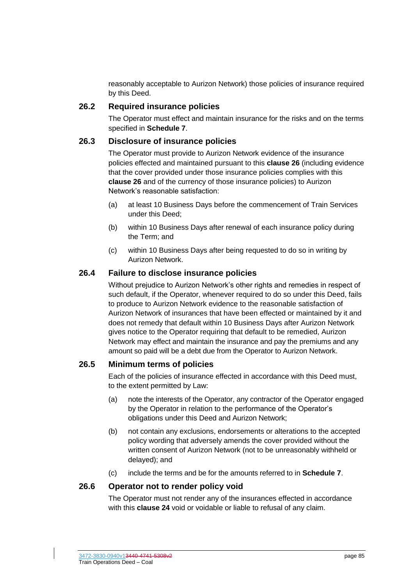reasonably acceptable to Aurizon Network) those policies of insurance required by this Deed.

### **26.2 Required insurance policies**

The Operator must effect and maintain insurance for the risks and on the terms specified in **Schedule [7](#page-135-0)**.

#### **26.3 Disclosure of insurance policies**

The Operator must provide to Aurizon Network evidence of the insurance policies effected and maintained pursuant to this **clause [26](#page-84-3)** (including evidence that the cover provided under those insurance policies complies with this **clause [26](#page-84-3)** and of the currency of those insurance policies) to Aurizon Network's reasonable satisfaction:

- (a) at least 10 Business Days before the commencement of Train Services under this Deed;
- (b) within 10 Business Days after renewal of each insurance policy during the Term; and
- (c) within 10 Business Days after being requested to do so in writing by Aurizon Network.

#### **26.4 Failure to disclose insurance policies**

Without prejudice to Aurizon Network's other rights and remedies in respect of such default, if the Operator, whenever required to do so under this Deed, fails to produce to Aurizon Network evidence to the reasonable satisfaction of Aurizon Network of insurances that have been effected or maintained by it and does not remedy that default within 10 Business Days after Aurizon Network gives notice to the Operator requiring that default to be remedied, Aurizon Network may effect and maintain the insurance and pay the premiums and any amount so paid will be a debt due from the Operator to Aurizon Network.

#### **26.5 Minimum terms of policies**

Each of the policies of insurance effected in accordance with this Deed must, to the extent permitted by Law:

- (a) note the interests of the Operator, any contractor of the Operator engaged by the Operator in relation to the performance of the Operator's obligations under this Deed and Aurizon Network;
- (b) not contain any exclusions, endorsements or alterations to the accepted policy wording that adversely amends the cover provided without the written consent of Aurizon Network (not to be unreasonably withheld or delayed); and
- (c) include the terms and be for the amounts referred to in **Schedule [7](#page-135-0)**.

#### **26.6 Operator not to render policy void**

The Operator must not render any of the insurances effected in accordance with this **clause [24](#page-79-2)** void or voidable or liable to refusal of any claim.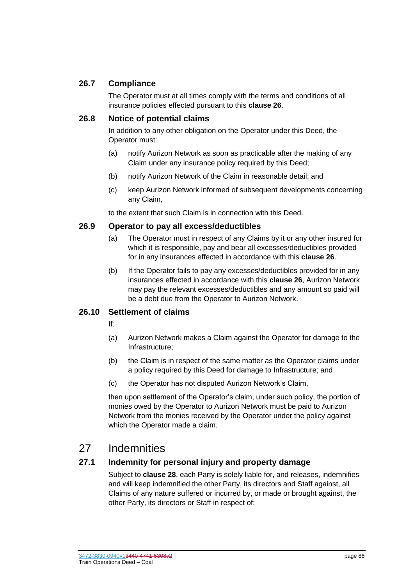## **26.7 Compliance**

The Operator must at all times comply with the terms and conditions of all insurance policies effected pursuant to this **clause [26](#page-84-3)**.

#### **26.8 Notice of potential claims**

In addition to any other obligation on the Operator under this Deed, the Operator must:

- (a) notify Aurizon Network as soon as practicable after the making of any Claim under any insurance policy required by this Deed;
- (b) notify Aurizon Network of the Claim in reasonable detail; and
- (c) keep Aurizon Network informed of subsequent developments concerning any Claim,

to the extent that such Claim is in connection with this Deed.

#### **26.9 Operator to pay all excess/deductibles**

- (a) The Operator must in respect of any Claims by it or any other insured for which it is responsible, pay and bear all excesses/deductibles provided for in any insurances effected in accordance with this **clause [26](#page-84-3)**.
- (b) If the Operator fails to pay any excesses/deductibles provided for in any insurances effected in accordance with this **clause [26](#page-84-3)**, Aurizon Network may pay the relevant excesses/deductibles and any amount so paid will be a debt due from the Operator to Aurizon Network.

## **26.10 Settlement of claims**

If:

- (a) Aurizon Network makes a Claim against the Operator for damage to the Infrastructure;
- (b) the Claim is in respect of the same matter as the Operator claims under a policy required by this Deed for damage to Infrastructure; and
- (c) the Operator has not disputed Aurizon Network's Claim,

then upon settlement of the Operator's claim, under such policy, the portion of monies owed by the Operator to Aurizon Network must be paid to Aurizon Network from the monies received by the Operator under the policy against which the Operator made a claim.

# <span id="page-86-0"></span>27 Indemnities

## **27.1 Indemnity for personal injury and property damage**

Subject to **clause [28](#page-87-0)**, each Party is solely liable for, and releases, indemnifies and will keep indemnified the other Party, its directors and Staff against, all Claims of any nature suffered or incurred by, or made or brought against, the other Party, its directors or Staff in respect of: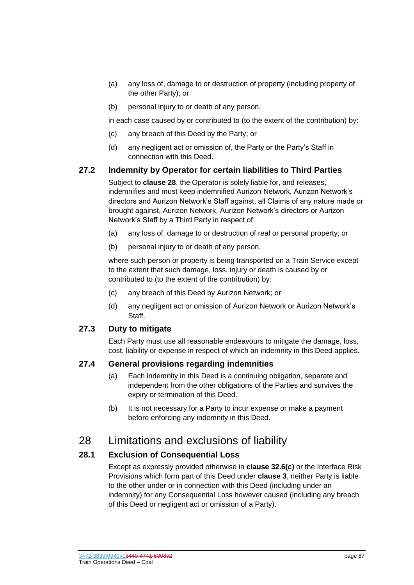- (a) any loss of, damage to or destruction of property (including property of the other Party); or
- (b) personal injury to or death of any person,

in each case caused by or contributed to (to the extent of the contribution) by:

- (c) any breach of this Deed by the Party; or
- (d) any negligent act or omission of, the Party or the Party's Staff in connection with this Deed.

#### **27.2 Indemnity by Operator for certain liabilities to Third Parties**

Subject to **clause [28](#page-87-0)**, the Operator is solely liable for, and releases, indemnifies and must keep indemnified Aurizon Network, Aurizon Network's directors and Aurizon Network's Staff against, all Claims of any nature made or brought against, Aurizon Network, Aurizon Network's directors or Aurizon Network's Staff by a Third Party in respect of:

- (a) any loss of, damage to or destruction of real or personal property; or
- (b) personal injury to or death of any person,

where such person or property is being transported on a Train Service except to the extent that such damage, loss, injury or death is caused by or contributed to (to the extent of the contribution) by:

- (c) any breach of this Deed by Aurizon Network; or
- (d) any negligent act or omission of Aurizon Network or Aurizon Network's Staff.

#### **27.3 Duty to mitigate**

Each Party must use all reasonable endeavours to mitigate the damage, loss, cost, liability or expense in respect of which an indemnity in this Deed applies.

#### **27.4 General provisions regarding indemnities**

- (a) Each indemnity in this Deed is a continuing obligation, separate and independent from the other obligations of the Parties and survives the expiry or termination of this Deed.
- (b) It is not necessary for a Party to incur expense or make a payment before enforcing any indemnity in this Deed.

## <span id="page-87-0"></span>28 Limitations and exclusions of liability

## <span id="page-87-1"></span>**28.1 Exclusion of Consequential Loss**

Except as expressly provided otherwise in **clause [32.6\(c\)](#page-103-0)** or the Interface Risk Provisions which form part of this Deed under **clause [3](#page-36-0)**, neither Party is liable to the other under or in connection with this Deed (including under an indemnity) for any Consequential Loss however caused (including any breach of this Deed or negligent act or omission of a Party).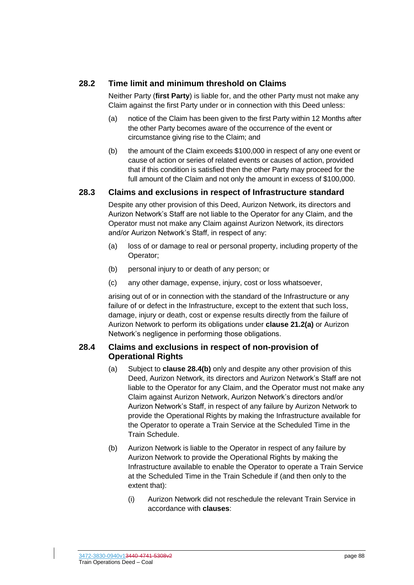## **28.2 Time limit and minimum threshold on Claims**

Neither Party (**first Party**) is liable for, and the other Party must not make any Claim against the first Party under or in connection with this Deed unless:

- (a) notice of the Claim has been given to the first Party within 12 Months after the other Party becomes aware of the occurrence of the event or circumstance giving rise to the Claim; and
- (b) the amount of the Claim exceeds \$100,000 in respect of any one event or cause of action or series of related events or causes of action, provided that if this condition is satisfied then the other Party may proceed for the full amount of the Claim and not only the amount in excess of \$100,000.

#### <span id="page-88-0"></span>**28.3 Claims and exclusions in respect of Infrastructure standard**

Despite any other provision of this Deed, Aurizon Network, its directors and Aurizon Network's Staff are not liable to the Operator for any Claim, and the Operator must not make any Claim against Aurizon Network, its directors and/or Aurizon Network's Staff, in respect of any:

- (a) loss of or damage to real or personal property, including property of the Operator;
- (b) personal injury to or death of any person; or
- (c) any other damage, expense, injury, cost or loss whatsoever,

arising out of or in connection with the standard of the Infrastructure or any failure of or defect in the Infrastructure, except to the extent that such loss, damage, injury or death, cost or expense results directly from the failure of Aurizon Network to perform its obligations under **clause [21.2\(a\)](#page-71-1)** or Aurizon Network's negligence in performing those obligations.

#### **28.4 Claims and exclusions in respect of non-provision of Operational Rights**

- (a) Subject to **clause [28.4\(b\)](#page-88-1)** only and despite any other provision of this Deed, Aurizon Network, its directors and Aurizon Network's Staff are not liable to the Operator for any Claim, and the Operator must not make any Claim against Aurizon Network, Aurizon Network's directors and/or Aurizon Network's Staff, in respect of any failure by Aurizon Network to provide the Operational Rights by making the Infrastructure available for the Operator to operate a Train Service at the Scheduled Time in the Train Schedule.
- <span id="page-88-1"></span>(b) Aurizon Network is liable to the Operator in respect of any failure by Aurizon Network to provide the Operational Rights by making the Infrastructure available to enable the Operator to operate a Train Service at the Scheduled Time in the Train Schedule if (and then only to the extent that):
	- (i) Aurizon Network did not reschedule the relevant Train Service in accordance with **clauses**: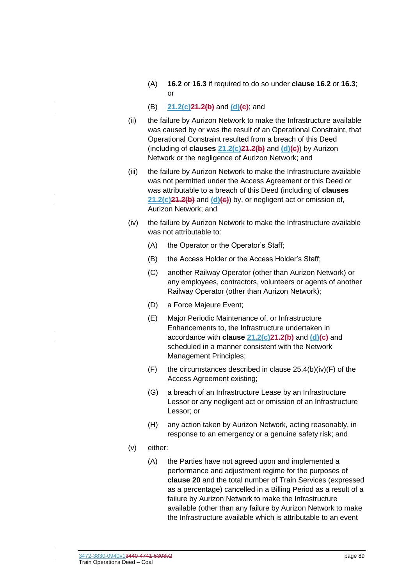- (A) **[16.2](#page-60-0)** or **[16.3](#page-60-1)** if required to do so under **clause [16.2](#page-60-0)** or **[16.3](#page-60-1)**; or
- (B) **[21.2\(c\)21.2\(b\)](#page-71-2)** and **[\(d\)\(c\)](#page-71-3)**; and
- (ii) the failure by Aurizon Network to make the Infrastructure available was caused by or was the result of an Operational Constraint, that Operational Constraint resulted from a breach of this Deed (including of **clauses [21.2\(c\)21.2\(b\)](#page-71-2)** and **[\(d\)\(c\)](#page-71-3)**) by Aurizon Network or the negligence of Aurizon Network; and
- (iii) the failure by Aurizon Network to make the Infrastructure available was not permitted under the Access Agreement or this Deed or was attributable to a breach of this Deed (including of **clauses [21.2\(c\)21.2\(b\)](#page-71-2)** and **[\(d\)\(c\)](#page-71-3)**) by, or negligent act or omission of, Aurizon Network; and
- <span id="page-89-3"></span><span id="page-89-0"></span>(iv) the failure by Aurizon Network to make the Infrastructure available was not attributable to:
	- (A) the Operator or the Operator's Staff;
	- (B) the Access Holder or the Access Holder's Staff;
	- (C) another Railway Operator (other than Aurizon Network) or any employees, contractors, volunteers or agents of another Railway Operator (other than Aurizon Network);
	- (D) a Force Majeure Event;
	- (E) Major Periodic Maintenance of, or Infrastructure Enhancements to, the Infrastructure undertaken in accordance with **clause [21.2\(c\)21.2\(b\)](#page-71-2)** and **[\(d\)\(c\)](#page-71-3)** and scheduled in a manner consistent with the Network Management Principles;
	- $(F)$  the circumstances described in clause 25.4(b)(iv)(F) of the Access Agreement existing;
	- (G) a breach of an Infrastructure Lease by an Infrastructure Lessor or any negligent act or omission of an Infrastructure Lessor; or
	- (H) any action taken by Aurizon Network, acting reasonably, in response to an emergency or a genuine safety risk; and
- <span id="page-89-2"></span><span id="page-89-1"></span>(v) either:
	- (A) the Parties have not agreed upon and implemented a performance and adjustment regime for the purposes of **clause [20](#page-70-0)** and the total number of Train Services (expressed as a percentage) cancelled in a Billing Period as a result of a failure by Aurizon Network to make the Infrastructure available (other than any failure by Aurizon Network to make the Infrastructure available which is attributable to an event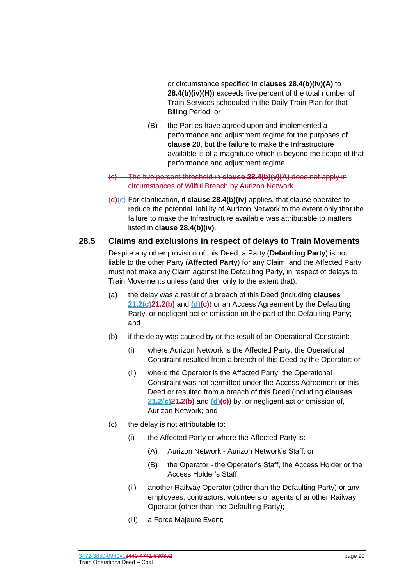or circumstance specified in **clauses [28.4\(b\)\(iv\)\(A\)](#page-89-0)** to **[28.4\(b\)\(iv\)\(H\)](#page-89-1)**) exceeds five percent of the total number of Train Services scheduled in the Daily Train Plan for that Billing Period; or

- (B) the Parties have agreed upon and implemented a performance and adjustment regime for the purposes of **clause [20](#page-70-0)**, but the failure to make the Infrastructure available is of a magnitude which is beyond the scope of that performance and adjustment regime.
- (c) The five percent threshold in **clause [28.4\(b\)\(v\)\(A\)](#page-89-2)** does not apply in circumstances of Wilful Breach by Aurizon Network.
- (d)(c) For clarification, if **clause [28.4\(b\)\(iv\)](#page-89-3)** applies, that clause operates to reduce the potential liability of Aurizon Network to the extent only that the failure to make the Infrastructure available was attributable to matters listed in **clause [28.4\(b\)\(iv\)](#page-89-3)**.

#### **28.5 Claims and exclusions in respect of delays to Train Movements**

Despite any other provision of this Deed, a Party (**Defaulting Party**) is not liable to the other Party (**Affected Party**) for any Claim, and the Affected Party must not make any Claim against the Defaulting Party, in respect of delays to Train Movements unless (and then only to the extent that):

- (a) the delay was a result of a breach of this Deed (including **clauses [21.2\(c\)21.2\(b\)](#page-71-2)** and **[\(d\)\(c\)](#page-71-3)**) or an Access Agreement by the Defaulting Party, or negligent act or omission on the part of the Defaulting Party; and
- (b) if the delay was caused by or the result of an Operational Constraint:
	- (i) where Aurizon Network is the Affected Party, the Operational Constraint resulted from a breach of this Deed by the Operator; or
	- (ii) where the Operator is the Affected Party, the Operational Constraint was not permitted under the Access Agreement or this Deed or resulted from a breach of this Deed (including **clauses [21.2\(c\)21.2\(b\)](#page-71-2)** and **[\(d\)\(c\)](#page-71-3)**) by, or negligent act or omission of, Aurizon Network; and
- <span id="page-90-0"></span>(c) the delay is not attributable to:
	- (i) the Affected Party or where the Affected Party is:
		- (A) Aurizon Network Aurizon Network's Staff; or
		- (B) the Operator the Operator's Staff, the Access Holder or the Access Holder's Staff;
	- (ii) another Railway Operator (other than the Defaulting Party) or any employees, contractors, volunteers or agents of another Railway Operator (other than the Defaulting Party);
	- (iii) a Force Majeure Event;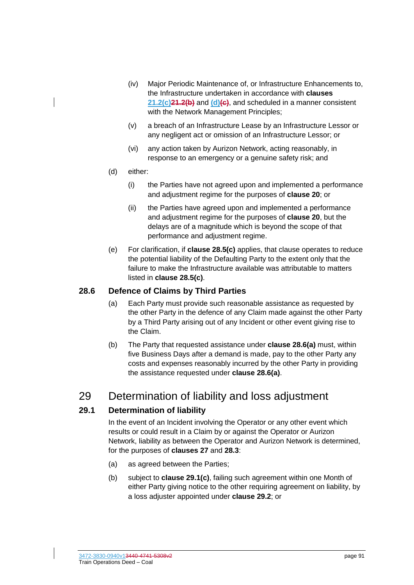- (iv) Major Periodic Maintenance of, or Infrastructure Enhancements to, the Infrastructure undertaken in accordance with **clauses [21.2\(c\)21.2\(b\)](#page-71-2)** and **[\(d\)\(c\)](#page-71-3)**, and scheduled in a manner consistent with the Network Management Principles;
- (v) a breach of an Infrastructure Lease by an Infrastructure Lessor or any negligent act or omission of an Infrastructure Lessor; or
- (vi) any action taken by Aurizon Network, acting reasonably, in response to an emergency or a genuine safety risk; and
- (d) either:
	- (i) the Parties have not agreed upon and implemented a performance and adjustment regime for the purposes of **clause [20](#page-70-0)**; or
	- (ii) the Parties have agreed upon and implemented a performance and adjustment regime for the purposes of **clause [20](#page-70-0)**, but the delays are of a magnitude which is beyond the scope of that performance and adjustment regime.
- (e) For clarification, if **clause [28.5\(c\)](#page-90-0)** applies, that clause operates to reduce the potential liability of the Defaulting Party to the extent only that the failure to make the Infrastructure available was attributable to matters listed in **clause [28.5\(c\)](#page-90-0)**.

#### <span id="page-91-0"></span>**28.6 Defence of Claims by Third Parties**

- (a) Each Party must provide such reasonable assistance as requested by the other Party in the defence of any Claim made against the other Party by a Third Party arising out of any Incident or other event giving rise to the Claim.
- (b) The Party that requested assistance under **clause [28.6\(a\)](#page-91-0)** must, within five Business Days after a demand is made, pay to the other Party any costs and expenses reasonably incurred by the other Party in providing the assistance requested under **clause [28.6\(a\)](#page-91-0)**.

# 29 Determination of liability and loss adjustment

## <span id="page-91-1"></span>**29.1 Determination of liability**

In the event of an Incident involving the Operator or any other event which results or could result in a Claim by or against the Operator or Aurizon Network, liability as between the Operator and Aurizon Network is determined, for the purposes of **clauses [27](#page-86-0)** and **28.3**:

- <span id="page-91-2"></span>(a) as agreed between the Parties;
- (b) subject to **clause [29.1\(c\)](#page-92-0)**, failing such agreement within one Month of either Party giving notice to the other requiring agreement on liability, by a loss adjuster appointed under **clause [29.2](#page-92-1)**; or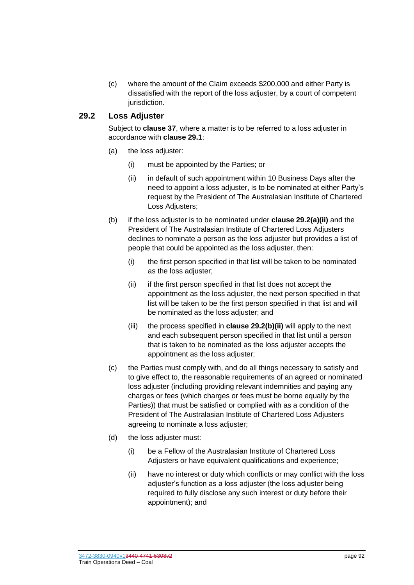<span id="page-92-0"></span>(c) where the amount of the Claim exceeds \$200,000 and either Party is dissatisfied with the report of the loss adjuster, by a court of competent jurisdiction.

## <span id="page-92-1"></span>**29.2 Loss Adjuster**

Subject to **clause [37](#page-111-0)**, where a matter is to be referred to a loss adjuster in accordance with **clause [29.1](#page-91-1)**:

- <span id="page-92-2"></span>(a) the loss adjuster:
	- (i) must be appointed by the Parties; or
	- (ii) in default of such appointment within 10 Business Days after the need to appoint a loss adjuster, is to be nominated at either Party's request by the President of The Australasian Institute of Chartered Loss Adjusters;
- <span id="page-92-3"></span>(b) if the loss adjuster is to be nominated under **clause [29.2\(a\)\(ii\)](#page-92-2)** and the President of The Australasian Institute of Chartered Loss Adjusters declines to nominate a person as the loss adjuster but provides a list of people that could be appointed as the loss adjuster, then:
	- (i) the first person specified in that list will be taken to be nominated as the loss adjuster;
	- (ii) if the first person specified in that list does not accept the appointment as the loss adjuster, the next person specified in that list will be taken to be the first person specified in that list and will be nominated as the loss adjuster; and
	- (iii) the process specified in **clause [29.2\(b\)\(ii\)](#page-92-3)** will apply to the next and each subsequent person specified in that list until a person that is taken to be nominated as the loss adjuster accepts the appointment as the loss adjuster;
- (c) the Parties must comply with, and do all things necessary to satisfy and to give effect to, the reasonable requirements of an agreed or nominated loss adjuster (including providing relevant indemnities and paying any charges or fees (which charges or fees must be borne equally by the Parties)) that must be satisfied or complied with as a condition of the President of The Australasian Institute of Chartered Loss Adjusters agreeing to nominate a loss adjuster;
- (d) the loss adjuster must:
	- (i) be a Fellow of the Australasian Institute of Chartered Loss Adjusters or have equivalent qualifications and experience;
	- (ii) have no interest or duty which conflicts or may conflict with the loss adjuster's function as a loss adjuster (the loss adjuster being required to fully disclose any such interest or duty before their appointment); and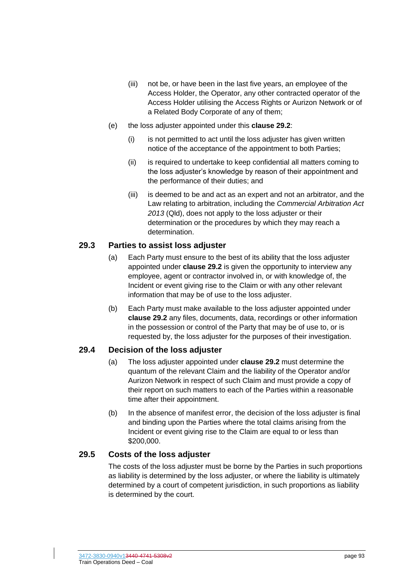- (iii) not be, or have been in the last five years, an employee of the Access Holder, the Operator, any other contracted operator of the Access Holder utilising the Access Rights or Aurizon Network or of a Related Body Corporate of any of them;
- (e) the loss adjuster appointed under this **clause [29.2](#page-92-1)**:
	- (i) is not permitted to act until the loss adjuster has given written notice of the acceptance of the appointment to both Parties;
	- (ii) is required to undertake to keep confidential all matters coming to the loss adjuster's knowledge by reason of their appointment and the performance of their duties; and
	- (iii) is deemed to be and act as an expert and not an arbitrator, and the Law relating to arbitration, including the *Commercial Arbitration Act 2013* (Qld), does not apply to the loss adjuster or their determination or the procedures by which they may reach a determination.

#### **29.3 Parties to assist loss adjuster**

- (a) Each Party must ensure to the best of its ability that the loss adjuster appointed under **clause [29.2](#page-92-1)** is given the opportunity to interview any employee, agent or contractor involved in, or with knowledge of, the Incident or event giving rise to the Claim or with any other relevant information that may be of use to the loss adjuster.
- (b) Each Party must make available to the loss adjuster appointed under **clause [29.2](#page-92-1)** any files, documents, data, recordings or other information in the possession or control of the Party that may be of use to, or is requested by, the loss adjuster for the purposes of their investigation.

## **29.4 Decision of the loss adjuster**

- (a) The loss adjuster appointed under **clause [29.2](#page-92-1)** must determine the quantum of the relevant Claim and the liability of the Operator and/or Aurizon Network in respect of such Claim and must provide a copy of their report on such matters to each of the Parties within a reasonable time after their appointment.
- (b) In the absence of manifest error, the decision of the loss adjuster is final and binding upon the Parties where the total claims arising from the Incident or event giving rise to the Claim are equal to or less than \$200,000.

## **29.5 Costs of the loss adjuster**

The costs of the loss adjuster must be borne by the Parties in such proportions as liability is determined by the loss adjuster, or where the liability is ultimately determined by a court of competent jurisdiction, in such proportions as liability is determined by the court.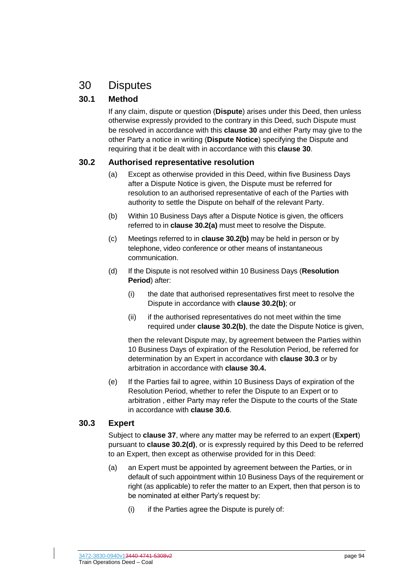# <span id="page-94-1"></span>30 Disputes

## **30.1 Method**

If any claim, dispute or question (**Dispute**) arises under this Deed, then unless otherwise expressly provided to the contrary in this Deed, such Dispute must be resolved in accordance with this **clause [30](#page-94-1)** and either Party may give to the other Party a notice in writing (**Dispute Notice**) specifying the Dispute and requiring that it be dealt with in accordance with this **clause [30](#page-94-1)**.

#### <span id="page-94-6"></span><span id="page-94-2"></span>**30.2 Authorised representative resolution**

- (a) Except as otherwise provided in this Deed, within five Business Days after a Dispute Notice is given, the Dispute must be referred for resolution to an authorised representative of each of the Parties with authority to settle the Dispute on behalf of the relevant Party.
- <span id="page-94-3"></span>(b) Within 10 Business Days after a Dispute Notice is given, the officers referred to in **clause [30.2\(a\)](#page-94-2)** must meet to resolve the Dispute.
- (c) Meetings referred to in **clause [30.2\(b\)](#page-94-3)** may be held in person or by telephone, video conference or other means of instantaneous communication.
- <span id="page-94-4"></span>(d) If the Dispute is not resolved within 10 Business Days (**Resolution Period**) after:
	- (i) the date that authorised representatives first meet to resolve the Dispute in accordance with **clause [30.2\(b\)](#page-94-3)**; or
	- (ii) if the authorised representatives do not meet within the time required under **clause [30.2\(b\)](#page-94-3)**, the date the Dispute Notice is given,

then the relevant Dispute may, by agreement between the Parties within 10 Business Days of expiration of the Resolution Period, be referred for determination by an Expert in accordance with **clause [30.3](#page-94-0)** or by arbitration in accordance with **clause [30.4.](#page-97-0)**

(e) If the Parties fail to agree, within 10 Business Days of expiration of the Resolution Period, whether to refer the Dispute to an Expert or to arbitration , either Party may refer the Dispute to the courts of the State in accordance with **clause [30.6](#page-97-1)**.

#### <span id="page-94-0"></span>**30.3 Expert**

Subject to **clause [37](#page-111-0)**, where any matter may be referred to an expert (**Expert**) pursuant to **clause [30.2\(d\)](#page-94-4)**, or is expressly required by this Deed to be referred to an Expert, then except as otherwise provided for in this Deed:

- <span id="page-94-5"></span>(a) an Expert must be appointed by agreement between the Parties, or in default of such appointment within 10 Business Days of the requirement or right (as applicable) to refer the matter to an Expert, then that person is to be nominated at either Party's request by:
	- (i) if the Parties agree the Dispute is purely of: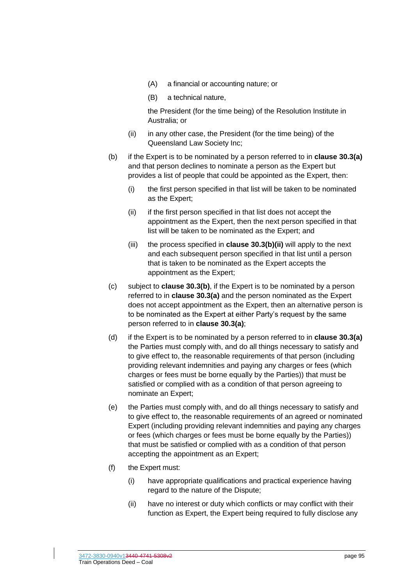- (A) a financial or accounting nature; or
- (B) a technical nature,

the President (for the time being) of the Resolution Institute in Australia; or

- (ii) in any other case, the President (for the time being) of the Queensland Law Society Inc;
- <span id="page-95-1"></span><span id="page-95-0"></span>(b) if the Expert is to be nominated by a person referred to in **clause [30.3\(a\)](#page-94-5)** and that person declines to nominate a person as the Expert but provides a list of people that could be appointed as the Expert, then:
	- (i) the first person specified in that list will be taken to be nominated as the Expert;
	- (ii) if the first person specified in that list does not accept the appointment as the Expert, then the next person specified in that list will be taken to be nominated as the Expert; and
	- (iii) the process specified in **clause [30.3\(b\)\(ii\)](#page-95-0)** will apply to the next and each subsequent person specified in that list until a person that is taken to be nominated as the Expert accepts the appointment as the Expert;
- (c) subject to **clause [30.3\(b\)](#page-95-1)**, if the Expert is to be nominated by a person referred to in **clause [30.3\(a\)](#page-94-5)** and the person nominated as the Expert does not accept appointment as the Expert, then an alternative person is to be nominated as the Expert at either Party's request by the same person referred to in **clause [30.3\(a\)](#page-94-5)**;
- (d) if the Expert is to be nominated by a person referred to in **clause [30.3\(a\)](#page-94-5)** the Parties must comply with, and do all things necessary to satisfy and to give effect to, the reasonable requirements of that person (including providing relevant indemnities and paying any charges or fees (which charges or fees must be borne equally by the Parties)) that must be satisfied or complied with as a condition of that person agreeing to nominate an Expert;
- (e) the Parties must comply with, and do all things necessary to satisfy and to give effect to, the reasonable requirements of an agreed or nominated Expert (including providing relevant indemnities and paying any charges or fees (which charges or fees must be borne equally by the Parties)) that must be satisfied or complied with as a condition of that person accepting the appointment as an Expert;
- (f) the Expert must:
	- (i) have appropriate qualifications and practical experience having regard to the nature of the Dispute;
	- (ii) have no interest or duty which conflicts or may conflict with their function as Expert, the Expert being required to fully disclose any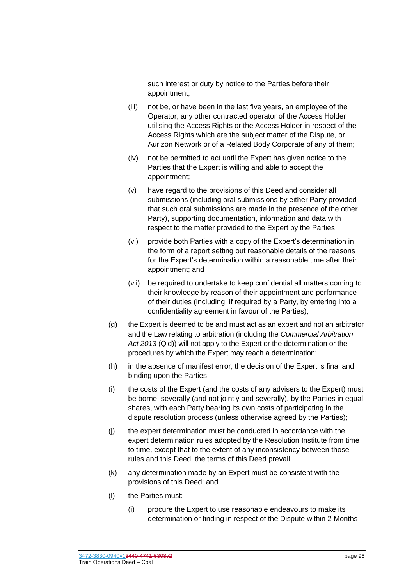such interest or duty by notice to the Parties before their appointment;

- (iii) not be, or have been in the last five years, an employee of the Operator, any other contracted operator of the Access Holder utilising the Access Rights or the Access Holder in respect of the Access Rights which are the subject matter of the Dispute, or Aurizon Network or of a Related Body Corporate of any of them;
- (iv) not be permitted to act until the Expert has given notice to the Parties that the Expert is willing and able to accept the appointment;
- (v) have regard to the provisions of this Deed and consider all submissions (including oral submissions by either Party provided that such oral submissions are made in the presence of the other Party), supporting documentation, information and data with respect to the matter provided to the Expert by the Parties;
- (vi) provide both Parties with a copy of the Expert's determination in the form of a report setting out reasonable details of the reasons for the Expert's determination within a reasonable time after their appointment; and
- (vii) be required to undertake to keep confidential all matters coming to their knowledge by reason of their appointment and performance of their duties (including, if required by a Party, by entering into a confidentiality agreement in favour of the Parties);
- (g) the Expert is deemed to be and must act as an expert and not an arbitrator and the Law relating to arbitration (including the *Commercial Arbitration Act 2013* (Qld)) will not apply to the Expert or the determination or the procedures by which the Expert may reach a determination;
- (h) in the absence of manifest error, the decision of the Expert is final and binding upon the Parties;
- (i) the costs of the Expert (and the costs of any advisers to the Expert) must be borne, severally (and not jointly and severally), by the Parties in equal shares, with each Party bearing its own costs of participating in the dispute resolution process (unless otherwise agreed by the Parties);
- (j) the expert determination must be conducted in accordance with the expert determination rules adopted by the Resolution Institute from time to time, except that to the extent of any inconsistency between those rules and this Deed, the terms of this Deed prevail;
- (k) any determination made by an Expert must be consistent with the provisions of this Deed; and
- (l) the Parties must:
	- (i) procure the Expert to use reasonable endeavours to make its determination or finding in respect of the Dispute within 2 Months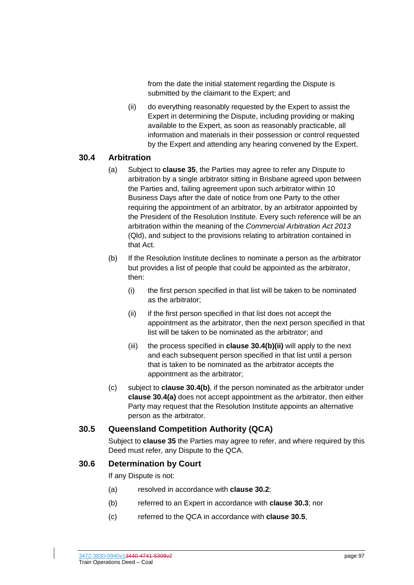from the date the initial statement regarding the Dispute is submitted by the claimant to the Expert; and

(ii) do everything reasonably requested by the Expert to assist the Expert in determining the Dispute, including providing or making available to the Expert, as soon as reasonably practicable, all information and materials in their possession or control requested by the Expert and attending any hearing convened by the Expert.

#### <span id="page-97-4"></span><span id="page-97-0"></span>**30.4 Arbitration**

- (a) Subject to **clause [35](#page-108-0)**, the Parties may agree to refer any Dispute to arbitration by a single arbitrator sitting in Brisbane agreed upon between the Parties and, failing agreement upon such arbitrator within 10 Business Days after the date of notice from one Party to the other requiring the appointment of an arbitrator, by an arbitrator appointed by the President of the Resolution Institute. Every such reference will be an arbitration within the meaning of the *Commercial Arbitration Act 2013* (Qld), and subject to the provisions relating to arbitration contained in that Act.
- <span id="page-97-3"></span><span id="page-97-2"></span>(b) If the Resolution Institute declines to nominate a person as the arbitrator but provides a list of people that could be appointed as the arbitrator, then:
	- (i) the first person specified in that list will be taken to be nominated as the arbitrator;
	- (ii) if the first person specified in that list does not accept the appointment as the arbitrator, then the next person specified in that list will be taken to be nominated as the arbitrator; and
	- (iii) the process specified in **clause [30.4\(b\)\(ii\)](#page-97-2)** will apply to the next and each subsequent person specified in that list until a person that is taken to be nominated as the arbitrator accepts the appointment as the arbitrator;
- (c) subject to **clause [30.4\(b\)](#page-97-3)**, if the person nominated as the arbitrator under **clause [30.4\(a\)](#page-97-4)** does not accept appointment as the arbitrator, then either Party may request that the Resolution Institute appoints an alternative person as the arbitrator.

#### <span id="page-97-5"></span>**30.5 Queensland Competition Authority (QCA)**

Subject to **clause [35](#page-108-0)** the Parties may agree to refer, and where required by this Deed must refer, any Dispute to the QCA.

#### <span id="page-97-1"></span>**30.6 Determination by Court**

If any Dispute is not:

- (a) resolved in accordance with **clause [30.2](#page-94-6)**;
- (b) referred to an Expert in accordance with **clause [30.3](#page-94-0)**; nor
- (c) referred to the QCA in accordance with **clause [30.5](#page-97-5)**,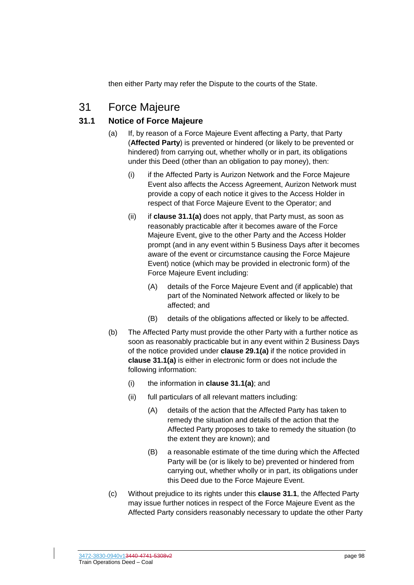then either Party may refer the Dispute to the courts of the State.

# 31 Force Majeure

## <span id="page-98-1"></span><span id="page-98-0"></span>**31.1 Notice of Force Majeure**

- (a) If, by reason of a Force Majeure Event affecting a Party, that Party (**Affected Party**) is prevented or hindered (or likely to be prevented or hindered) from carrying out, whether wholly or in part, its obligations under this Deed (other than an obligation to pay money), then:
	- (i) if the Affected Party is Aurizon Network and the Force Majeure Event also affects the Access Agreement, Aurizon Network must provide a copy of each notice it gives to the Access Holder in respect of that Force Majeure Event to the Operator; and
	- (ii) if **clause [31.1\(a\)](#page-98-0)** does not apply, that Party must, as soon as reasonably practicable after it becomes aware of the Force Majeure Event, give to the other Party and the Access Holder prompt (and in any event within 5 Business Days after it becomes aware of the event or circumstance causing the Force Majeure Event) notice (which may be provided in electronic form) of the Force Majeure Event including:
		- (A) details of the Force Majeure Event and (if applicable) that part of the Nominated Network affected or likely to be affected; and
		- (B) details of the obligations affected or likely to be affected.
- <span id="page-98-2"></span>(b) The Affected Party must provide the other Party with a further notice as soon as reasonably practicable but in any event within 2 Business Days of the notice provided under **clause [29.1\(a\)](#page-91-2)** if the notice provided in **clause [31.1\(a\)](#page-98-0)** is either in electronic form or does not include the following information:
	- (i) the information in **clause [31.1\(a\)](#page-98-0)**; and
	- (ii) full particulars of all relevant matters including:
		- (A) details of the action that the Affected Party has taken to remedy the situation and details of the action that the Affected Party proposes to take to remedy the situation (to the extent they are known); and
		- (B) a reasonable estimate of the time during which the Affected Party will be (or is likely to be) prevented or hindered from carrying out, whether wholly or in part, its obligations under this Deed due to the Force Majeure Event.
- (c) Without prejudice to its rights under this **clause [31.1](#page-98-1)**, the Affected Party may issue further notices in respect of the Force Majeure Event as the Affected Party considers reasonably necessary to update the other Party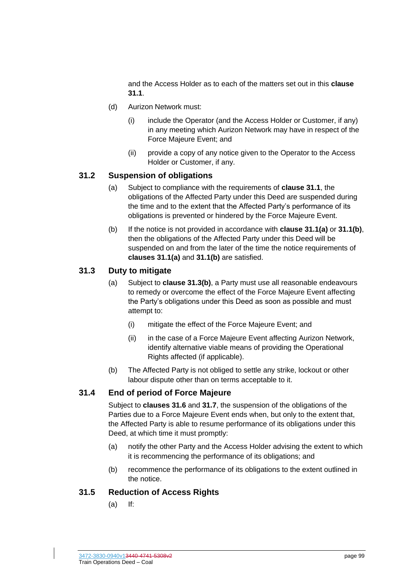and the Access Holder as to each of the matters set out in this **clause [31.1](#page-98-1)**.

- (d) Aurizon Network must:
	- (i) include the Operator (and the Access Holder or Customer, if any) in any meeting which Aurizon Network may have in respect of the Force Majeure Event; and
	- (ii) provide a copy of any notice given to the Operator to the Access Holder or Customer, if any.

## **31.2 Suspension of obligations**

- (a) Subject to compliance with the requirements of **clause [31.1](#page-98-1)**, the obligations of the Affected Party under this Deed are suspended during the time and to the extent that the Affected Party's performance of its obligations is prevented or hindered by the Force Majeure Event.
- (b) If the notice is not provided in accordance with **clause [31.1\(a\)](#page-98-0)** or **[31.1\(b\)](#page-98-2)**, then the obligations of the Affected Party under this Deed will be suspended on and from the later of the time the notice requirements of **clauses [31.1\(a\)](#page-98-0)** and **[31.1\(b\)](#page-98-2)** are satisfied.

#### **31.3 Duty to mitigate**

- (a) Subject to **clause [31.3\(b\)](#page-99-0)**, a Party must use all reasonable endeavours to remedy or overcome the effect of the Force Majeure Event affecting the Party's obligations under this Deed as soon as possible and must attempt to:
	- (i) mitigate the effect of the Force Majeure Event; and
	- (ii) in the case of a Force Majeure Event affecting Aurizon Network, identify alternative viable means of providing the Operational Rights affected (if applicable).
- (b) The Affected Party is not obliged to settle any strike, lockout or other labour dispute other than on terms acceptable to it.

## <span id="page-99-2"></span><span id="page-99-0"></span>**31.4 End of period of Force Majeure**

Subject to **clauses [31.6](#page-101-0)** and **[31.7](#page-101-1)**, the suspension of the obligations of the Parties due to a Force Majeure Event ends when, but only to the extent that, the Affected Party is able to resume performance of its obligations under this Deed, at which time it must promptly:

- (a) notify the other Party and the Access Holder advising the extent to which it is recommencing the performance of its obligations; and
- (b) recommence the performance of its obligations to the extent outlined in the notice.

## <span id="page-99-3"></span><span id="page-99-1"></span>**31.5 Reduction of Access Rights**

(a) If: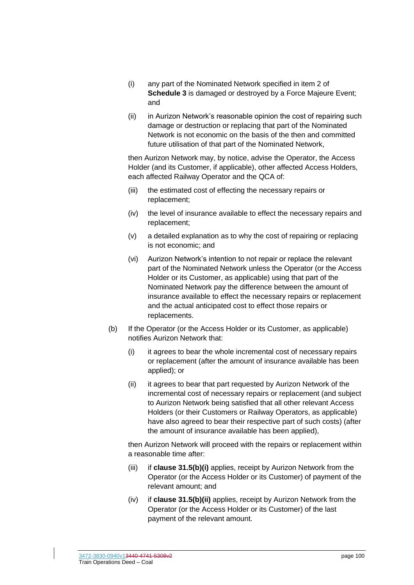- (i) any part of the Nominated Network specified in item [2](#page-128-0) of **Schedule [3](#page-128-1)** is damaged or destroyed by a Force Majeure Event; and
- (ii) in Aurizon Network's reasonable opinion the cost of repairing such damage or destruction or replacing that part of the Nominated Network is not economic on the basis of the then and committed future utilisation of that part of the Nominated Network,

then Aurizon Network may, by notice, advise the Operator, the Access Holder (and its Customer, if applicable), other affected Access Holders, each affected Railway Operator and the QCA of:

- (iii) the estimated cost of effecting the necessary repairs or replacement;
- (iv) the level of insurance available to effect the necessary repairs and replacement;
- (v) a detailed explanation as to why the cost of repairing or replacing is not economic; and
- (vi) Aurizon Network's intention to not repair or replace the relevant part of the Nominated Network unless the Operator (or the Access Holder or its Customer, as applicable) using that part of the Nominated Network pay the difference between the amount of insurance available to effect the necessary repairs or replacement and the actual anticipated cost to effect those repairs or replacements.
- <span id="page-100-2"></span><span id="page-100-1"></span><span id="page-100-0"></span>(b) If the Operator (or the Access Holder or its Customer, as applicable) notifies Aurizon Network that:
	- (i) it agrees to bear the whole incremental cost of necessary repairs or replacement (after the amount of insurance available has been applied); or
	- (ii) it agrees to bear that part requested by Aurizon Network of the incremental cost of necessary repairs or replacement (and subject to Aurizon Network being satisfied that all other relevant Access Holders (or their Customers or Railway Operators, as applicable) have also agreed to bear their respective part of such costs) (after the amount of insurance available has been applied),

then Aurizon Network will proceed with the repairs or replacement within a reasonable time after:

- (iii) if **clause [31.5\(b\)\(i\)](#page-100-0)** applies, receipt by Aurizon Network from the Operator (or the Access Holder or its Customer) of payment of the relevant amount; and
- (iv) if **clause [31.5\(b\)\(ii\)](#page-100-1)** applies, receipt by Aurizon Network from the Operator (or the Access Holder or its Customer) of the last payment of the relevant amount.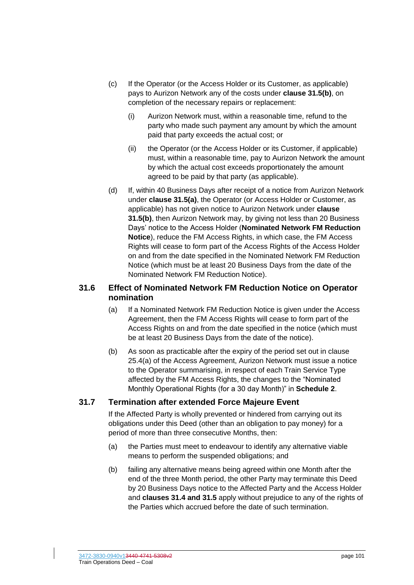- (c) If the Operator (or the Access Holder or its Customer, as applicable) pays to Aurizon Network any of the costs under **clause [31.5\(b\)](#page-100-2)**, on completion of the necessary repairs or replacement:
	- (i) Aurizon Network must, within a reasonable time, refund to the party who made such payment any amount by which the amount paid that party exceeds the actual cost; or
	- (ii) the Operator (or the Access Holder or its Customer, if applicable) must, within a reasonable time, pay to Aurizon Network the amount by which the actual cost exceeds proportionately the amount agreed to be paid by that party (as applicable).
- (d) If, within 40 Business Days after receipt of a notice from Aurizon Network under **clause [31.5\(a\)](#page-99-1)**, the Operator (or Access Holder or Customer, as applicable) has not given notice to Aurizon Network under **clause [31.5\(b\)](#page-100-2)**, then Aurizon Network may, by giving not less than 20 Business Days' notice to the Access Holder (**Nominated Network FM Reduction Notice**), reduce the FM Access Rights, in which case, the FM Access Rights will cease to form part of the Access Rights of the Access Holder on and from the date specified in the Nominated Network FM Reduction Notice (which must be at least 20 Business Days from the date of the Nominated Network FM Reduction Notice).

## <span id="page-101-0"></span>**31.6 Effect of Nominated Network FM Reduction Notice on Operator nomination**

- (a) If a Nominated Network FM Reduction Notice is given under the Access Agreement, then the FM Access Rights will cease to form part of the Access Rights on and from the date specified in the notice (which must be at least 20 Business Days from the date of the notice).
- (b) As soon as practicable after the expiry of the period set out in clause 25.4(a) of the Access Agreement, Aurizon Network must issue a notice to the Operator summarising, in respect of each Train Service Type affected by the FM Access Rights, the changes to the "Nominated Monthly Operational Rights (for a 30 day Month)" in **Schedule [2](#page-121-0)**.

#### <span id="page-101-1"></span>**31.7 Termination after extended Force Majeure Event**

If the Affected Party is wholly prevented or hindered from carrying out its obligations under this Deed (other than an obligation to pay money) for a period of more than three consecutive Months, then:

- (a) the Parties must meet to endeavour to identify any alternative viable means to perform the suspended obligations; and
- (b) failing any alternative means being agreed within one Month after the end of the three Month period, the other Party may terminate this Deed by 20 Business Days notice to the Affected Party and the Access Holder and **clauses [31.4](#page-99-2) and [31.5](#page-99-3)** apply without prejudice to any of the rights of the Parties which accrued before the date of such termination.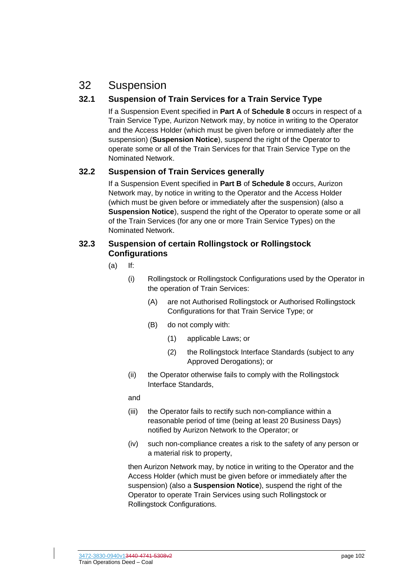# <span id="page-102-3"></span>32 Suspension

## <span id="page-102-0"></span>**32.1 Suspension of Train Services for a Train Service Type**

If a Suspension Event specified in **Part A** of **Schedule [8](#page-137-0)** occurs in respect of a Train Service Type, Aurizon Network may, by notice in writing to the Operator and the Access Holder (which must be given before or immediately after the suspension) (**Suspension Notice**), suspend the right of the Operator to operate some or all of the Train Services for that Train Service Type on the Nominated Network.

## <span id="page-102-1"></span>**32.2 Suspension of Train Services generally**

If a Suspension Event specified in **Part B** of **Schedule [8](#page-137-0)** occurs, Aurizon Network may, by notice in writing to the Operator and the Access Holder (which must be given before or immediately after the suspension) (also a **Suspension Notice**), suspend the right of the Operator to operate some or all of the Train Services (for any one or more Train Service Types) on the Nominated Network.

#### <span id="page-102-2"></span>**32.3 Suspension of certain Rollingstock or Rollingstock Configurations**

- (a) If:
	- (i) Rollingstock or Rollingstock Configurations used by the Operator in the operation of Train Services:
		- (A) are not Authorised Rollingstock or Authorised Rollingstock Configurations for that Train Service Type; or
		- (B) do not comply with:
			- (1) applicable Laws; or
			- (2) the Rollingstock Interface Standards (subject to any Approved Derogations); or
	- (ii) the Operator otherwise fails to comply with the Rollingstock Interface Standards,

#### and

- (iii) the Operator fails to rectify such non-compliance within a reasonable period of time (being at least 20 Business Days) notified by Aurizon Network to the Operator; or
- (iv) such non-compliance creates a risk to the safety of any person or a material risk to property,

then Aurizon Network may, by notice in writing to the Operator and the Access Holder (which must be given before or immediately after the suspension) (also a **Suspension Notice**), suspend the right of the Operator to operate Train Services using such Rollingstock or Rollingstock Configurations.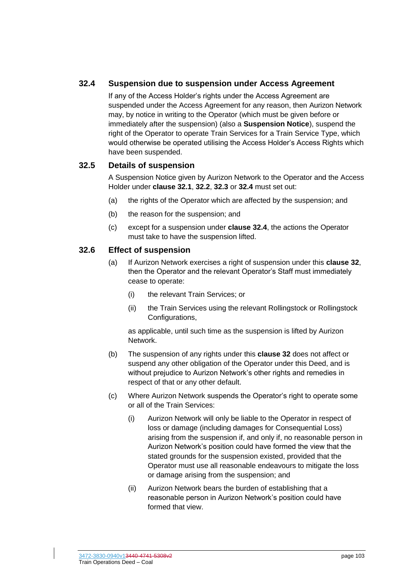## <span id="page-103-1"></span>**32.4 Suspension due to suspension under Access Agreement**

If any of the Access Holder's rights under the Access Agreement are suspended under the Access Agreement for any reason, then Aurizon Network may, by notice in writing to the Operator (which must be given before or immediately after the suspension) (also a **Suspension Notice**), suspend the right of the Operator to operate Train Services for a Train Service Type, which would otherwise be operated utilising the Access Holder's Access Rights which have been suspended.

#### **32.5 Details of suspension**

A Suspension Notice given by Aurizon Network to the Operator and the Access Holder under **clause [32.1](#page-102-0)**, **[32.2](#page-102-1)**, **[32.3](#page-102-2)** or **[32.4](#page-103-1)** must set out:

- (a) the rights of the Operator which are affected by the suspension; and
- (b) the reason for the suspension; and
- (c) except for a suspension under **clause [32.4](#page-103-1)**, the actions the Operator must take to have the suspension lifted.

#### **32.6 Effect of suspension**

- (a) If Aurizon Network exercises a right of suspension under this **clause [32](#page-102-3)**, then the Operator and the relevant Operator's Staff must immediately cease to operate:
	- (i) the relevant Train Services; or
	- (ii) the Train Services using the relevant Rollingstock or Rollingstock Configurations,

as applicable, until such time as the suspension is lifted by Aurizon Network.

- (b) The suspension of any rights under this **clause [32](#page-102-3)** does not affect or suspend any other obligation of the Operator under this Deed, and is without prejudice to Aurizon Network's other rights and remedies in respect of that or any other default.
- <span id="page-103-0"></span>(c) Where Aurizon Network suspends the Operator's right to operate some or all of the Train Services:
	- (i) Aurizon Network will only be liable to the Operator in respect of loss or damage (including damages for Consequential Loss) arising from the suspension if, and only if, no reasonable person in Aurizon Network's position could have formed the view that the stated grounds for the suspension existed, provided that the Operator must use all reasonable endeavours to mitigate the loss or damage arising from the suspension; and
	- (ii) Aurizon Network bears the burden of establishing that a reasonable person in Aurizon Network's position could have formed that view.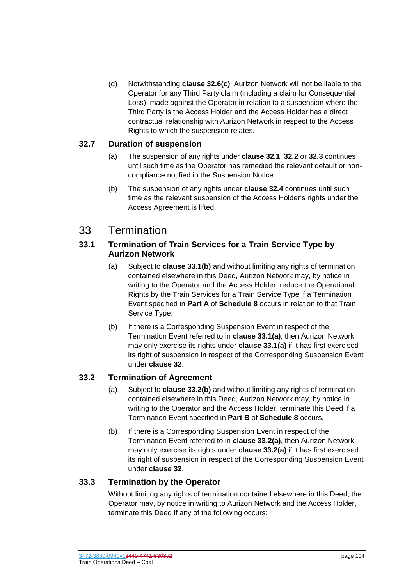(d) Notwithstanding **clause [32.6\(c\)](#page-103-0)**, Aurizon Network will not be liable to the Operator for any Third Party claim (including a claim for Consequential Loss), made against the Operator in relation to a suspension where the Third Party is the Access Holder and the Access Holder has a direct contractual relationship with Aurizon Network in respect to the Access Rights to which the suspension relates.

#### **32.7 Duration of suspension**

- (a) The suspension of any rights under **clause [32.1](#page-102-0)**, **[32.2](#page-102-1)** or **[32.3](#page-102-2)** continues until such time as the Operator has remedied the relevant default or noncompliance notified in the Suspension Notice.
- (b) The suspension of any rights under **clause [32.4](#page-103-1)** continues until such time as the relevant suspension of the Access Holder's rights under the Access Agreement is lifted.

## <span id="page-104-7"></span>33 Termination

#### <span id="page-104-4"></span><span id="page-104-1"></span>**33.1 Termination of Train Services for a Train Service Type by Aurizon Network**

- (a) Subject to **clause [33.1\(b\)](#page-104-0)** and without limiting any rights of termination contained elsewhere in this Deed, Aurizon Network may, by notice in writing to the Operator and the Access Holder, reduce the Operational Rights by the Train Services for a Train Service Type if a Termination Event specified in **Part A** of **Schedule [8](#page-137-0)** occurs in relation to that Train Service Type.
- <span id="page-104-0"></span>(b) If there is a Corresponding Suspension Event in respect of the Termination Event referred to in **clause [33.1\(a\)](#page-104-1)**, then Aurizon Network may only exercise its rights under **clause [33.1\(a\)](#page-104-1)** if it has first exercised its right of suspension in respect of the Corresponding Suspension Event under **clause [32](#page-102-3)**.

#### <span id="page-104-5"></span><span id="page-104-3"></span>**33.2 Termination of Agreement**

- (a) Subject to **clause [33.2\(b\)](#page-104-2)** and without limiting any rights of termination contained elsewhere in this Deed, Aurizon Network may, by notice in writing to the Operator and the Access Holder, terminate this Deed if a Termination Event specified in **Part B** of **Schedule [8](#page-137-0)** occurs.
- <span id="page-104-2"></span>(b) If there is a Corresponding Suspension Event in respect of the Termination Event referred to in **clause [33.2\(a\)](#page-104-3)**, then Aurizon Network may only exercise its rights under **claus[e 33.2\(a\)](#page-104-3)** if it has first exercised its right of suspension in respect of the Corresponding Suspension Event under **clause [32](#page-102-3)**.

#### <span id="page-104-6"></span>**33.3 Termination by the Operator**

Without limiting any rights of termination contained elsewhere in this Deed, the Operator may, by notice in writing to Aurizon Network and the Access Holder, terminate this Deed if any of the following occurs: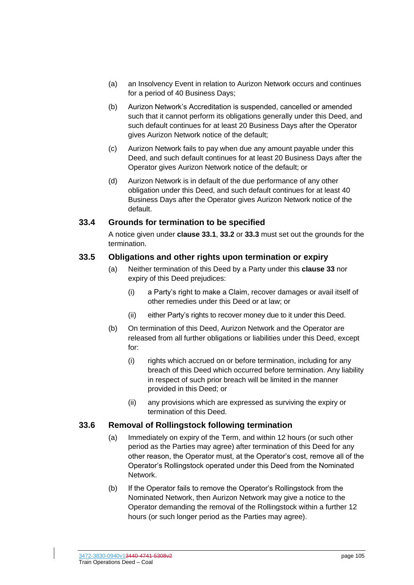- (a) an Insolvency Event in relation to Aurizon Network occurs and continues for a period of 40 Business Days;
- (b) Aurizon Network's Accreditation is suspended, cancelled or amended such that it cannot perform its obligations generally under this Deed, and such default continues for at least 20 Business Days after the Operator gives Aurizon Network notice of the default;
- (c) Aurizon Network fails to pay when due any amount payable under this Deed, and such default continues for at least 20 Business Days after the Operator gives Aurizon Network notice of the default; or
- (d) Aurizon Network is in default of the due performance of any other obligation under this Deed, and such default continues for at least 40 Business Days after the Operator gives Aurizon Network notice of the default.

#### **33.4 Grounds for termination to be specified**

A notice given under **clause [33.1](#page-104-4)**, **[33.2](#page-104-5)** or **[33.3](#page-104-6)** must set out the grounds for the termination.

#### **33.5 Obligations and other rights upon termination or expiry**

- (a) Neither termination of this Deed by a Party under this **clause [33](#page-104-7)** nor expiry of this Deed prejudices:
	- (i) a Party's right to make a Claim, recover damages or avail itself of other remedies under this Deed or at law; or
	- (ii) either Party's rights to recover money due to it under this Deed.
- (b) On termination of this Deed, Aurizon Network and the Operator are released from all further obligations or liabilities under this Deed, except for:
	- (i) rights which accrued on or before termination, including for any breach of this Deed which occurred before termination. Any liability in respect of such prior breach will be limited in the manner provided in this Deed; or
	- (ii) any provisions which are expressed as surviving the expiry or termination of this Deed.

#### <span id="page-105-1"></span>**33.6 Removal of Rollingstock following termination**

- (a) Immediately on expiry of the Term, and within 12 hours (or such other period as the Parties may agree) after termination of this Deed for any other reason, the Operator must, at the Operator's cost, remove all of the Operator's Rollingstock operated under this Deed from the Nominated Network.
- <span id="page-105-0"></span>(b) If the Operator fails to remove the Operator's Rollingstock from the Nominated Network, then Aurizon Network may give a notice to the Operator demanding the removal of the Rollingstock within a further 12 hours (or such longer period as the Parties may agree).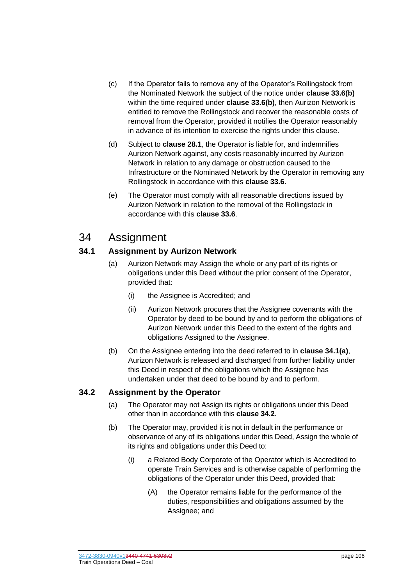- (c) If the Operator fails to remove any of the Operator's Rollingstock from the Nominated Network the subject of the notice under **clause [33.6\(b\)](#page-105-0)** within the time required under **clause [33.6\(b\)](#page-105-0)**, then Aurizon Network is entitled to remove the Rollingstock and recover the reasonable costs of removal from the Operator, provided it notifies the Operator reasonably in advance of its intention to exercise the rights under this clause.
- (d) Subject to **clause [28.1](#page-87-1)**, the Operator is liable for, and indemnifies Aurizon Network against, any costs reasonably incurred by Aurizon Network in relation to any damage or obstruction caused to the Infrastructure or the Nominated Network by the Operator in removing any Rollingstock in accordance with this **clause [33.6](#page-105-1)**.
- (e) The Operator must comply with all reasonable directions issued by Aurizon Network in relation to the removal of the Rollingstock in accordance with this **clause [33.6](#page-105-1)**.

# 34 Assignment

## <span id="page-106-0"></span>**34.1 Assignment by Aurizon Network**

- (a) Aurizon Network may Assign the whole or any part of its rights or obligations under this Deed without the prior consent of the Operator, provided that:
	- (i) the Assignee is Accredited; and
	- (ii) Aurizon Network procures that the Assignee covenants with the Operator by deed to be bound by and to perform the obligations of Aurizon Network under this Deed to the extent of the rights and obligations Assigned to the Assignee.
- (b) On the Assignee entering into the deed referred to in **clause [34.1\(a\)](#page-106-0)**, Aurizon Network is released and discharged from further liability under this Deed in respect of the obligations which the Assignee has undertaken under that deed to be bound by and to perform.

## <span id="page-106-1"></span>**34.2 Assignment by the Operator**

- (a) The Operator may not Assign its rights or obligations under this Deed other than in accordance with this **clause [34.2](#page-106-1)**.
- (b) The Operator may, provided it is not in default in the performance or observance of any of its obligations under this Deed, Assign the whole of its rights and obligations under this Deed to:
	- (i) a Related Body Corporate of the Operator which is Accredited to operate Train Services and is otherwise capable of performing the obligations of the Operator under this Deed, provided that:
		- (A) the Operator remains liable for the performance of the duties, responsibilities and obligations assumed by the Assignee; and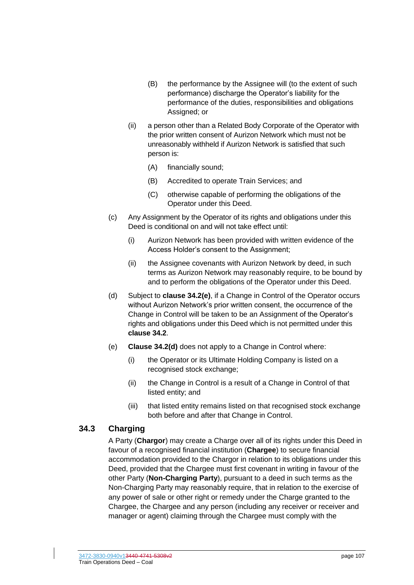- (B) the performance by the Assignee will (to the extent of such performance) discharge the Operator's liability for the performance of the duties, responsibilities and obligations Assigned; or
- (ii) a person other than a Related Body Corporate of the Operator with the prior written consent of Aurizon Network which must not be unreasonably withheld if Aurizon Network is satisfied that such person is:
	- (A) financially sound;
	- (B) Accredited to operate Train Services; and
	- (C) otherwise capable of performing the obligations of the Operator under this Deed.
- (c) Any Assignment by the Operator of its rights and obligations under this Deed is conditional on and will not take effect until:
	- (i) Aurizon Network has been provided with written evidence of the Access Holder's consent to the Assignment;
	- (ii) the Assignee covenants with Aurizon Network by deed, in such terms as Aurizon Network may reasonably require, to be bound by and to perform the obligations of the Operator under this Deed.
- <span id="page-107-1"></span>(d) Subject to **clause [34.2\(e\)](#page-107-0)**, if a Change in Control of the Operator occurs without Aurizon Network's prior written consent, the occurrence of the Change in Control will be taken to be an Assignment of the Operator's rights and obligations under this Deed which is not permitted under this **clause [34.2](#page-106-1)**.
- <span id="page-107-0"></span>(e) **Clause [34.2\(d\)](#page-107-1)** does not apply to a Change in Control where:
	- (i) the Operator or its Ultimate Holding Company is listed on a recognised stock exchange;
	- (ii) the Change in Control is a result of a Change in Control of that listed entity; and
	- (iii) that listed entity remains listed on that recognised stock exchange both before and after that Change in Control.

#### **34.3 Charging**

A Party (**Chargor**) may create a Charge over all of its rights under this Deed in favour of a recognised financial institution (**Chargee**) to secure financial accommodation provided to the Chargor in relation to its obligations under this Deed, provided that the Chargee must first covenant in writing in favour of the other Party (**Non-Charging Party**), pursuant to a deed in such terms as the Non-Charging Party may reasonably require, that in relation to the exercise of any power of sale or other right or remedy under the Charge granted to the Chargee, the Chargee and any person (including any receiver or receiver and manager or agent) claiming through the Chargee must comply with the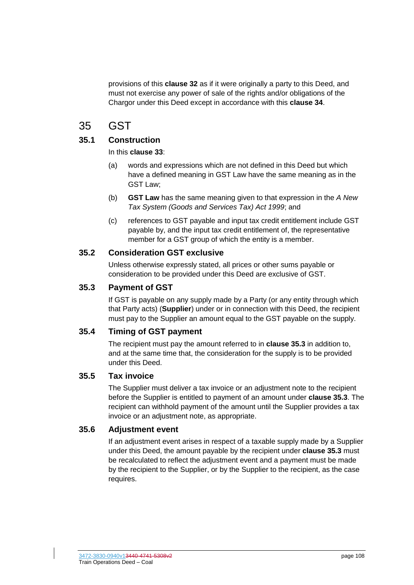provisions of this **clause [32](#page-102-0)** as if it were originally a party to this Deed, and must not exercise any power of sale of the rights and/or obligations of the Chargor under this Deed except in accordance with this **clause [34](#page-106-0)**.

### <span id="page-108-1"></span>35 GST

### **35.1 Construction**

In this **clause [33](#page-104-0)**:

- (a) words and expressions which are not defined in this Deed but which have a defined meaning in GST Law have the same meaning as in the GST Law;
- (b) **GST Law** has the same meaning given to that expression in the *A New Tax System (Goods and Services Tax) Act 1999*; and
- (c) references to GST payable and input tax credit entitlement include GST payable by, and the input tax credit entitlement of, the representative member for a GST group of which the entity is a member.

### **35.2 Consideration GST exclusive**

Unless otherwise expressly stated, all prices or other sums payable or consideration to be provided under this Deed are exclusive of GST.

### <span id="page-108-0"></span>**35.3 Payment of GST**

If GST is payable on any supply made by a Party (or any entity through which that Party acts) (**Supplier**) under or in connection with this Deed, the recipient must pay to the Supplier an amount equal to the GST payable on the supply.

### **35.4 Timing of GST payment**

The recipient must pay the amount referred to in **clause [35.3](#page-108-0)** in addition to, and at the same time that, the consideration for the supply is to be provided under this Deed.

### **35.5 Tax invoice**

The Supplier must deliver a tax invoice or an adjustment note to the recipient before the Supplier is entitled to payment of an amount under **clause [35.3](#page-108-0)**. The recipient can withhold payment of the amount until the Supplier provides a tax invoice or an adjustment note, as appropriate.

### **35.6 Adjustment event**

If an adjustment event arises in respect of a taxable supply made by a Supplier under this Deed, the amount payable by the recipient under **clause [35.3](#page-108-0)** must be recalculated to reflect the adjustment event and a payment must be made by the recipient to the Supplier, or by the Supplier to the recipient, as the case requires.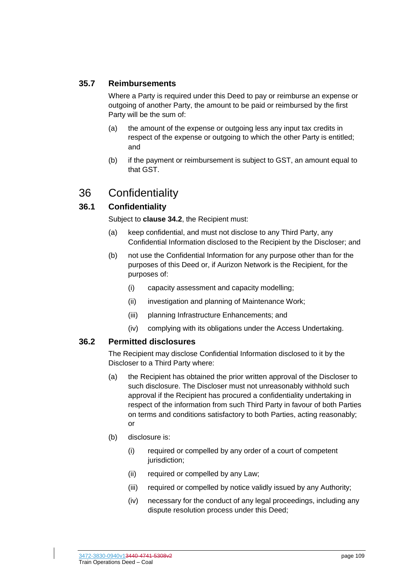#### **35.7 Reimbursements**

Where a Party is required under this Deed to pay or reimburse an expense or outgoing of another Party, the amount to be paid or reimbursed by the first Party will be the sum of:

- (a) the amount of the expense or outgoing less any input tax credits in respect of the expense or outgoing to which the other Party is entitled; and
- (b) if the payment or reimbursement is subject to GST, an amount equal to that GST.

### <span id="page-109-0"></span>36 Confidentiality

### **36.1 Confidentiality**

Subject to **clause [34.2](#page-106-1)**, the Recipient must:

- (a) keep confidential, and must not disclose to any Third Party, any Confidential Information disclosed to the Recipient by the Discloser; and
- (b) not use the Confidential Information for any purpose other than for the purposes of this Deed or, if Aurizon Network is the Recipient, for the purposes of:
	- (i) capacity assessment and capacity modelling;
	- (ii) investigation and planning of Maintenance Work;
	- (iii) planning Infrastructure Enhancements; and
	- (iv) complying with its obligations under the Access Undertaking.

#### **36.2 Permitted disclosures**

The Recipient may disclose Confidential Information disclosed to it by the Discloser to a Third Party where:

- (a) the Recipient has obtained the prior written approval of the Discloser to such disclosure. The Discloser must not unreasonably withhold such approval if the Recipient has procured a confidentiality undertaking in respect of the information from such Third Party in favour of both Parties on terms and conditions satisfactory to both Parties, acting reasonably; or
- (b) disclosure is:
	- (i) required or compelled by any order of a court of competent jurisdiction;
	- (ii) required or compelled by any Law;
	- (iii) required or compelled by notice validly issued by any Authority;
	- (iv) necessary for the conduct of any legal proceedings, including any dispute resolution process under this Deed;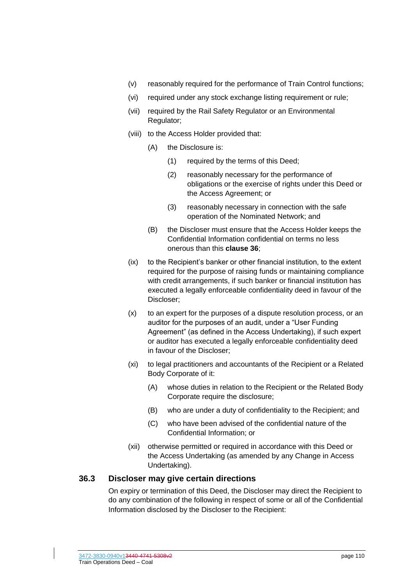- (v) reasonably required for the performance of Train Control functions;
- (vi) required under any stock exchange listing requirement or rule;
- (vii) required by the Rail Safety Regulator or an Environmental Regulator;
- (viii) to the Access Holder provided that:
	- (A) the Disclosure is:
		- (1) required by the terms of this Deed;
		- (2) reasonably necessary for the performance of obligations or the exercise of rights under this Deed or the Access Agreement; or
		- (3) reasonably necessary in connection with the safe operation of the Nominated Network; and
	- (B) the Discloser must ensure that the Access Holder keeps the Confidential Information confidential on terms no less onerous than this **clause [36](#page-109-0)**;
- (ix) to the Recipient's banker or other financial institution, to the extent required for the purpose of raising funds or maintaining compliance with credit arrangements, if such banker or financial institution has executed a legally enforceable confidentiality deed in favour of the Discloser;
- (x) to an expert for the purposes of a dispute resolution process, or an auditor for the purposes of an audit, under a "User Funding Agreement" (as defined in the Access Undertaking), if such expert or auditor has executed a legally enforceable confidentiality deed in favour of the Discloser;
- (xi) to legal practitioners and accountants of the Recipient or a Related Body Corporate of it:
	- (A) whose duties in relation to the Recipient or the Related Body Corporate require the disclosure;
	- (B) who are under a duty of confidentiality to the Recipient; and
	- (C) who have been advised of the confidential nature of the Confidential Information; or
- (xii) otherwise permitted or required in accordance with this Deed or the Access Undertaking (as amended by any Change in Access Undertaking).

#### <span id="page-110-0"></span>**36.3 Discloser may give certain directions**

On expiry or termination of this Deed, the Discloser may direct the Recipient to do any combination of the following in respect of some or all of the Confidential Information disclosed by the Discloser to the Recipient: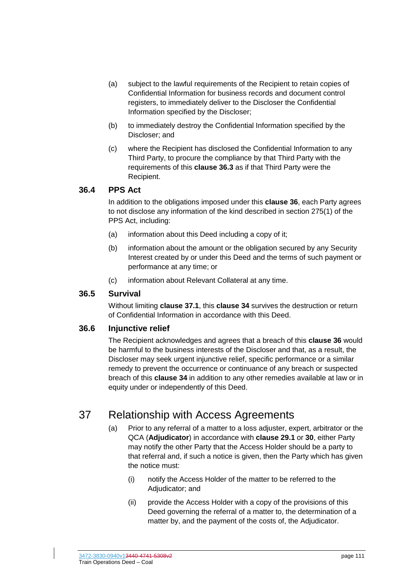- (a) subject to the lawful requirements of the Recipient to retain copies of Confidential Information for business records and document control registers, to immediately deliver to the Discloser the Confidential Information specified by the Discloser;
- (b) to immediately destroy the Confidential Information specified by the Discloser; and
- (c) where the Recipient has disclosed the Confidential Information to any Third Party, to procure the compliance by that Third Party with the requirements of this **clause [36.3](#page-110-0)** as if that Third Party were the Recipient.

#### **36.4 PPS Act**

In addition to the obligations imposed under this **clause [36](#page-109-0)**, each Party agrees to not disclose any information of the kind described in section 275(1) of the PPS Act, including:

- (a) information about this Deed including a copy of it;
- (b) information about the amount or the obligation secured by any Security Interest created by or under this Deed and the terms of such payment or performance at any time; or
- (c) information about Relevant Collateral at any time.

#### <span id="page-111-1"></span>**36.5 Survival**

Without limiting **clause 37.1**, this **clause [34](#page-106-0)** survives the destruction or return of Confidential Information in accordance with this Deed.

#### **36.6 Injunctive relief**

The Recipient acknowledges and agrees that a breach of this **clause [36](#page-109-0)** would be harmful to the business interests of the Discloser and that, as a result, the Discloser may seek urgent injunctive relief, specific performance or a similar remedy to prevent the occurrence or continuance of any breach or suspected breach of this **clause [34](#page-106-0)** in addition to any other remedies available at law or in equity under or independently of this Deed.

### <span id="page-111-0"></span>37 Relationship with Access Agreements

- (a) Prior to any referral of a matter to a loss adjuster, expert, arbitrator or the QCA (**Adjudicator**) in accordance with **clause [29.1](#page-91-0)** or **[30](#page-94-0)**, either Party may notify the other Party that the Access Holder should be a party to that referral and, if such a notice is given, then the Party which has given the notice must:
	- (i) notify the Access Holder of the matter to be referred to the Adjudicator; and
	- (ii) provide the Access Holder with a copy of the provisions of this Deed governing the referral of a matter to, the determination of a matter by, and the payment of the costs of, the Adjudicator.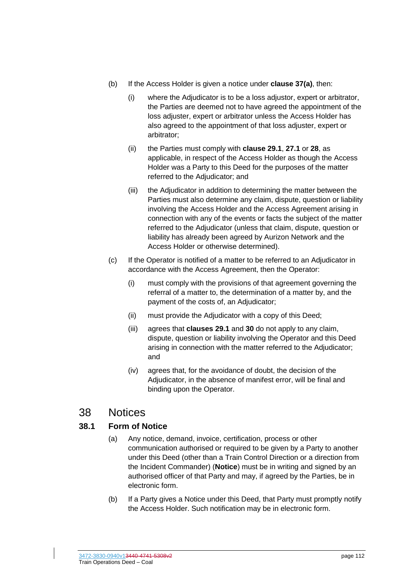- (b) If the Access Holder is given a notice under **clause [37\(a\)](#page-111-0)**, then:
	- (i) where the Adjudicator is to be a loss adjustor, expert or arbitrator, the Parties are deemed not to have agreed the appointment of the loss adjuster, expert or arbitrator unless the Access Holder has also agreed to the appointment of that loss adjuster, expert or arbitrator;
	- (ii) the Parties must comply with **clause [29.1](#page-91-0)**, **[27.1](#page-86-0)** or **[28](#page-87-0)**, as applicable, in respect of the Access Holder as though the Access Holder was a Party to this Deed for the purposes of the matter referred to the Adjudicator; and
	- (iii) the Adjudicator in addition to determining the matter between the Parties must also determine any claim, dispute, question or liability involving the Access Holder and the Access Agreement arising in connection with any of the events or facts the subject of the matter referred to the Adjudicator (unless that claim, dispute, question or liability has already been agreed by Aurizon Network and the Access Holder or otherwise determined).
- (c) If the Operator is notified of a matter to be referred to an Adjudicator in accordance with the Access Agreement, then the Operator:
	- (i) must comply with the provisions of that agreement governing the referral of a matter to, the determination of a matter by, and the payment of the costs of, an Adjudicator;
	- (ii) must provide the Adjudicator with a copy of this Deed;
	- (iii) agrees that **clauses [29.1](#page-91-0)** and **[30](#page-94-0)** do not apply to any claim, dispute, question or liability involving the Operator and this Deed arising in connection with the matter referred to the Adjudicator; and
	- (iv) agrees that, for the avoidance of doubt, the decision of the Adjudicator, in the absence of manifest error, will be final and binding upon the Operator.

### <span id="page-112-0"></span>38 Notices

### **38.1 Form of Notice**

- (a) Any notice, demand, invoice, certification, process or other communication authorised or required to be given by a Party to another under this Deed (other than a Train Control Direction or a direction from the Incident Commander) (**Notice**) must be in writing and signed by an authorised officer of that Party and may, if agreed by the Parties, be in electronic form.
- (b) If a Party gives a Notice under this Deed, that Party must promptly notify the Access Holder. Such notification may be in electronic form.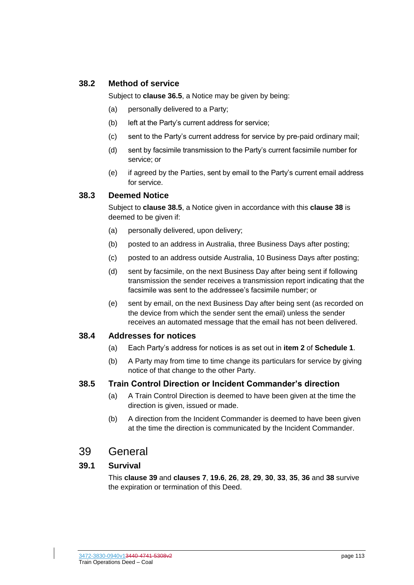#### **38.2 Method of service**

Subject to **clause [36.5](#page-111-1)**, a Notice may be given by being:

- (a) personally delivered to a Party;
- (b) left at the Party's current address for service;
- (c) sent to the Party's current address for service by pre-paid ordinary mail;
- (d) sent by facsimile transmission to the Party's current facsimile number for service; or
- (e) if agreed by the Parties, sent by email to the Party's current email address for service.

#### **38.3 Deemed Notice**

Subject to **clause [38.5](#page-113-0)**, a Notice given in accordance with this **clause [38](#page-112-0)** is deemed to be given if:

- (a) personally delivered, upon delivery;
- (b) posted to an address in Australia, three Business Days after posting;
- (c) posted to an address outside Australia, 10 Business Days after posting;
- (d) sent by facsimile, on the next Business Day after being sent if following transmission the sender receives a transmission report indicating that the facsimile was sent to the addressee's facsimile number; or
- (e) sent by email, on the next Business Day after being sent (as recorded on the device from which the sender sent the email) unless the sender receives an automated message that the email has not been delivered.

#### **38.4 Addresses for notices**

- (a) Each Party's address for notices is as set out in **item [2](#page-120-0)** of **Schedule [1](#page-120-1)**.
- (b) A Party may from time to time change its particulars for service by giving notice of that change to the other Party.

#### <span id="page-113-0"></span>**38.5 Train Control Direction or Incident Commander's direction**

- (a) A Train Control Direction is deemed to have been given at the time the direction is given, issued or made.
- (b) A direction from the Incident Commander is deemed to have been given at the time the direction is communicated by the Incident Commander.

### <span id="page-113-1"></span>39 General

### **39.1 Survival**

This **clause [39](#page-113-1)** and **clauses [7](#page-140-0)**, **[19.6](#page-70-0)**, **[26](#page-84-0)**, **[28](#page-87-0)**, **[29](#page-91-1)**, **[30](#page-94-0)**, **[33](#page-104-0)**, **[35](#page-108-1)**, **[36](#page-109-0)** and **[38](#page-112-0)** survive the expiration or termination of this Deed.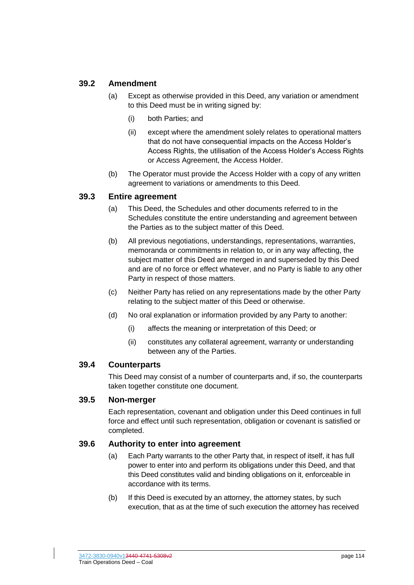#### **39.2 Amendment**

- (a) Except as otherwise provided in this Deed, any variation or amendment to this Deed must be in writing signed by:
	- (i) both Parties; and
	- (ii) except where the amendment solely relates to operational matters that do not have consequential impacts on the Access Holder's Access Rights, the utilisation of the Access Holder's Access Rights or Access Agreement, the Access Holder.
- (b) The Operator must provide the Access Holder with a copy of any written agreement to variations or amendments to this Deed.

#### **39.3 Entire agreement**

- (a) This Deed, the Schedules and other documents referred to in the Schedules constitute the entire understanding and agreement between the Parties as to the subject matter of this Deed.
- (b) All previous negotiations, understandings, representations, warranties, memoranda or commitments in relation to, or in any way affecting, the subject matter of this Deed are merged in and superseded by this Deed and are of no force or effect whatever, and no Party is liable to any other Party in respect of those matters.
- (c) Neither Party has relied on any representations made by the other Party relating to the subject matter of this Deed or otherwise.
- (d) No oral explanation or information provided by any Party to another:
	- (i) affects the meaning or interpretation of this Deed; or
	- (ii) constitutes any collateral agreement, warranty or understanding between any of the Parties.

#### **39.4 Counterparts**

This Deed may consist of a number of counterparts and, if so, the counterparts taken together constitute one document.

#### **39.5 Non-merger**

Each representation, covenant and obligation under this Deed continues in full force and effect until such representation, obligation or covenant is satisfied or completed.

#### **39.6 Authority to enter into agreement**

- (a) Each Party warrants to the other Party that, in respect of itself, it has full power to enter into and perform its obligations under this Deed, and that this Deed constitutes valid and binding obligations on it, enforceable in accordance with its terms.
- (b) If this Deed is executed by an attorney, the attorney states, by such execution, that as at the time of such execution the attorney has received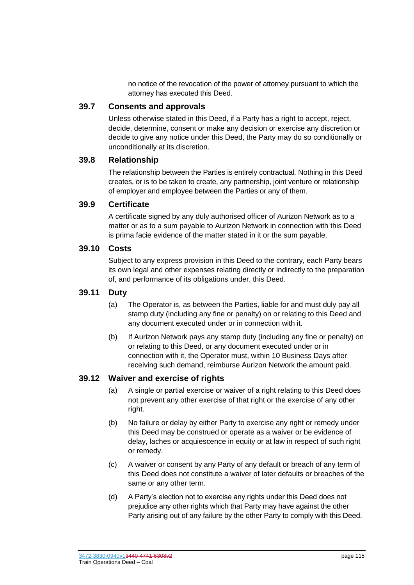no notice of the revocation of the power of attorney pursuant to which the attorney has executed this Deed.

#### **39.7 Consents and approvals**

Unless otherwise stated in this Deed, if a Party has a right to accept, reject, decide, determine, consent or make any decision or exercise any discretion or decide to give any notice under this Deed, the Party may do so conditionally or unconditionally at its discretion.

#### **39.8 Relationship**

The relationship between the Parties is entirely contractual. Nothing in this Deed creates, or is to be taken to create, any partnership, joint venture or relationship of employer and employee between the Parties or any of them.

#### **39.9 Certificate**

A certificate signed by any duly authorised officer of Aurizon Network as to a matter or as to a sum payable to Aurizon Network in connection with this Deed is prima facie evidence of the matter stated in it or the sum payable.

#### **39.10 Costs**

Subject to any express provision in this Deed to the contrary, each Party bears its own legal and other expenses relating directly or indirectly to the preparation of, and performance of its obligations under, this Deed.

#### **39.11 Duty**

- (a) The Operator is, as between the Parties, liable for and must duly pay all stamp duty (including any fine or penalty) on or relating to this Deed and any document executed under or in connection with it.
- (b) If Aurizon Network pays any stamp duty (including any fine or penalty) on or relating to this Deed, or any document executed under or in connection with it, the Operator must, within 10 Business Days after receiving such demand, reimburse Aurizon Network the amount paid.

#### **39.12 Waiver and exercise of rights**

- (a) A single or partial exercise or waiver of a right relating to this Deed does not prevent any other exercise of that right or the exercise of any other right.
- (b) No failure or delay by either Party to exercise any right or remedy under this Deed may be construed or operate as a waiver or be evidence of delay, laches or acquiescence in equity or at law in respect of such right or remedy.
- (c) A waiver or consent by any Party of any default or breach of any term of this Deed does not constitute a waiver of later defaults or breaches of the same or any other term.
- (d) A Party's election not to exercise any rights under this Deed does not prejudice any other rights which that Party may have against the other Party arising out of any failure by the other Party to comply with this Deed.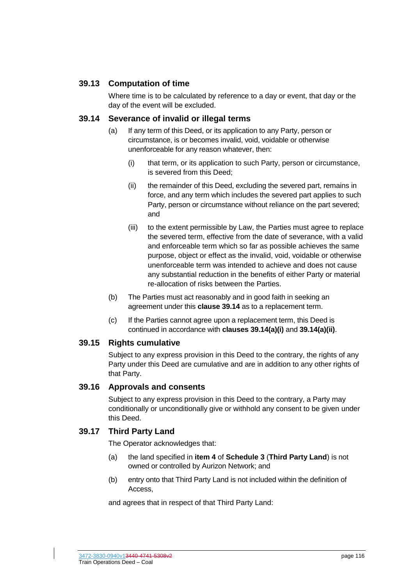#### **39.13 Computation of time**

Where time is to be calculated by reference to a day or event, that day or the day of the event will be excluded.

#### <span id="page-116-1"></span><span id="page-116-0"></span>**39.14 Severance of invalid or illegal terms**

- <span id="page-116-2"></span>(a) If any term of this Deed, or its application to any Party, person or circumstance, is or becomes invalid, void, voidable or otherwise unenforceable for any reason whatever, then:
	- (i) that term, or its application to such Party, person or circumstance, is severed from this Deed;
	- (ii) the remainder of this Deed, excluding the severed part, remains in force, and any term which includes the severed part applies to such Party, person or circumstance without reliance on the part severed; and
	- (iii) to the extent permissible by Law, the Parties must agree to replace the severed term, effective from the date of severance, with a valid and enforceable term which so far as possible achieves the same purpose, object or effect as the invalid, void, voidable or otherwise unenforceable term was intended to achieve and does not cause any substantial reduction in the benefits of either Party or material re-allocation of risks between the Parties.
- (b) The Parties must act reasonably and in good faith in seeking an agreement under this **clause [39.14](#page-116-0)** as to a replacement term.
- (c) If the Parties cannot agree upon a replacement term, this Deed is continued in accordance with **clauses [39.14\(a\)\(i\)](#page-116-1)** and **[39.14\(a\)\(ii\)](#page-116-2)**.

#### **39.15 Rights cumulative**

Subject to any express provision in this Deed to the contrary, the rights of any Party under this Deed are cumulative and are in addition to any other rights of that Party.

#### **39.16 Approvals and consents**

Subject to any express provision in this Deed to the contrary, a Party may conditionally or unconditionally give or withhold any consent to be given under this Deed.

#### **39.17 Third Party Land**

The Operator acknowledges that:

- (a) the land specified in **item [4](#page-128-0)** of **Schedule [3](#page-128-1)** (**Third Party Land**) is not owned or controlled by Aurizon Network; and
- (b) entry onto that Third Party Land is not included within the definition of Access,

and agrees that in respect of that Third Party Land: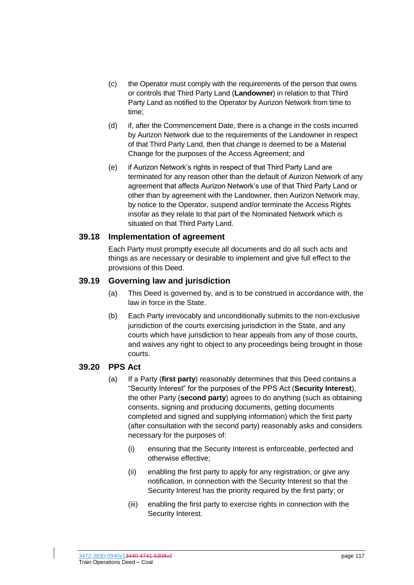- (c) the Operator must comply with the requirements of the person that owns or controls that Third Party Land (**Landowner**) in relation to that Third Party Land as notified to the Operator by Aurizon Network from time to time;
- (d) if, after the Commencement Date, there is a change in the costs incurred by Aurizon Network due to the requirements of the Landowner in respect of that Third Party Land, then that change is deemed to be a Material Change for the purposes of the Access Agreement; and
- (e) if Aurizon Network's rights in respect of that Third Party Land are terminated for any reason other than the default of Aurizon Network of any agreement that affects Aurizon Network's use of that Third Party Land or other than by agreement with the Landowner, then Aurizon Network may, by notice to the Operator, suspend and/or terminate the Access Rights insofar as they relate to that part of the Nominated Network which is situated on that Third Party Land.

#### **39.18 Implementation of agreement**

Each Party must promptly execute all documents and do all such acts and things as are necessary or desirable to implement and give full effect to the provisions of this Deed.

#### **39.19 Governing law and jurisdiction**

- (a) This Deed is governed by, and is to be construed in accordance with, the law in force in the State.
- (b) Each Party irrevocably and unconditionally submits to the non-exclusive jurisdiction of the courts exercising jurisdiction in the State, and any courts which have jurisdiction to hear appeals from any of those courts, and waives any right to object to any proceedings being brought in those courts.

#### **39.20 PPS Act**

- (a) If a Party (**first party**) reasonably determines that this Deed contains a "Security Interest" for the purposes of the PPS Act (**Security Interest**), the other Party (**second party**) agrees to do anything (such as obtaining consents, signing and producing documents, getting documents completed and signed and supplying information) which the first party (after consultation with the second party) reasonably asks and considers necessary for the purposes of:
	- (i) ensuring that the Security Interest is enforceable, perfected and otherwise effective;
	- (ii) enabling the first party to apply for any registration, or give any notification, in connection with the Security Interest so that the Security Interest has the priority required by the first party; or
	- (iii) enabling the first party to exercise rights in connection with the Security Interest.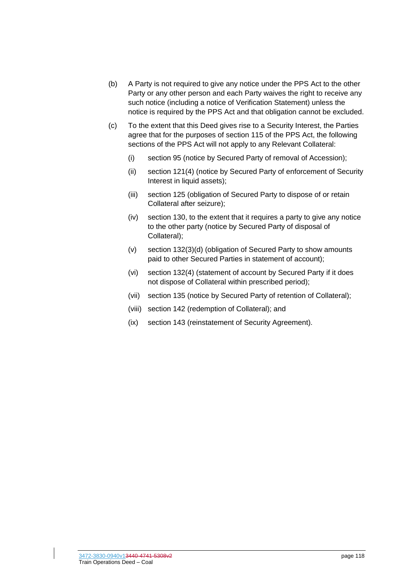- (b) A Party is not required to give any notice under the PPS Act to the other Party or any other person and each Party waives the right to receive any such notice (including a notice of Verification Statement) unless the notice is required by the PPS Act and that obligation cannot be excluded.
- (c) To the extent that this Deed gives rise to a Security Interest, the Parties agree that for the purposes of section 115 of the PPS Act, the following sections of the PPS Act will not apply to any Relevant Collateral:
	- (i) section 95 (notice by Secured Party of removal of Accession);
	- (ii) section 121(4) (notice by Secured Party of enforcement of Security Interest in liquid assets);
	- (iii) section 125 (obligation of Secured Party to dispose of or retain Collateral after seizure);
	- (iv) section 130, to the extent that it requires a party to give any notice to the other party (notice by Secured Party of disposal of Collateral);
	- (v) section 132(3)(d) (obligation of Secured Party to show amounts paid to other Secured Parties in statement of account);
	- (vi) section 132(4) (statement of account by Secured Party if it does not dispose of Collateral within prescribed period);
	- (vii) section 135 (notice by Secured Party of retention of Collateral);
	- (viii) section 142 (redemption of Collateral); and
	- (ix) section 143 (reinstatement of Security Agreement).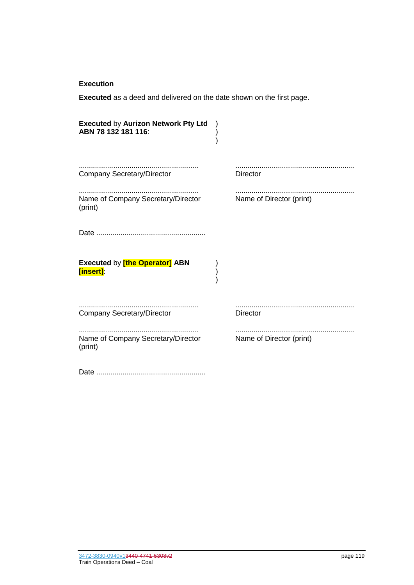#### **Execution**

**Executed** as a deed and delivered on the date shown on the first page.

| <b>Executed by Aurizon Network Pty Ltd</b><br>ABN 78 132 181 116: |                          |
|-------------------------------------------------------------------|--------------------------|
| <b>Company Secretary/Director</b>                                 | <b>Director</b>          |
| Name of Company Secretary/Director<br>(print)                     | Name of Director (print) |
|                                                                   |                          |
| <b>Executed by [the Operator] ABN</b><br>[insert]:                |                          |
| <b>Company Secretary/Director</b>                                 | <b>Director</b>          |
| Name of Company Secretary/Director<br>(print)                     | Name of Director (print) |
| Date.                                                             |                          |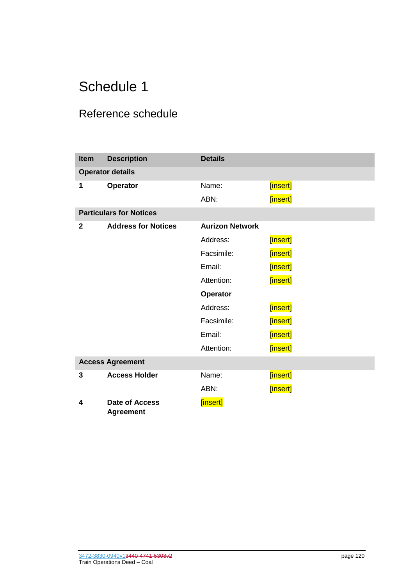### <span id="page-120-1"></span>Reference schedule

<span id="page-120-0"></span>

| <b>Item</b>  | <b>Description</b>                 | <b>Details</b>         |          |
|--------------|------------------------------------|------------------------|----------|
|              | <b>Operator details</b>            |                        |          |
| 1            | Operator                           | Name:                  | [insert] |
|              |                                    | ABN:                   | [insert] |
|              | <b>Particulars for Notices</b>     |                        |          |
| $\mathbf{2}$ | <b>Address for Notices</b>         | <b>Aurizon Network</b> |          |
|              |                                    | Address:               | [insert] |
|              |                                    | Facsimile:             | [insert] |
|              |                                    | Email:                 | [insert] |
|              |                                    | Attention:             | [insert] |
|              |                                    | Operator               |          |
|              |                                    | Address:               | [insert] |
|              |                                    | Facsimile:             | [insert] |
|              |                                    | Email:                 | [insert] |
|              |                                    | Attention:             | [insert] |
|              | <b>Access Agreement</b>            |                        |          |
| 3            | <b>Access Holder</b>               | Name:                  | [insert] |
|              |                                    | ABN:                   | [insert] |
| 4            | Date of Access<br><b>Agreement</b> | [insert]               |          |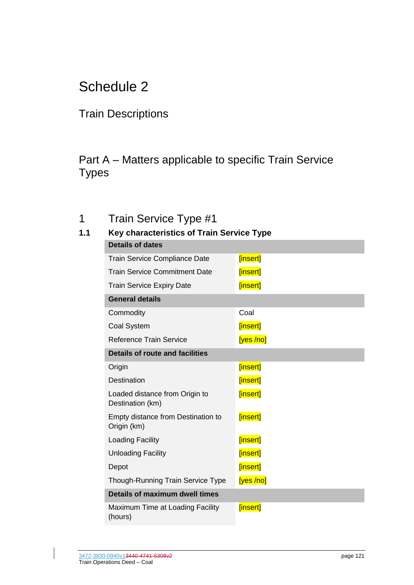### <span id="page-121-0"></span>Train Descriptions

### Part A – Matters applicable to specific Train Service Types

# 1 Train Service Type #1

| 1.1 | <b>Key characteristics of Train Service Type</b>   |           |
|-----|----------------------------------------------------|-----------|
|     | <b>Details of dates</b>                            |           |
|     | <b>Train Service Compliance Date</b>               | [insert]  |
|     | <b>Train Service Commitment Date</b>               | [insert]  |
|     | <b>Train Service Expiry Date</b>                   | [insert]  |
|     | <b>General details</b>                             |           |
|     | Commodity                                          | Coal      |
|     | Coal System                                        | [insert]  |
|     | Reference Train Service                            | [yes /no] |
|     | <b>Details of route and facilities</b>             |           |
|     | Origin                                             | [insert]  |
|     | <b>Destination</b>                                 | [insert]  |
|     | Loaded distance from Origin to<br>Destination (km) | [insert]  |
|     | Empty distance from Destination to<br>Origin (km)  | [insert]  |
|     | <b>Loading Facility</b>                            | [insert]  |
|     | <b>Unloading Facility</b>                          | [insert]  |
|     | Depot                                              | [insert]  |
|     | Though-Running Train Service Type                  | [yes /no] |
|     | Details of maximum dwell times                     |           |
|     | Maximum Time at Loading Facility<br>(hours)        | [insert]  |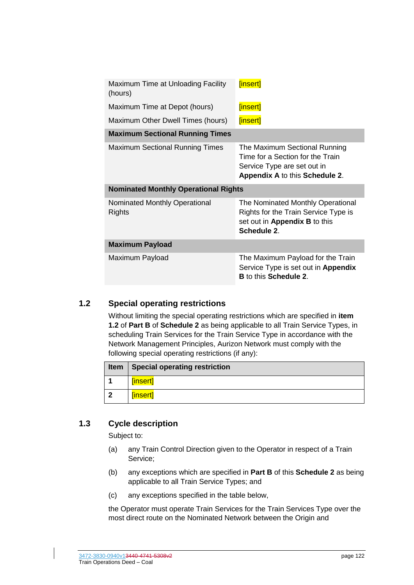| Maximum Time at Unloading Facility<br>(hours) | [insert]                                                                                                                           |  |  |
|-----------------------------------------------|------------------------------------------------------------------------------------------------------------------------------------|--|--|
| Maximum Time at Depot (hours)                 | [insert]                                                                                                                           |  |  |
| Maximum Other Dwell Times (hours)             | [insert]                                                                                                                           |  |  |
| <b>Maximum Sectional Running Times</b>        |                                                                                                                                    |  |  |
| <b>Maximum Sectional Running Times</b>        | The Maximum Sectional Running<br>Time for a Section for the Train<br>Service Type are set out in<br>Appendix A to this Schedule 2. |  |  |
| <b>Nominated Monthly Operational Rights</b>   |                                                                                                                                    |  |  |
| Nominated Monthly Operational<br>Rights       | The Nominated Monthly Operational<br>Rights for the Train Service Type is<br>set out in Appendix B to this<br>Schedule 2.          |  |  |
| <b>Maximum Payload</b>                        |                                                                                                                                    |  |  |
| Maximum Payload                               | The Maximum Payload for the Train<br>Service Type is set out in Appendix<br><b>B</b> to this <b>Schedule 2.</b>                    |  |  |

### <span id="page-122-0"></span>**1.2 Special operating restrictions**

Without limiting the special operating restrictions which are specified in **item [1.2](#page-124-0)** of **Part B** of **Schedule [2](#page-121-0)** as being applicable to all Train Service Types, in scheduling Train Services for the Train Service Type in accordance with the Network Management Principles, Aurizon Network must comply with the following special operating restrictions (if any):

|                | Item   Special operating restriction |
|----------------|--------------------------------------|
|                | [insert]                             |
| $\overline{2}$ | [insert]                             |

### **1.3 Cycle description**

Subject to:

- (a) any Train Control Direction given to the Operator in respect of a Train Service;
- (b) any exceptions which are specified in **Part B** of this **Schedule [2](#page-121-0)** as being applicable to all Train Service Types; and
- (c) any exceptions specified in the table below,

the Operator must operate Train Services for the Train Services Type over the most direct route on the Nominated Network between the Origin and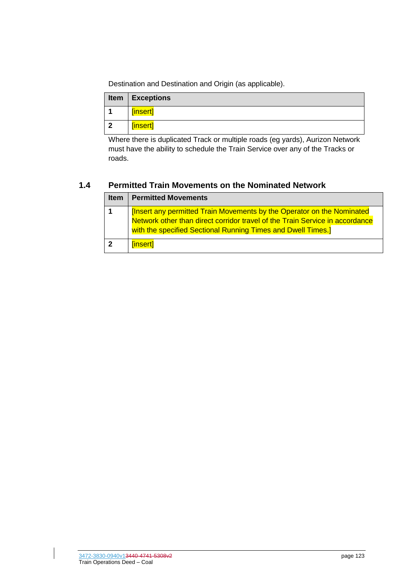Destination and Destination and Origin (as applicable).

|                | Item $ $ Exceptions |
|----------------|---------------------|
| 1              | [insert]            |
| $\overline{2}$ | [insert]            |

Where there is duplicated Track or multiple roads (eg yards), Aurizon Network must have the ability to schedule the Train Service over any of the Tracks or roads.

### **1.4 Permitted Train Movements on the Nominated Network**

| <b>Item</b>    | <b>Permitted Movements</b>                                                                                                                                                                                             |
|----------------|------------------------------------------------------------------------------------------------------------------------------------------------------------------------------------------------------------------------|
| $\mathbf 1$    | [Insert any permitted Train Movements by the Operator on the Nominated<br>Network other than direct corridor travel of the Train Service in accordance<br>with the specified Sectional Running Times and Dwell Times.] |
| $\overline{2}$ | [insert]                                                                                                                                                                                                               |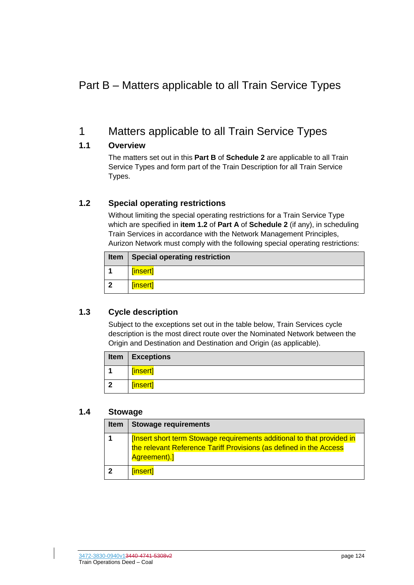### Part B – Matters applicable to all Train Service Types

### 1 Matters applicable to all Train Service Types

#### **1.1 Overview**

The matters set out in this **Part B** of **Schedule [2](#page-121-0)** are applicable to all Train Service Types and form part of the Train Description for all Train Service Types.

### <span id="page-124-0"></span>**1.2 Special operating restrictions**

Without limiting the special operating restrictions for a Train Service Type which are specified in **item [1.2](#page-122-0)** of **Part A** of **Schedule [2](#page-121-0)** (if any), in scheduling Train Services in accordance with the Network Management Principles, Aurizon Network must comply with the following special operating restrictions:

| Item                 | Special operating restriction |
|----------------------|-------------------------------|
| $\blacktriangleleft$ | [insert]                      |
| $\overline{2}$       | [insert]                      |

### **1.3 Cycle description**

Subject to the exceptions set out in the table below, Train Services cycle description is the most direct route over the Nominated Network between the Origin and Destination and Destination and Origin (as applicable).

| Item           | <b>Exceptions</b> |
|----------------|-------------------|
| -1             | [insert]          |
| $\overline{2}$ | [insert]          |

#### **1.4 Stowage**

| <b>Item</b> | <b>Stowage requirements</b>                                                                                                                                  |
|-------------|--------------------------------------------------------------------------------------------------------------------------------------------------------------|
|             | [Insert short term Stowage requirements additional to that provided in<br>the relevant Reference Tariff Provisions (as defined in the Access<br>Agreement).] |
| -2          | [insert]                                                                                                                                                     |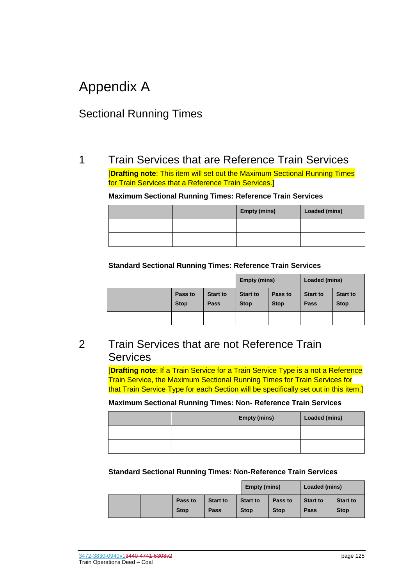## Appendix A

### Sectional Running Times

### 1 Train Services that are Reference Train Services

[**Drafting note**: This item will set out the Maximum Sectional Running Times for Train Services that a Reference Train Services.]

#### **Maximum Sectional Running Times: Reference Train Services**

|  | <b>Empty (mins)</b> | Loaded (mins) |
|--|---------------------|---------------|
|  |                     |               |
|  |                     |               |

#### **Standard Sectional Running Times: Reference Train Services**

|  |  |                        | <b>Empty (mins)</b>     |                                | Loaded (mins)          |                         |                                |
|--|--|------------------------|-------------------------|--------------------------------|------------------------|-------------------------|--------------------------------|
|  |  | Pass to<br><b>Stop</b> | <b>Start to</b><br>Pass | <b>Start to</b><br><b>Stop</b> | Pass to<br><b>Stop</b> | <b>Start to</b><br>Pass | <b>Start to</b><br><b>Stop</b> |
|  |  |                        |                         |                                |                        |                         |                                |

### 2 Train Services that are not Reference Train **Services**

[**Drafting note**: If a Train Service for a Train Service Type is a not a Reference Train Service, the Maximum Sectional Running Times for Train Services for that Train Service Type for each Section will be specifically set out in this item.]

#### **Maximum Sectional Running Times: Non- Reference Train Services**

|  | <b>Empty (mins)</b> | Loaded (mins) |
|--|---------------------|---------------|
|  |                     |               |
|  |                     |               |

#### **Standard Sectional Running Times: Non-Reference Train Services**

|  |                        |                         | <b>Empty (mins)</b>            |                        | Loaded (mins)                  |                                |
|--|------------------------|-------------------------|--------------------------------|------------------------|--------------------------------|--------------------------------|
|  | Pass to<br><b>Stop</b> | <b>Start to</b><br>Pass | <b>Start to</b><br><b>Stop</b> | Pass to<br><b>Stop</b> | <b>Start to</b><br><b>Pass</b> | <b>Start to</b><br><b>Stop</b> |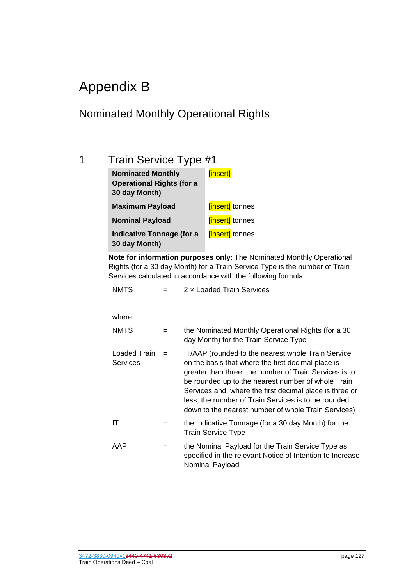## Appendix B

### Nominated Monthly Operational Rights

### 1 Train Service Type #1

| <b>Nominated Monthly</b><br><b>Operational Rights (for a</b><br>30 day Month) | [insert]              |
|-------------------------------------------------------------------------------|-----------------------|
| <b>Maximum Payload</b>                                                        | <b>finsert</b> tonnes |
| <b>Nominal Payload</b>                                                        | <b>finsert</b> tonnes |
| <b>Indicative Tonnage (for a</b><br>30 day Month)                             | <b>finsert</b> tonnes |

**Note for information purposes only**: The Nominated Monthly Operational Rights (for a 30 day Month) for a Train Service Type is the number of Train Services calculated in accordance with the following formula:

| <b>NMTS</b> | 2 x Loaded Train Services |
|-------------|---------------------------|
|-------------|---------------------------|

#### where:

| <b>NMTS</b>                            | $=$ | the Nominated Monthly Operational Rights (for a 30<br>day Month) for the Train Service Type                                                                                                                                                                                                                                                                                                       |
|----------------------------------------|-----|---------------------------------------------------------------------------------------------------------------------------------------------------------------------------------------------------------------------------------------------------------------------------------------------------------------------------------------------------------------------------------------------------|
| <b>Loaded Train</b><br><b>Services</b> | $=$ | IT/AAP (rounded to the nearest whole Train Service<br>on the basis that where the first decimal place is<br>greater than three, the number of Train Services is to<br>be rounded up to the nearest number of whole Train<br>Services and, where the first decimal place is three or<br>less, the number of Train Services is to be rounded<br>down to the nearest number of whole Train Services) |
| ΙT                                     |     | the Indicative Tonnage (for a 30 day Month) for the<br><b>Train Service Type</b>                                                                                                                                                                                                                                                                                                                  |
| AAP                                    | =   | the Nominal Payload for the Train Service Type as<br>specified in the relevant Notice of Intention to Increase<br>Nominal Payload                                                                                                                                                                                                                                                                 |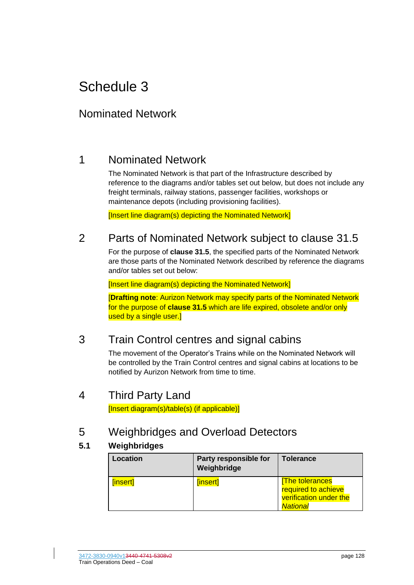### <span id="page-128-1"></span>Nominated Network

### 1 Nominated Network

The Nominated Network is that part of the Infrastructure described by reference to the diagrams and/or tables set out below, but does not include any freight terminals, railway stations, passenger facilities, workshops or maintenance depots (including provisioning facilities).

[Insert line diagram(s) depicting the Nominated Network]

### 2 Parts of Nominated Network subject to clause [31.5](#page-99-0)

For the purpose of **clause [31.5](#page-99-0)**, the specified parts of the Nominated Network are those parts of the Nominated Network described by reference the diagrams and/or tables set out below:

[Insert line diagram(s) depicting the Nominated Network]

[**Drafting note**: Aurizon Network may specify parts of the Nominated Network for the purpose of **clause [31.5](#page-99-0)** which are life expired, obsolete and/or only used by a single user.]

### 3 Train Control centres and signal cabins

The movement of the Operator's Trains while on the Nominated Network will be controlled by the Train Control centres and signal cabins at locations to be notified by Aurizon Network from time to time.

### <span id="page-128-0"></span>4 Third Party Land

[Insert diagram(s)/table(s) (if applicable)]

### 5 Weighbridges and Overload Detectors

### **5.1 Weighbridges**

| Location | Party responsible for<br>Weighbridge | <b>Tolerance</b>                                                                   |
|----------|--------------------------------------|------------------------------------------------------------------------------------|
| [insert] | [insert]                             | <b>The tolerances</b><br>required to achieve<br>verification under the<br>National |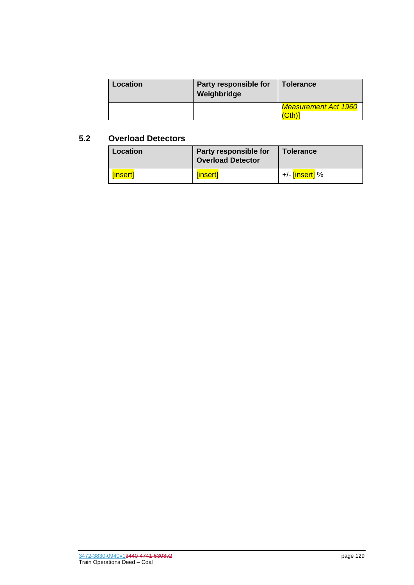| Location | Party responsible for<br>Weighbridge | <b>Tolerance</b>                          |
|----------|--------------------------------------|-------------------------------------------|
|          |                                      | <b>Measurement Act 1960</b><br><b>Cth</b> |

#### **5.2 Overload Detectors**

| Location | Party responsible for<br><b>Overload Detector</b> | Tolerance                   |
|----------|---------------------------------------------------|-----------------------------|
| [insert] | [insert]                                          | +/- <mark>[insert]</mark> % |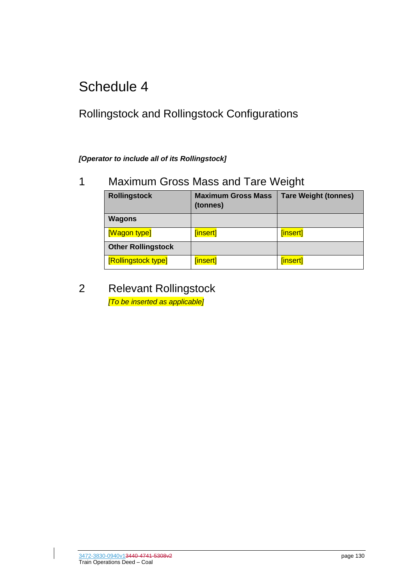### Rollingstock and Rollingstock Configurations

*[Operator to include all of its Rollingstock]*

### 1 Maximum Gross Mass and Tare Weight

| <b>Rollingstock</b>       | <b>Maximum Gross Mass</b><br>(tonnes) | <b>Tare Weight (tonnes)</b> |
|---------------------------|---------------------------------------|-----------------------------|
| <b>Wagons</b>             |                                       |                             |
| [Wagon type]              | [insert]                              | [insert]                    |
| <b>Other Rollingstock</b> |                                       |                             |
| [Rollingstock type]       | [insert]                              | [insert]                    |

2 Relevant Rollingstock *[To be inserted as applicable]*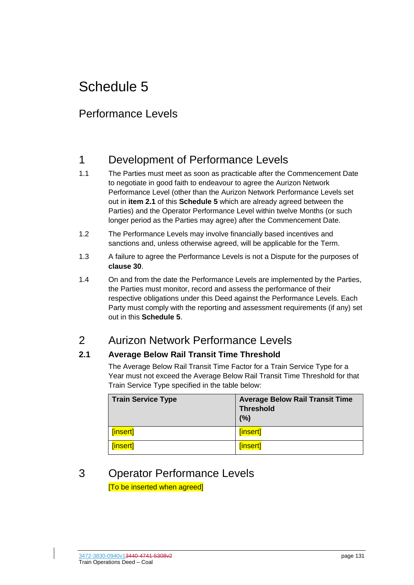### <span id="page-131-1"></span>Performance Levels

### 1 Development of Performance Levels

- 1.1 The Parties must meet as soon as practicable after the Commencement Date to negotiate in good faith to endeavour to agree the Aurizon Network Performance Level (other than the Aurizon Network Performance Levels set out in **item [2.1](#page-131-0)** of this **Schedule [5](#page-131-1)** which are already agreed between the Parties) and the Operator Performance Level within twelve Months (or such longer period as the Parties may agree) after the Commencement Date.
- 1.2 The Performance Levels may involve financially based incentives and sanctions and, unless otherwise agreed, will be applicable for the Term.
- 1.3 A failure to agree the Performance Levels is not a Dispute for the purposes of **clause [30](#page-94-0)**.
- 1.4 On and from the date the Performance Levels are implemented by the Parties, the Parties must monitor, record and assess the performance of their respective obligations under this Deed against the Performance Levels. Each Party must comply with the reporting and assessment requirements (if any) set out in this **Schedule [5](#page-131-1)**.

### 2 Aurizon Network Performance Levels

### <span id="page-131-0"></span>**2.1 Average Below Rail Transit Time Threshold**

The Average Below Rail Transit Time Factor for a Train Service Type for a Year must not exceed the Average Below Rail Transit Time Threshold for that Train Service Type specified in the table below:

| <b>Train Service Type</b> | <b>Average Below Rail Transit Time</b><br><b>Threshold</b><br>(%) |
|---------------------------|-------------------------------------------------------------------|
| [insert]                  | [insert]                                                          |
| [insert]                  | [insert]                                                          |

### 3 Operator Performance Levels [To be inserted when agreed]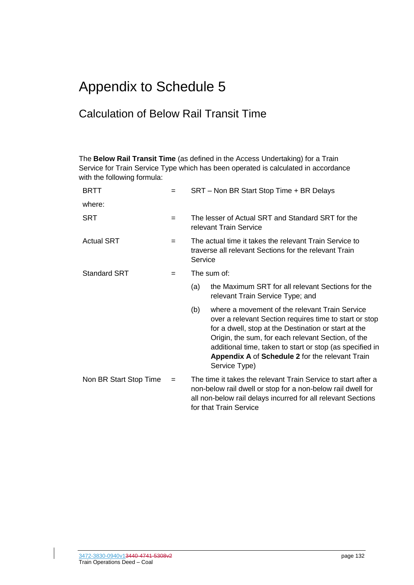## Appendix to Schedule [5](#page-131-1)

### Calculation of Below Rail Transit Time

The **Below Rail Transit Time** (as defined in the Access Undertaking) for a Train Service for Train Service Type which has been operated is calculated in accordance with the following formula:

| <b>BRTT</b>            | $=$ | SRT - Non BR Start Stop Time + BR Delays                                                                                                                                                                               |                                                                                                                                                                                                                                                                                                                                                        |
|------------------------|-----|------------------------------------------------------------------------------------------------------------------------------------------------------------------------------------------------------------------------|--------------------------------------------------------------------------------------------------------------------------------------------------------------------------------------------------------------------------------------------------------------------------------------------------------------------------------------------------------|
| where:                 |     |                                                                                                                                                                                                                        |                                                                                                                                                                                                                                                                                                                                                        |
| <b>SRT</b>             | $=$ | The lesser of Actual SRT and Standard SRT for the<br>relevant Train Service                                                                                                                                            |                                                                                                                                                                                                                                                                                                                                                        |
| <b>Actual SRT</b>      | =   | The actual time it takes the relevant Train Service to<br>traverse all relevant Sections for the relevant Train<br>Service                                                                                             |                                                                                                                                                                                                                                                                                                                                                        |
| <b>Standard SRT</b>    | =   |                                                                                                                                                                                                                        | The sum of:                                                                                                                                                                                                                                                                                                                                            |
|                        |     | (a)                                                                                                                                                                                                                    | the Maximum SRT for all relevant Sections for the<br>relevant Train Service Type; and                                                                                                                                                                                                                                                                  |
|                        |     | (b)                                                                                                                                                                                                                    | where a movement of the relevant Train Service<br>over a relevant Section requires time to start or stop<br>for a dwell, stop at the Destination or start at the<br>Origin, the sum, for each relevant Section, of the<br>additional time, taken to start or stop (as specified in<br>Appendix A of Schedule 2 for the relevant Train<br>Service Type) |
| Non BR Start Stop Time | $=$ | The time it takes the relevant Train Service to start after a<br>non-below rail dwell or stop for a non-below rail dwell for<br>all non-below rail delays incurred for all relevant Sections<br>for that Train Service |                                                                                                                                                                                                                                                                                                                                                        |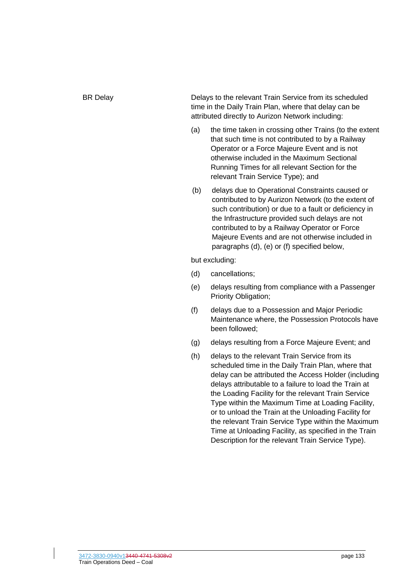BR Delay **Delays to the relevant Train Service from its scheduled** time in the Daily Train Plan, where that delay can be attributed directly to Aurizon Network including:

- (a) the time taken in crossing other Trains (to the extent that such time is not contributed to by a Railway Operator or a Force Majeure Event and is not otherwise included in the Maximum Sectional Running Times for all relevant Section for the relevant Train Service Type); and
- (b) delays due to Operational Constraints caused or contributed to by Aurizon Network (to the extent of such contribution) or due to a fault or deficiency in the Infrastructure provided such delays are not contributed to by a Railway Operator or Force Majeure Events and are not otherwise included in paragraphs [\(d\),](#page-21-0) [\(e\)](#page-21-1) or [\(f\)](#page-21-2) specified below,

but excluding:

- (d) cancellations;
- (e) delays resulting from compliance with a Passenger Priority Obligation;
- (f) delays due to a Possession and Major Periodic Maintenance where, the Possession Protocols have been followed;
- (g) delays resulting from a Force Majeure Event; and
- (h) delays to the relevant Train Service from its scheduled time in the Daily Train Plan, where that delay can be attributed the Access Holder (including delays attributable to a failure to load the Train at the Loading Facility for the relevant Train Service Type within the Maximum Time at Loading Facility, or to unload the Train at the Unloading Facility for the relevant Train Service Type within the Maximum Time at Unloading Facility, as specified in the Train Description for the relevant Train Service Type).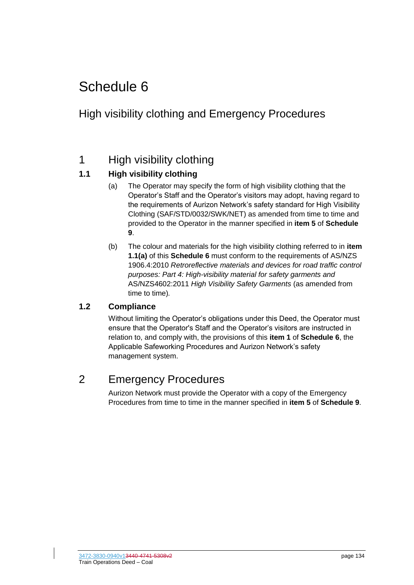### <span id="page-134-0"></span>High visibility clothing and Emergency Procedures

### <span id="page-134-1"></span>1 High visibility clothing

### **1.1 High visibility clothing**

- (a) The Operator may specify the form of high visibility clothing that the Operator's Staff and the Operator's visitors may adopt, having regard to the requirements of Aurizon Network's safety standard for High Visibility Clothing (SAF/STD/0032/SWK/NET) as amended from time to time and provided to the Operator in the manner specified in **item [5](#page-153-0)** of **Schedule [9](#page-143-0)**.
- (b) The colour and materials for the high visibility clothing referred to in **item 1.1(a)** of this **Schedule [6](#page-134-0)** must conform to the requirements of AS/NZS 1906.4:2010 *Retroreflective materials and devices for road traffic control purposes: Part 4: High-visibility material for safety garments and*  AS/NZS4602:2011 *High Visibility Safety Garments* (as amended from time to time)*.*

### **1.2 Compliance**

Without limiting the Operator's obligations under this Deed, the Operator must ensure that the Operator's Staff and the Operator's visitors are instructed in relation to, and comply with, the provisions of this **item [1](#page-134-1)** of **Schedule [6](#page-134-0)**, the Applicable Safeworking Procedures and Aurizon Network's safety management system.

### 2 Emergency Procedures

Aurizon Network must provide the Operator with a copy of the Emergency Procedures from time to time in the manner specified in **ite[m 5](#page-153-0)** of **Schedule [9](#page-143-0)**.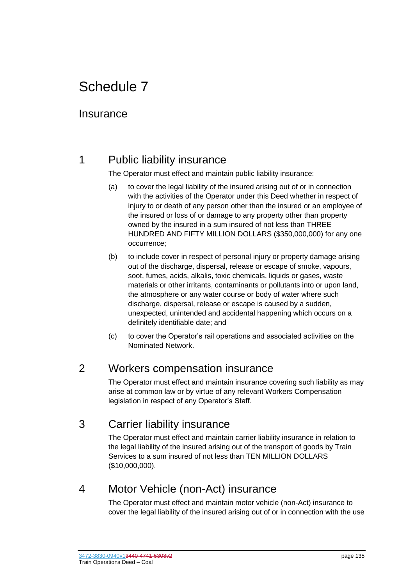### <span id="page-135-2"></span>**Insurance**

### <span id="page-135-0"></span>1 Public liability insurance

The Operator must effect and maintain public liability insurance:

- (a) to cover the legal liability of the insured arising out of or in connection with the activities of the Operator under this Deed whether in respect of injury to or death of any person other than the insured or an employee of the insured or loss of or damage to any property other than property owned by the insured in a sum insured of not less than THREE HUNDRED AND FIFTY MILLION DOLLARS (\$350,000,000) for any one occurrence;
- (b) to include cover in respect of personal injury or property damage arising out of the discharge, dispersal, release or escape of smoke, vapours, soot, fumes, acids, alkalis, toxic chemicals, liquids or gases, waste materials or other irritants, contaminants or pollutants into or upon land, the atmosphere or any water course or body of water where such discharge, dispersal, release or escape is caused by a sudden, unexpected, unintended and accidental happening which occurs on a definitely identifiable date; and
- (c) to cover the Operator's rail operations and associated activities on the Nominated Network.

### 2 Workers compensation insurance

The Operator must effect and maintain insurance covering such liability as may arise at common law or by virtue of any relevant Workers Compensation legislation in respect of any Operator's Staff.

### 3 Carrier liability insurance

The Operator must effect and maintain carrier liability insurance in relation to the legal liability of the insured arising out of the transport of goods by Train Services to a sum insured of not less than TEN MILLION DOLLARS (\$10,000,000).

### <span id="page-135-1"></span>4 Motor Vehicle (non-Act) insurance

The Operator must effect and maintain motor vehicle (non-Act) insurance to cover the legal liability of the insured arising out of or in connection with the use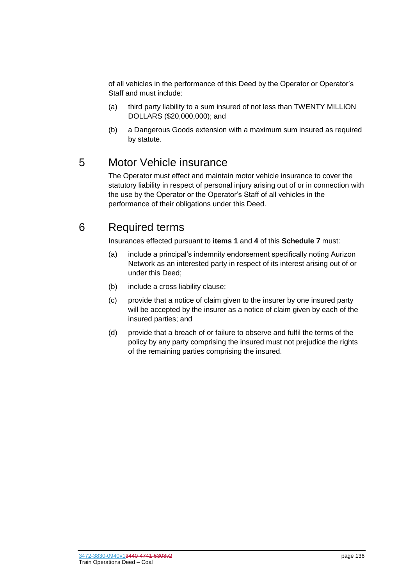of all vehicles in the performance of this Deed by the Operator or Operator's Staff and must include:

- (a) third party liability to a sum insured of not less than TWENTY MILLION DOLLARS (\$20,000,000); and
- (b) a Dangerous Goods extension with a maximum sum insured as required by statute.

### 5 Motor Vehicle insurance

The Operator must effect and maintain motor vehicle insurance to cover the statutory liability in respect of personal injury arising out of or in connection with the use by the Operator or the Operator's Staff of all vehicles in the performance of their obligations under this Deed.

### 6 Required terms

Insurances effected pursuant to **items [1](#page-135-0)** and **[4](#page-135-1)** of this **Schedule [7](#page-135-2)** must:

- (a) include a principal's indemnity endorsement specifically noting Aurizon Network as an interested party in respect of its interest arising out of or under this Deed;
- (b) include a cross liability clause;
- (c) provide that a notice of claim given to the insurer by one insured party will be accepted by the insurer as a notice of claim given by each of the insured parties; and
- (d) provide that a breach of or failure to observe and fulfil the terms of the policy by any party comprising the insured must not prejudice the rights of the remaining parties comprising the insured.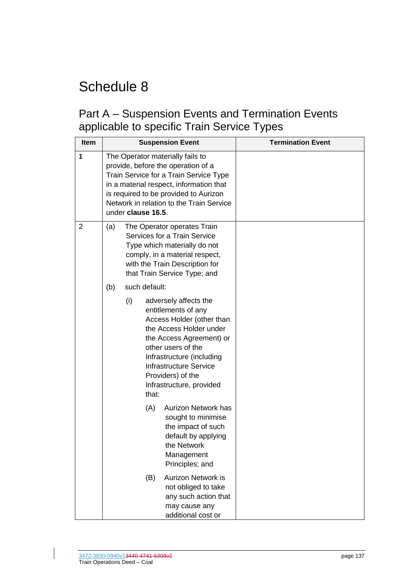### <span id="page-137-0"></span>Part A – Suspension Events and Termination Events applicable to specific Train Service Types

| <b>Item</b>    | <b>Suspension Event</b>                                                                                                                                                                                                                                                               | <b>Termination Event</b> |
|----------------|---------------------------------------------------------------------------------------------------------------------------------------------------------------------------------------------------------------------------------------------------------------------------------------|--------------------------|
| 1              | The Operator materially fails to<br>provide, before the operation of a<br>Train Service for a Train Service Type<br>in a material respect, information that<br>is required to be provided to Aurizon<br>Network in relation to the Train Service<br>under clause 16.5.                |                          |
| $\overline{2}$ | The Operator operates Train<br>(a)<br>Services for a Train Service<br>Type which materially do not<br>comply, in a material respect,<br>with the Train Description for<br>that Train Service Type; and<br>such default:<br>(b)                                                        |                          |
|                | (i)<br>adversely affects the<br>entitlements of any<br>Access Holder (other than<br>the Access Holder under<br>the Access Agreement) or<br>other users of the<br>Infrastructure (including<br><b>Infrastructure Service</b><br>Providers) of the<br>Infrastructure, provided<br>that: |                          |
|                | (A)<br><b>Aurizon Network has</b><br>sought to minimise<br>the impact of such<br>default by applying<br>the Network<br>Management<br>Principles; and                                                                                                                                  |                          |
|                | Aurizon Network is<br>(B)<br>not obliged to take<br>any such action that<br>may cause any<br>additional cost or                                                                                                                                                                       |                          |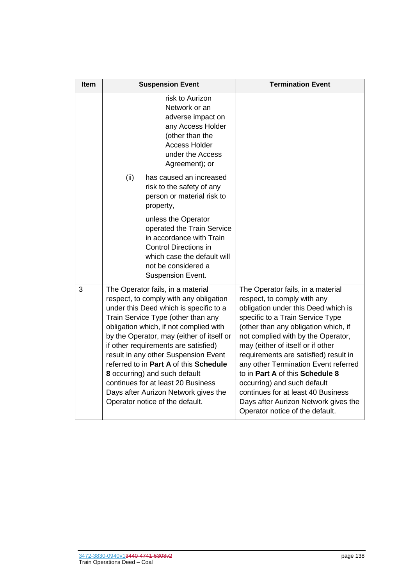| <b>Item</b> | <b>Suspension Event</b>                                                                                                                                                                                                                                                                                                                                                                                                                                                                                                        | <b>Termination Event</b>                                                                                                                                                                                                                                                                                                                                                                                                                                                                                                           |
|-------------|--------------------------------------------------------------------------------------------------------------------------------------------------------------------------------------------------------------------------------------------------------------------------------------------------------------------------------------------------------------------------------------------------------------------------------------------------------------------------------------------------------------------------------|------------------------------------------------------------------------------------------------------------------------------------------------------------------------------------------------------------------------------------------------------------------------------------------------------------------------------------------------------------------------------------------------------------------------------------------------------------------------------------------------------------------------------------|
|             | risk to Aurizon<br>Network or an<br>adverse impact on<br>any Access Holder<br>(other than the<br><b>Access Holder</b><br>under the Access<br>Agreement); or                                                                                                                                                                                                                                                                                                                                                                    |                                                                                                                                                                                                                                                                                                                                                                                                                                                                                                                                    |
|             | (ii)<br>has caused an increased<br>risk to the safety of any<br>person or material risk to<br>property,                                                                                                                                                                                                                                                                                                                                                                                                                        |                                                                                                                                                                                                                                                                                                                                                                                                                                                                                                                                    |
|             | unless the Operator<br>operated the Train Service<br>in accordance with Train<br><b>Control Directions in</b><br>which case the default will<br>not be considered a<br>Suspension Event.                                                                                                                                                                                                                                                                                                                                       |                                                                                                                                                                                                                                                                                                                                                                                                                                                                                                                                    |
| 3           | The Operator fails, in a material<br>respect, to comply with any obligation<br>under this Deed which is specific to a<br>Train Service Type (other than any<br>obligation which, if not complied with<br>by the Operator, may (either of itself or<br>if other requirements are satisfied)<br>result in any other Suspension Event<br>referred to in Part A of this Schedule<br>8 occurring) and such default<br>continues for at least 20 Business<br>Days after Aurizon Network gives the<br>Operator notice of the default. | The Operator fails, in a material<br>respect, to comply with any<br>obligation under this Deed which is<br>specific to a Train Service Type<br>(other than any obligation which, if<br>not complied with by the Operator,<br>may (either of itself or if other<br>requirements are satisfied) result in<br>any other Termination Event referred<br>to in Part A of this Schedule 8<br>occurring) and such default<br>continues for at least 40 Business<br>Days after Aurizon Network gives the<br>Operator notice of the default. |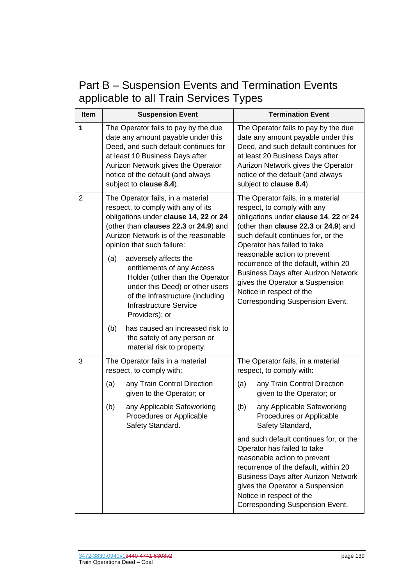Part B – Suspension Events and Termination Events applicable to all Train Services Types

| Item           | <b>Suspension Event</b>                                                                                                                                                                                                                                                                                                                                                                                                                                                                       | <b>Termination Event</b>                                                                                                                                                                                                                                                                                                                                                                                                                       |  |  |
|----------------|-----------------------------------------------------------------------------------------------------------------------------------------------------------------------------------------------------------------------------------------------------------------------------------------------------------------------------------------------------------------------------------------------------------------------------------------------------------------------------------------------|------------------------------------------------------------------------------------------------------------------------------------------------------------------------------------------------------------------------------------------------------------------------------------------------------------------------------------------------------------------------------------------------------------------------------------------------|--|--|
| 1              | The Operator fails to pay by the due<br>date any amount payable under this<br>Deed, and such default continues for<br>at least 10 Business Days after<br>Aurizon Network gives the Operator<br>notice of the default (and always<br>subject to clause 8.4).                                                                                                                                                                                                                                   | The Operator fails to pay by the due<br>date any amount payable under this<br>Deed, and such default continues for<br>at least 20 Business Days after<br>Aurizon Network gives the Operator<br>notice of the default (and always<br>subject to clause 8.4).                                                                                                                                                                                    |  |  |
| $\overline{2}$ | The Operator fails, in a material<br>respect, to comply with any of its<br>obligations under clause 14, 22 or 24<br>(other than clauses 22.3 or 24.9) and<br>Aurizon Network is of the reasonable<br>opinion that such failure:<br>adversely affects the<br>(a)<br>entitlements of any Access<br>Holder (other than the Operator<br>under this Deed) or other users<br>of the Infrastructure (including<br>Infrastructure Service<br>Providers); or<br>has caused an increased risk to<br>(b) | The Operator fails, in a material<br>respect, to comply with any<br>obligations under clause 14, 22 or 24<br>(other than clause 22.3 or 24.9) and<br>such default continues for, or the<br>Operator has failed to take<br>reasonable action to prevent<br>recurrence of the default, within 20<br><b>Business Days after Aurizon Network</b><br>gives the Operator a Suspension<br>Notice in respect of the<br>Corresponding Suspension Event. |  |  |
|                | the safety of any person or<br>material risk to property.                                                                                                                                                                                                                                                                                                                                                                                                                                     |                                                                                                                                                                                                                                                                                                                                                                                                                                                |  |  |
| 3              | The Operator fails in a material<br>respect, to comply with:                                                                                                                                                                                                                                                                                                                                                                                                                                  | The Operator fails, in a material<br>respect, to comply with:                                                                                                                                                                                                                                                                                                                                                                                  |  |  |
|                | any Train Control Direction<br>(a)<br>given to the Operator; or                                                                                                                                                                                                                                                                                                                                                                                                                               | (a)<br>any Train Control Direction<br>given to the Operator; or                                                                                                                                                                                                                                                                                                                                                                                |  |  |
|                | any Applicable Safeworking<br>(b)<br>Procedures or Applicable<br>Safety Standard.                                                                                                                                                                                                                                                                                                                                                                                                             | any Applicable Safeworking<br>(b)<br>Procedures or Applicable<br>Safety Standard,                                                                                                                                                                                                                                                                                                                                                              |  |  |
|                |                                                                                                                                                                                                                                                                                                                                                                                                                                                                                               | and such default continues for, or the<br>Operator has failed to take<br>reasonable action to prevent<br>recurrence of the default, within 20<br><b>Business Days after Aurizon Network</b><br>gives the Operator a Suspension<br>Notice in respect of the<br><b>Corresponding Suspension Event.</b>                                                                                                                                           |  |  |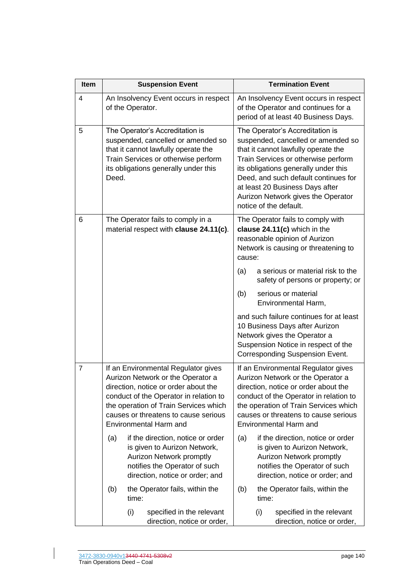<span id="page-140-0"></span>

| Item           | <b>Suspension Event</b>                                                                                                                                                                                                                                               | <b>Termination Event</b>                                                                                                                                                                                                                                                                                                               |  |  |
|----------------|-----------------------------------------------------------------------------------------------------------------------------------------------------------------------------------------------------------------------------------------------------------------------|----------------------------------------------------------------------------------------------------------------------------------------------------------------------------------------------------------------------------------------------------------------------------------------------------------------------------------------|--|--|
| 4              | An Insolvency Event occurs in respect<br>of the Operator.                                                                                                                                                                                                             | An Insolvency Event occurs in respect<br>of the Operator and continues for a<br>period of at least 40 Business Days.                                                                                                                                                                                                                   |  |  |
| 5              | The Operator's Accreditation is<br>suspended, cancelled or amended so<br>that it cannot lawfully operate the<br>Train Services or otherwise perform<br>its obligations generally under this<br>Deed.                                                                  | The Operator's Accreditation is<br>suspended, cancelled or amended so<br>that it cannot lawfully operate the<br>Train Services or otherwise perform<br>its obligations generally under this<br>Deed, and such default continues for<br>at least 20 Business Days after<br>Aurizon Network gives the Operator<br>notice of the default. |  |  |
| 6              | The Operator fails to comply in a<br>material respect with clause 24.11(c).                                                                                                                                                                                           | The Operator fails to comply with<br>clause 24.11(c) which in the<br>reasonable opinion of Aurizon<br>Network is causing or threatening to<br>cause:                                                                                                                                                                                   |  |  |
|                |                                                                                                                                                                                                                                                                       | a serious or material risk to the<br>(a)<br>safety of persons or property; or                                                                                                                                                                                                                                                          |  |  |
|                |                                                                                                                                                                                                                                                                       | (b)<br>serious or material<br>Environmental Harm,                                                                                                                                                                                                                                                                                      |  |  |
|                |                                                                                                                                                                                                                                                                       | and such failure continues for at least<br>10 Business Days after Aurizon<br>Network gives the Operator a<br>Suspension Notice in respect of the<br>Corresponding Suspension Event.                                                                                                                                                    |  |  |
| $\overline{7}$ | If an Environmental Regulator gives<br>Aurizon Network or the Operator a<br>direction, notice or order about the<br>conduct of the Operator in relation to<br>the operation of Train Services which<br>causes or threatens to cause serious<br>Environmental Harm and | If an Environmental Regulator gives<br>Aurizon Network or the Operator a<br>direction, notice or order about the<br>conduct of the Operator in relation to<br>the operation of Train Services which<br>causes or threatens to cause serious<br>Environmental Harm and                                                                  |  |  |
|                | if the direction, notice or order<br>(a)<br>is given to Aurizon Network,<br><b>Aurizon Network promptly</b><br>notifies the Operator of such<br>direction, notice or order; and                                                                                       | if the direction, notice or order<br>(a)<br>is given to Aurizon Network,<br>Aurizon Network promptly<br>notifies the Operator of such<br>direction, notice or order; and                                                                                                                                                               |  |  |
|                | the Operator fails, within the<br>(b)<br>time:                                                                                                                                                                                                                        | the Operator fails, within the<br>(b)<br>time:                                                                                                                                                                                                                                                                                         |  |  |
|                | (i)<br>specified in the relevant<br>direction, notice or order,                                                                                                                                                                                                       | (i)<br>specified in the relevant<br>direction, notice or order,                                                                                                                                                                                                                                                                        |  |  |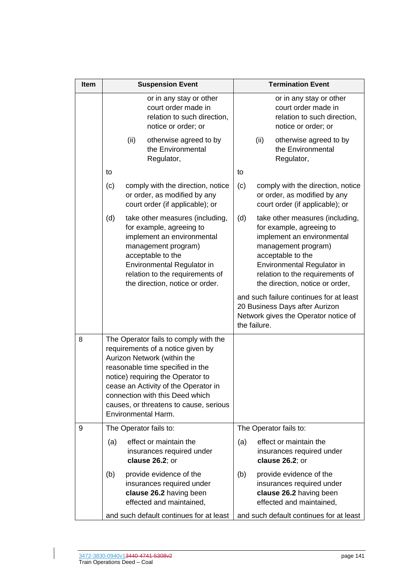| Item | <b>Suspension Event</b>                                                                                                                                                                                                                                                                                                        |      |                                                                                                                                                                                                                                           | <b>Termination Event</b> |              |                                                                                                                                                                                                                                           |
|------|--------------------------------------------------------------------------------------------------------------------------------------------------------------------------------------------------------------------------------------------------------------------------------------------------------------------------------|------|-------------------------------------------------------------------------------------------------------------------------------------------------------------------------------------------------------------------------------------------|--------------------------|--------------|-------------------------------------------------------------------------------------------------------------------------------------------------------------------------------------------------------------------------------------------|
|      |                                                                                                                                                                                                                                                                                                                                |      | or in any stay or other<br>court order made in<br>relation to such direction,<br>notice or order; or                                                                                                                                      |                          |              | or in any stay or other<br>court order made in<br>relation to such direction,<br>notice or order; or                                                                                                                                      |
|      |                                                                                                                                                                                                                                                                                                                                | (ii) | otherwise agreed to by<br>the Environmental<br>Regulator,                                                                                                                                                                                 |                          | (ii)         | otherwise agreed to by<br>the Environmental<br>Regulator,                                                                                                                                                                                 |
|      | to                                                                                                                                                                                                                                                                                                                             |      |                                                                                                                                                                                                                                           | to                       |              |                                                                                                                                                                                                                                           |
|      | (c)                                                                                                                                                                                                                                                                                                                            |      | comply with the direction, notice<br>or order, as modified by any<br>court order (if applicable); or                                                                                                                                      | (c)                      |              | comply with the direction, notice<br>or order, as modified by any<br>court order (if applicable); or                                                                                                                                      |
|      | (d)                                                                                                                                                                                                                                                                                                                            |      | take other measures (including,<br>for example, agreeing to<br>implement an environmental<br>management program)<br>acceptable to the<br>Environmental Regulator in<br>relation to the requirements of<br>the direction, notice or order. | (d)                      |              | take other measures (including,<br>for example, agreeing to<br>implement an environmental<br>management program)<br>acceptable to the<br>Environmental Regulator in<br>relation to the requirements of<br>the direction, notice or order, |
|      |                                                                                                                                                                                                                                                                                                                                |      |                                                                                                                                                                                                                                           |                          | the failure. | and such failure continues for at least<br>20 Business Days after Aurizon<br>Network gives the Operator notice of                                                                                                                         |
| 8    | The Operator fails to comply with the<br>requirements of a notice given by<br>Aurizon Network (within the<br>reasonable time specified in the<br>notice) requiring the Operator to<br>cease an Activity of the Operator in<br>connection with this Deed which<br>causes, or threatens to cause, serious<br>Environmental Harm. |      |                                                                                                                                                                                                                                           |                          |              |                                                                                                                                                                                                                                           |
| 9    |                                                                                                                                                                                                                                                                                                                                |      | The Operator fails to:                                                                                                                                                                                                                    |                          |              | The Operator fails to:                                                                                                                                                                                                                    |
|      | (a)                                                                                                                                                                                                                                                                                                                            |      | effect or maintain the<br>insurances required under<br>clause 26.2; or                                                                                                                                                                    | (a)                      |              | effect or maintain the<br>insurances required under<br>clause 26.2; or                                                                                                                                                                    |
|      | (b)                                                                                                                                                                                                                                                                                                                            |      | provide evidence of the<br>insurances required under<br>clause 26.2 having been<br>effected and maintained,                                                                                                                               | (b)                      |              | provide evidence of the<br>insurances required under<br>clause 26.2 having been<br>effected and maintained,                                                                                                                               |
|      |                                                                                                                                                                                                                                                                                                                                |      | and such default continues for at least                                                                                                                                                                                                   |                          |              | and such default continues for at least                                                                                                                                                                                                   |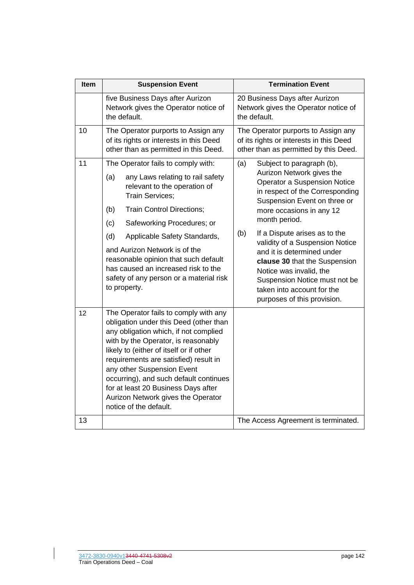| Item | <b>Suspension Event</b>                                                                                                                                                                                                                                                                                                                                                                                                            | <b>Termination Event</b>                                                                                                                                                                                                                                                                                                                                                                                                                                                                |  |  |
|------|------------------------------------------------------------------------------------------------------------------------------------------------------------------------------------------------------------------------------------------------------------------------------------------------------------------------------------------------------------------------------------------------------------------------------------|-----------------------------------------------------------------------------------------------------------------------------------------------------------------------------------------------------------------------------------------------------------------------------------------------------------------------------------------------------------------------------------------------------------------------------------------------------------------------------------------|--|--|
|      | five Business Days after Aurizon<br>Network gives the Operator notice of<br>the default.                                                                                                                                                                                                                                                                                                                                           | 20 Business Days after Aurizon<br>Network gives the Operator notice of<br>the default.                                                                                                                                                                                                                                                                                                                                                                                                  |  |  |
| 10   | The Operator purports to Assign any<br>of its rights or interests in this Deed<br>other than as permitted in this Deed.                                                                                                                                                                                                                                                                                                            | The Operator purports to Assign any<br>of its rights or interests in this Deed<br>other than as permitted by this Deed.                                                                                                                                                                                                                                                                                                                                                                 |  |  |
| 11   | The Operator fails to comply with:<br>any Laws relating to rail safety<br>(a)<br>relevant to the operation of<br>Train Services;<br><b>Train Control Directions;</b><br>(b)<br>(c)<br>Safeworking Procedures; or<br>(d)<br>Applicable Safety Standards,<br>and Aurizon Network is of the<br>reasonable opinion that such default<br>has caused an increased risk to the<br>safety of any person or a material risk<br>to property. | (a)<br>Subject to paragraph (b),<br>Aurizon Network gives the<br><b>Operator a Suspension Notice</b><br>in respect of the Corresponding<br>Suspension Event on three or<br>more occasions in any 12<br>month period.<br>(b)<br>If a Dispute arises as to the<br>validity of a Suspension Notice<br>and it is determined under<br>clause 30 that the Suspension<br>Notice was invalid, the<br>Suspension Notice must not be<br>taken into account for the<br>purposes of this provision. |  |  |
| 12   | The Operator fails to comply with any<br>obligation under this Deed (other than<br>any obligation which, if not complied<br>with by the Operator, is reasonably<br>likely to (either of itself or if other<br>requirements are satisfied) result in<br>any other Suspension Event<br>occurring), and such default continues<br>for at least 20 Business Days after<br>Aurizon Network gives the Operator<br>notice of the default. |                                                                                                                                                                                                                                                                                                                                                                                                                                                                                         |  |  |
| 13   |                                                                                                                                                                                                                                                                                                                                                                                                                                    | The Access Agreement is terminated.                                                                                                                                                                                                                                                                                                                                                                                                                                                     |  |  |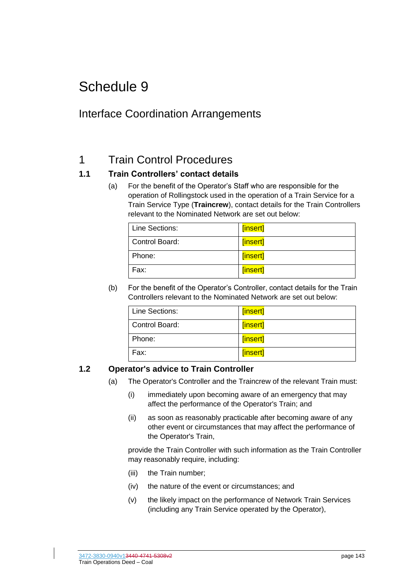### <span id="page-143-0"></span>Interface Coordination Arrangements

### 1 Train Control Procedures

### **1.1 Train Controllers' contact details**

(a) For the benefit of the Operator's Staff who are responsible for the operation of Rollingstock used in the operation of a Train Service for a Train Service Type (**Traincrew**), contact details for the Train Controllers relevant to the Nominated Network are set out below:

| Line Sections: | [insert] |
|----------------|----------|
| Control Board: | [insert] |
| Phone:         | [insert] |
| Fax:           | [insert] |

(b) For the benefit of the Operator's Controller, contact details for the Train Controllers relevant to the Nominated Network are set out below:

| Line Sections: | [insert] |
|----------------|----------|
| Control Board: | [insert] |
| Phone:         | [insert] |
| Fax:           | [insert] |

#### **1.2 Operator's advice to Train Controller**

- (a) The Operator's Controller and the Traincrew of the relevant Train must:
	- (i) immediately upon becoming aware of an emergency that may affect the performance of the Operator's Train; and
	- (ii) as soon as reasonably practicable after becoming aware of any other event or circumstances that may affect the performance of the Operator's Train,

provide the Train Controller with such information as the Train Controller may reasonably require, including:

- (iii) the Train number;
- (iv) the nature of the event or circumstances; and
- (v) the likely impact on the performance of Network Train Services (including any Train Service operated by the Operator),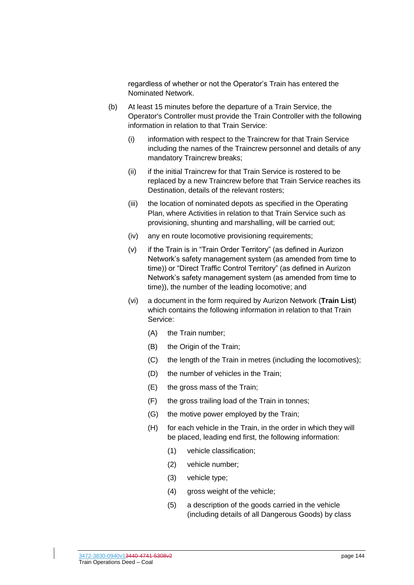regardless of whether or not the Operator's Train has entered the Nominated Network.

- (b) At least 15 minutes before the departure of a Train Service, the Operator's Controller must provide the Train Controller with the following information in relation to that Train Service:
	- (i) information with respect to the Traincrew for that Train Service including the names of the Traincrew personnel and details of any mandatory Traincrew breaks;
	- (ii) if the initial Traincrew for that Train Service is rostered to be replaced by a new Traincrew before that Train Service reaches its Destination, details of the relevant rosters;
	- (iii) the location of nominated depots as specified in the Operating Plan, where Activities in relation to that Train Service such as provisioning, shunting and marshalling, will be carried out;
	- (iv) any en route locomotive provisioning requirements;
	- (v) if the Train is in "Train Order Territory" (as defined in Aurizon Network's safety management system (as amended from time to time)) or "Direct Traffic Control Territory" (as defined in Aurizon Network's safety management system (as amended from time to time)), the number of the leading locomotive; and
	- (vi) a document in the form required by Aurizon Network (**Train List**) which contains the following information in relation to that Train Service:
		- (A) the Train number;
		- (B) the Origin of the Train;
		- (C) the length of the Train in metres (including the locomotives);
		- (D) the number of vehicles in the Train;
		- (E) the gross mass of the Train;
		- (F) the gross trailing load of the Train in tonnes;
		- (G) the motive power employed by the Train;
		- (H) for each vehicle in the Train, in the order in which they will be placed, leading end first, the following information:
			- (1) vehicle classification;
			- (2) vehicle number;
			- (3) vehicle type;
			- (4) gross weight of the vehicle;
			- (5) a description of the goods carried in the vehicle (including details of all Dangerous Goods) by class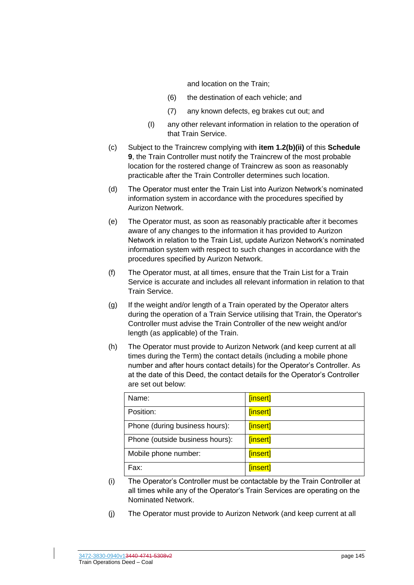and location on the Train;

- (6) the destination of each vehicle; and
- (7) any known defects, eg brakes cut out; and
- (I) any other relevant information in relation to the operation of that Train Service.
- (c) Subject to the Traincrew complying with **item 1.2(b)(ii)** of this **Schedule [9](#page-143-0)**, the Train Controller must notify the Traincrew of the most probable location for the rostered change of Traincrew as soon as reasonably practicable after the Train Controller determines such location.
- (d) The Operator must enter the Train List into Aurizon Network's nominated information system in accordance with the procedures specified by Aurizon Network.
- (e) The Operator must, as soon as reasonably practicable after it becomes aware of any changes to the information it has provided to Aurizon Network in relation to the Train List, update Aurizon Network's nominated information system with respect to such changes in accordance with the procedures specified by Aurizon Network.
- (f) The Operator must, at all times, ensure that the Train List for a Train Service is accurate and includes all relevant information in relation to that Train Service.
- (g) If the weight and/or length of a Train operated by the Operator alters during the operation of a Train Service utilising that Train, the Operator's Controller must advise the Train Controller of the new weight and/or length (as applicable) of the Train.
- (h) The Operator must provide to Aurizon Network (and keep current at all times during the Term) the contact details (including a mobile phone number and after hours contact details) for the Operator's Controller. As at the date of this Deed, the contact details for the Operator's Controller are set out below:

| Name:                           | [insert] |
|---------------------------------|----------|
| Position:                       | [insert] |
| Phone (during business hours):  | [insert] |
| Phone (outside business hours): | [insert] |
| Mobile phone number:            | [insert] |
| Fax:                            | [insert] |

- (i) The Operator's Controller must be contactable by the Train Controller at all times while any of the Operator's Train Services are operating on the Nominated Network.
- (j) The Operator must provide to Aurizon Network (and keep current at all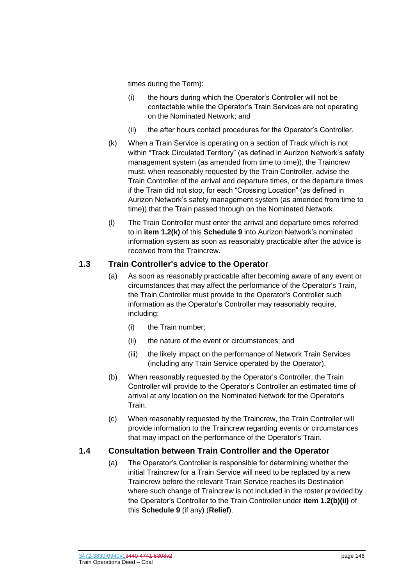times during the Term):

- (i) the hours during which the Operator's Controller will not be contactable while the Operator's Train Services are not operating on the Nominated Network; and
- (ii) the after hours contact procedures for the Operator's Controller.
- (k) When a Train Service is operating on a section of Track which is not within "Track Circulated Territory" (as defined in Aurizon Network's safety management system (as amended from time to time)), the Traincrew must, when reasonably requested by the Train Controller, advise the Train Controller of the arrival and departure times, or the departure times if the Train did not stop, for each "Crossing Location" (as defined in Aurizon Network's safety management system (as amended from time to time)) that the Train passed through on the Nominated Network.
- (l) The Train Controller must enter the arrival and departure times referred to in **item 1.2(k)** of this **Schedule [9](#page-143-0)** into Aurizon Network's nominated information system as soon as reasonably practicable after the advice is received from the Traincrew.

#### **1.3 Train Controller's advice to the Operator**

- (a) As soon as reasonably practicable after becoming aware of any event or circumstances that may affect the performance of the Operator's Train, the Train Controller must provide to the Operator's Controller such information as the Operator's Controller may reasonably require, including:
	- (i) the Train number;
	- (ii) the nature of the event or circumstances; and
	- (iii) the likely impact on the performance of Network Train Services (including any Train Service operated by the Operator).
- (b) When reasonably requested by the Operator's Controller, the Train Controller will provide to the Operator's Controller an estimated time of arrival at any location on the Nominated Network for the Operator's Train.
- (c) When reasonably requested by the Traincrew, the Train Controller will provide information to the Traincrew regarding events or circumstances that may impact on the performance of the Operator's Train.

#### **1.4 Consultation between Train Controller and the Operator**

(a) The Operator's Controller is responsible for determining whether the initial Traincrew for a Train Service will need to be replaced by a new Traincrew before the relevant Train Service reaches its Destination where such change of Traincrew is not included in the roster provided by the Operator's Controller to the Train Controller under **item 1.2(b)(ii)** of this **Schedule [9](#page-143-0)** (if any) (**Relief**).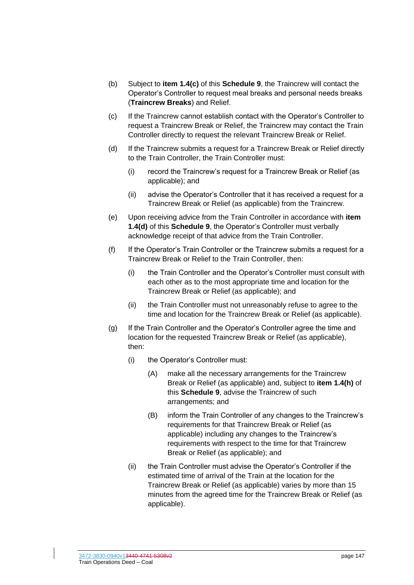- (b) Subject to **item 1.4(c)** of this **Schedule [9](#page-143-0)**, the Traincrew will contact the Operator's Controller to request meal breaks and personal needs breaks (**Traincrew Breaks**) and Relief.
- (c) If the Traincrew cannot establish contact with the Operator's Controller to request a Traincrew Break or Relief, the Traincrew may contact the Train Controller directly to request the relevant Traincrew Break or Relief.
- (d) If the Traincrew submits a request for a Traincrew Break or Relief directly to the Train Controller, the Train Controller must:
	- (i) record the Traincrew's request for a Traincrew Break or Relief (as applicable); and
	- (ii) advise the Operator's Controller that it has received a request for a Traincrew Break or Relief (as applicable) from the Traincrew.
- (e) Upon receiving advice from the Train Controller in accordance with **item 1.4(d)** of this **Schedule [9](#page-143-0)**, the Operator's Controller must verbally acknowledge receipt of that advice from the Train Controller.
- (f) If the Operator's Train Controller or the Traincrew submits a request for a Traincrew Break or Relief to the Train Controller, then:
	- (i) the Train Controller and the Operator's Controller must consult with each other as to the most appropriate time and location for the Traincrew Break or Relief (as applicable); and
	- (ii) the Train Controller must not unreasonably refuse to agree to the time and location for the Traincrew Break or Relief (as applicable).
- (g) If the Train Controller and the Operator's Controller agree the time and location for the requested Traincrew Break or Relief (as applicable), then:
	- (i) the Operator's Controller must:
		- (A) make all the necessary arrangements for the Traincrew Break or Relief (as applicable) and, subject to **item 1.4(h)** of this **Schedule [9](#page-143-0)**, advise the Traincrew of such arrangements; and
		- (B) inform the Train Controller of any changes to the Traincrew's requirements for that Traincrew Break or Relief (as applicable) including any changes to the Traincrew's requirements with respect to the time for that Traincrew Break or Relief (as applicable); and
	- (ii) the Train Controller must advise the Operator's Controller if the estimated time of arrival of the Train at the location for the Traincrew Break or Relief (as applicable) varies by more than 15 minutes from the agreed time for the Traincrew Break or Relief (as applicable).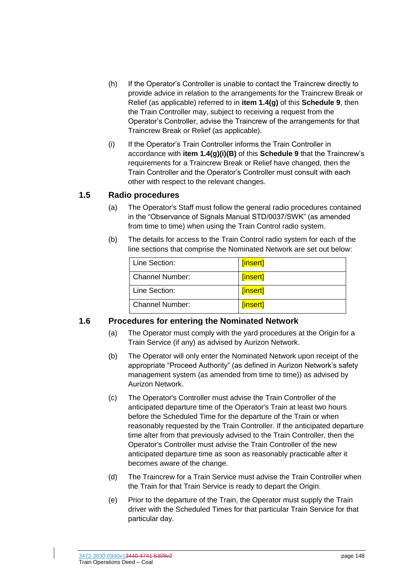- (h) If the Operator's Controller is unable to contact the Traincrew directly to provide advice in relation to the arrangements for the Traincrew Break or Relief (as applicable) referred to in **item 1.4(g)** of this **Schedule [9](#page-143-0)**, then the Train Controller may, subject to receiving a request from the Operator's Controller, advise the Traincrew of the arrangements for that Traincrew Break or Relief (as applicable).
- (i) If the Operator's Train Controller informs the Train Controller in accordance with **item 1.4(g)(i)(B)** of this **Schedule [9](#page-143-0)** that the Traincrew's requirements for a Traincrew Break or Relief have changed, then the Train Controller and the Operator's Controller must consult with each other with respect to the relevant changes.

#### **1.5 Radio procedures**

- (a) The Operator's Staff must follow the general radio procedures contained in the "Observance of Signals Manual STD/0037/SWK" (as amended from time to time) when using the Train Control radio system.
- (b) The details for access to the Train Control radio system for each of the line sections that comprise the Nominated Network are set out below:

| Line Section:          | [insert] |
|------------------------|----------|
| <b>Channel Number:</b> | [insert] |
| Line Section:          | [insert] |
| <b>Channel Number:</b> | [insert] |

#### **1.6 Procedures for entering the Nominated Network**

- (a) The Operator must comply with the yard procedures at the Origin for a Train Service (if any) as advised by Aurizon Network.
- (b) The Operator will only enter the Nominated Network upon receipt of the appropriate "Proceed Authority" (as defined in Aurizon Network's safety management system (as amended from time to time)) as advised by Aurizon Network.
- (c) The Operator's Controller must advise the Train Controller of the anticipated departure time of the Operator's Train at least two hours before the Scheduled Time for the departure of the Train or when reasonably requested by the Train Controller. If the anticipated departure time alter from that previously advised to the Train Controller, then the Operator's Controller must advise the Train Controller of the new anticipated departure time as soon as reasonably practicable after it becomes aware of the change.
- (d) The Traincrew for a Train Service must advise the Train Controller when the Train for that Train Service is ready to depart the Origin.
- (e) Prior to the departure of the Train, the Operator must supply the Train driver with the Scheduled Times for that particular Train Service for that particular day.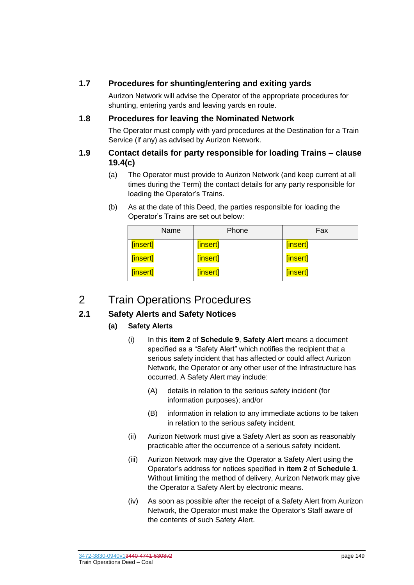### **1.7 Procedures for shunting/entering and exiting yards**

Aurizon Network will advise the Operator of the appropriate procedures for shunting, entering yards and leaving yards en route.

#### **1.8 Procedures for leaving the Nominated Network**

The Operator must comply with yard procedures at the Destination for a Train Service (if any) as advised by Aurizon Network.

#### **1.9 Contact details for party responsible for loading Trains – clause [19.4\(c\)](#page-69-0)**

- (a) The Operator must provide to Aurizon Network (and keep current at all times during the Term) the contact details for any party responsible for loading the Operator's Trains.
- (b) As at the date of this Deed, the parties responsible for loading the Operator's Trains are set out below:

| Name     | Phone    | Fax      |
|----------|----------|----------|
| [insert] | [insert] | [insert] |
| [insert] | [insert] | [insert] |
| [insert] | [insert] | [insert] |

## <span id="page-149-0"></span>2 Train Operations Procedures

### **2.1 Safety Alerts and Safety Notices**

### **(a) Safety Alerts**

- (i) In this **item [2](#page-149-0)** of **Schedule [9](#page-143-0)**, **Safety Alert** means a document specified as a "Safety Alert" which notifies the recipient that a serious safety incident that has affected or could affect Aurizon Network, the Operator or any other user of the Infrastructure has occurred. A Safety Alert may include:
	- (A) details in relation to the serious safety incident (for information purposes); and/or
	- (B) information in relation to any immediate actions to be taken in relation to the serious safety incident.
- (ii) Aurizon Network must give a Safety Alert as soon as reasonably practicable after the occurrence of a serious safety incident.
- (iii) Aurizon Network may give the Operator a Safety Alert using the Operator's address for notices specified in **item [2](#page-120-0)** of **Schedule [1](#page-120-1)**. Without limiting the method of delivery, Aurizon Network may give the Operator a Safety Alert by electronic means.
- (iv) As soon as possible after the receipt of a Safety Alert from Aurizon Network, the Operator must make the Operator's Staff aware of the contents of such Safety Alert.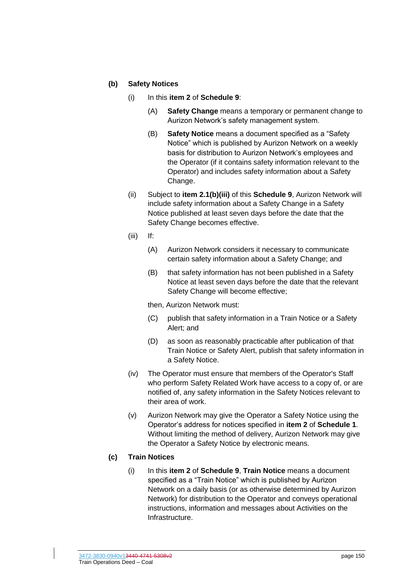#### **(b) Safety Notices**

- (i) In this **item [2](#page-149-0)** of **Schedule [9](#page-143-0)**:
	- (A) **Safety Change** means a temporary or permanent change to Aurizon Network's safety management system.
	- (B) **Safety Notice** means a document specified as a "Safety Notice" which is published by Aurizon Network on a weekly basis for distribution to Aurizon Network's employees and the Operator (if it contains safety information relevant to the Operator) and includes safety information about a Safety Change.
- (ii) Subject to **item 2.1(b)(iii)** of this **Schedule [9](#page-143-0)**, Aurizon Network will include safety information about a Safety Change in a Safety Notice published at least seven days before the date that the Safety Change becomes effective.
- (iii) If:
	- (A) Aurizon Network considers it necessary to communicate certain safety information about a Safety Change; and
	- (B) that safety information has not been published in a Safety Notice at least seven days before the date that the relevant Safety Change will become effective;

then, Aurizon Network must:

- (C) publish that safety information in a Train Notice or a Safety Alert; and
- (D) as soon as reasonably practicable after publication of that Train Notice or Safety Alert, publish that safety information in a Safety Notice.
- (iv) The Operator must ensure that members of the Operator's Staff who perform Safety Related Work have access to a copy of, or are notified of, any safety information in the Safety Notices relevant to their area of work.
- (v) Aurizon Network may give the Operator a Safety Notice using the Operator's address for notices specified in **item [2](#page-120-0)** of **Schedule [1](#page-120-1)**. Without limiting the method of delivery, Aurizon Network may give the Operator a Safety Notice by electronic means.

#### **(c) Train Notices**

(i) In this **item [2](#page-149-0)** of **Schedule [9](#page-143-0)**, **Train Notice** means a document specified as a "Train Notice" which is published by Aurizon Network on a daily basis (or as otherwise determined by Aurizon Network) for distribution to the Operator and conveys operational instructions, information and messages about Activities on the **Infrastructure**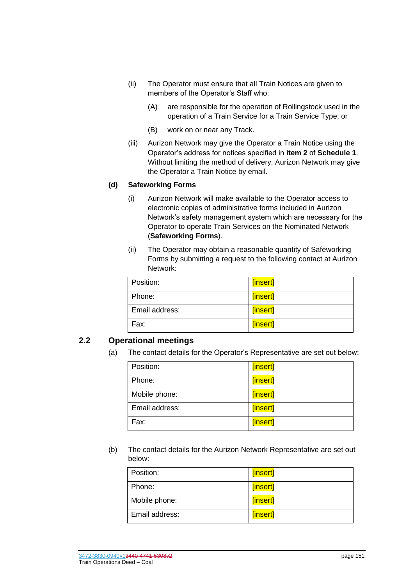- (ii) The Operator must ensure that all Train Notices are given to members of the Operator's Staff who:
	- (A) are responsible for the operation of Rollingstock used in the operation of a Train Service for a Train Service Type; or
	- (B) work on or near any Track.
- (iii) Aurizon Network may give the Operator a Train Notice using the Operator's address for notices specified in **item [2](#page-120-0)** of **Schedule [1](#page-120-1)**. Without limiting the method of delivery, Aurizon Network may give the Operator a Train Notice by email.

#### **(d) Safeworking Forms**

- (i) Aurizon Network will make available to the Operator access to electronic copies of administrative forms included in Aurizon Network's safety management system which are necessary for the Operator to operate Train Services on the Nominated Network (**Safeworking Forms**).
- (ii) The Operator may obtain a reasonable quantity of Safeworking Forms by submitting a request to the following contact at Aurizon Network:

| Position:      | [insert] |
|----------------|----------|
| Phone:         | [insert] |
| Email address: | [insert] |
| Fax:           | [insert] |

#### **2.2 Operational meetings**

(a) The contact details for the Operator's Representative are set out below:

| Position:      | [insert] |
|----------------|----------|
| Phone:         | [insert] |
| Mobile phone:  | [insert] |
| Email address: | [insert] |
| Fax:           | [insert] |

(b) The contact details for the Aurizon Network Representative are set out below:

| Position:      | [insert] |
|----------------|----------|
| Phone:         | [insert] |
| Mobile phone:  | [insert] |
| Email address: | [insert] |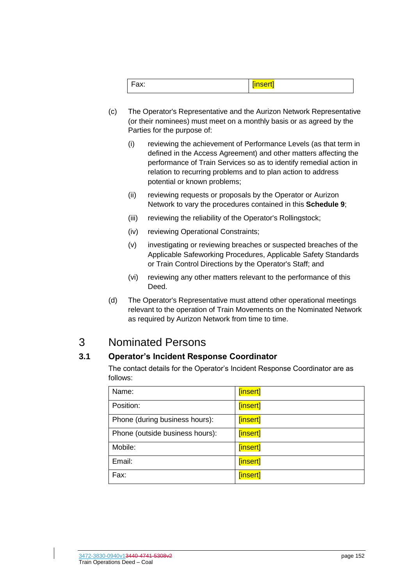| --- |  |
|-----|--|
|-----|--|

- (c) The Operator's Representative and the Aurizon Network Representative (or their nominees) must meet on a monthly basis or as agreed by the Parties for the purpose of:
	- (i) reviewing the achievement of Performance Levels (as that term in defined in the Access Agreement) and other matters affecting the performance of Train Services so as to identify remedial action in relation to recurring problems and to plan action to address potential or known problems;
	- (ii) reviewing requests or proposals by the Operator or Aurizon Network to vary the procedures contained in this **Schedule [9](#page-143-0)**;
	- (iii) reviewing the reliability of the Operator's Rollingstock;
	- (iv) reviewing Operational Constraints;
	- (v) investigating or reviewing breaches or suspected breaches of the Applicable Safeworking Procedures, Applicable Safety Standards or Train Control Directions by the Operator's Staff; and
	- (vi) reviewing any other matters relevant to the performance of this Deed.
- (d) The Operator's Representative must attend other operational meetings relevant to the operation of Train Movements on the Nominated Network as required by Aurizon Network from time to time.

## 3 Nominated Persons

### **3.1 Operator's Incident Response Coordinator**

The contact details for the Operator's Incident Response Coordinator are as follows:

| Name:                           | [insert] |
|---------------------------------|----------|
| Position:                       | [insert] |
| Phone (during business hours):  | [insert] |
| Phone (outside business hours): | [insert] |
| Mobile:                         | [insert] |
| Email:                          | [insert] |
| Fax:                            | [insert] |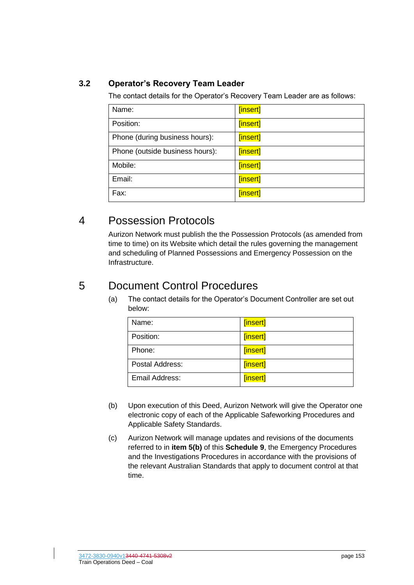### **3.2 Operator's Recovery Team Leader**

The contact details for the Operator's Recovery Team Leader are as follows:

| Name:                           | [insert] |
|---------------------------------|----------|
| Position:                       | [insert] |
| Phone (during business hours):  | [insert] |
| Phone (outside business hours): | [insert] |
| Mobile:                         | [insert] |
| Email:                          | [insert] |
| Fax:                            | [insert] |

## 4 Possession Protocols

Aurizon Network must publish the the Possession Protocols (as amended from time to time) on its Website which detail the rules governing the management and scheduling of Planned Possessions and Emergency Possession on the Infrastructure.

# 5 Document Control Procedures

(a) The contact details for the Operator's Document Controller are set out below:

| Name:           | [insert] |
|-----------------|----------|
| Position:       | [insert] |
| Phone:          | [insert] |
| Postal Address: | [insert] |
| Email Address:  | [insert] |

- <span id="page-153-0"></span>(b) Upon execution of this Deed, Aurizon Network will give the Operator one electronic copy of each of the Applicable Safeworking Procedures and Applicable Safety Standards.
- (c) Aurizon Network will manage updates and revisions of the documents referred to in **item [5\(b\)](#page-153-0)** of this **Schedule [9](#page-143-0)**, the Emergency Procedures and the Investigations Procedures in accordance with the provisions of the relevant Australian Standards that apply to document control at that time.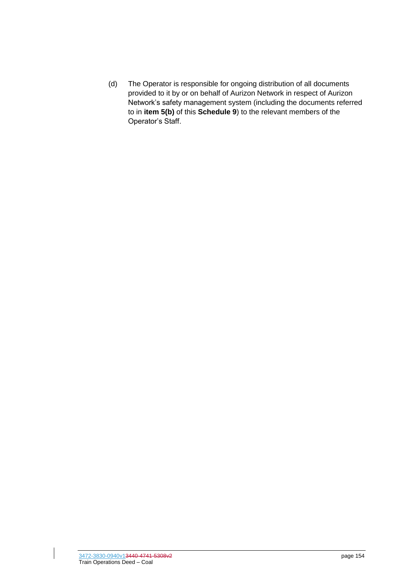(d) The Operator is responsible for ongoing distribution of all documents provided to it by or on behalf of Aurizon Network in respect of Aurizon Network's safety management system (including the documents referred to in **item [5\(b\)](#page-153-0)** of this **Schedule [9](#page-143-0)**) to the relevant members of the Operator's Staff.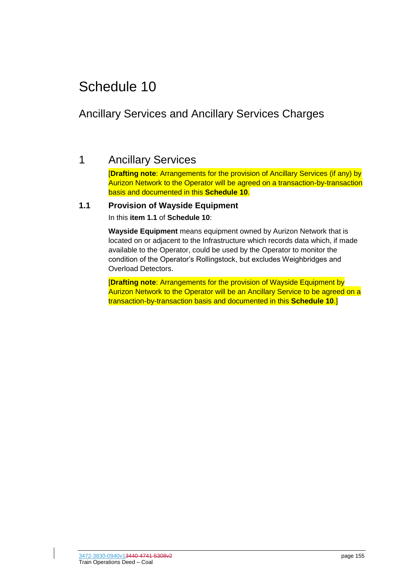# <span id="page-155-0"></span>Schedule 10

# Ancillary Services and Ancillary Services Charges

# 1 Ancillary Services

[**Drafting note**: Arrangements for the provision of Ancillary Services (if any) by Aurizon Network to the Operator will be agreed on a transaction-by-transaction basis and documented in this **Schedule [10](#page-155-0)**.

#### <span id="page-155-1"></span>**1.1 Provision of Wayside Equipment**

In this **item [1.1](#page-155-1)** of **Schedule [10](#page-155-0)**:

**Wayside Equipment** means equipment owned by Aurizon Network that is located on or adjacent to the Infrastructure which records data which, if made available to the Operator, could be used by the Operator to monitor the condition of the Operator's Rollingstock, but excludes Weighbridges and Overload Detectors.

[**Drafting note**: Arrangements for the provision of Wayside Equipment by Aurizon Network to the Operator will be an Ancillary Service to be agreed on a transaction-by-transaction basis and documented in this **Schedule [10](#page-155-0)**.]